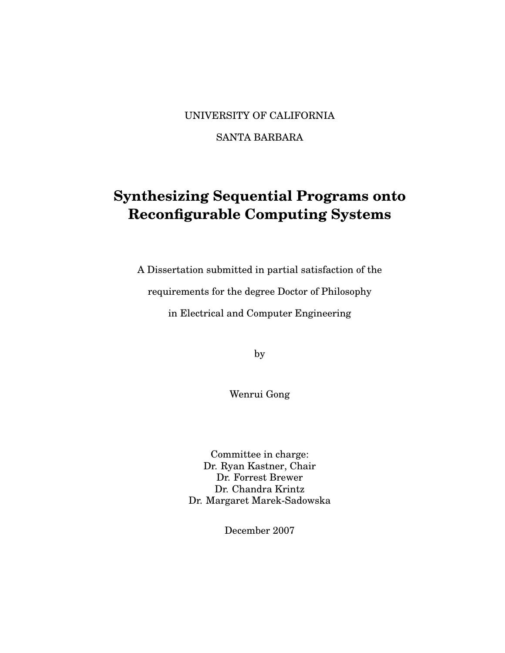#### UNIVERSITY OF CALIFORNIA

#### SANTA BARBARA

## **Synthesizing Sequential Programs onto Reconfigurable Computing Systems**

A Dissertation submitted in partial satisfaction of the

requirements for the degree Doctor of Philosophy

in Electrical and Computer Engineering

by

Wenrui Gong

Committee in charge: Dr. Ryan Kastner, Chair Dr. Forrest Brewer Dr. Chandra Krintz Dr. Margaret Marek-Sadowska

December 2007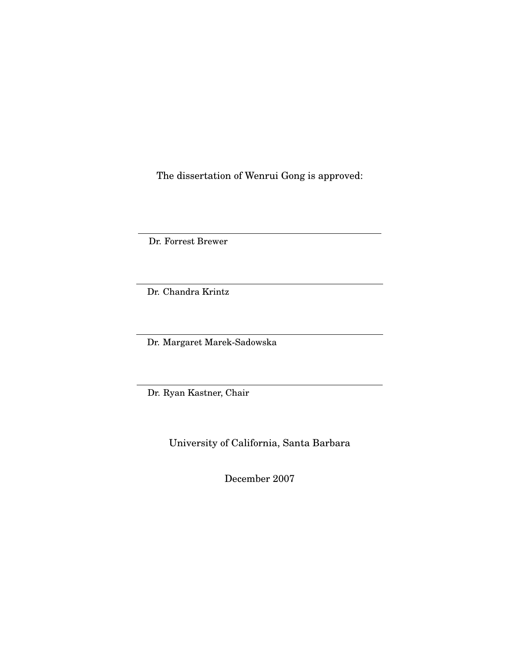The dissertation of Wenrui Gong is approved:

Dr. Forrest Brewer

Dr. Chandra Krintz

Dr. Margaret Marek-Sadowska

Dr. Ryan Kastner, Chair

University of California, Santa Barbara

December 2007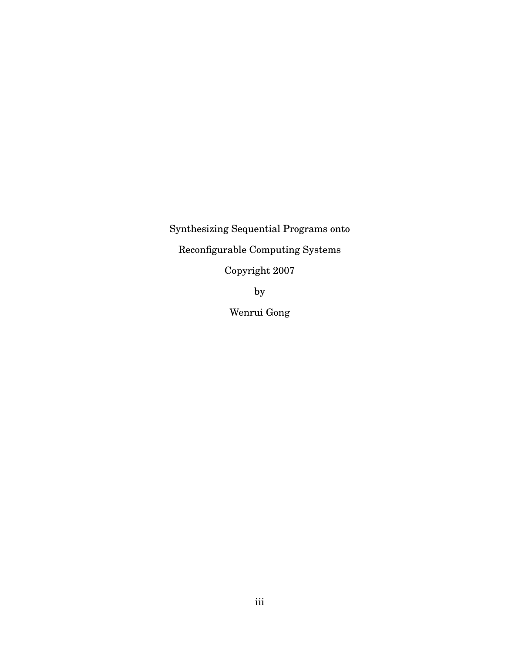Synthesizing Sequential Programs onto Reconfigurable Computing Systems Copyright 2007 by

Wenrui Gong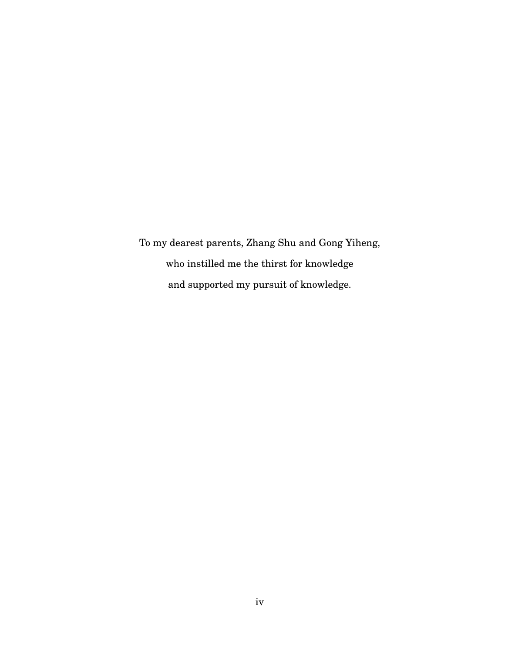To my dearest parents, Zhang Shu and Gong Yiheng, who instilled me the thirst for knowledge and supported my pursuit of knowledge.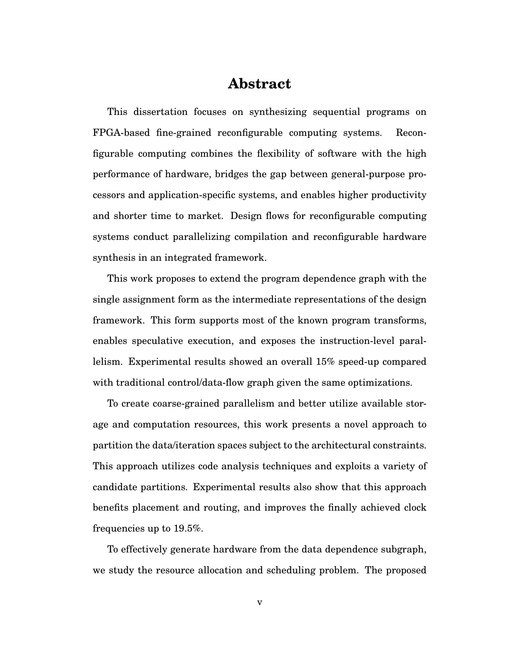## **Abstract**

This dissertation focuses on synthesizing sequential programs on FPGA-based fine-grained reconfigurable computing systems. Reconfigurable computing combines the flexibility of software with the high performance of hardware, bridges the gap between general-purpose processors and application-specific systems, and enables higher productivity and shorter time to market. Design flows for reconfigurable computing systems conduct parallelizing compilation and reconfigurable hardware synthesis in an integrated framework.

This work proposes to extend the program dependence graph with the single assignment form as the intermediate representations of the design framework. This form supports most of the known program transforms, enables speculative execution, and exposes the instruction-level parallelism. Experimental results showed an overall 15% speed-up compared with traditional control/data-flow graph given the same optimizations.

To create coarse-grained parallelism and better utilize available storage and computation resources, this work presents a novel approach to partition the data/iteration spaces subject to the architectural constraints. This approach utilizes code analysis techniques and exploits a variety of candidate partitions. Experimental results also show that this approach benefits placement and routing, and improves the finally achieved clock frequencies up to 19.5%.

To effectively generate hardware from the data dependence subgraph, we study the resource allocation and scheduling problem. The proposed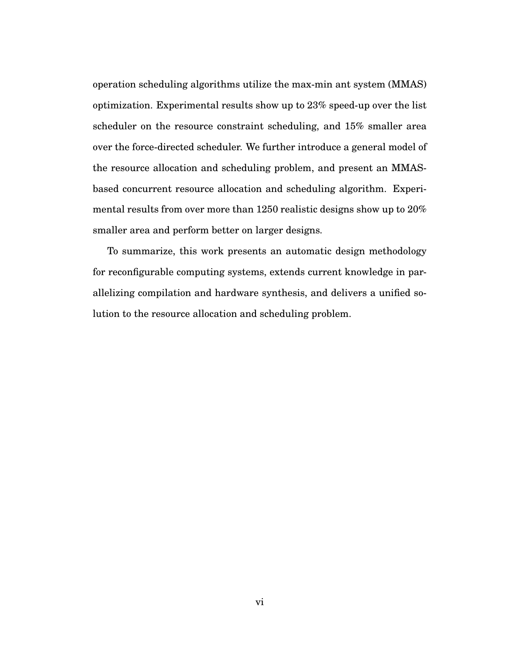operation scheduling algorithms utilize the max-min ant system (MMAS) optimization. Experimental results show up to 23% speed-up over the list scheduler on the resource constraint scheduling, and 15% smaller area over the force-directed scheduler. We further introduce a general model of the resource allocation and scheduling problem, and present an MMASbased concurrent resource allocation and scheduling algorithm. Experimental results from over more than 1250 realistic designs show up to 20% smaller area and perform better on larger designs.

To summarize, this work presents an automatic design methodology for reconfigurable computing systems, extends current knowledge in parallelizing compilation and hardware synthesis, and delivers a unified solution to the resource allocation and scheduling problem.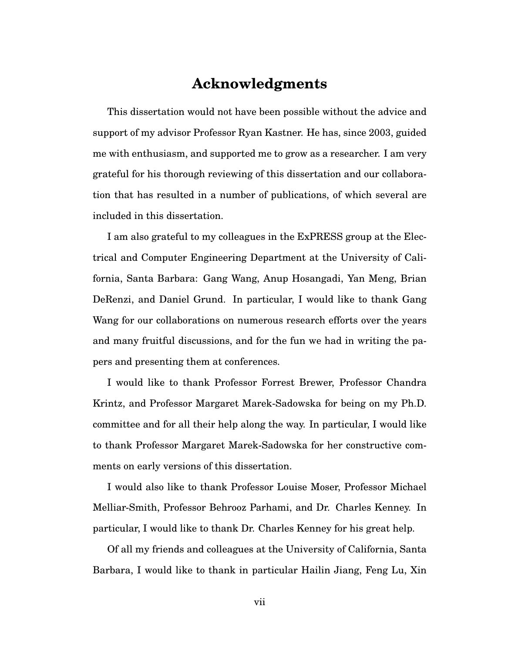### **Acknowledgments**

This dissertation would not have been possible without the advice and support of my advisor Professor Ryan Kastner. He has, since 2003, guided me with enthusiasm, and supported me to grow as a researcher. I am very grateful for his thorough reviewing of this dissertation and our collaboration that has resulted in a number of publications, of which several are included in this dissertation.

I am also grateful to my colleagues in the ExPRESS group at the Electrical and Computer Engineering Department at the University of California, Santa Barbara: Gang Wang, Anup Hosangadi, Yan Meng, Brian DeRenzi, and Daniel Grund. In particular, I would like to thank Gang Wang for our collaborations on numerous research efforts over the years and many fruitful discussions, and for the fun we had in writing the papers and presenting them at conferences.

I would like to thank Professor Forrest Brewer, Professor Chandra Krintz, and Professor Margaret Marek-Sadowska for being on my Ph.D. committee and for all their help along the way. In particular, I would like to thank Professor Margaret Marek-Sadowska for her constructive comments on early versions of this dissertation.

I would also like to thank Professor Louise Moser, Professor Michael Melliar-Smith, Professor Behrooz Parhami, and Dr. Charles Kenney. In particular, I would like to thank Dr. Charles Kenney for his great help.

Of all my friends and colleagues at the University of California, Santa Barbara, I would like to thank in particular Hailin Jiang, Feng Lu, Xin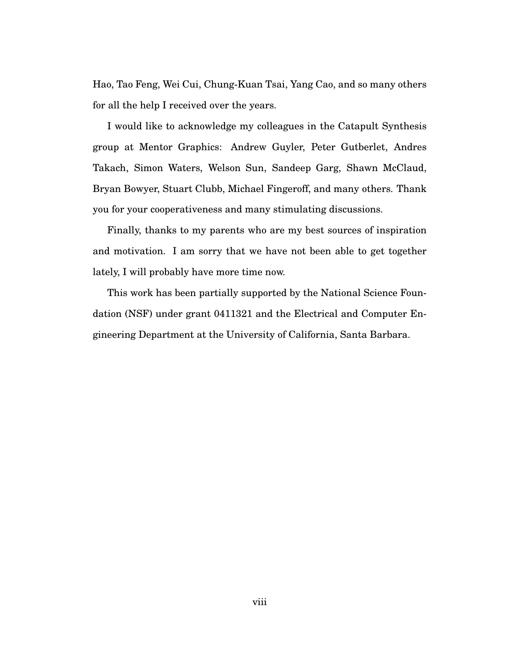Hao, Tao Feng, Wei Cui, Chung-Kuan Tsai, Yang Cao, and so many others for all the help I received over the years.

I would like to acknowledge my colleagues in the Catapult Synthesis group at Mentor Graphics: Andrew Guyler, Peter Gutberlet, Andres Takach, Simon Waters, Welson Sun, Sandeep Garg, Shawn McClaud, Bryan Bowyer, Stuart Clubb, Michael Fingeroff, and many others. Thank you for your cooperativeness and many stimulating discussions.

Finally, thanks to my parents who are my best sources of inspiration and motivation. I am sorry that we have not been able to get together lately, I will probably have more time now.

This work has been partially supported by the National Science Foundation (NSF) under grant 0411321 and the Electrical and Computer Engineering Department at the University of California, Santa Barbara.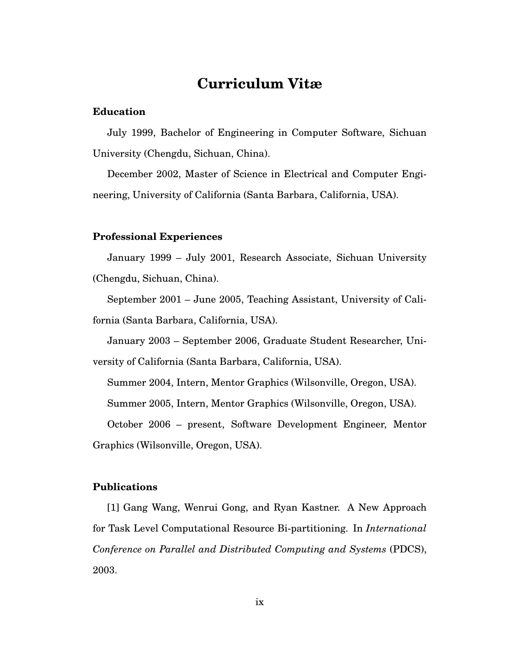## **Curriculum Vitæ**

#### **Education**

July 1999, Bachelor of Engineering in Computer Software, Sichuan University (Chengdu, Sichuan, China).

December 2002, Master of Science in Electrical and Computer Engineering, University of California (Santa Barbara, California, USA).

#### **Professional Experiences**

January 1999 – July 2001, Research Associate, Sichuan University (Chengdu, Sichuan, China).

September 2001 – June 2005, Teaching Assistant, University of California (Santa Barbara, California, USA).

January 2003 – September 2006, Graduate Student Researcher, Uni-

versity of California (Santa Barbara, California, USA).

Summer 2004, Intern, Mentor Graphics (Wilsonville, Oregon, USA).

Summer 2005, Intern, Mentor Graphics (Wilsonville, Oregon, USA).

October 2006 – present, Software Development Engineer, Mentor Graphics (Wilsonville, Oregon, USA).

#### **Publications**

[1] Gang Wang, Wenrui Gong, and Ryan Kastner. A New Approach for Task Level Computational Resource Bi-partitioning. In *International Conference on Parallel and Distributed Computing and Systems* (PDCS), 2003.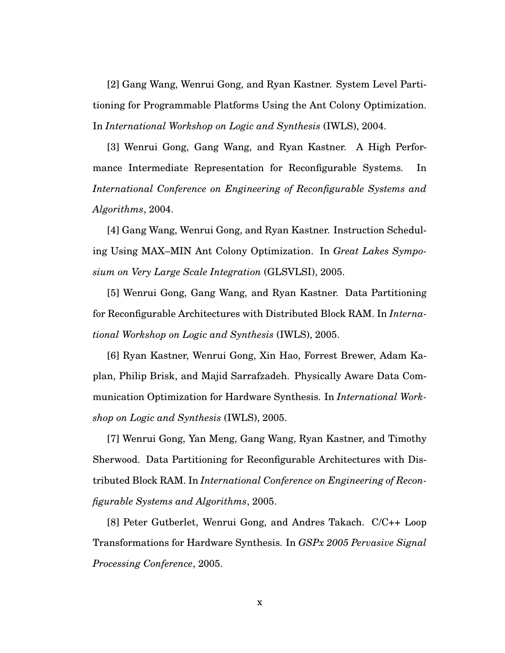[2] Gang Wang, Wenrui Gong, and Ryan Kastner. System Level Partitioning for Programmable Platforms Using the Ant Colony Optimization. In *International Workshop on Logic and Synthesis* (IWLS), 2004.

[3] Wenrui Gong, Gang Wang, and Ryan Kastner. A High Performance Intermediate Representation for Reconfigurable Systems. In *International Conference on Engineering of Reconfigurable Systems and Algorithms*, 2004.

[4] Gang Wang, Wenrui Gong, and Ryan Kastner. Instruction Scheduling Using MAX–MIN Ant Colony Optimization. In *Great Lakes Symposium on Very Large Scale Integration* (GLSVLSI), 2005.

[5] Wenrui Gong, Gang Wang, and Ryan Kastner. Data Partitioning for Reconfigurable Architectures with Distributed Block RAM. In *International Workshop on Logic and Synthesis* (IWLS), 2005.

[6] Ryan Kastner, Wenrui Gong, Xin Hao, Forrest Brewer, Adam Kaplan, Philip Brisk, and Majid Sarrafzadeh. Physically Aware Data Communication Optimization for Hardware Synthesis. In *International Workshop on Logic and Synthesis* (IWLS), 2005.

[7] Wenrui Gong, Yan Meng, Gang Wang, Ryan Kastner, and Timothy Sherwood. Data Partitioning for Reconfigurable Architectures with Distributed Block RAM. In *International Conference on Engineering of Reconfigurable Systems and Algorithms*, 2005.

[8] Peter Gutberlet, Wenrui Gong, and Andres Takach. C/C++ Loop Transformations for Hardware Synthesis. In *GSPx 2005 Pervasive Signal Processing Conference*, 2005.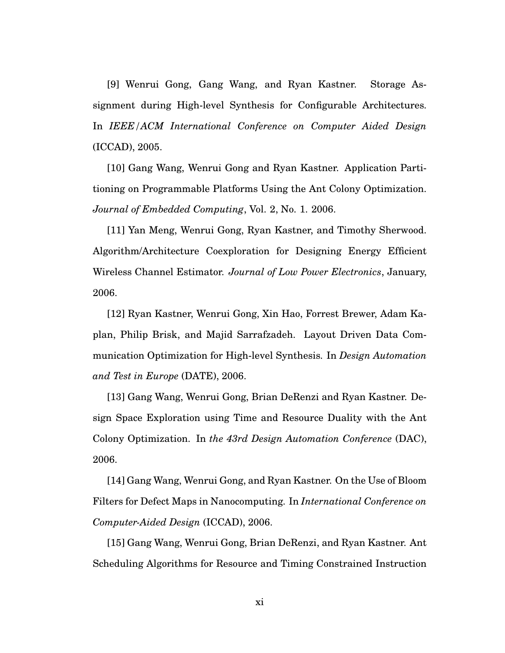[9] Wenrui Gong, Gang Wang, and Ryan Kastner. Storage Assignment during High-level Synthesis for Configurable Architectures. In *IEEE/ACM International Conference on Computer Aided Design* (ICCAD), 2005.

[10] Gang Wang, Wenrui Gong and Ryan Kastner. Application Partitioning on Programmable Platforms Using the Ant Colony Optimization. *Journal of Embedded Computing*, Vol. 2, No. 1. 2006.

[11] Yan Meng, Wenrui Gong, Ryan Kastner, and Timothy Sherwood. Algorithm/Architecture Coexploration for Designing Energy Efficient Wireless Channel Estimator. *Journal of Low Power Electronics*, January, 2006.

[12] Ryan Kastner, Wenrui Gong, Xin Hao, Forrest Brewer, Adam Kaplan, Philip Brisk, and Majid Sarrafzadeh. Layout Driven Data Communication Optimization for High-level Synthesis. In *Design Automation and Test in Europe* (DATE), 2006.

[13] Gang Wang, Wenrui Gong, Brian DeRenzi and Ryan Kastner. Design Space Exploration using Time and Resource Duality with the Ant Colony Optimization. In *the 43rd Design Automation Conference* (DAC), 2006.

[14] Gang Wang, Wenrui Gong, and Ryan Kastner. On the Use of Bloom Filters for Defect Maps in Nanocomputing. In *International Conference on Computer-Aided Design* (ICCAD), 2006.

[15] Gang Wang, Wenrui Gong, Brian DeRenzi, and Ryan Kastner. Ant Scheduling Algorithms for Resource and Timing Constrained Instruction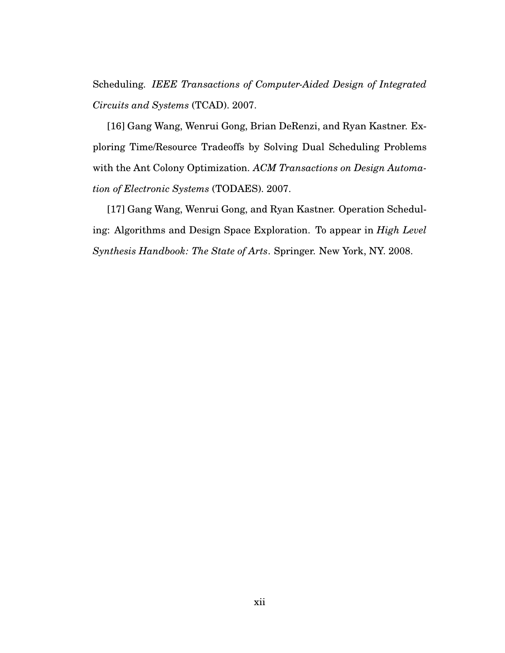Scheduling. *IEEE Transactions of Computer-Aided Design of Integrated Circuits and Systems* (TCAD). 2007.

[16] Gang Wang, Wenrui Gong, Brian DeRenzi, and Ryan Kastner. Exploring Time/Resource Tradeoffs by Solving Dual Scheduling Problems with the Ant Colony Optimization. *ACM Transactions on Design Automation of Electronic Systems* (TODAES). 2007.

[17] Gang Wang, Wenrui Gong, and Ryan Kastner. Operation Scheduling: Algorithms and Design Space Exploration. To appear in *High Level Synthesis Handbook: The State of Arts*. Springer. New York, NY. 2008.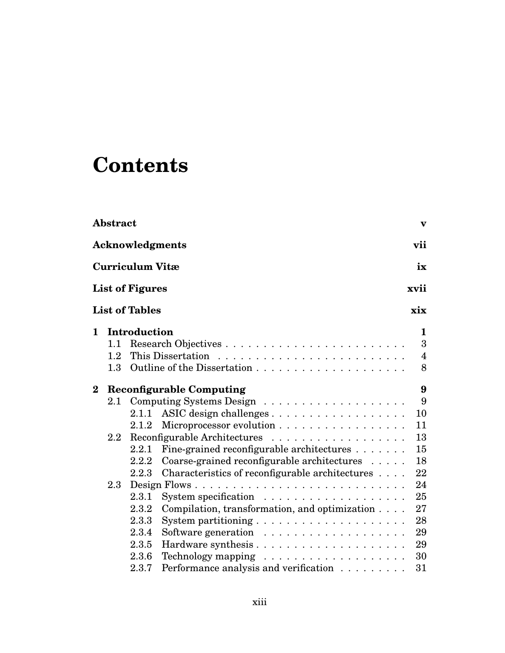# **Contents**

|              | Abstract         |                        |                                                              | $\mathbf{v}$      |
|--------------|------------------|------------------------|--------------------------------------------------------------|-------------------|
|              |                  |                        | <b>Acknowledgments</b>                                       | vii               |
|              |                  | Curriculum Vitæ        |                                                              | ix                |
|              |                  | <b>List of Figures</b> |                                                              | xvii              |
|              |                  | <b>List of Tables</b>  |                                                              | xix               |
| $\mathbf{1}$ | 1.1              | Introduction           |                                                              | $\mathbf{1}$<br>3 |
|              | $1.2\,$          |                        |                                                              | $\overline{4}$    |
|              | 1.3              |                        |                                                              | 8                 |
| $\bf{2}$     |                  |                        | <b>Reconfigurable Computing</b>                              | 9                 |
|              | $2.1\,$          |                        |                                                              | 9                 |
|              |                  | 2.1.1                  |                                                              | 10                |
|              |                  | 2.1.2                  | Microprocessor evolution                                     | 11                |
|              | $2.2\phantom{0}$ |                        |                                                              | 13                |
|              |                  | 2.2.1                  | Fine-grained reconfigurable architectures                    | 15                |
|              |                  | 2.2.2                  | Coarse-grained reconfigurable architectures                  | 18                |
|              |                  | 2.2.3                  | Characteristics of reconfigurable architectures              | 22                |
|              | $2.3\,$          |                        |                                                              | 24                |
|              |                  | 2.3.1                  |                                                              | 25                |
|              |                  | 2.3.2                  | Compilation, transformation, and optimization                | 27                |
|              |                  | 2.3.3                  |                                                              | 28                |
|              |                  | 2.3.4                  |                                                              | 29                |
|              |                  | 2.3.5                  |                                                              | 29                |
|              |                  | 2.3.6                  |                                                              | 30                |
|              |                  | 2.3.7                  | Performance analysis and verification $\ldots \ldots \ldots$ | 31                |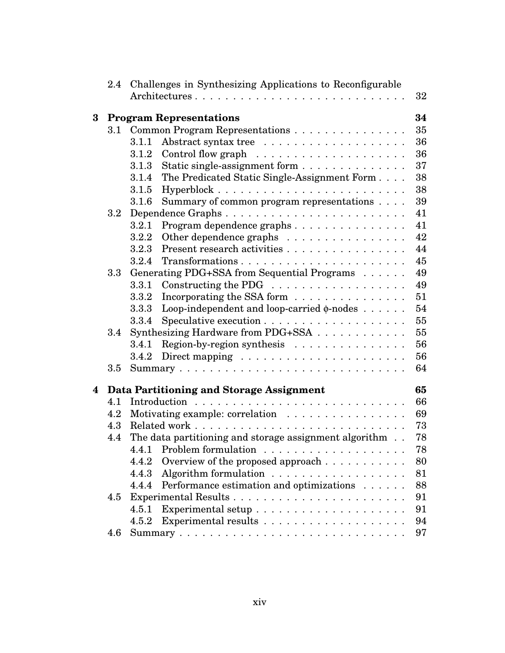|          | $2.4\phantom{0}$ |       | Challenges in Synthesizing Applications to Reconfigurable  |    |
|----------|------------------|-------|------------------------------------------------------------|----|
|          |                  |       |                                                            | 32 |
| $\bf{3}$ |                  |       | <b>Program Representations</b>                             | 34 |
|          | 3.1              |       | Common Program Representations                             | 35 |
|          |                  | 3.1.1 |                                                            | 36 |
|          |                  | 3.1.2 |                                                            | 36 |
|          |                  | 3.1.3 | Static single-assignment form                              | 37 |
|          |                  | 3.1.4 | The Predicated Static Single-Assignment Form               | 38 |
|          |                  | 3.1.5 |                                                            | 38 |
|          |                  | 3.1.6 | Summary of common program representations                  | 39 |
|          | $3.2\,$          |       |                                                            | 41 |
|          |                  | 3.2.1 | Program dependence graphs                                  | 41 |
|          |                  | 3.2.2 | Other dependence graphs                                    | 42 |
|          |                  | 3.2.3 | Present research activities                                | 44 |
|          |                  | 3.2.4 |                                                            | 45 |
|          | 3.3              |       | Generating PDG+SSA from Sequential Programs                | 49 |
|          |                  | 3.3.1 |                                                            | 49 |
|          |                  | 3.3.2 | Incorporating the SSA form                                 | 51 |
|          |                  | 3.3.3 | Loop-independent and loop-carried $\phi$ -nodes            | 54 |
|          |                  | 3.3.4 |                                                            | 55 |
|          | 3.4              |       | Synthesizing Hardware from PDG+SSA                         | 55 |
|          |                  | 3.4.1 | Region-by-region synthesis $\ldots \ldots \ldots \ldots$   | 56 |
|          |                  | 3.4.2 |                                                            | 56 |
|          | 3.5              |       |                                                            | 64 |
| 4        |                  |       | Data Partitioning and Storage Assignment                   | 65 |
|          | 4.1              |       |                                                            | 66 |
|          | 4.2              |       | Motivating example: correlation                            | 69 |
|          | 4.3              |       |                                                            | 73 |
|          | 4.4              |       | The data partitioning and storage assignment algorithm     | 78 |
|          |                  |       |                                                            | 78 |
|          |                  | 4.4.2 | Overview of the proposed approach $\dots \dots \dots$      | 80 |
|          |                  | 4.4.3 | Algorithm formulation $\ldots \ldots \ldots \ldots \ldots$ | 81 |
|          |                  | 4.4.4 | Performance estimation and optimizations                   | 88 |
|          | 4.5              |       |                                                            | 91 |
|          |                  | 4.5.1 |                                                            | 91 |
|          |                  | 4.5.2 |                                                            | 94 |
|          | 4.6              |       |                                                            | 97 |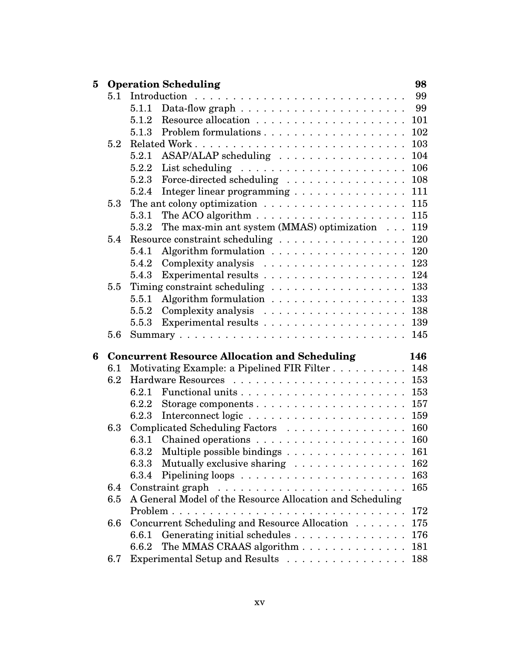| 5 |     | <b>Operation Scheduling</b> |                                                                            | 98  |
|---|-----|-----------------------------|----------------------------------------------------------------------------|-----|
|   | 5.1 |                             |                                                                            | 99  |
|   |     |                             |                                                                            | 99  |
|   |     | 5.1.2                       |                                                                            | 101 |
|   |     | 5.1.3                       |                                                                            | 102 |
|   | 5.2 |                             |                                                                            | 103 |
|   |     | 5.2.1                       | ASAP/ALAP scheduling                                                       | 104 |
|   |     |                             |                                                                            | 106 |
|   |     | 5.2.3                       | Force-directed scheduling                                                  | 108 |
|   |     | 5.2.4                       | Integer linear programming                                                 | 111 |
|   | 5.3 |                             | The ant colony optimization $\ldots \ldots \ldots \ldots \ldots \ldots$    | 115 |
|   |     | 5.3.1                       | The ACO algorithm $\ldots \ldots \ldots \ldots \ldots \ldots$              | 115 |
|   |     | 5.3.2                       | The max-min ant system (MMAS) optimization                                 | 119 |
|   | 5.4 |                             | Resource constraint scheduling                                             | 120 |
|   |     | 5.4.1                       |                                                                            | 120 |
|   |     | 5.4.2                       |                                                                            | 123 |
|   |     | 5.4.3                       | Experimental results $\dots \dots \dots \dots \dots \dots \dots$           | 124 |
|   | 5.5 |                             |                                                                            | 133 |
|   |     | 5.5.1                       |                                                                            | 133 |
|   |     | 5.5.2                       |                                                                            | 138 |
|   |     | 5.5.3                       |                                                                            | 139 |
|   | 5.6 |                             |                                                                            | 145 |
| 6 |     |                             | <b>Concurrent Resource Allocation and Scheduling</b>                       | 146 |
|   | 6.1 |                             | Motivating Example: a Pipelined FIR Filter                                 | 148 |
|   | 6.2 |                             |                                                                            | 153 |
|   |     | 6.2.1                       |                                                                            | 153 |
|   |     | 6.2.2                       |                                                                            | 157 |
|   |     | 6.2.3                       |                                                                            | 159 |
|   | 6.3 |                             | Complicated Scheduling Factors                                             | 160 |
|   |     |                             |                                                                            | 160 |
|   |     | 6.3.2                       | Multiple possible bindings                                                 | 161 |
|   |     | 6.3.3                       | Mutually exclusive sharing                                                 | 162 |
|   |     | 6.3.4                       |                                                                            | 163 |
|   | 6.4 |                             | Constraint graph $\ldots \ldots \ldots \ldots \ldots \ldots \ldots \ldots$ | 165 |
|   | 6.5 |                             | A General Model of the Resource Allocation and Scheduling                  |     |
|   |     |                             |                                                                            | 172 |
|   | 6.6 |                             | Concurrent Scheduling and Resource Allocation                              | 175 |
|   |     | 6.6.1                       | Generating initial schedules                                               | 176 |
|   |     | 6.6.2                       | The MMAS CRAAS algorithm                                                   | 181 |
|   | 6.7 |                             | Experimental Setup and Results                                             | 188 |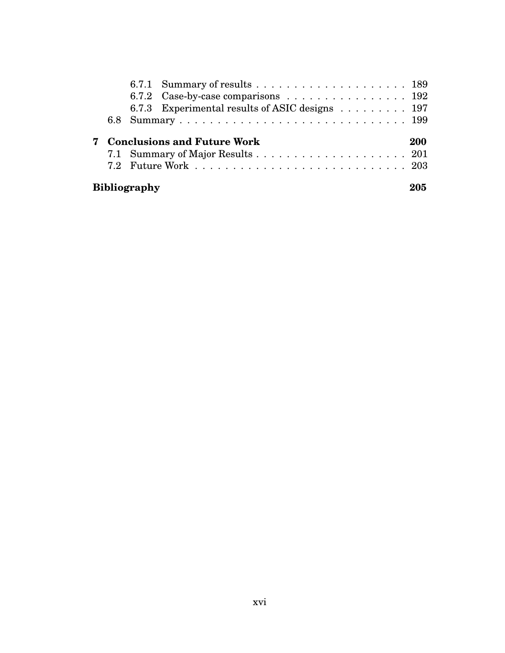|   | 6.7.2 Case-by-case comparisons $\dots \dots \dots \dots \dots \dots \dots \dots$ |  |  |  |  |  |  |  |  |  |     |
|---|----------------------------------------------------------------------------------|--|--|--|--|--|--|--|--|--|-----|
|   | 6.7.3 Experimental results of ASIC designs 197                                   |  |  |  |  |  |  |  |  |  |     |
|   |                                                                                  |  |  |  |  |  |  |  |  |  |     |
|   |                                                                                  |  |  |  |  |  |  |  |  |  |     |
| 7 | <b>Conclusions and Future Work</b>                                               |  |  |  |  |  |  |  |  |  | 200 |
|   |                                                                                  |  |  |  |  |  |  |  |  |  |     |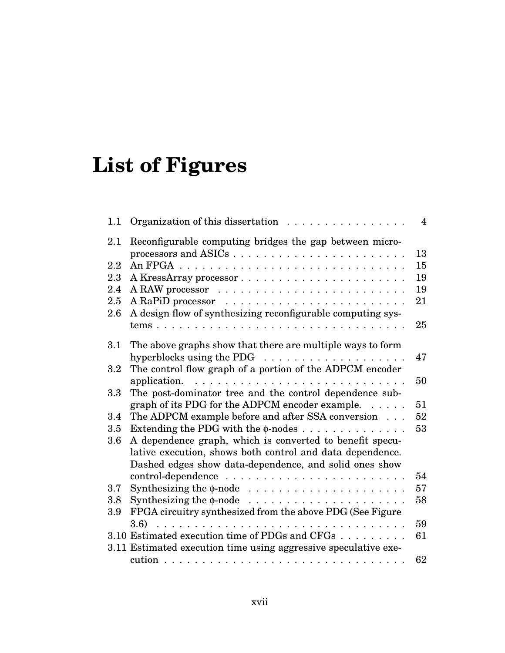# **List of Figures**

| 1.1 | Organization of this dissertation                                     | $\overline{4}$ |
|-----|-----------------------------------------------------------------------|----------------|
| 2.1 | Reconfigurable computing bridges the gap between micro-               |                |
|     |                                                                       | 13             |
| 2.2 |                                                                       | 15             |
| 2.3 | A KressArray processor                                                | 19             |
| 2.4 |                                                                       | 19             |
| 2.5 |                                                                       | 21             |
| 2.6 | A design flow of synthesizing reconfigurable computing sys-           |                |
|     |                                                                       | 25             |
| 3.1 | The above graphs show that there are multiple ways to form            |                |
|     | hyperblocks using the PDG $\ldots \ldots \ldots \ldots \ldots \ldots$ | 47             |
| 3.2 | The control flow graph of a portion of the ADPCM encoder              |                |
|     | application.                                                          | 50             |
| 3.3 | The post-dominator tree and the control dependence sub-               |                |
|     | graph of its PDG for the ADPCM encoder example. $\dots$               | 51             |
| 3.4 | The ADPCM example before and after SSA conversion                     | 52             |
| 3.5 | Extending the PDG with the $\phi$ -nodes                              | 53             |
| 3.6 | A dependence graph, which is converted to benefit specu-              |                |
|     | lative execution, shows both control and data dependence.             |                |
|     | Dashed edges show data-dependence, and solid ones show                |                |
|     |                                                                       | 54             |
| 3.7 |                                                                       | 57             |
| 3.8 |                                                                       | 58             |
| 3.9 | FPGA circuitry synthesized from the above PDG (See Figure             |                |
|     | 3.6)                                                                  | 59             |
|     | 3.10 Estimated execution time of PDGs and CFGs                        | 61             |
|     | 3.11 Estimated execution time using aggressive speculative exe-       |                |
|     |                                                                       | 62             |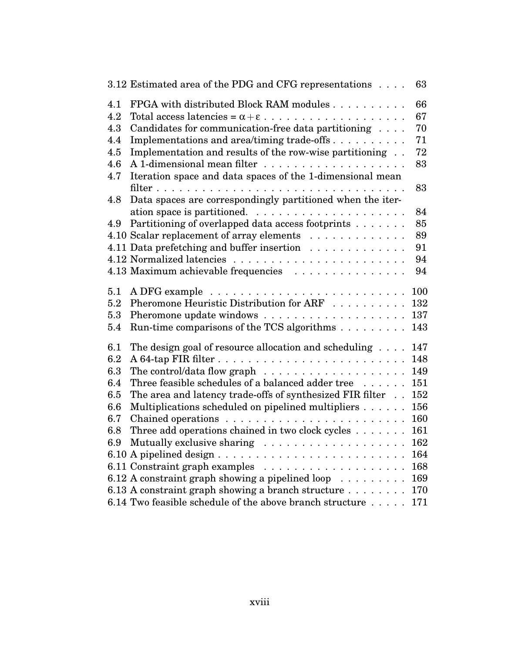| 3.12 Estimated area of the PDG and CFG representations                                                                                          | 63         |
|-------------------------------------------------------------------------------------------------------------------------------------------------|------------|
| FPGA with distributed Block RAM modules<br>4.1                                                                                                  | 66         |
| 4.2                                                                                                                                             | 67         |
| Candidates for communication-free data partitioning<br>4.3                                                                                      | 70         |
| Implementations and area/timing trade-offs<br>4.4                                                                                               | 71         |
| Implementation and results of the row-wise partitioning<br>4.5                                                                                  | 72         |
| 4.6                                                                                                                                             | 83         |
| 4.7<br>Iteration space and data spaces of the 1-dimensional mean                                                                                |            |
|                                                                                                                                                 | 83         |
| Data spaces are correspondingly partitioned when the iter-<br>4.8                                                                               |            |
|                                                                                                                                                 | 84         |
| Partitioning of overlapped data access footprints<br>4.9                                                                                        | 85         |
| 4.10 Scalar replacement of array elements                                                                                                       | 89         |
| 4.11 Data prefetching and buffer insertion                                                                                                      | 91         |
|                                                                                                                                                 | 94         |
| 4.13 Maximum achievable frequencies                                                                                                             | 94         |
| 5.1                                                                                                                                             | 100        |
| Pheromone Heuristic Distribution for ARF<br>5.2                                                                                                 | 132        |
| 5.3                                                                                                                                             | 137        |
| Run-time comparisons of the TCS algorithms $\dots \dots \dots$<br>5.4                                                                           | 143        |
|                                                                                                                                                 |            |
| The design goal of resource allocation and scheduling $\dots$<br>6.1                                                                            | 147        |
| 6.2                                                                                                                                             | 148        |
| 6.3<br>The control/data flow graph $\ldots \ldots \ldots \ldots \ldots \ldots$                                                                  | 149        |
| 6.4<br>Three feasible schedules of a balanced adder tree                                                                                        | 151        |
| 6.5<br>The area and latency trade-offs of synthesized FIR filter                                                                                | 152        |
| Multiplications scheduled on pipelined multipliers<br>6.6                                                                                       | 156        |
| 6.7                                                                                                                                             | 160        |
| Three add operations chained in two clock cycles<br>6.8                                                                                         | 161<br>162 |
| 6.9                                                                                                                                             | 164        |
|                                                                                                                                                 | 168        |
|                                                                                                                                                 | 169        |
| 6.12 A constraint graph showing a pipelined loop $\dots \dots$<br>6.13 A constraint graph showing a branch structure $\ldots \ldots \ldots$ 170 |            |
| 6.14 Two feasible schedule of the above branch structure                                                                                        | 171        |
|                                                                                                                                                 |            |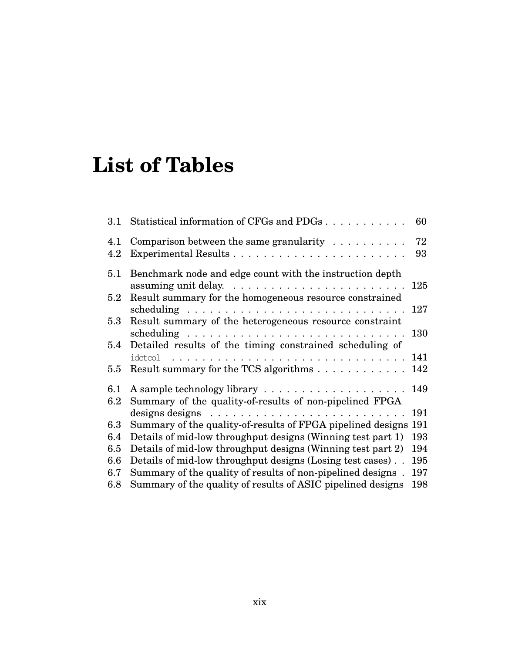# **List of Tables**

| $3.1\,$        | Statistical information of CFGs and PDGs                                  | 60       |
|----------------|---------------------------------------------------------------------------|----------|
| 4.1<br>4.2     | Comparison between the same granularity $\ldots \ldots \ldots$            | 72<br>93 |
| 5.1            | Benchmark node and edge count with the instruction depth                  | 125      |
| $5.2\,$        | Result summary for the homogeneous resource constrained                   | 127      |
| $5.3\,$        | Result summary of the heterogeneous resource constraint                   | 130      |
| $5.4\,$        | Detailed results of the timing constrained scheduling of                  | 141      |
| 5.5            | Result summary for the TCS algorithms                                     | 142      |
| 6.1<br>$6.2\,$ | Summary of the quality-of-results of non-pipelined FPGA                   | 149      |
|                | designs designs $\ldots \ldots \ldots \ldots \ldots \ldots \ldots \ldots$ | 191      |
| 6.3            | Summary of the quality-of-results of FPGA pipelined designs               | 191      |
| 6.4            | Details of mid-low throughput designs (Winning test part 1)               | 193      |
| 6.5            | Details of mid-low throughput designs (Winning test part 2)               | 194      |
| 6.6            | Details of mid-low throughput designs (Losing test cases).                | 195      |
| 6.7            | Summary of the quality of results of non-pipelined designs.               | 197      |
| 6.8            | Summary of the quality of results of ASIC pipelined designs               | 198      |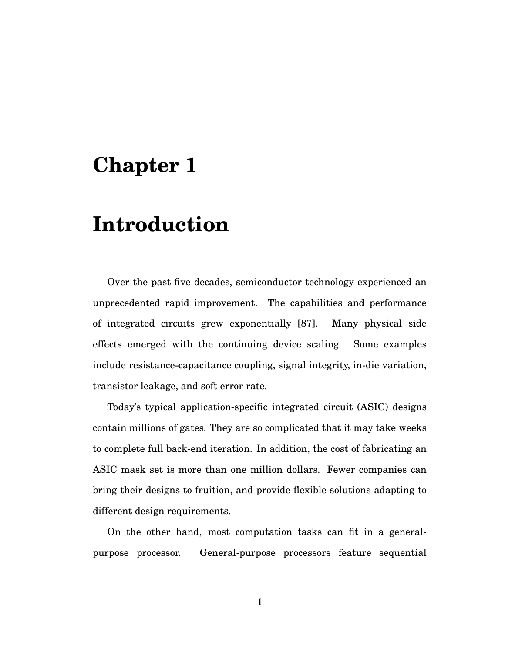## **Chapter 1**

## **Introduction**

Over the past five decades, semiconductor technology experienced an unprecedented rapid improvement. The capabilities and performance of integrated circuits grew exponentially [87]. Many physical side effects emerged with the continuing device scaling. Some examples include resistance-capacitance coupling, signal integrity, in-die variation, transistor leakage, and soft error rate.

Today's typical application-specific integrated circuit (ASIC) designs contain millions of gates. They are so complicated that it may take weeks to complete full back-end iteration. In addition, the cost of fabricating an ASIC mask set is more than one million dollars. Fewer companies can bring their designs to fruition, and provide flexible solutions adapting to different design requirements.

On the other hand, most computation tasks can fit in a generalpurpose processor. General-purpose processors feature sequential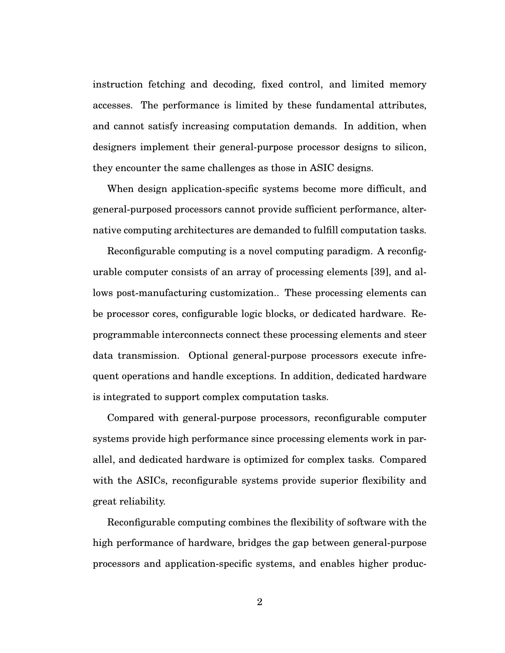instruction fetching and decoding, fixed control, and limited memory accesses. The performance is limited by these fundamental attributes, and cannot satisfy increasing computation demands. In addition, when designers implement their general-purpose processor designs to silicon, they encounter the same challenges as those in ASIC designs.

When design application-specific systems become more difficult, and general-purposed processors cannot provide sufficient performance, alternative computing architectures are demanded to fulfill computation tasks.

Reconfigurable computing is a novel computing paradigm. A reconfigurable computer consists of an array of processing elements [39], and allows post-manufacturing customization.. These processing elements can be processor cores, configurable logic blocks, or dedicated hardware. Reprogrammable interconnects connect these processing elements and steer data transmission. Optional general-purpose processors execute infrequent operations and handle exceptions. In addition, dedicated hardware is integrated to support complex computation tasks.

Compared with general-purpose processors, reconfigurable computer systems provide high performance since processing elements work in parallel, and dedicated hardware is optimized for complex tasks. Compared with the ASICs, reconfigurable systems provide superior flexibility and great reliability.

Reconfigurable computing combines the flexibility of software with the high performance of hardware, bridges the gap between general-purpose processors and application-specific systems, and enables higher produc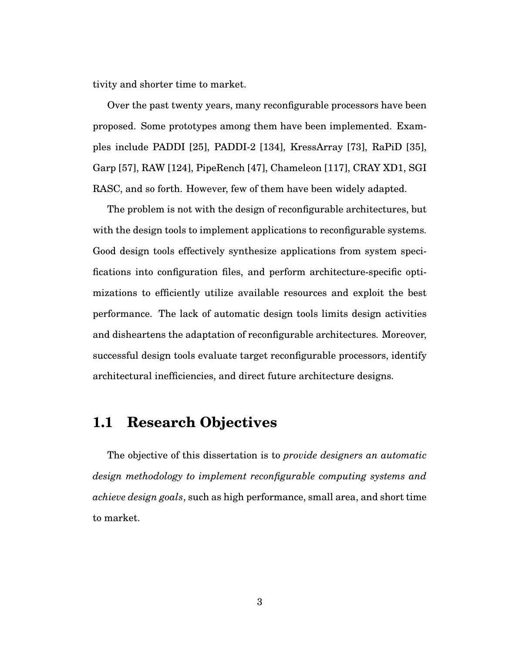tivity and shorter time to market.

Over the past twenty years, many reconfigurable processors have been proposed. Some prototypes among them have been implemented. Examples include PADDI [25], PADDI-2 [134], KressArray [73], RaPiD [35], Garp [57], RAW [124], PipeRench [47], Chameleon [117], CRAY XD1, SGI RASC, and so forth. However, few of them have been widely adapted.

The problem is not with the design of reconfigurable architectures, but with the design tools to implement applications to reconfigurable systems. Good design tools effectively synthesize applications from system specifications into configuration files, and perform architecture-specific optimizations to efficiently utilize available resources and exploit the best performance. The lack of automatic design tools limits design activities and disheartens the adaptation of reconfigurable architectures. Moreover, successful design tools evaluate target reconfigurable processors, identify architectural inefficiencies, and direct future architecture designs.

## **1.1 Research Objectives**

The objective of this dissertation is to *provide designers an automatic design methodology to implement reconfigurable computing systems and achieve design goals*, such as high performance, small area, and short time to market.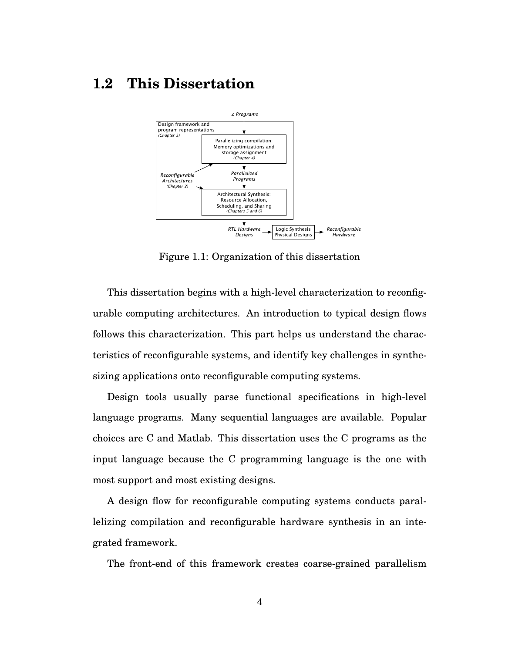## **1.2 This Dissertation**



Figure 1.1: Organization of this dissertation

This dissertation begins with a high-level characterization to reconfigurable computing architectures. An introduction to typical design flows follows this characterization. This part helps us understand the characteristics of reconfigurable systems, and identify key challenges in synthesizing applications onto reconfigurable computing systems.

Design tools usually parse functional specifications in high-level language programs. Many sequential languages are available. Popular choices are C and Matlab. This dissertation uses the C programs as the input language because the C programming language is the one with most support and most existing designs.

A design flow for reconfigurable computing systems conducts parallelizing compilation and reconfigurable hardware synthesis in an integrated framework.

The front-end of this framework creates coarse-grained parallelism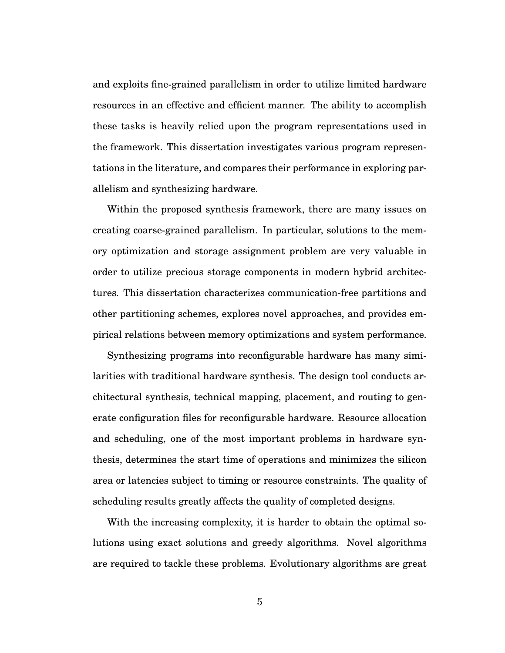and exploits fine-grained parallelism in order to utilize limited hardware resources in an effective and efficient manner. The ability to accomplish these tasks is heavily relied upon the program representations used in the framework. This dissertation investigates various program representations in the literature, and compares their performance in exploring parallelism and synthesizing hardware.

Within the proposed synthesis framework, there are many issues on creating coarse-grained parallelism. In particular, solutions to the memory optimization and storage assignment problem are very valuable in order to utilize precious storage components in modern hybrid architectures. This dissertation characterizes communication-free partitions and other partitioning schemes, explores novel approaches, and provides empirical relations between memory optimizations and system performance.

Synthesizing programs into reconfigurable hardware has many similarities with traditional hardware synthesis. The design tool conducts architectural synthesis, technical mapping, placement, and routing to generate configuration files for reconfigurable hardware. Resource allocation and scheduling, one of the most important problems in hardware synthesis, determines the start time of operations and minimizes the silicon area or latencies subject to timing or resource constraints. The quality of scheduling results greatly affects the quality of completed designs.

With the increasing complexity, it is harder to obtain the optimal solutions using exact solutions and greedy algorithms. Novel algorithms are required to tackle these problems. Evolutionary algorithms are great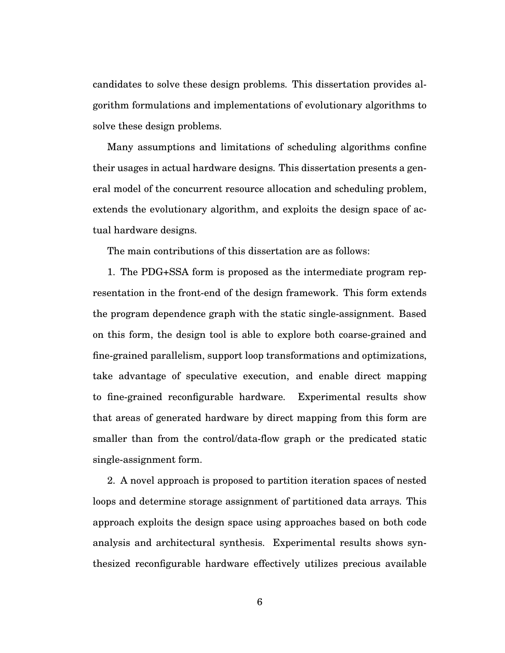candidates to solve these design problems. This dissertation provides algorithm formulations and implementations of evolutionary algorithms to solve these design problems.

Many assumptions and limitations of scheduling algorithms confine their usages in actual hardware designs. This dissertation presents a general model of the concurrent resource allocation and scheduling problem, extends the evolutionary algorithm, and exploits the design space of actual hardware designs.

The main contributions of this dissertation are as follows:

1. The PDG+SSA form is proposed as the intermediate program representation in the front-end of the design framework. This form extends the program dependence graph with the static single-assignment. Based on this form, the design tool is able to explore both coarse-grained and fine-grained parallelism, support loop transformations and optimizations, take advantage of speculative execution, and enable direct mapping to fine-grained reconfigurable hardware. Experimental results show that areas of generated hardware by direct mapping from this form are smaller than from the control/data-flow graph or the predicated static single-assignment form.

2. A novel approach is proposed to partition iteration spaces of nested loops and determine storage assignment of partitioned data arrays. This approach exploits the design space using approaches based on both code analysis and architectural synthesis. Experimental results shows synthesized reconfigurable hardware effectively utilizes precious available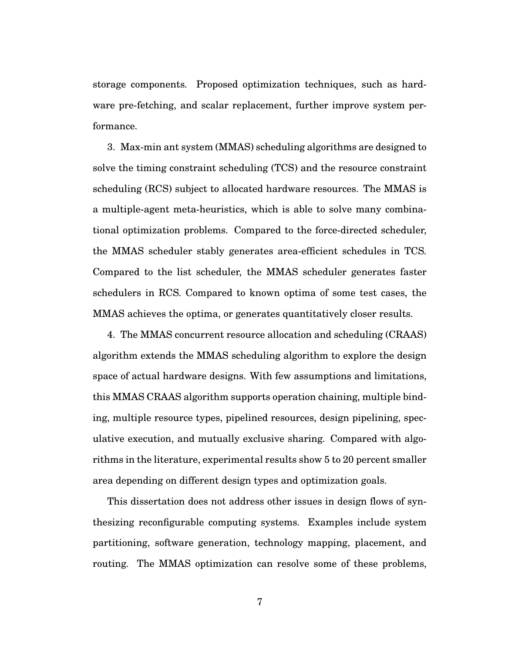storage components. Proposed optimization techniques, such as hardware pre-fetching, and scalar replacement, further improve system performance.

3. Max-min ant system (MMAS) scheduling algorithms are designed to solve the timing constraint scheduling (TCS) and the resource constraint scheduling (RCS) subject to allocated hardware resources. The MMAS is a multiple-agent meta-heuristics, which is able to solve many combinational optimization problems. Compared to the force-directed scheduler, the MMAS scheduler stably generates area-efficient schedules in TCS. Compared to the list scheduler, the MMAS scheduler generates faster schedulers in RCS. Compared to known optima of some test cases, the MMAS achieves the optima, or generates quantitatively closer results.

4. The MMAS concurrent resource allocation and scheduling (CRAAS) algorithm extends the MMAS scheduling algorithm to explore the design space of actual hardware designs. With few assumptions and limitations, this MMAS CRAAS algorithm supports operation chaining, multiple binding, multiple resource types, pipelined resources, design pipelining, speculative execution, and mutually exclusive sharing. Compared with algorithms in the literature, experimental results show 5 to 20 percent smaller area depending on different design types and optimization goals.

This dissertation does not address other issues in design flows of synthesizing reconfigurable computing systems. Examples include system partitioning, software generation, technology mapping, placement, and routing. The MMAS optimization can resolve some of these problems,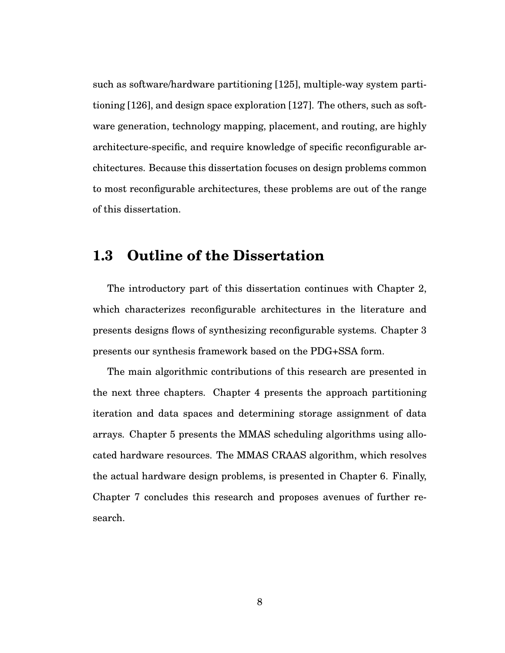such as software/hardware partitioning [125], multiple-way system partitioning [126], and design space exploration [127]. The others, such as software generation, technology mapping, placement, and routing, are highly architecture-specific, and require knowledge of specific reconfigurable architectures. Because this dissertation focuses on design problems common to most reconfigurable architectures, these problems are out of the range of this dissertation.

## **1.3 Outline of the Dissertation**

The introductory part of this dissertation continues with Chapter 2, which characterizes reconfigurable architectures in the literature and presents designs flows of synthesizing reconfigurable systems. Chapter 3 presents our synthesis framework based on the PDG+SSA form.

The main algorithmic contributions of this research are presented in the next three chapters. Chapter 4 presents the approach partitioning iteration and data spaces and determining storage assignment of data arrays. Chapter 5 presents the MMAS scheduling algorithms using allocated hardware resources. The MMAS CRAAS algorithm, which resolves the actual hardware design problems, is presented in Chapter 6. Finally, Chapter 7 concludes this research and proposes avenues of further research.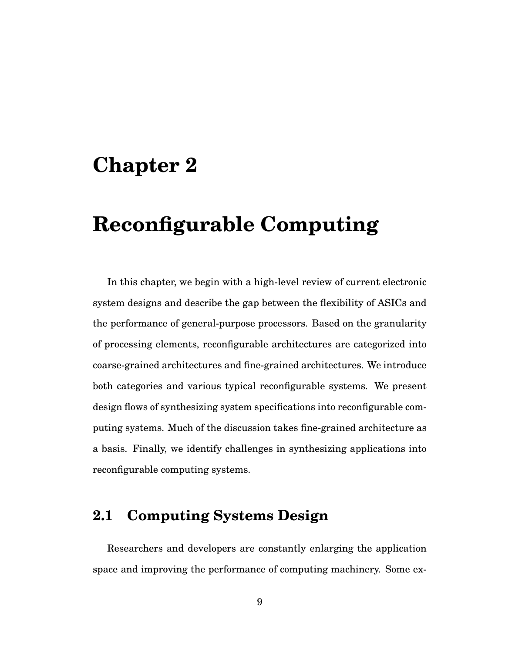## **Chapter 2**

# **Reconfigurable Computing**

In this chapter, we begin with a high-level review of current electronic system designs and describe the gap between the flexibility of ASICs and the performance of general-purpose processors. Based on the granularity of processing elements, reconfigurable architectures are categorized into coarse-grained architectures and fine-grained architectures. We introduce both categories and various typical reconfigurable systems. We present design flows of synthesizing system specifications into reconfigurable computing systems. Much of the discussion takes fine-grained architecture as a basis. Finally, we identify challenges in synthesizing applications into reconfigurable computing systems.

## **2.1 Computing Systems Design**

Researchers and developers are constantly enlarging the application space and improving the performance of computing machinery. Some ex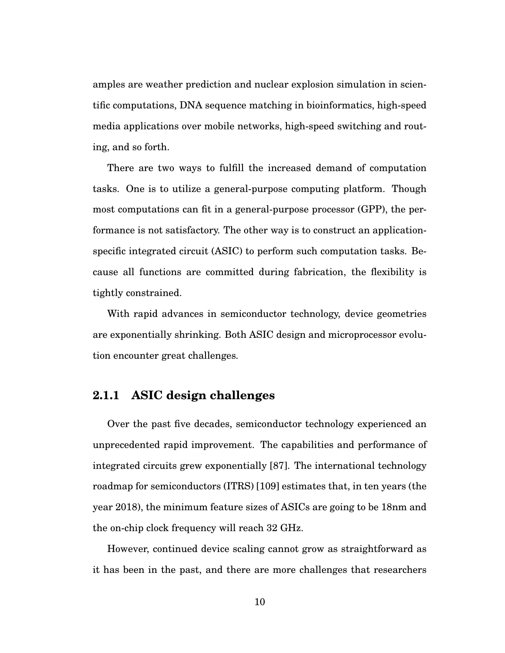amples are weather prediction and nuclear explosion simulation in scientific computations, DNA sequence matching in bioinformatics, high-speed media applications over mobile networks, high-speed switching and routing, and so forth.

There are two ways to fulfill the increased demand of computation tasks. One is to utilize a general-purpose computing platform. Though most computations can fit in a general-purpose processor (GPP), the performance is not satisfactory. The other way is to construct an applicationspecific integrated circuit (ASIC) to perform such computation tasks. Because all functions are committed during fabrication, the flexibility is tightly constrained.

With rapid advances in semiconductor technology, device geometries are exponentially shrinking. Both ASIC design and microprocessor evolution encounter great challenges.

#### **2.1.1 ASIC design challenges**

Over the past five decades, semiconductor technology experienced an unprecedented rapid improvement. The capabilities and performance of integrated circuits grew exponentially [87]. The international technology roadmap for semiconductors (ITRS) [109] estimates that, in ten years (the year 2018), the minimum feature sizes of ASICs are going to be 18nm and the on-chip clock frequency will reach 32 GHz.

However, continued device scaling cannot grow as straightforward as it has been in the past, and there are more challenges that researchers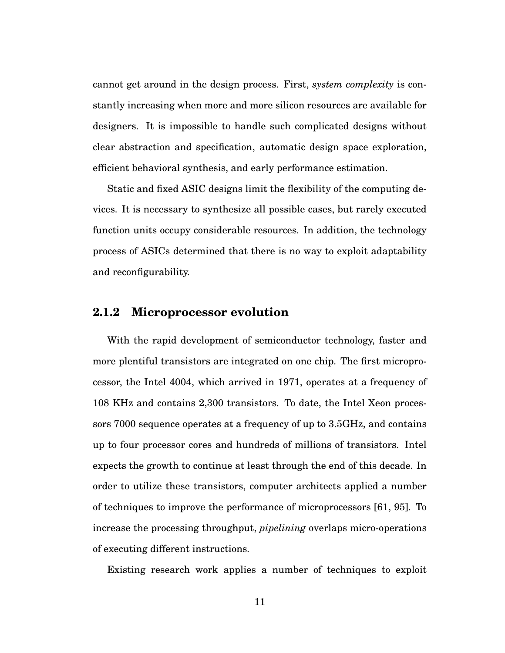cannot get around in the design process. First, *system complexity* is constantly increasing when more and more silicon resources are available for designers. It is impossible to handle such complicated designs without clear abstraction and specification, automatic design space exploration, efficient behavioral synthesis, and early performance estimation.

Static and fixed ASIC designs limit the flexibility of the computing devices. It is necessary to synthesize all possible cases, but rarely executed function units occupy considerable resources. In addition, the technology process of ASICs determined that there is no way to exploit adaptability and reconfigurability.

### **2.1.2 Microprocessor evolution**

With the rapid development of semiconductor technology, faster and more plentiful transistors are integrated on one chip. The first microprocessor, the Intel 4004, which arrived in 1971, operates at a frequency of 108 KHz and contains 2,300 transistors. To date, the Intel Xeon processors 7000 sequence operates at a frequency of up to 3.5GHz, and contains up to four processor cores and hundreds of millions of transistors. Intel expects the growth to continue at least through the end of this decade. In order to utilize these transistors, computer architects applied a number of techniques to improve the performance of microprocessors [61, 95]. To increase the processing throughput, *pipelining* overlaps micro-operations of executing different instructions.

Existing research work applies a number of techniques to exploit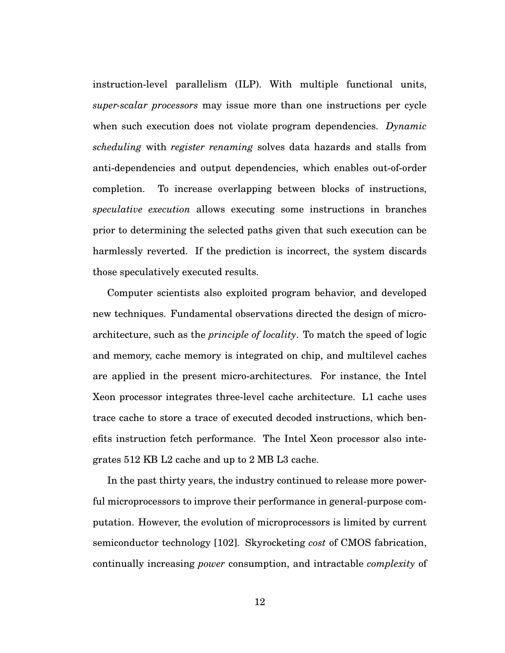instruction-level parallelism (ILP). With multiple functional units, *super-scalar processors* may issue more than one instructions per cycle when such execution does not violate program dependencies. *Dynamic scheduling* with *register renaming* solves data hazards and stalls from anti-dependencies and output dependencies, which enables out-of-order completion. To increase overlapping between blocks of instructions, *speculative execution* allows executing some instructions in branches prior to determining the selected paths given that such execution can be harmlessly reverted. If the prediction is incorrect, the system discards those speculatively executed results.

Computer scientists also exploited program behavior, and developed new techniques. Fundamental observations directed the design of microarchitecture, such as the *principle of locality*. To match the speed of logic and memory, cache memory is integrated on chip, and multilevel caches are applied in the present micro-architectures. For instance, the Intel Xeon processor integrates three-level cache architecture. L1 cache uses trace cache to store a trace of executed decoded instructions, which benefits instruction fetch performance. The Intel Xeon processor also integrates 512 KB L2 cache and up to 2 MB L3 cache.

In the past thirty years, the industry continued to release more powerful microprocessors to improve their performance in general-purpose computation. However, the evolution of microprocessors is limited by current semiconductor technology [102]. Skyrocketing *cost* of CMOS fabrication, continually increasing *power* consumption, and intractable *complexity* of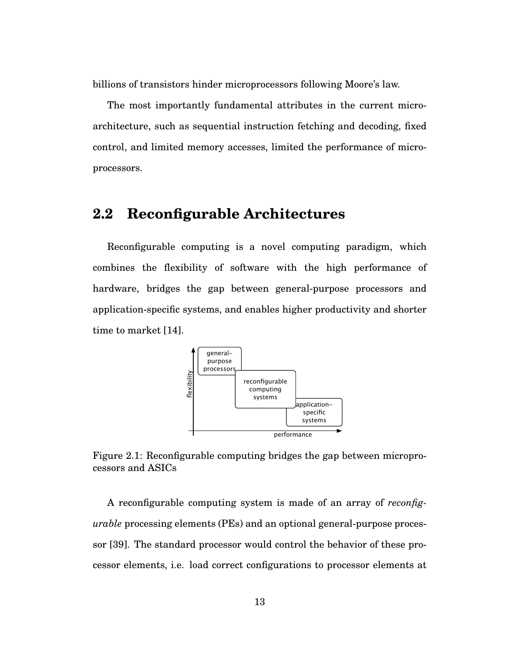billions of transistors hinder microprocessors following Moore's law.

The most importantly fundamental attributes in the current microarchitecture, such as sequential instruction fetching and decoding, fixed control, and limited memory accesses, limited the performance of microprocessors.

## **2.2 Reconfigurable Architectures**

Reconfigurable computing is a novel computing paradigm, which combines the flexibility of software with the high performance of hardware, bridges the gap between general-purpose processors and application-specific systems, and enables higher productivity and shorter time to market [14].



Figure 2.1: Reconfigurable computing bridges the gap between microprocessors and ASICs

A reconfigurable computing system is made of an array of *reconfigurable* processing elements (PEs) and an optional general-purpose processor [39]. The standard processor would control the behavior of these processor elements, i.e. load correct configurations to processor elements at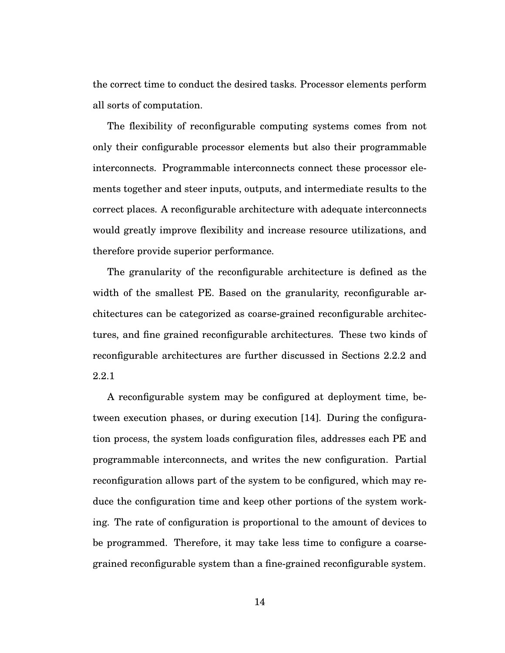the correct time to conduct the desired tasks. Processor elements perform all sorts of computation.

The flexibility of reconfigurable computing systems comes from not only their configurable processor elements but also their programmable interconnects. Programmable interconnects connect these processor elements together and steer inputs, outputs, and intermediate results to the correct places. A reconfigurable architecture with adequate interconnects would greatly improve flexibility and increase resource utilizations, and therefore provide superior performance.

The granularity of the reconfigurable architecture is defined as the width of the smallest PE. Based on the granularity, reconfigurable architectures can be categorized as coarse-grained reconfigurable architectures, and fine grained reconfigurable architectures. These two kinds of reconfigurable architectures are further discussed in Sections 2.2.2 and 2.2.1

A reconfigurable system may be configured at deployment time, between execution phases, or during execution [14]. During the configuration process, the system loads configuration files, addresses each PE and programmable interconnects, and writes the new configuration. Partial reconfiguration allows part of the system to be configured, which may reduce the configuration time and keep other portions of the system working. The rate of configuration is proportional to the amount of devices to be programmed. Therefore, it may take less time to configure a coarsegrained reconfigurable system than a fine-grained reconfigurable system.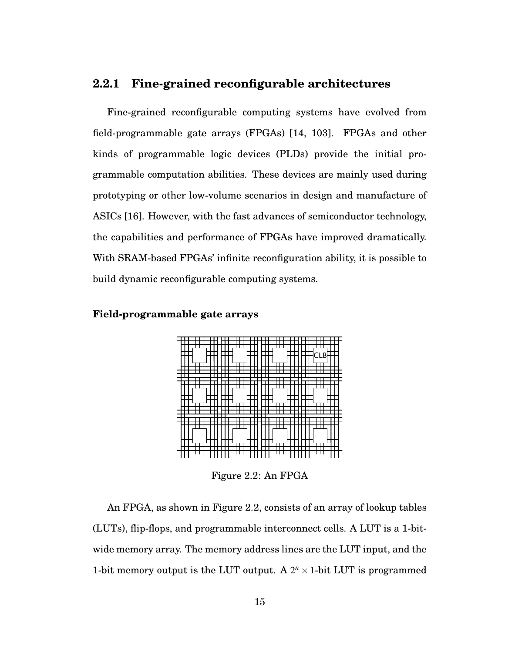#### **2.2.1 Fine-grained reconfigurable architectures**

Fine-grained reconfigurable computing systems have evolved from field-programmable gate arrays (FPGAs) [14, 103]. FPGAs and other kinds of programmable logic devices (PLDs) provide the initial programmable computation abilities. These devices are mainly used during prototyping or other low-volume scenarios in design and manufacture of ASICs [16]. However, with the fast advances of semiconductor technology, the capabilities and performance of FPGAs have improved dramatically. With SRAM-based FPGAs' infinite reconfiguration ability, it is possible to build dynamic reconfigurable computing systems.

#### **Field-programmable gate arrays**



Figure 2.2: An FPGA

An FPGA, as shown in Figure 2.2, consists of an array of lookup tables (LUTs), flip-flops, and programmable interconnect cells. A LUT is a 1-bitwide memory array. The memory address lines are the LUT input, and the 1-bit memory output is the LUT output. A  $2^n \times 1$ -bit LUT is programmed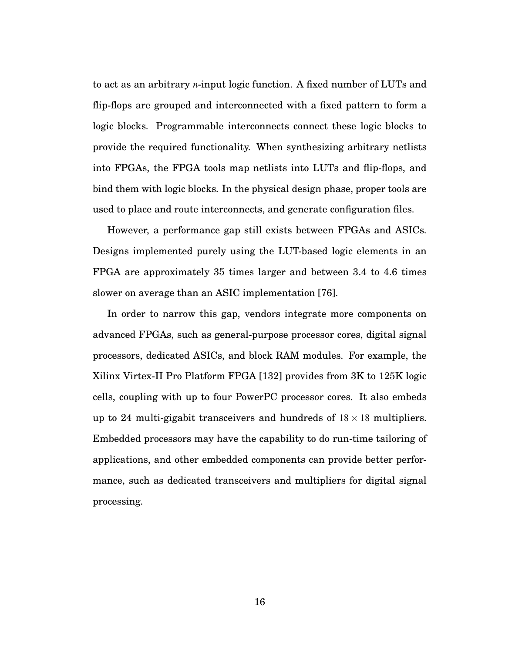to act as an arbitrary *n*-input logic function. A fixed number of LUTs and flip-flops are grouped and interconnected with a fixed pattern to form a logic blocks. Programmable interconnects connect these logic blocks to provide the required functionality. When synthesizing arbitrary netlists into FPGAs, the FPGA tools map netlists into LUTs and flip-flops, and bind them with logic blocks. In the physical design phase, proper tools are used to place and route interconnects, and generate configuration files.

However, a performance gap still exists between FPGAs and ASICs. Designs implemented purely using the LUT-based logic elements in an FPGA are approximately 35 times larger and between 3.4 to 4.6 times slower on average than an ASIC implementation [76].

In order to narrow this gap, vendors integrate more components on advanced FPGAs, such as general-purpose processor cores, digital signal processors, dedicated ASICs, and block RAM modules. For example, the Xilinx Virtex-II Pro Platform FPGA [132] provides from 3K to 125K logic cells, coupling with up to four PowerPC processor cores. It also embeds up to 24 multi-gigabit transceivers and hundreds of  $18 \times 18$  multipliers. Embedded processors may have the capability to do run-time tailoring of applications, and other embedded components can provide better performance, such as dedicated transceivers and multipliers for digital signal processing.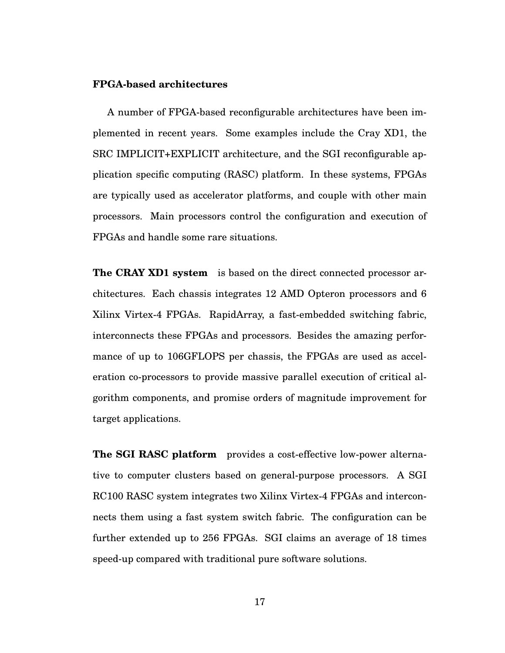#### **FPGA-based architectures**

A number of FPGA-based reconfigurable architectures have been implemented in recent years. Some examples include the Cray XD1, the SRC IMPLICIT+EXPLICIT architecture, and the SGI reconfigurable application specific computing (RASC) platform. In these systems, FPGAs are typically used as accelerator platforms, and couple with other main processors. Main processors control the configuration and execution of FPGAs and handle some rare situations.

**The CRAY XD1 system** is based on the direct connected processor architectures. Each chassis integrates 12 AMD Opteron processors and 6 Xilinx Virtex-4 FPGAs. RapidArray, a fast-embedded switching fabric, interconnects these FPGAs and processors. Besides the amazing performance of up to 106GFLOPS per chassis, the FPGAs are used as acceleration co-processors to provide massive parallel execution of critical algorithm components, and promise orders of magnitude improvement for target applications.

**The SGI RASC platform** provides a cost-effective low-power alternative to computer clusters based on general-purpose processors. A SGI RC100 RASC system integrates two Xilinx Virtex-4 FPGAs and interconnects them using a fast system switch fabric. The configuration can be further extended up to 256 FPGAs. SGI claims an average of 18 times speed-up compared with traditional pure software solutions.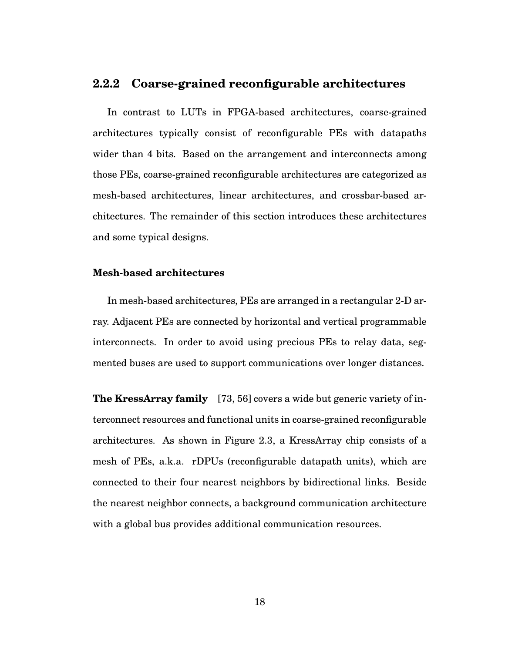#### **2.2.2 Coarse-grained reconfigurable architectures**

In contrast to LUTs in FPGA-based architectures, coarse-grained architectures typically consist of reconfigurable PEs with datapaths wider than 4 bits. Based on the arrangement and interconnects among those PEs, coarse-grained reconfigurable architectures are categorized as mesh-based architectures, linear architectures, and crossbar-based architectures. The remainder of this section introduces these architectures and some typical designs.

#### **Mesh-based architectures**

In mesh-based architectures, PEs are arranged in a rectangular 2-D array. Adjacent PEs are connected by horizontal and vertical programmable interconnects. In order to avoid using precious PEs to relay data, segmented buses are used to support communications over longer distances.

**The KressArray family** [73, 56] covers a wide but generic variety of interconnect resources and functional units in coarse-grained reconfigurable architectures. As shown in Figure 2.3, a KressArray chip consists of a mesh of PEs, a.k.a. rDPUs (reconfigurable datapath units), which are connected to their four nearest neighbors by bidirectional links. Beside the nearest neighbor connects, a background communication architecture with a global bus provides additional communication resources.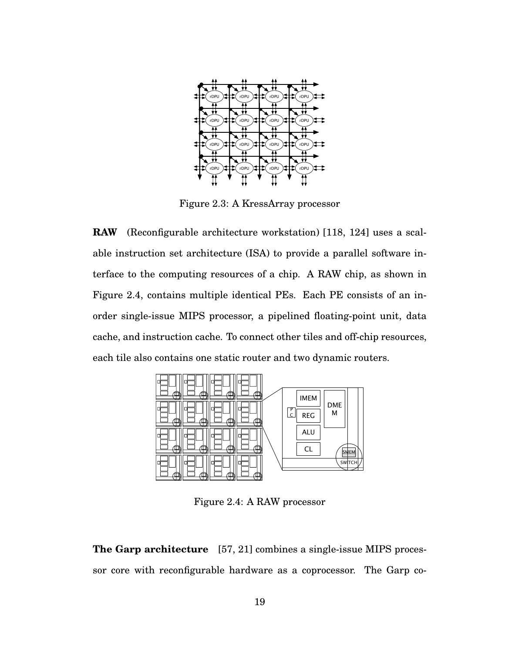

Figure 2.3: A KressArray processor

**RAW** (Reconfigurable architecture workstation) [118, 124] uses a scalable instruction set architecture (ISA) to provide a parallel software interface to the computing resources of a chip. A RAW chip, as shown in Figure 2.4, contains multiple identical PEs. Each PE consists of an inorder single-issue MIPS processor, a pipelined floating-point unit, data cache, and instruction cache. To connect other tiles and off-chip resources, each tile also contains one static router and two dynamic routers.



Figure 2.4: A RAW processor

**The Garp architecture** [57, 21] combines a single-issue MIPS processor core with reconfigurable hardware as a coprocessor. The Garp co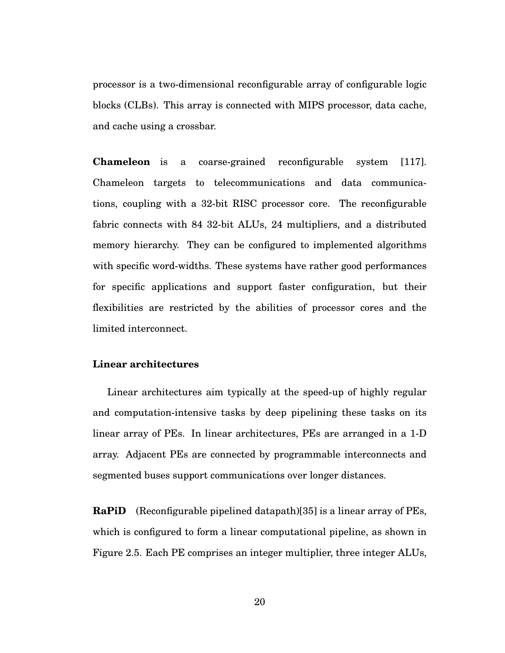processor is a two-dimensional reconfigurable array of configurable logic blocks (CLBs). This array is connected with MIPS processor, data cache, and cache using a crossbar.

**Chameleon** is a coarse-grained reconfigurable system [117]. Chameleon targets to telecommunications and data communications, coupling with a 32-bit RISC processor core. The reconfigurable fabric connects with 84 32-bit ALUs, 24 multipliers, and a distributed memory hierarchy. They can be configured to implemented algorithms with specific word-widths. These systems have rather good performances for specific applications and support faster configuration, but their flexibilities are restricted by the abilities of processor cores and the limited interconnect.

#### **Linear architectures**

Linear architectures aim typically at the speed-up of highly regular and computation-intensive tasks by deep pipelining these tasks on its linear array of PEs. In linear architectures, PEs are arranged in a 1-D array. Adjacent PEs are connected by programmable interconnects and segmented buses support communications over longer distances.

**RaPiD** (Reconfigurable pipelined datapath)[35] is a linear array of PEs, which is configured to form a linear computational pipeline, as shown in Figure 2.5. Each PE comprises an integer multiplier, three integer ALUs,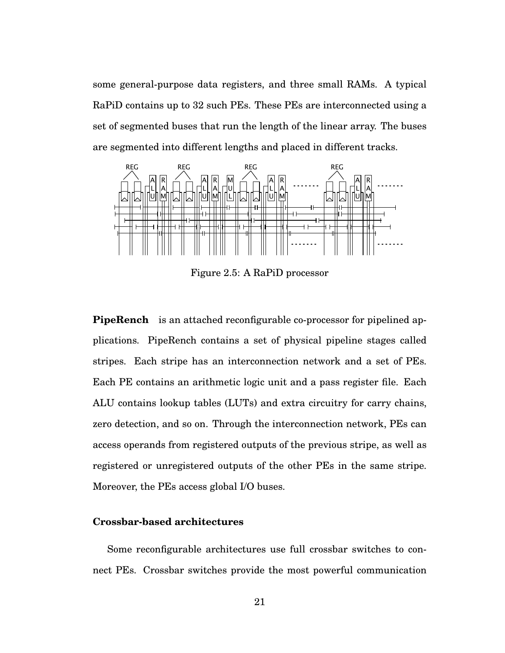some general-purpose data registers, and three small RAMs. A typical RaPiD contains up to 32 such PEs. These PEs are interconnected using a set of segmented buses that run the length of the linear array. The buses are segmented into different lengths and placed in different tracks.



Figure 2.5: A RaPiD processor

**PipeRench** is an attached reconfigurable co-processor for pipelined applications. PipeRench contains a set of physical pipeline stages called stripes. Each stripe has an interconnection network and a set of PEs. Each PE contains an arithmetic logic unit and a pass register file. Each ALU contains lookup tables (LUTs) and extra circuitry for carry chains, zero detection, and so on. Through the interconnection network, PEs can access operands from registered outputs of the previous stripe, as well as registered or unregistered outputs of the other PEs in the same stripe. Moreover, the PEs access global I/O buses.

#### **Crossbar-based architectures**

Some reconfigurable architectures use full crossbar switches to connect PEs. Crossbar switches provide the most powerful communication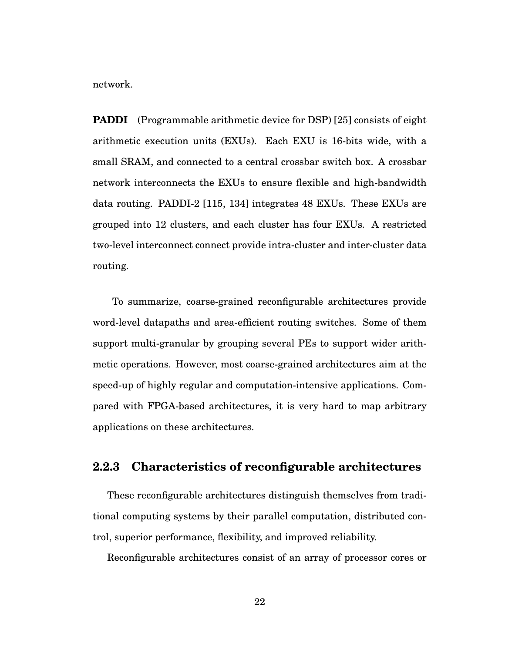network.

**PADDI** (Programmable arithmetic device for DSP) [25] consists of eight arithmetic execution units (EXUs). Each EXU is 16-bits wide, with a small SRAM, and connected to a central crossbar switch box. A crossbar network interconnects the EXUs to ensure flexible and high-bandwidth data routing. PADDI-2 [115, 134] integrates 48 EXUs. These EXUs are grouped into 12 clusters, and each cluster has four EXUs. A restricted two-level interconnect connect provide intra-cluster and inter-cluster data routing.

To summarize, coarse-grained reconfigurable architectures provide word-level datapaths and area-efficient routing switches. Some of them support multi-granular by grouping several PEs to support wider arithmetic operations. However, most coarse-grained architectures aim at the speed-up of highly regular and computation-intensive applications. Compared with FPGA-based architectures, it is very hard to map arbitrary applications on these architectures.

#### **2.2.3 Characteristics of reconfigurable architectures**

These reconfigurable architectures distinguish themselves from traditional computing systems by their parallel computation, distributed control, superior performance, flexibility, and improved reliability.

Reconfigurable architectures consist of an array of processor cores or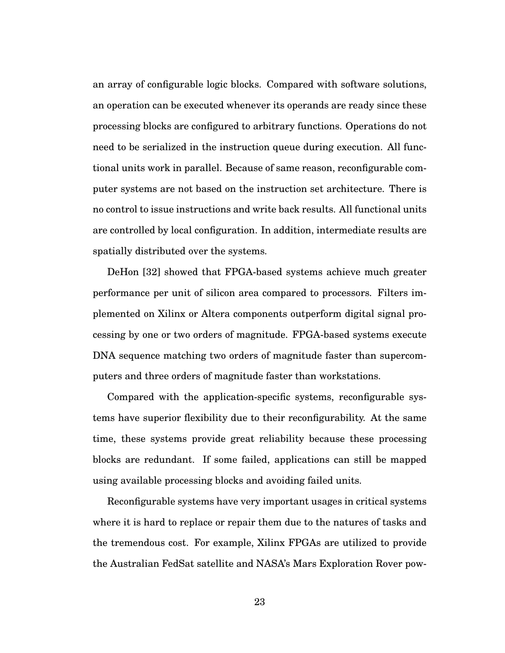an array of configurable logic blocks. Compared with software solutions, an operation can be executed whenever its operands are ready since these processing blocks are configured to arbitrary functions. Operations do not need to be serialized in the instruction queue during execution. All functional units work in parallel. Because of same reason, reconfigurable computer systems are not based on the instruction set architecture. There is no control to issue instructions and write back results. All functional units are controlled by local configuration. In addition, intermediate results are spatially distributed over the systems.

DeHon [32] showed that FPGA-based systems achieve much greater performance per unit of silicon area compared to processors. Filters implemented on Xilinx or Altera components outperform digital signal processing by one or two orders of magnitude. FPGA-based systems execute DNA sequence matching two orders of magnitude faster than supercomputers and three orders of magnitude faster than workstations.

Compared with the application-specific systems, reconfigurable systems have superior flexibility due to their reconfigurability. At the same time, these systems provide great reliability because these processing blocks are redundant. If some failed, applications can still be mapped using available processing blocks and avoiding failed units.

Reconfigurable systems have very important usages in critical systems where it is hard to replace or repair them due to the natures of tasks and the tremendous cost. For example, Xilinx FPGAs are utilized to provide the Australian FedSat satellite and NASA's Mars Exploration Rover pow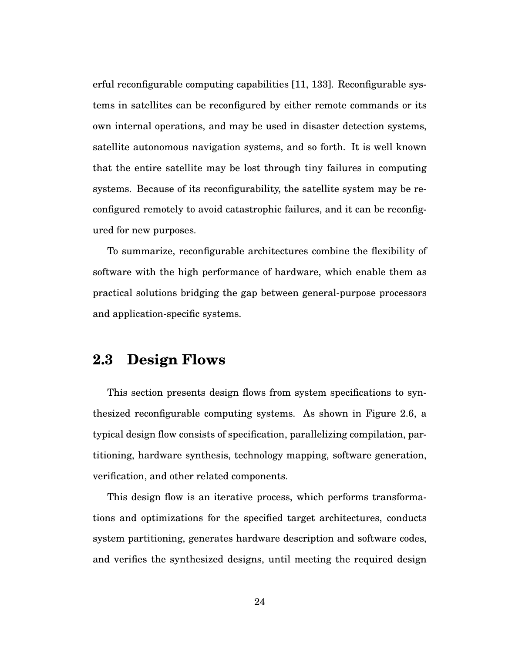erful reconfigurable computing capabilities [11, 133]. Reconfigurable systems in satellites can be reconfigured by either remote commands or its own internal operations, and may be used in disaster detection systems, satellite autonomous navigation systems, and so forth. It is well known that the entire satellite may be lost through tiny failures in computing systems. Because of its reconfigurability, the satellite system may be reconfigured remotely to avoid catastrophic failures, and it can be reconfigured for new purposes.

To summarize, reconfigurable architectures combine the flexibility of software with the high performance of hardware, which enable them as practical solutions bridging the gap between general-purpose processors and application-specific systems.

## **2.3 Design Flows**

This section presents design flows from system specifications to synthesized reconfigurable computing systems. As shown in Figure 2.6, a typical design flow consists of specification, parallelizing compilation, partitioning, hardware synthesis, technology mapping, software generation, verification, and other related components.

This design flow is an iterative process, which performs transformations and optimizations for the specified target architectures, conducts system partitioning, generates hardware description and software codes, and verifies the synthesized designs, until meeting the required design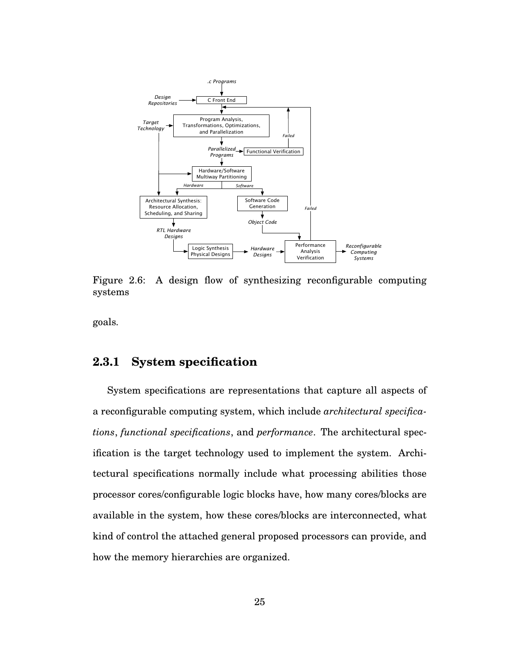

Figure 2.6: A design flow of synthesizing reconfigurable computing systems

goals.

#### **2.3.1 System specification**

System specifications are representations that capture all aspects of a reconfigurable computing system, which include *architectural specifications*, *functional specifications*, and *performance*. The architectural specification is the target technology used to implement the system. Architectural specifications normally include what processing abilities those processor cores/configurable logic blocks have, how many cores/blocks are available in the system, how these cores/blocks are interconnected, what kind of control the attached general proposed processors can provide, and how the memory hierarchies are organized.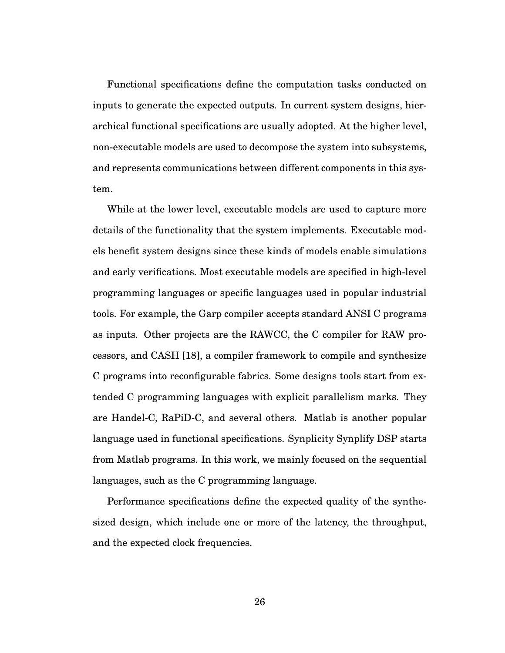Functional specifications define the computation tasks conducted on inputs to generate the expected outputs. In current system designs, hierarchical functional specifications are usually adopted. At the higher level, non-executable models are used to decompose the system into subsystems, and represents communications between different components in this system.

While at the lower level, executable models are used to capture more details of the functionality that the system implements. Executable models benefit system designs since these kinds of models enable simulations and early verifications. Most executable models are specified in high-level programming languages or specific languages used in popular industrial tools. For example, the Garp compiler accepts standard ANSI C programs as inputs. Other projects are the RAWCC, the C compiler for RAW processors, and CASH [18], a compiler framework to compile and synthesize C programs into reconfigurable fabrics. Some designs tools start from extended C programming languages with explicit parallelism marks. They are Handel-C, RaPiD-C, and several others. Matlab is another popular language used in functional specifications. Synplicity Synplify DSP starts from Matlab programs. In this work, we mainly focused on the sequential languages, such as the C programming language.

Performance specifications define the expected quality of the synthesized design, which include one or more of the latency, the throughput, and the expected clock frequencies.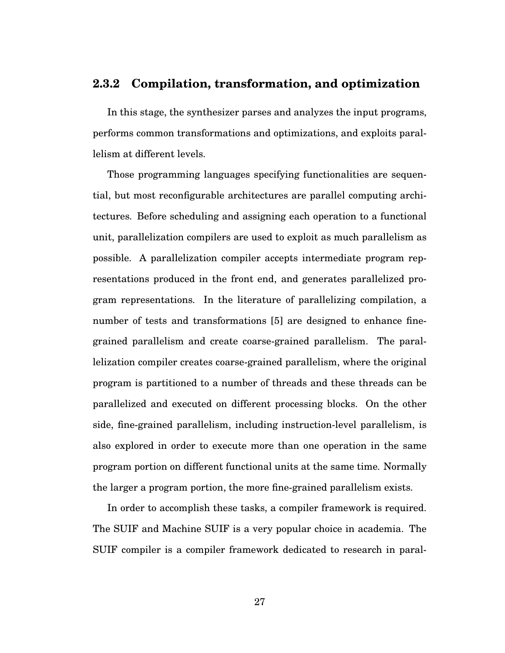#### **2.3.2 Compilation, transformation, and optimization**

In this stage, the synthesizer parses and analyzes the input programs, performs common transformations and optimizations, and exploits parallelism at different levels.

Those programming languages specifying functionalities are sequential, but most reconfigurable architectures are parallel computing architectures. Before scheduling and assigning each operation to a functional unit, parallelization compilers are used to exploit as much parallelism as possible. A parallelization compiler accepts intermediate program representations produced in the front end, and generates parallelized program representations. In the literature of parallelizing compilation, a number of tests and transformations [5] are designed to enhance finegrained parallelism and create coarse-grained parallelism. The parallelization compiler creates coarse-grained parallelism, where the original program is partitioned to a number of threads and these threads can be parallelized and executed on different processing blocks. On the other side, fine-grained parallelism, including instruction-level parallelism, is also explored in order to execute more than one operation in the same program portion on different functional units at the same time. Normally the larger a program portion, the more fine-grained parallelism exists.

In order to accomplish these tasks, a compiler framework is required. The SUIF and Machine SUIF is a very popular choice in academia. The SUIF compiler is a compiler framework dedicated to research in paral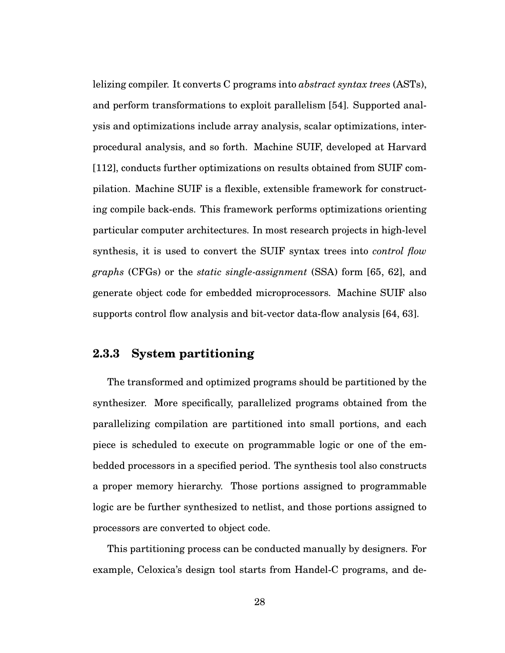lelizing compiler. It converts C programs into *abstract syntax trees* (ASTs), and perform transformations to exploit parallelism [54]. Supported analysis and optimizations include array analysis, scalar optimizations, interprocedural analysis, and so forth. Machine SUIF, developed at Harvard [112], conducts further optimizations on results obtained from SUIF compilation. Machine SUIF is a flexible, extensible framework for constructing compile back-ends. This framework performs optimizations orienting particular computer architectures. In most research projects in high-level synthesis, it is used to convert the SUIF syntax trees into *control flow graphs* (CFGs) or the *static single-assignment* (SSA) form [65, 62], and generate object code for embedded microprocessors. Machine SUIF also supports control flow analysis and bit-vector data-flow analysis [64, 63].

#### **2.3.3 System partitioning**

The transformed and optimized programs should be partitioned by the synthesizer. More specifically, parallelized programs obtained from the parallelizing compilation are partitioned into small portions, and each piece is scheduled to execute on programmable logic or one of the embedded processors in a specified period. The synthesis tool also constructs a proper memory hierarchy. Those portions assigned to programmable logic are be further synthesized to netlist, and those portions assigned to processors are converted to object code.

This partitioning process can be conducted manually by designers. For example, Celoxica's design tool starts from Handel-C programs, and de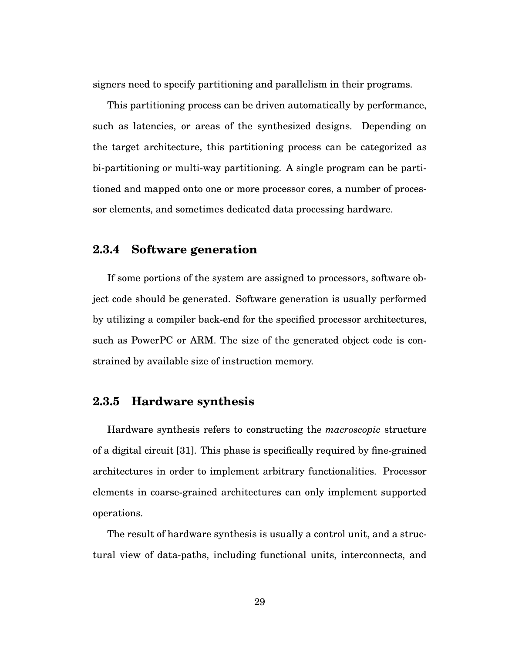signers need to specify partitioning and parallelism in their programs.

This partitioning process can be driven automatically by performance, such as latencies, or areas of the synthesized designs. Depending on the target architecture, this partitioning process can be categorized as bi-partitioning or multi-way partitioning. A single program can be partitioned and mapped onto one or more processor cores, a number of processor elements, and sometimes dedicated data processing hardware.

#### **2.3.4 Software generation**

If some portions of the system are assigned to processors, software object code should be generated. Software generation is usually performed by utilizing a compiler back-end for the specified processor architectures, such as PowerPC or ARM. The size of the generated object code is constrained by available size of instruction memory.

#### **2.3.5 Hardware synthesis**

Hardware synthesis refers to constructing the *macroscopic* structure of a digital circuit [31]. This phase is specifically required by fine-grained architectures in order to implement arbitrary functionalities. Processor elements in coarse-grained architectures can only implement supported operations.

The result of hardware synthesis is usually a control unit, and a structural view of data-paths, including functional units, interconnects, and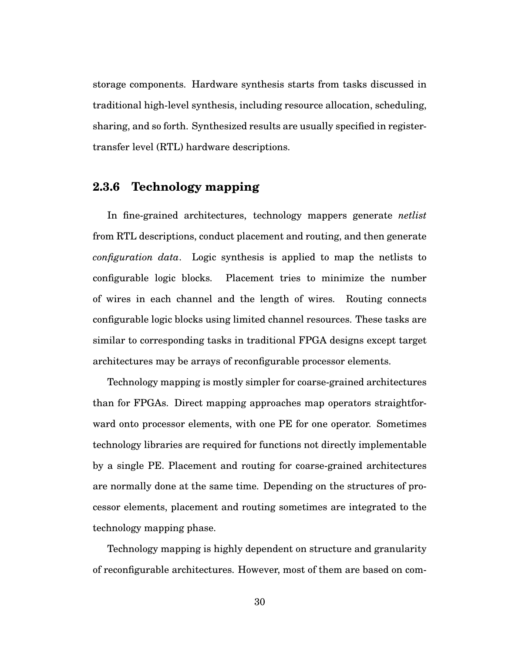storage components. Hardware synthesis starts from tasks discussed in traditional high-level synthesis, including resource allocation, scheduling, sharing, and so forth. Synthesized results are usually specified in registertransfer level (RTL) hardware descriptions.

### **2.3.6 Technology mapping**

In fine-grained architectures, technology mappers generate *netlist* from RTL descriptions, conduct placement and routing, and then generate *configuration data*. Logic synthesis is applied to map the netlists to configurable logic blocks. Placement tries to minimize the number of wires in each channel and the length of wires. Routing connects configurable logic blocks using limited channel resources. These tasks are similar to corresponding tasks in traditional FPGA designs except target architectures may be arrays of reconfigurable processor elements.

Technology mapping is mostly simpler for coarse-grained architectures than for FPGAs. Direct mapping approaches map operators straightforward onto processor elements, with one PE for one operator. Sometimes technology libraries are required for functions not directly implementable by a single PE. Placement and routing for coarse-grained architectures are normally done at the same time. Depending on the structures of processor elements, placement and routing sometimes are integrated to the technology mapping phase.

Technology mapping is highly dependent on structure and granularity of reconfigurable architectures. However, most of them are based on com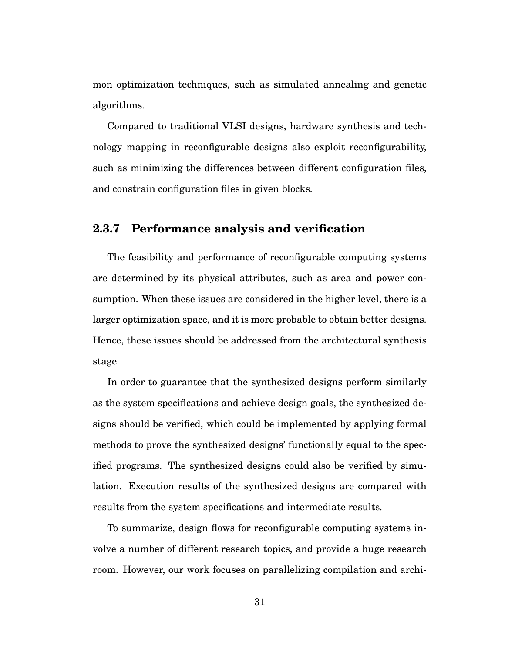mon optimization techniques, such as simulated annealing and genetic algorithms.

Compared to traditional VLSI designs, hardware synthesis and technology mapping in reconfigurable designs also exploit reconfigurability, such as minimizing the differences between different configuration files, and constrain configuration files in given blocks.

#### **2.3.7 Performance analysis and verification**

The feasibility and performance of reconfigurable computing systems are determined by its physical attributes, such as area and power consumption. When these issues are considered in the higher level, there is a larger optimization space, and it is more probable to obtain better designs. Hence, these issues should be addressed from the architectural synthesis stage.

In order to guarantee that the synthesized designs perform similarly as the system specifications and achieve design goals, the synthesized designs should be verified, which could be implemented by applying formal methods to prove the synthesized designs' functionally equal to the specified programs. The synthesized designs could also be verified by simulation. Execution results of the synthesized designs are compared with results from the system specifications and intermediate results.

To summarize, design flows for reconfigurable computing systems involve a number of different research topics, and provide a huge research room. However, our work focuses on parallelizing compilation and archi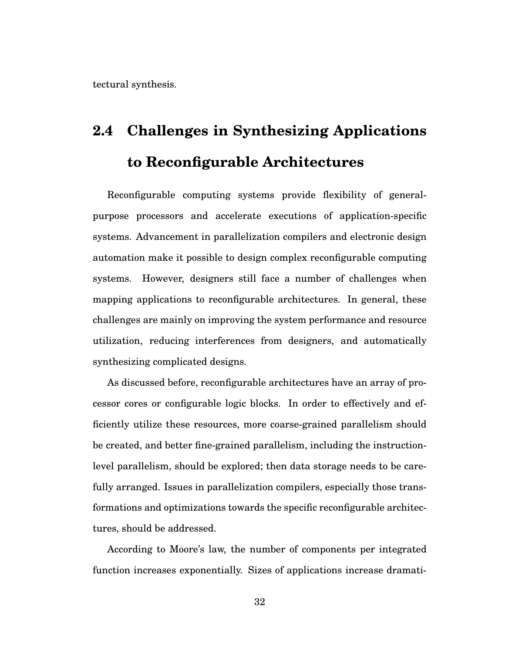tectural synthesis.

# **2.4 Challenges in Synthesizing Applications to Reconfigurable Architectures**

Reconfigurable computing systems provide flexibility of generalpurpose processors and accelerate executions of application-specific systems. Advancement in parallelization compilers and electronic design automation make it possible to design complex reconfigurable computing systems. However, designers still face a number of challenges when mapping applications to reconfigurable architectures. In general, these challenges are mainly on improving the system performance and resource utilization, reducing interferences from designers, and automatically synthesizing complicated designs.

As discussed before, reconfigurable architectures have an array of processor cores or configurable logic blocks. In order to effectively and efficiently utilize these resources, more coarse-grained parallelism should be created, and better fine-grained parallelism, including the instructionlevel parallelism, should be explored; then data storage needs to be carefully arranged. Issues in parallelization compilers, especially those transformations and optimizations towards the specific reconfigurable architectures, should be addressed.

According to Moore's law, the number of components per integrated function increases exponentially. Sizes of applications increase dramati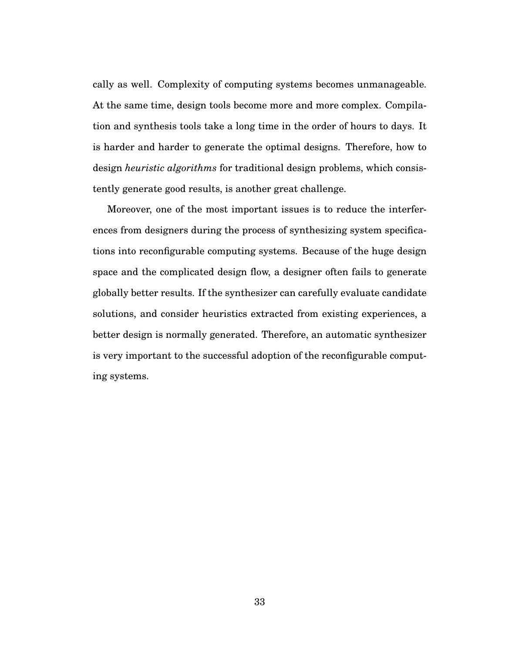cally as well. Complexity of computing systems becomes unmanageable. At the same time, design tools become more and more complex. Compilation and synthesis tools take a long time in the order of hours to days. It is harder and harder to generate the optimal designs. Therefore, how to design *heuristic algorithms* for traditional design problems, which consistently generate good results, is another great challenge.

Moreover, one of the most important issues is to reduce the interferences from designers during the process of synthesizing system specifications into reconfigurable computing systems. Because of the huge design space and the complicated design flow, a designer often fails to generate globally better results. If the synthesizer can carefully evaluate candidate solutions, and consider heuristics extracted from existing experiences, a better design is normally generated. Therefore, an automatic synthesizer is very important to the successful adoption of the reconfigurable computing systems.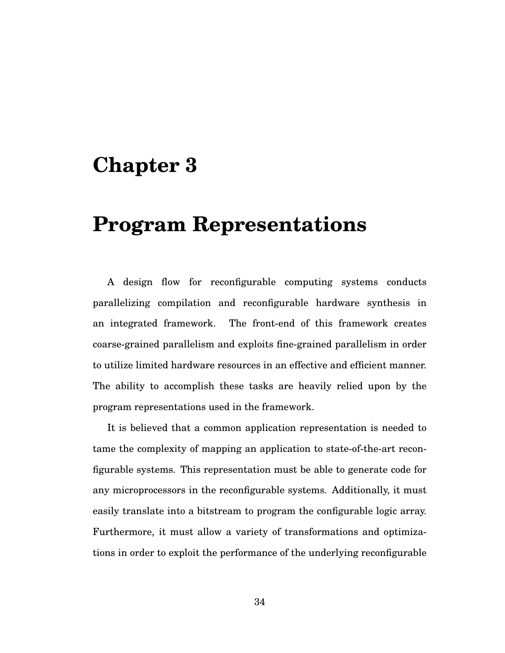## **Chapter 3**

## **Program Representations**

A design flow for reconfigurable computing systems conducts parallelizing compilation and reconfigurable hardware synthesis in an integrated framework. The front-end of this framework creates coarse-grained parallelism and exploits fine-grained parallelism in order to utilize limited hardware resources in an effective and efficient manner. The ability to accomplish these tasks are heavily relied upon by the program representations used in the framework.

It is believed that a common application representation is needed to tame the complexity of mapping an application to state-of-the-art reconfigurable systems. This representation must be able to generate code for any microprocessors in the reconfigurable systems. Additionally, it must easily translate into a bitstream to program the configurable logic array. Furthermore, it must allow a variety of transformations and optimizations in order to exploit the performance of the underlying reconfigurable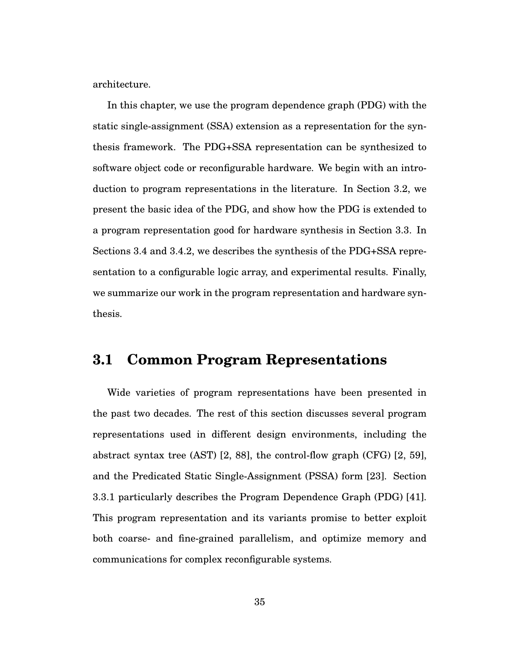architecture.

In this chapter, we use the program dependence graph (PDG) with the static single-assignment (SSA) extension as a representation for the synthesis framework. The PDG+SSA representation can be synthesized to software object code or reconfigurable hardware. We begin with an introduction to program representations in the literature. In Section 3.2, we present the basic idea of the PDG, and show how the PDG is extended to a program representation good for hardware synthesis in Section 3.3. In Sections 3.4 and 3.4.2, we describes the synthesis of the PDG+SSA representation to a configurable logic array, and experimental results. Finally, we summarize our work in the program representation and hardware synthesis.

## **3.1 Common Program Representations**

Wide varieties of program representations have been presented in the past two decades. The rest of this section discusses several program representations used in different design environments, including the abstract syntax tree (AST) [2, 88], the control-flow graph (CFG) [2, 59], and the Predicated Static Single-Assignment (PSSA) form [23]. Section 3.3.1 particularly describes the Program Dependence Graph (PDG) [41]. This program representation and its variants promise to better exploit both coarse- and fine-grained parallelism, and optimize memory and communications for complex reconfigurable systems.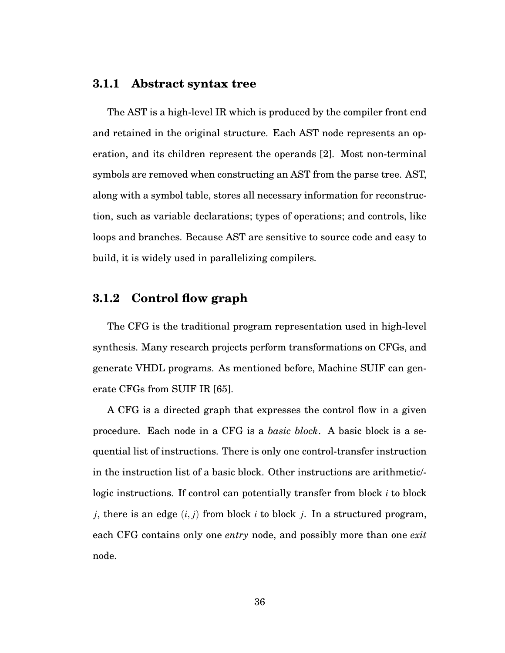#### **3.1.1 Abstract syntax tree**

The AST is a high-level IR which is produced by the compiler front end and retained in the original structure. Each AST node represents an operation, and its children represent the operands [2]. Most non-terminal symbols are removed when constructing an AST from the parse tree. AST, along with a symbol table, stores all necessary information for reconstruction, such as variable declarations; types of operations; and controls, like loops and branches. Because AST are sensitive to source code and easy to build, it is widely used in parallelizing compilers.

#### **3.1.2 Control flow graph**

The CFG is the traditional program representation used in high-level synthesis. Many research projects perform transformations on CFGs, and generate VHDL programs. As mentioned before, Machine SUIF can generate CFGs from SUIF IR [65].

A CFG is a directed graph that expresses the control flow in a given procedure. Each node in a CFG is a *basic block*. A basic block is a sequential list of instructions. There is only one control-transfer instruction in the instruction list of a basic block. Other instructions are arithmetic/ logic instructions. If control can potentially transfer from block *i* to block *j*, there is an edge (*i*, *j*) from block *i* to block *j*. In a structured program, each CFG contains only one *entry* node, and possibly more than one *exit* node.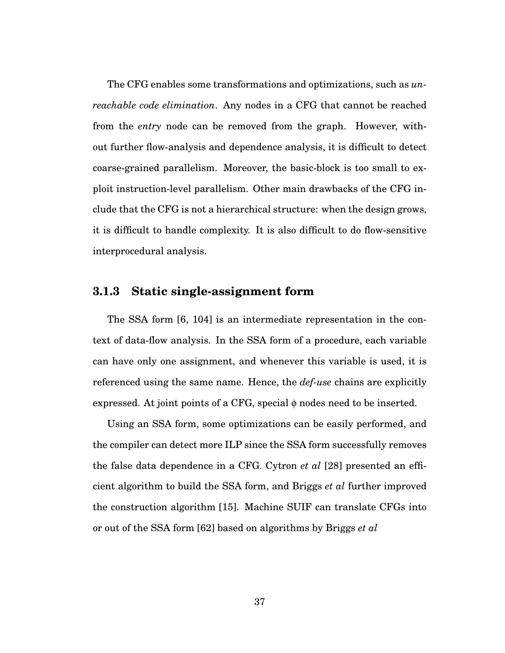The CFG enables some transformations and optimizations, such as *unreachable code elimination*. Any nodes in a CFG that cannot be reached from the *entry* node can be removed from the graph. However, without further flow-analysis and dependence analysis, it is difficult to detect coarse-grained parallelism. Moreover, the basic-block is too small to exploit instruction-level parallelism. Other main drawbacks of the CFG include that the CFG is not a hierarchical structure: when the design grows, it is difficult to handle complexity. It is also difficult to do flow-sensitive interprocedural analysis.

#### **3.1.3 Static single-assignment form**

The SSA form [6, 104] is an intermediate representation in the context of data-flow analysis. In the SSA form of a procedure, each variable can have only one assignment, and whenever this variable is used, it is referenced using the same name. Hence, the *def-use* chains are explicitly expressed. At joint points of a CFG, special  $\phi$  nodes need to be inserted.

Using an SSA form, some optimizations can be easily performed, and the compiler can detect more ILP since the SSA form successfully removes the false data dependence in a CFG. Cytron *et al* [28] presented an efficient algorithm to build the SSA form, and Briggs *et al* further improved the construction algorithm [15]. Machine SUIF can translate CFGs into or out of the SSA form [62] based on algorithms by Briggs *et al*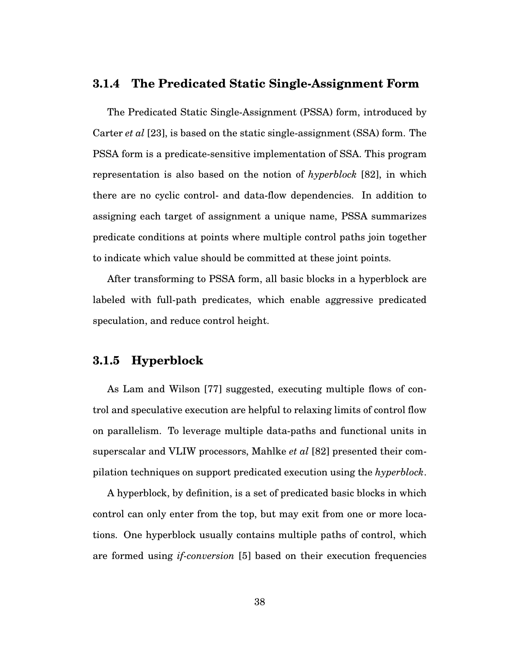#### **3.1.4 The Predicated Static Single-Assignment Form**

The Predicated Static Single-Assignment (PSSA) form, introduced by Carter *et al* [23], is based on the static single-assignment (SSA) form. The PSSA form is a predicate-sensitive implementation of SSA. This program representation is also based on the notion of *hyperblock* [82], in which there are no cyclic control- and data-flow dependencies. In addition to assigning each target of assignment a unique name, PSSA summarizes predicate conditions at points where multiple control paths join together to indicate which value should be committed at these joint points.

After transforming to PSSA form, all basic blocks in a hyperblock are labeled with full-path predicates, which enable aggressive predicated speculation, and reduce control height.

#### **3.1.5 Hyperblock**

As Lam and Wilson [77] suggested, executing multiple flows of control and speculative execution are helpful to relaxing limits of control flow on parallelism. To leverage multiple data-paths and functional units in superscalar and VLIW processors, Mahlke *et al* [82] presented their compilation techniques on support predicated execution using the *hyperblock*.

A hyperblock, by definition, is a set of predicated basic blocks in which control can only enter from the top, but may exit from one or more locations. One hyperblock usually contains multiple paths of control, which are formed using *if-conversion* [5] based on their execution frequencies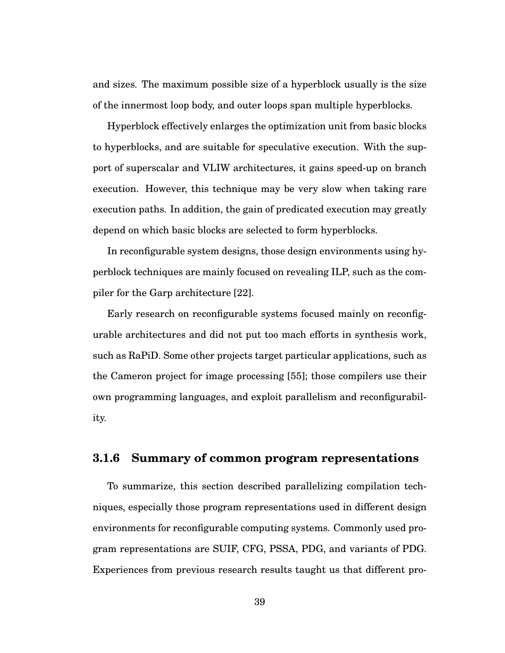and sizes. The maximum possible size of a hyperblock usually is the size of the innermost loop body, and outer loops span multiple hyperblocks.

Hyperblock effectively enlarges the optimization unit from basic blocks to hyperblocks, and are suitable for speculative execution. With the support of superscalar and VLIW architectures, it gains speed-up on branch execution. However, this technique may be very slow when taking rare execution paths. In addition, the gain of predicated execution may greatly depend on which basic blocks are selected to form hyperblocks.

In reconfigurable system designs, those design environments using hyperblock techniques are mainly focused on revealing ILP, such as the compiler for the Garp architecture [22].

Early research on reconfigurable systems focused mainly on reconfigurable architectures and did not put too mach efforts in synthesis work, such as RaPiD. Some other projects target particular applications, such as the Cameron project for image processing [55]; those compilers use their own programming languages, and exploit parallelism and reconfigurability.

#### **3.1.6 Summary of common program representations**

To summarize, this section described parallelizing compilation techniques, especially those program representations used in different design environments for reconfigurable computing systems. Commonly used program representations are SUIF, CFG, PSSA, PDG, and variants of PDG. Experiences from previous research results taught us that different pro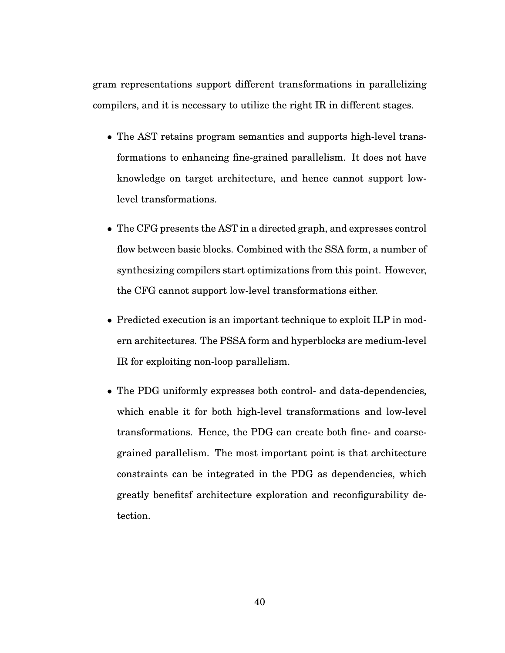gram representations support different transformations in parallelizing compilers, and it is necessary to utilize the right IR in different stages.

- The AST retains program semantics and supports high-level transformations to enhancing fine-grained parallelism. It does not have knowledge on target architecture, and hence cannot support lowlevel transformations.
- The CFG presents the AST in a directed graph, and expresses control flow between basic blocks. Combined with the SSA form, a number of synthesizing compilers start optimizations from this point. However, the CFG cannot support low-level transformations either.
- Predicted execution is an important technique to exploit ILP in modern architectures. The PSSA form and hyperblocks are medium-level IR for exploiting non-loop parallelism.
- The PDG uniformly expresses both control- and data-dependencies, which enable it for both high-level transformations and low-level transformations. Hence, the PDG can create both fine- and coarsegrained parallelism. The most important point is that architecture constraints can be integrated in the PDG as dependencies, which greatly benefitsf architecture exploration and reconfigurability detection.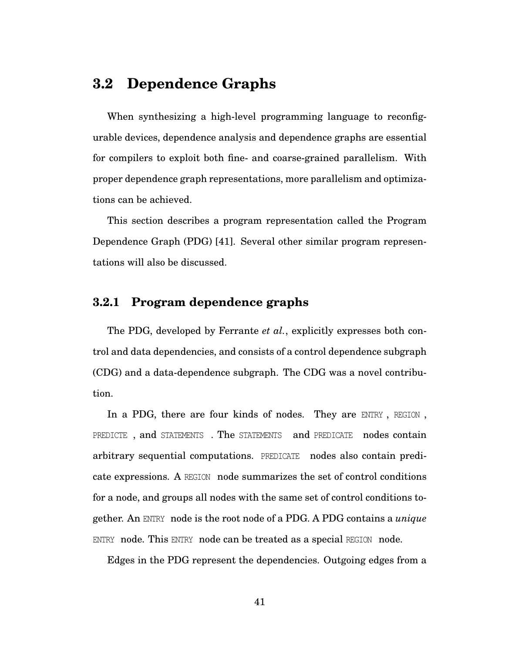## **3.2 Dependence Graphs**

When synthesizing a high-level programming language to reconfigurable devices, dependence analysis and dependence graphs are essential for compilers to exploit both fine- and coarse-grained parallelism. With proper dependence graph representations, more parallelism and optimizations can be achieved.

This section describes a program representation called the Program Dependence Graph (PDG) [41]. Several other similar program representations will also be discussed.

#### **3.2.1 Program dependence graphs**

The PDG, developed by Ferrante *et al.*, explicitly expresses both control and data dependencies, and consists of a control dependence subgraph (CDG) and a data-dependence subgraph. The CDG was a novel contribution.

In a PDG, there are four kinds of nodes. They are ENTRY, REGION, PREDICTE, and STATEMENTS. The STATEMENTS and PREDICATE nodes contain arbitrary sequential computations. PREDICATE nodes also contain predicate expressions. A REGION node summarizes the set of control conditions for a node, and groups all nodes with the same set of control conditions together. An ENTRY node is the root node of a PDG. A PDG contains a *unique* ENTRY node. This ENTRY node can be treated as a special REGION node.

Edges in the PDG represent the dependencies. Outgoing edges from a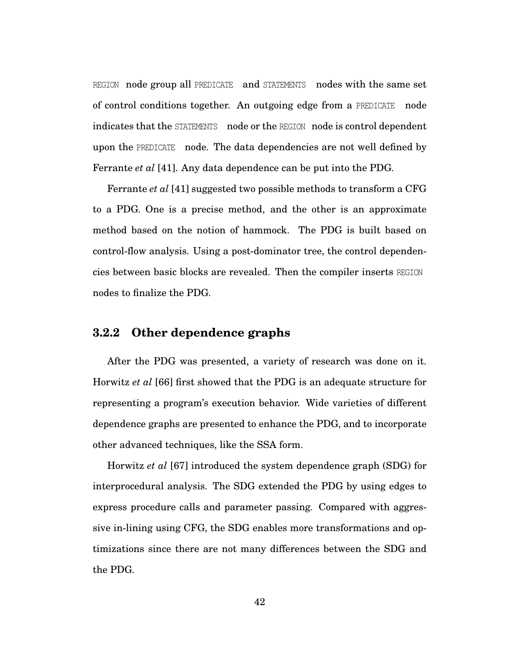REGION node group all PREDICATE and STATEMENTS nodes with the same set of control conditions together. An outgoing edge from a PREDICATE node indicates that the STATEMENTS node or the REGION node is control dependent upon the PREDICATE node. The data dependencies are not well defined by Ferrante *et al* [41]. Any data dependence can be put into the PDG.

Ferrante *et al* [41] suggested two possible methods to transform a CFG to a PDG. One is a precise method, and the other is an approximate method based on the notion of hammock. The PDG is built based on control-flow analysis. Using a post-dominator tree, the control dependencies between basic blocks are revealed. Then the compiler inserts REGION nodes to finalize the PDG.

#### **3.2.2 Other dependence graphs**

After the PDG was presented, a variety of research was done on it. Horwitz *et al* [66] first showed that the PDG is an adequate structure for representing a program's execution behavior. Wide varieties of different dependence graphs are presented to enhance the PDG, and to incorporate other advanced techniques, like the SSA form.

Horwitz *et al* [67] introduced the system dependence graph (SDG) for interprocedural analysis. The SDG extended the PDG by using edges to express procedure calls and parameter passing. Compared with aggressive in-lining using CFG, the SDG enables more transformations and optimizations since there are not many differences between the SDG and the PDG.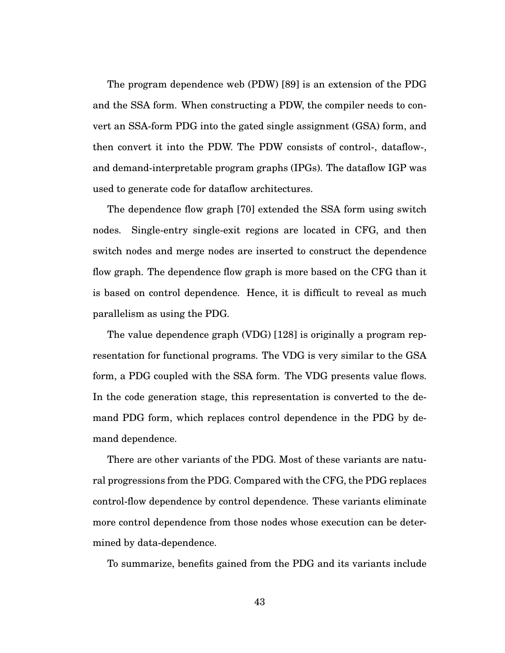The program dependence web (PDW) [89] is an extension of the PDG and the SSA form. When constructing a PDW, the compiler needs to convert an SSA-form PDG into the gated single assignment (GSA) form, and then convert it into the PDW. The PDW consists of control-, dataflow-, and demand-interpretable program graphs (IPGs). The dataflow IGP was used to generate code for dataflow architectures.

The dependence flow graph [70] extended the SSA form using switch nodes. Single-entry single-exit regions are located in CFG, and then switch nodes and merge nodes are inserted to construct the dependence flow graph. The dependence flow graph is more based on the CFG than it is based on control dependence. Hence, it is difficult to reveal as much parallelism as using the PDG.

The value dependence graph (VDG) [128] is originally a program representation for functional programs. The VDG is very similar to the GSA form, a PDG coupled with the SSA form. The VDG presents value flows. In the code generation stage, this representation is converted to the demand PDG form, which replaces control dependence in the PDG by demand dependence.

There are other variants of the PDG. Most of these variants are natural progressions from the PDG. Compared with the CFG, the PDG replaces control-flow dependence by control dependence. These variants eliminate more control dependence from those nodes whose execution can be determined by data-dependence.

To summarize, benefits gained from the PDG and its variants include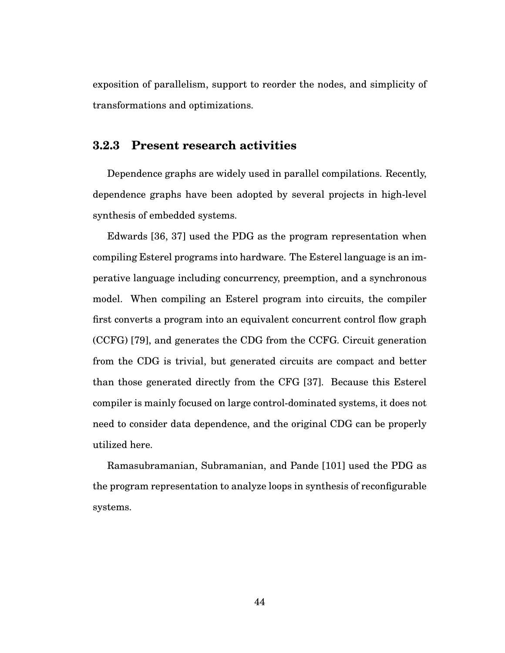exposition of parallelism, support to reorder the nodes, and simplicity of transformations and optimizations.

#### **3.2.3 Present research activities**

Dependence graphs are widely used in parallel compilations. Recently, dependence graphs have been adopted by several projects in high-level synthesis of embedded systems.

Edwards [36, 37] used the PDG as the program representation when compiling Esterel programs into hardware. The Esterel language is an imperative language including concurrency, preemption, and a synchronous model. When compiling an Esterel program into circuits, the compiler first converts a program into an equivalent concurrent control flow graph (CCFG) [79], and generates the CDG from the CCFG. Circuit generation from the CDG is trivial, but generated circuits are compact and better than those generated directly from the CFG [37]. Because this Esterel compiler is mainly focused on large control-dominated systems, it does not need to consider data dependence, and the original CDG can be properly utilized here.

Ramasubramanian, Subramanian, and Pande [101] used the PDG as the program representation to analyze loops in synthesis of reconfigurable systems.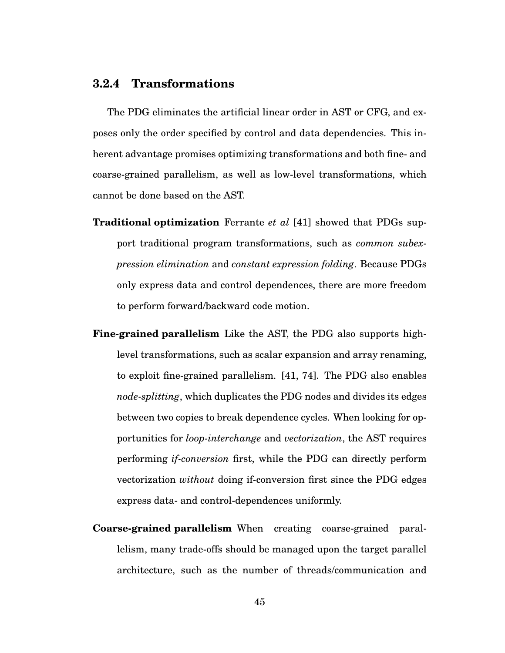#### **3.2.4 Transformations**

The PDG eliminates the artificial linear order in AST or CFG, and exposes only the order specified by control and data dependencies. This inherent advantage promises optimizing transformations and both fine- and coarse-grained parallelism, as well as low-level transformations, which cannot be done based on the AST.

- **Traditional optimization** Ferrante *et al* [41] showed that PDGs support traditional program transformations, such as *common subexpression elimination* and *constant expression folding*. Because PDGs only express data and control dependences, there are more freedom to perform forward/backward code motion.
- **Fine-grained parallelism** Like the AST, the PDG also supports highlevel transformations, such as scalar expansion and array renaming, to exploit fine-grained parallelism. [41, 74]. The PDG also enables *node-splitting*, which duplicates the PDG nodes and divides its edges between two copies to break dependence cycles. When looking for opportunities for *loop-interchange* and *vectorization*, the AST requires performing *if-conversion* first, while the PDG can directly perform vectorization *without* doing if-conversion first since the PDG edges express data- and control-dependences uniformly.
- **Coarse-grained parallelism** When creating coarse-grained parallelism, many trade-offs should be managed upon the target parallel architecture, such as the number of threads/communication and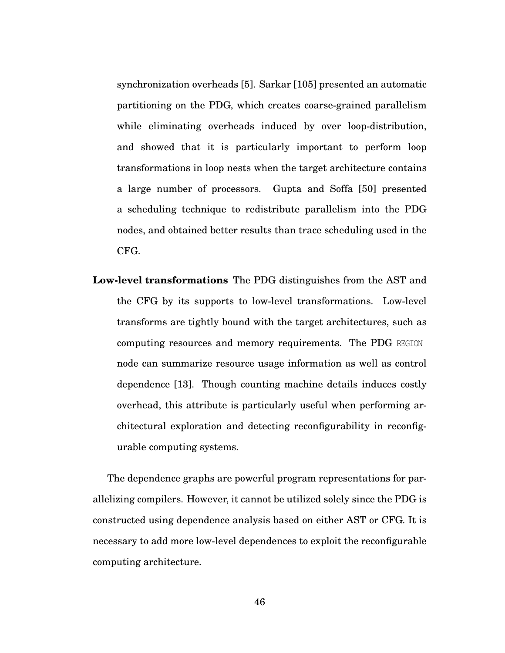synchronization overheads [5]. Sarkar [105] presented an automatic partitioning on the PDG, which creates coarse-grained parallelism while eliminating overheads induced by over loop-distribution, and showed that it is particularly important to perform loop transformations in loop nests when the target architecture contains a large number of processors. Gupta and Soffa [50] presented a scheduling technique to redistribute parallelism into the PDG nodes, and obtained better results than trace scheduling used in the CFG.

**Low-level transformations** The PDG distinguishes from the AST and the CFG by its supports to low-level transformations. Low-level transforms are tightly bound with the target architectures, such as computing resources and memory requirements. The PDG REGION node can summarize resource usage information as well as control dependence [13]. Though counting machine details induces costly overhead, this attribute is particularly useful when performing architectural exploration and detecting reconfigurability in reconfigurable computing systems.

The dependence graphs are powerful program representations for parallelizing compilers. However, it cannot be utilized solely since the PDG is constructed using dependence analysis based on either AST or CFG. It is necessary to add more low-level dependences to exploit the reconfigurable computing architecture.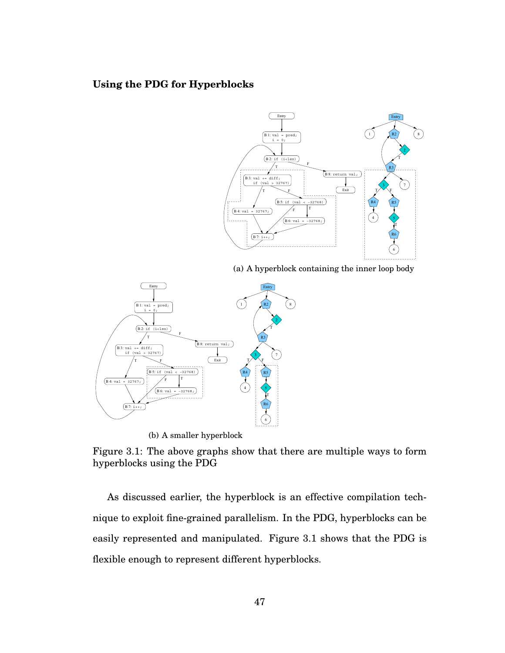#### **Using the PDG for Hyperblocks**



(a) A hyperblock containing the inner loop body



(b) A smaller hyperblock

Figure 3.1: The above graphs show that there are multiple ways to form hyperblocks using the PDG

As discussed earlier, the hyperblock is an effective compilation technique to exploit fine-grained parallelism. In the PDG, hyperblocks can be easily represented and manipulated. Figure 3.1 shows that the PDG is flexible enough to represent different hyperblocks.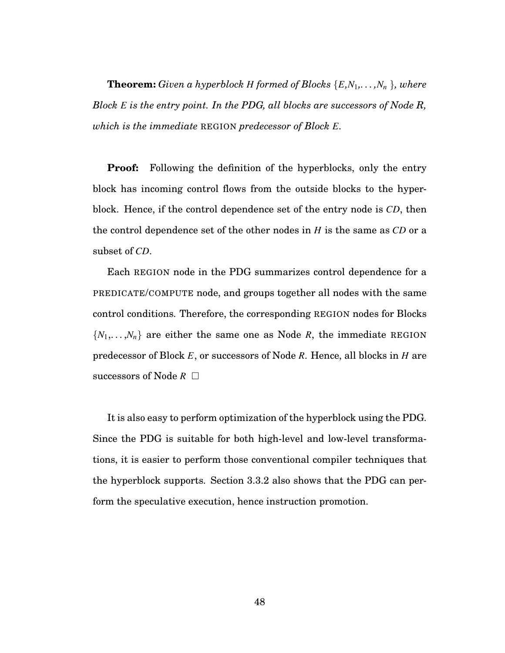**Theorem:** *Given a hyperblock H formed of Blocks*  $\{E, N_1, \ldots, N_n\}$ *, where Block E is the entry point. In the PDG, all blocks are successors of Node R, which is the immediate* REGION *predecessor of Block E.*

**Proof:** Following the definition of the hyperblocks, only the entry block has incoming control flows from the outside blocks to the hyperblock. Hence, if the control dependence set of the entry node is *CD*, then the control dependence set of the other nodes in *H* is the same as *CD* or a subset of *CD*.

Each REGION node in the PDG summarizes control dependence for a PREDICATE/COMPUTE node, and groups together all nodes with the same control conditions. Therefore, the corresponding REGION nodes for Blocks  $\{N_1, \ldots, N_n\}$  are either the same one as Node *R*, the immediate REGION predecessor of Block *E*, or successors of Node *R*. Hence, all blocks in *H* are  $\operatorname{successors}$  of  $\operatorname{Node} R$   $\Box$ 

It is also easy to perform optimization of the hyperblock using the PDG. Since the PDG is suitable for both high-level and low-level transformations, it is easier to perform those conventional compiler techniques that the hyperblock supports. Section 3.3.2 also shows that the PDG can perform the speculative execution, hence instruction promotion.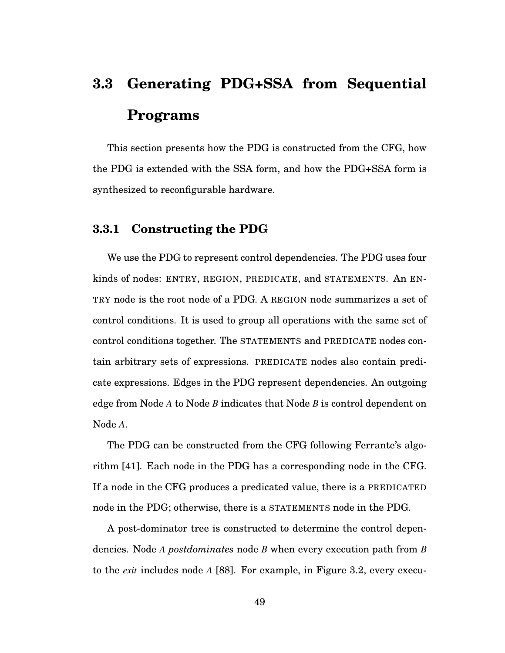# **3.3 Generating PDG+SSA from Sequential Programs**

This section presents how the PDG is constructed from the CFG, how the PDG is extended with the SSA form, and how the PDG+SSA form is synthesized to reconfigurable hardware.

#### **3.3.1 Constructing the PDG**

We use the PDG to represent control dependencies. The PDG uses four kinds of nodes: ENTRY, REGION, PREDICATE, and STATEMENTS. An EN-TRY node is the root node of a PDG. A REGION node summarizes a set of control conditions. It is used to group all operations with the same set of control conditions together. The STATEMENTS and PREDICATE nodes contain arbitrary sets of expressions. PREDICATE nodes also contain predicate expressions. Edges in the PDG represent dependencies. An outgoing edge from Node *A* to Node *B* indicates that Node *B* is control dependent on Node *A*.

The PDG can be constructed from the CFG following Ferrante's algorithm [41]. Each node in the PDG has a corresponding node in the CFG. If a node in the CFG produces a predicated value, there is a PREDICATED node in the PDG; otherwise, there is a STATEMENTS node in the PDG.

A post-dominator tree is constructed to determine the control dependencies. Node *A postdominates* node *B* when every execution path from *B* to the *exit* includes node *A* [88]. For example, in Figure 3.2, every execu-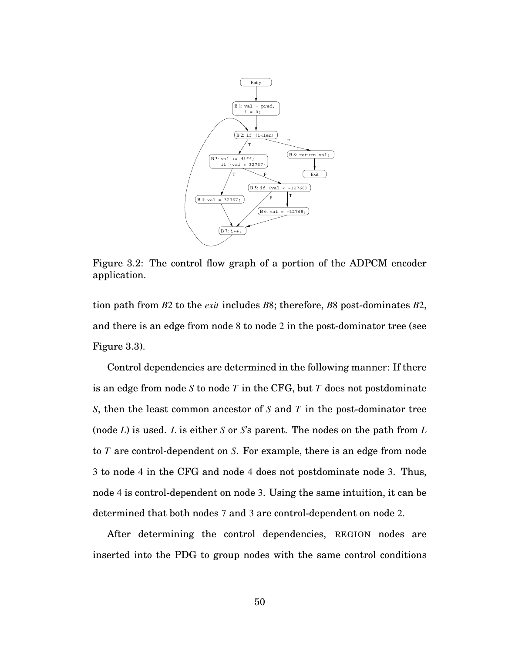

Figure 3.2: The control flow graph of a portion of the ADPCM encoder application.

tion path from *B*2 to the *exit* includes *B*8; therefore, *B*8 post-dominates *B*2, and there is an edge from node 8 to node 2 in the post-dominator tree (see Figure 3.3).

Control dependencies are determined in the following manner: If there is an edge from node *S* to node *T* in the CFG, but *T* does not postdominate *S*, then the least common ancestor of *S* and *T* in the post-dominator tree (node *L*) is used. *L* is either *S* or *S*'s parent. The nodes on the path from *L* to *T* are control-dependent on *S*. For example, there is an edge from node 3 to node 4 in the CFG and node 4 does not postdominate node 3. Thus, node 4 is control-dependent on node 3. Using the same intuition, it can be determined that both nodes 7 and 3 are control-dependent on node 2.

After determining the control dependencies, REGION nodes are inserted into the PDG to group nodes with the same control conditions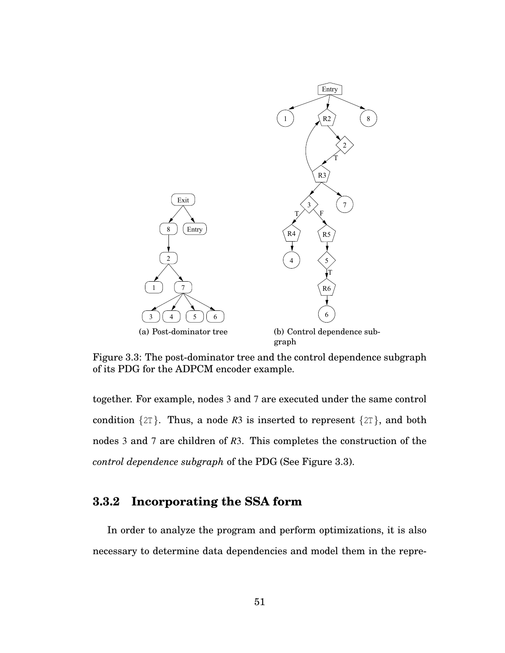

Figure 3.3: The post-dominator tree and the control dependence subgraph of its PDG for the ADPCM encoder example.

together. For example, nodes 3 and 7 are executed under the same control condition  $\{2T\}$ . Thus, a node R3 is inserted to represent  $\{2T\}$ , and both nodes 3 and 7 are children of *R*3. This completes the construction of the *control dependence subgraph* of the PDG (See Figure 3.3).

### **3.3.2 Incorporating the SSA form**

In order to analyze the program and perform optimizations, it is also necessary to determine data dependencies and model them in the repre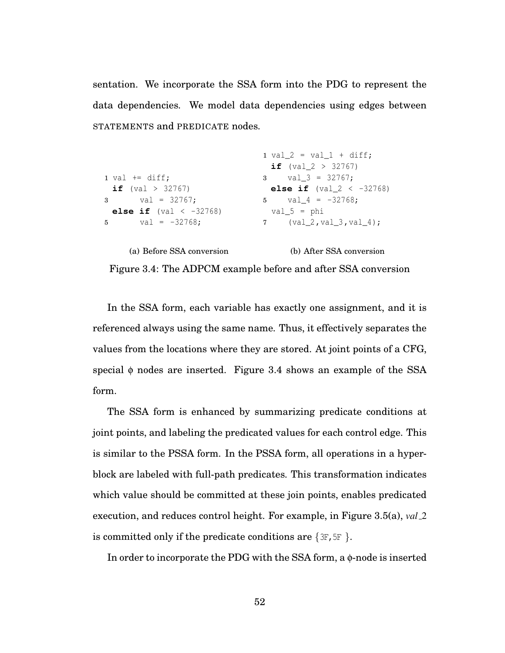sentation. We incorporate the SSA form into the PDG to represent the data dependencies. We model data dependencies using edges between STATEMENTS and PREDICATE nodes.

```
1 val += diff;
 if (val > 32767)
3 val = 32767;
 else if (val \langle -32768 \rangle5 val = -32768;
                                1 val 2 = val 1 + diff;if (val2 > 32767)
                                3 val-3 = 32767;
                                else if (val2 < -32768)
                               5 \text{ val}_4 = -32768;val_5 = phi
                                7 (val_2, val_3, val_4);
```
(a) Before SSA conversion

```
Figure 3.4: The ADPCM example before and after SSA conversion
```
(b) After SSA conversion

In the SSA form, each variable has exactly one assignment, and it is referenced always using the same name. Thus, it effectively separates the values from the locations where they are stored. At joint points of a CFG, special  $\phi$  nodes are inserted. Figure 3.4 shows an example of the SSA form.

The SSA form is enhanced by summarizing predicate conditions at joint points, and labeling the predicated values for each control edge. This is similar to the PSSA form. In the PSSA form, all operations in a hyperblock are labeled with full-path predicates. This transformation indicates which value should be committed at these join points, enables predicated execution, and reduces control height. For example, in Figure 3.5(a), *val* 2 is committed only if the predicate conditions are  $\{3F, 5F\}$ .

In order to incorporate the PDG with the SSA form, a  $\phi$ -node is inserted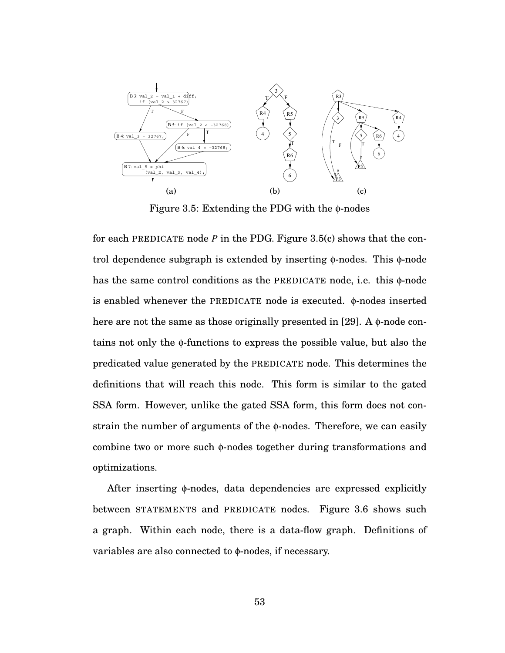

Figure 3.5: Extending the PDG with the  $\phi$ -nodes

for each PREDICATE node *P* in the PDG. Figure 3.5(c) shows that the control dependence subgraph is extended by inserting  $\phi$ -nodes. This  $\phi$ -node has the same control conditions as the PREDICATE node, i.e. this φ-node is enabled whenever the PREDICATE node is executed. φ-nodes inserted here are not the same as those originally presented in [29]. A  $\phi$ -node contains not only the φ-functions to express the possible value, but also the predicated value generated by the PREDICATE node. This determines the definitions that will reach this node. This form is similar to the gated SSA form. However, unlike the gated SSA form, this form does not constrain the number of arguments of the φ-nodes. Therefore, we can easily combine two or more such φ-nodes together during transformations and optimizations.

After inserting φ-nodes, data dependencies are expressed explicitly between STATEMENTS and PREDICATE nodes. Figure 3.6 shows such a graph. Within each node, there is a data-flow graph. Definitions of variables are also connected to φ-nodes, if necessary.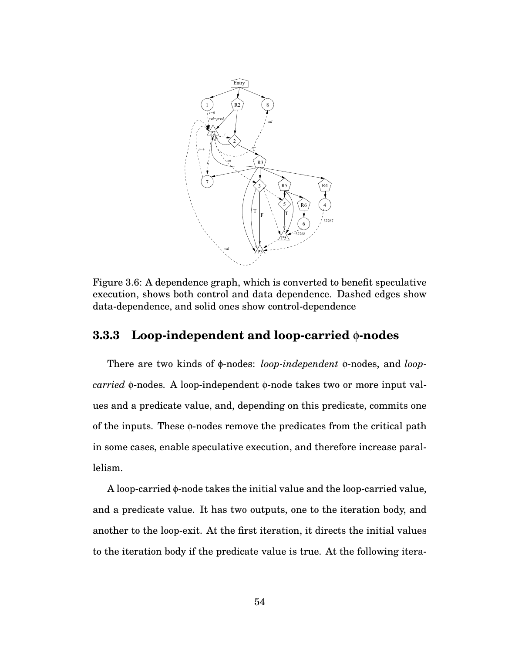

Figure 3.6: A dependence graph, which is converted to benefit speculative execution, shows both control and data dependence. Dashed edges show data-dependence, and solid ones show control-dependence

#### **3.3.3 Loop-independent and loop-carried** φ**-nodes**

There are two kinds of φ-nodes: *loop-independent* φ-nodes, and *loopcarried* φ-nodes. A loop-independent φ-node takes two or more input values and a predicate value, and, depending on this predicate, commits one of the inputs. These φ-nodes remove the predicates from the critical path in some cases, enable speculative execution, and therefore increase parallelism.

A loop-carried φ-node takes the initial value and the loop-carried value, and a predicate value. It has two outputs, one to the iteration body, and another to the loop-exit. At the first iteration, it directs the initial values to the iteration body if the predicate value is true. At the following itera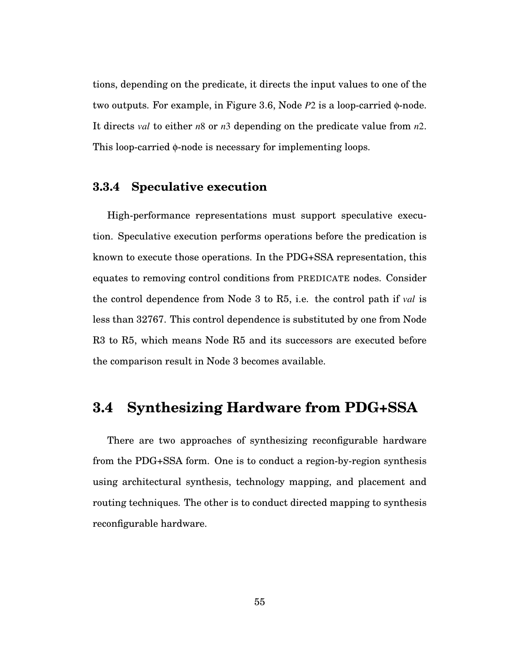tions, depending on the predicate, it directs the input values to one of the two outputs. For example, in Figure 3.6, Node *P*2 is a loop-carried φ-node. It directs *val* to either *n*8 or *n*3 depending on the predicate value from *n*2. This loop-carried φ-node is necessary for implementing loops.

# **3.3.4 Speculative execution**

High-performance representations must support speculative execution. Speculative execution performs operations before the predication is known to execute those operations. In the PDG+SSA representation, this equates to removing control conditions from PREDICATE nodes. Consider the control dependence from Node 3 to R5, i.e. the control path if *val* is less than 32767. This control dependence is substituted by one from Node R3 to R5, which means Node R5 and its successors are executed before the comparison result in Node 3 becomes available.

# **3.4 Synthesizing Hardware from PDG+SSA**

There are two approaches of synthesizing reconfigurable hardware from the PDG+SSA form. One is to conduct a region-by-region synthesis using architectural synthesis, technology mapping, and placement and routing techniques. The other is to conduct directed mapping to synthesis reconfigurable hardware.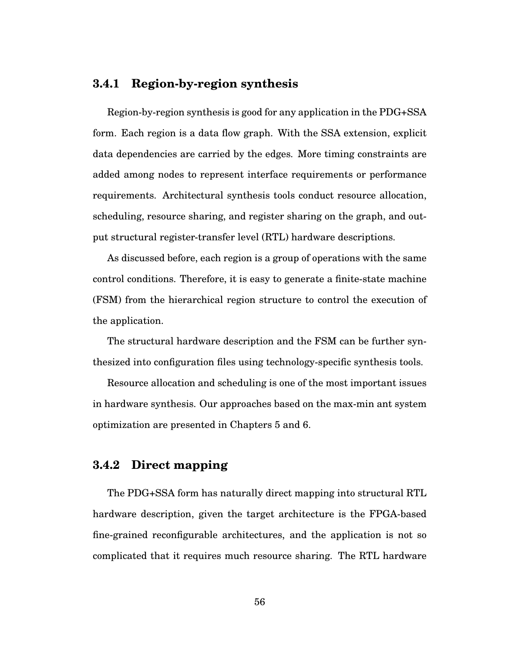## **3.4.1 Region-by-region synthesis**

Region-by-region synthesis is good for any application in the PDG+SSA form. Each region is a data flow graph. With the SSA extension, explicit data dependencies are carried by the edges. More timing constraints are added among nodes to represent interface requirements or performance requirements. Architectural synthesis tools conduct resource allocation, scheduling, resource sharing, and register sharing on the graph, and output structural register-transfer level (RTL) hardware descriptions.

As discussed before, each region is a group of operations with the same control conditions. Therefore, it is easy to generate a finite-state machine (FSM) from the hierarchical region structure to control the execution of the application.

The structural hardware description and the FSM can be further synthesized into configuration files using technology-specific synthesis tools.

Resource allocation and scheduling is one of the most important issues in hardware synthesis. Our approaches based on the max-min ant system optimization are presented in Chapters 5 and 6.

#### **3.4.2 Direct mapping**

The PDG+SSA form has naturally direct mapping into structural RTL hardware description, given the target architecture is the FPGA-based fine-grained reconfigurable architectures, and the application is not so complicated that it requires much resource sharing. The RTL hardware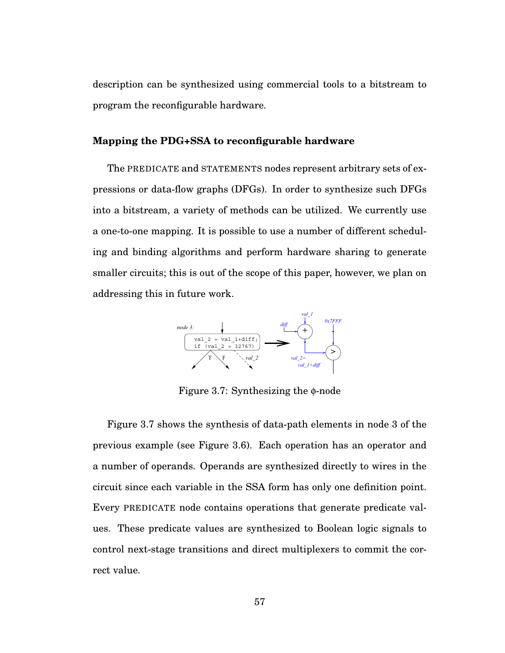description can be synthesized using commercial tools to a bitstream to program the reconfigurable hardware.

#### **Mapping the PDG+SSA to reconfigurable hardware**

The PREDICATE and STATEMENTS nodes represent arbitrary sets of expressions or data-flow graphs (DFGs). In order to synthesize such DFGs into a bitstream, a variety of methods can be utilized. We currently use a one-to-one mapping. It is possible to use a number of different scheduling and binding algorithms and perform hardware sharing to generate smaller circuits; this is out of the scope of this paper, however, we plan on addressing this in future work.



Figure 3.7: Synthesizing the φ-node

Figure 3.7 shows the synthesis of data-path elements in node 3 of the previous example (see Figure 3.6). Each operation has an operator and a number of operands. Operands are synthesized directly to wires in the circuit since each variable in the SSA form has only one definition point. Every PREDICATE node contains operations that generate predicate values. These predicate values are synthesized to Boolean logic signals to control next-stage transitions and direct multiplexers to commit the correct value.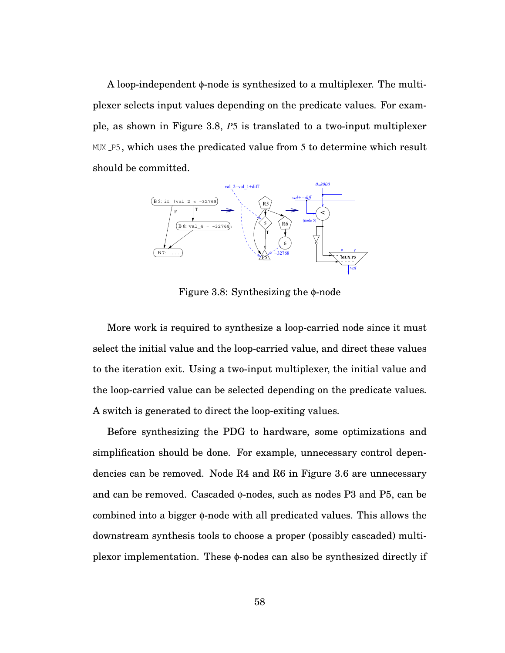A loop-independent φ-node is synthesized to a multiplexer. The multiplexer selects input values depending on the predicate values. For example, as shown in Figure 3.8, *P*5 is translated to a two-input multiplexer MUX P<sub>5</sub>, which uses the predicated value from 5 to determine which result should be committed.



Figure 3.8: Synthesizing the φ-node

More work is required to synthesize a loop-carried node since it must select the initial value and the loop-carried value, and direct these values to the iteration exit. Using a two-input multiplexer, the initial value and the loop-carried value can be selected depending on the predicate values. A switch is generated to direct the loop-exiting values.

Before synthesizing the PDG to hardware, some optimizations and simplification should be done. For example, unnecessary control dependencies can be removed. Node R4 and R6 in Figure 3.6 are unnecessary and can be removed. Cascaded φ-nodes, such as nodes P3 and P5, can be combined into a bigger φ-node with all predicated values. This allows the downstream synthesis tools to choose a proper (possibly cascaded) multiplexor implementation. These φ-nodes can also be synthesized directly if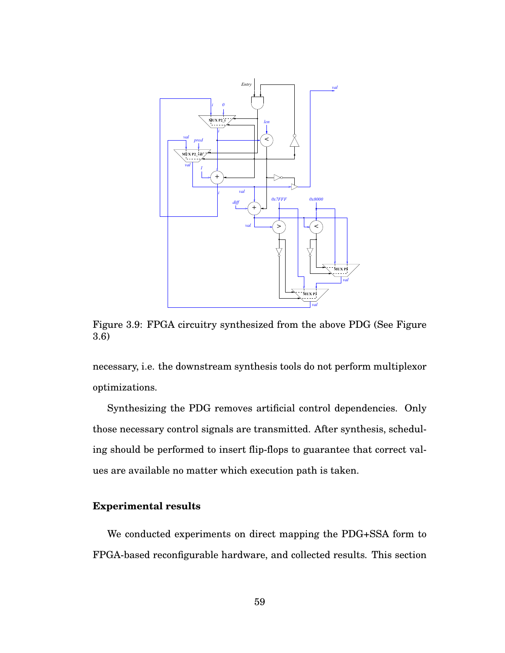

Figure 3.9: FPGA circuitry synthesized from the above PDG (See Figure 3.6)

necessary, i.e. the downstream synthesis tools do not perform multiplexor optimizations.

Synthesizing the PDG removes artificial control dependencies. Only those necessary control signals are transmitted. After synthesis, scheduling should be performed to insert flip-flops to guarantee that correct values are available no matter which execution path is taken.

#### **Experimental results**

We conducted experiments on direct mapping the PDG+SSA form to FPGA-based reconfigurable hardware, and collected results. This section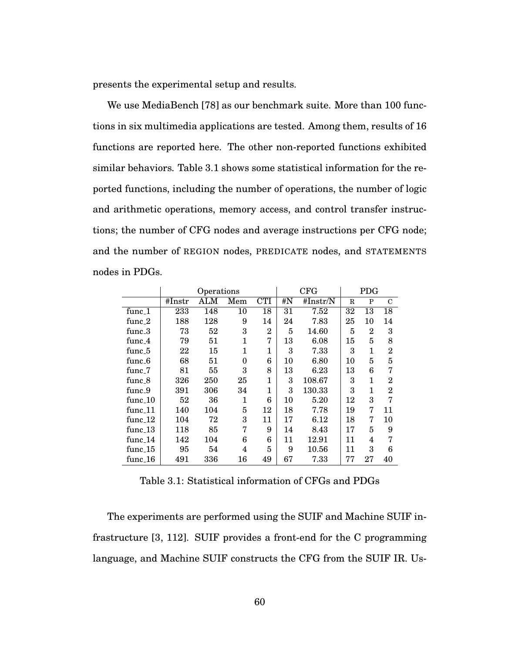presents the experimental setup and results.

We use MediaBench [78] as our benchmark suite. More than 100 functions in six multimedia applications are tested. Among them, results of 16 functions are reported here. The other non-reported functions exhibited similar behaviors. Table 3.1 shows some statistical information for the reported functions, including the number of operations, the number of logic and arithmetic operations, memory access, and control transfer instructions; the number of CFG nodes and average instructions per CFG node; and the number of REGION nodes, PREDICATE nodes, and STATEMENTS nodes in PDGs.

|                      | Operations |     |          |                |    | CFG         |    | <b>PDG</b>     |                |  |
|----------------------|------------|-----|----------|----------------|----|-------------|----|----------------|----------------|--|
|                      | #Instr     | ALM | Mem      | <b>CTI</b>     | #N | #Instr $/N$ | R  | P              | $\mathcal{C}$  |  |
| func_1               | 233        | 148 | 10       | 18             | 31 | 7.52        | 32 | 13             | 18             |  |
| func_2               | 188        | 128 | 9        | 14             | 24 | 7.83        | 25 | 10             | 14             |  |
| $func_3$             | 73         | 52  | 3        | $\overline{2}$ | 5  | 14.60       | 5  | $\overline{2}$ | 3              |  |
| func_4               | 79         | 51  | 1        | 7              | 13 | 6.08        | 15 | 5              | 8              |  |
| func <sub>-5</sub>   | 22         | 15  | 1        | 1              | 3  | 7.33        | 3  | 1              | $\overline{2}$ |  |
| func_6               | 68         | 51  | $\Omega$ | 6              | 10 | 6.80        | 10 | 5              | 5              |  |
| func <sub>-7</sub>   | 81         | 55  | 3        | 8              | 13 | 6.23        | 13 | 6              | 7              |  |
| func <sub>-8</sub>   | 326        | 250 | 25       | $\mathbf{1}$   | 3  | 108.67      | 3  | 1              | $\overline{2}$ |  |
| func <sub>-</sub> 9  | 391        | 306 | 34       | 1              | 3  | 130.33      | 3  | 1              | $\overline{2}$ |  |
| func_10              | 52         | 36  | 1        | 6              | 10 | 5.20        | 12 | 3              | 7              |  |
| $func_11$            | 140        | 104 | 5        | 12             | 18 | 7.78        | 19 | 7              | 11             |  |
| $func_12$            | 104        | 72  | 3        | 11             | 17 | 6.12        | 18 | $\overline{7}$ | 10             |  |
| func 13              | 118        | 85  | 7        | 9              | 14 | 8.43        | 17 | 5              | 9              |  |
| func $14$            | 142        | 104 | 6        | 6              | 11 | 12.91       | 11 | 4              | 7              |  |
| func <sub>-15</sub>  | 95         | 54  | 4        | 5              | 9  | $10.56\,$   | 11 | 3              | 6              |  |
| func <sub>-</sub> 16 | 491        | 336 | 16       | 49             | 67 | 7.33        | 77 | 27             | 40             |  |

Table 3.1: Statistical information of CFGs and PDGs

The experiments are performed using the SUIF and Machine SUIF infrastructure [3, 112]. SUIF provides a front-end for the C programming language, and Machine SUIF constructs the CFG from the SUIF IR. Us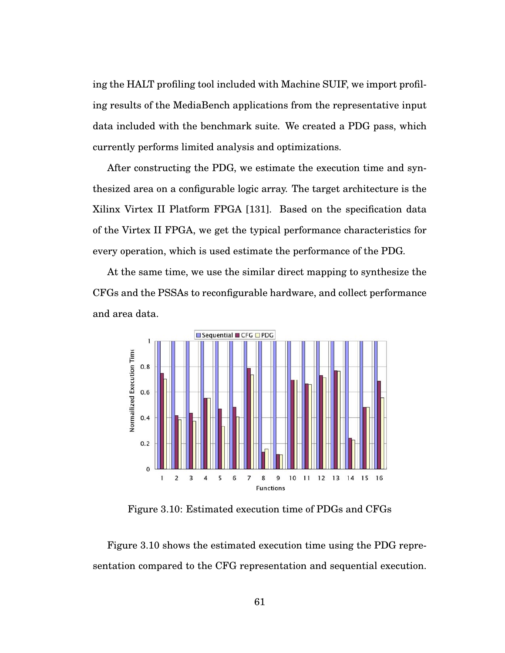ing the HALT profiling tool included with Machine SUIF, we import profiling results of the MediaBench applications from the representative input data included with the benchmark suite. We created a PDG pass, which currently performs limited analysis and optimizations.

After constructing the PDG, we estimate the execution time and synthesized area on a configurable logic array. The target architecture is the Xilinx Virtex II Platform FPGA [131]. Based on the specification data of the Virtex II FPGA, we get the typical performance characteristics for every operation, which is used estimate the performance of the PDG.

At the same time, we use the similar direct mapping to synthesize the CFGs and the PSSAs to reconfigurable hardware, and collect performance and area data.



Figure 3.10: Estimated execution time of PDGs and CFGs

Figure 3.10 shows the estimated execution time using the PDG representation compared to the CFG representation and sequential execution.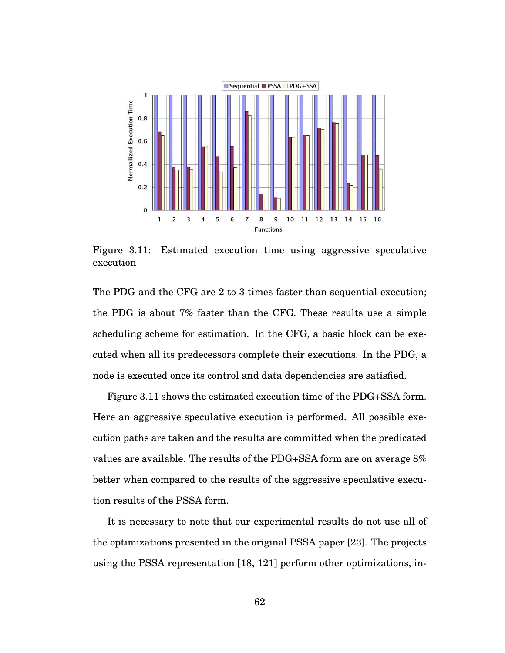

Figure 3.11: Estimated execution time using aggressive speculative execution

The PDG and the CFG are 2 to 3 times faster than sequential execution; the PDG is about 7% faster than the CFG. These results use a simple scheduling scheme for estimation. In the CFG, a basic block can be executed when all its predecessors complete their executions. In the PDG, a node is executed once its control and data dependencies are satisfied.

Figure 3.11 shows the estimated execution time of the PDG+SSA form. Here an aggressive speculative execution is performed. All possible execution paths are taken and the results are committed when the predicated values are available. The results of the PDG+SSA form are on average 8% better when compared to the results of the aggressive speculative execution results of the PSSA form.

It is necessary to note that our experimental results do not use all of the optimizations presented in the original PSSA paper [23]. The projects using the PSSA representation [18, 121] perform other optimizations, in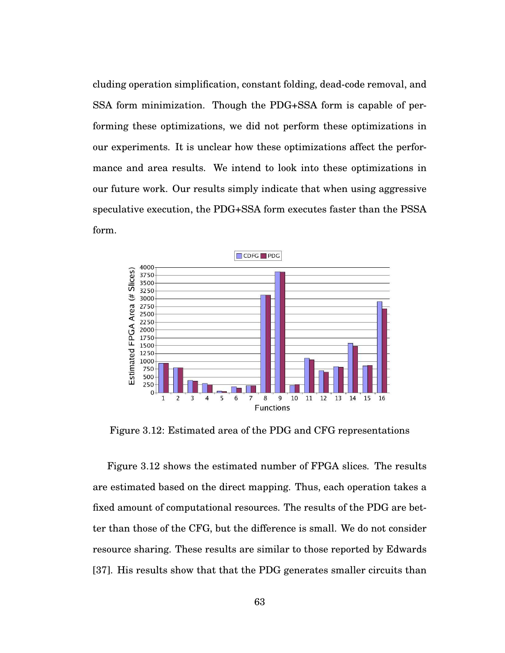cluding operation simplification, constant folding, dead-code removal, and SSA form minimization. Though the PDG+SSA form is capable of performing these optimizations, we did not perform these optimizations in our experiments. It is unclear how these optimizations affect the performance and area results. We intend to look into these optimizations in our future work. Our results simply indicate that when using aggressive speculative execution, the PDG+SSA form executes faster than the PSSA form.



Figure 3.12: Estimated area of the PDG and CFG representations

Figure 3.12 shows the estimated number of FPGA slices. The results are estimated based on the direct mapping. Thus, each operation takes a fixed amount of computational resources. The results of the PDG are better than those of the CFG, but the difference is small. We do not consider resource sharing. These results are similar to those reported by Edwards [37]. His results show that that the PDG generates smaller circuits than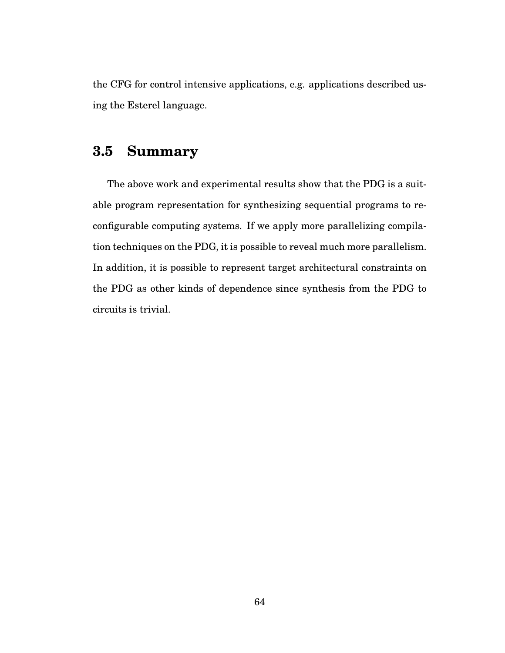the CFG for control intensive applications, e.g. applications described using the Esterel language.

# **3.5 Summary**

The above work and experimental results show that the PDG is a suitable program representation for synthesizing sequential programs to reconfigurable computing systems. If we apply more parallelizing compilation techniques on the PDG, it is possible to reveal much more parallelism. In addition, it is possible to represent target architectural constraints on the PDG as other kinds of dependence since synthesis from the PDG to circuits is trivial.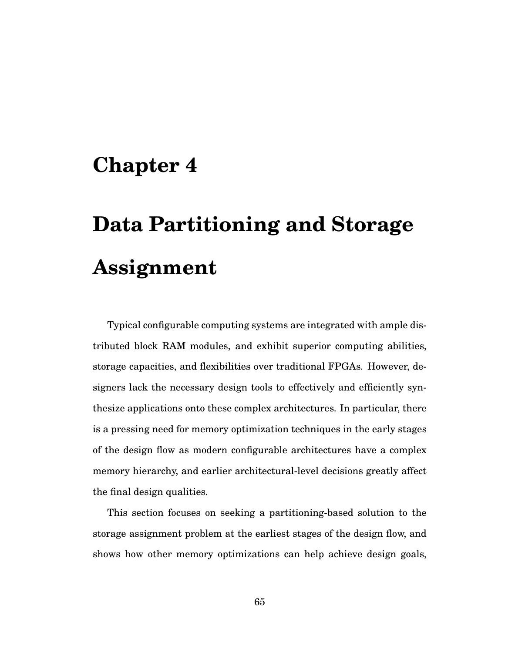# **Chapter 4**

# **Data Partitioning and Storage Assignment**

Typical configurable computing systems are integrated with ample distributed block RAM modules, and exhibit superior computing abilities, storage capacities, and flexibilities over traditional FPGAs. However, designers lack the necessary design tools to effectively and efficiently synthesize applications onto these complex architectures. In particular, there is a pressing need for memory optimization techniques in the early stages of the design flow as modern configurable architectures have a complex memory hierarchy, and earlier architectural-level decisions greatly affect the final design qualities.

This section focuses on seeking a partitioning-based solution to the storage assignment problem at the earliest stages of the design flow, and shows how other memory optimizations can help achieve design goals,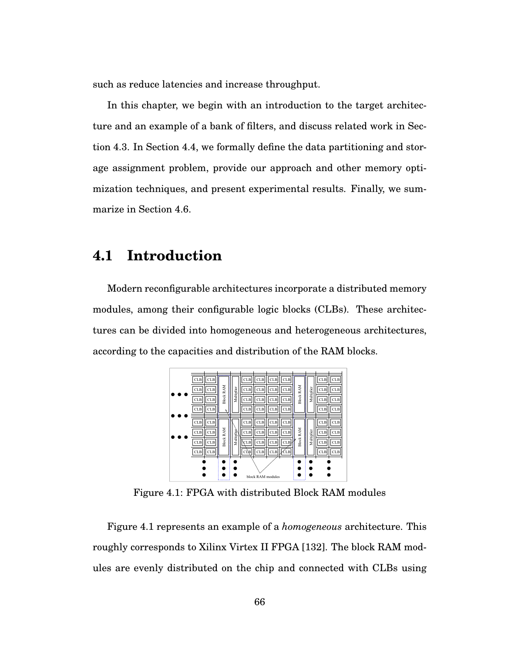such as reduce latencies and increase throughput.

In this chapter, we begin with an introduction to the target architecture and an example of a bank of filters, and discuss related work in Section 4.3. In Section 4.4, we formally define the data partitioning and storage assignment problem, provide our approach and other memory optimization techniques, and present experimental results. Finally, we summarize in Section 4.6.

# **4.1 Introduction**

Modern reconfigurable architectures incorporate a distributed memory modules, among their configurable logic blocks (CLBs). These architectures can be divided into homogeneous and heterogeneous architectures, according to the capacities and distribution of the RAM blocks.



Figure 4.1: FPGA with distributed Block RAM modules

Figure 4.1 represents an example of a *homogeneous* architecture. This roughly corresponds to Xilinx Virtex II FPGA [132]. The block RAM modules are evenly distributed on the chip and connected with CLBs using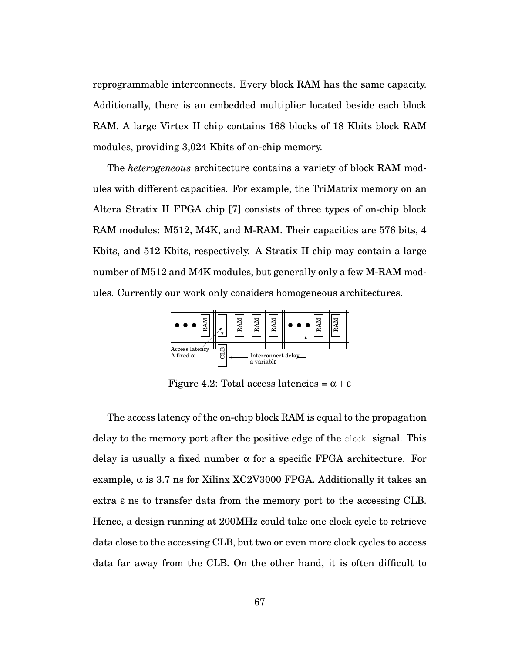reprogrammable interconnects. Every block RAM has the same capacity. Additionally, there is an embedded multiplier located beside each block RAM. A large Virtex II chip contains 168 blocks of 18 Kbits block RAM modules, providing 3,024 Kbits of on-chip memory.

The *heterogeneous* architecture contains a variety of block RAM modules with different capacities. For example, the TriMatrix memory on an Altera Stratix II FPGA chip [7] consists of three types of on-chip block RAM modules: M512, M4K, and M-RAM. Their capacities are 576 bits, 4 Kbits, and 512 Kbits, respectively. A Stratix II chip may contain a large number of M512 and M4K modules, but generally only a few M-RAM modules. Currently our work only considers homogeneous architectures.



Figure 4.2: Total access latencies =  $\alpha + \varepsilon$ 

The access latency of the on-chip block RAM is equal to the propagation delay to the memory port after the positive edge of the clock signal. This delay is usually a fixed number  $\alpha$  for a specific FPGA architecture. For example,  $\alpha$  is 3.7 ns for Xilinx XC2V3000 FPGA. Additionally it takes an extra  $\epsilon$  ns to transfer data from the memory port to the accessing CLB. Hence, a design running at 200MHz could take one clock cycle to retrieve data close to the accessing CLB, but two or even more clock cycles to access data far away from the CLB. On the other hand, it is often difficult to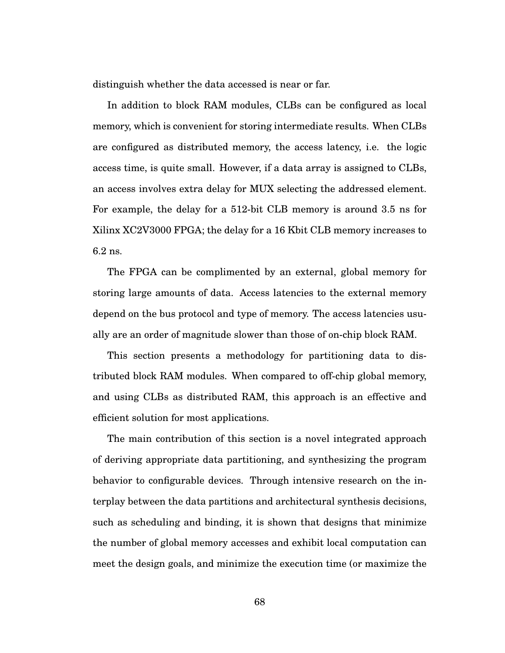distinguish whether the data accessed is near or far.

In addition to block RAM modules, CLBs can be configured as local memory, which is convenient for storing intermediate results. When CLBs are configured as distributed memory, the access latency, i.e. the logic access time, is quite small. However, if a data array is assigned to CLBs, an access involves extra delay for MUX selecting the addressed element. For example, the delay for a 512-bit CLB memory is around 3.5 ns for Xilinx XC2V3000 FPGA; the delay for a 16 Kbit CLB memory increases to 6.2 ns.

The FPGA can be complimented by an external, global memory for storing large amounts of data. Access latencies to the external memory depend on the bus protocol and type of memory. The access latencies usually are an order of magnitude slower than those of on-chip block RAM.

This section presents a methodology for partitioning data to distributed block RAM modules. When compared to off-chip global memory, and using CLBs as distributed RAM, this approach is an effective and efficient solution for most applications.

The main contribution of this section is a novel integrated approach of deriving appropriate data partitioning, and synthesizing the program behavior to configurable devices. Through intensive research on the interplay between the data partitions and architectural synthesis decisions, such as scheduling and binding, it is shown that designs that minimize the number of global memory accesses and exhibit local computation can meet the design goals, and minimize the execution time (or maximize the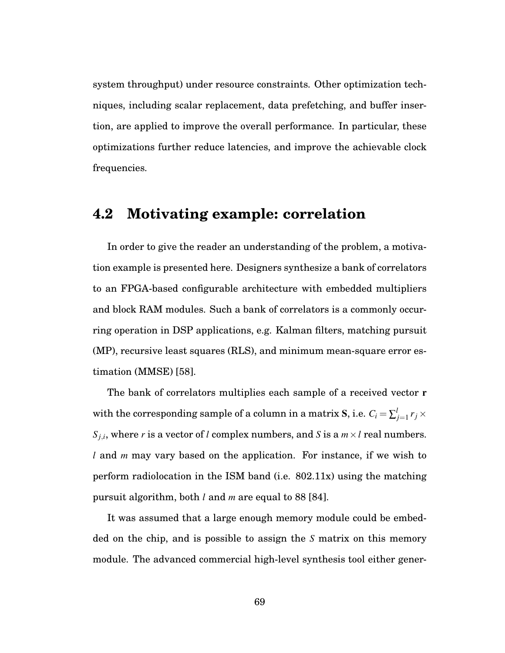system throughput) under resource constraints. Other optimization techniques, including scalar replacement, data prefetching, and buffer insertion, are applied to improve the overall performance. In particular, these optimizations further reduce latencies, and improve the achievable clock frequencies.

# **4.2 Motivating example: correlation**

In order to give the reader an understanding of the problem, a motivation example is presented here. Designers synthesize a bank of correlators to an FPGA-based configurable architecture with embedded multipliers and block RAM modules. Such a bank of correlators is a commonly occurring operation in DSP applications, e.g. Kalman filters, matching pursuit (MP), recursive least squares (RLS), and minimum mean-square error estimation (MMSE) [58].

The bank of correlators multiplies each sample of a received vector r with the corresponding sample of a column in a matrix  $\mathbf{S},$  i.e.  $C_i = \sum_{j=1}^{l} r_j \times \mathbf{S}$ *S*<sub>*j*,*i*</sub>, where *r* is a vector of *l* complex numbers, and *S* is a  $m \times l$  real numbers. *l* and *m* may vary based on the application. For instance, if we wish to perform radiolocation in the ISM band (i.e. 802.11x) using the matching pursuit algorithm, both *l* and *m* are equal to 88 [84].

It was assumed that a large enough memory module could be embedded on the chip, and is possible to assign the *S* matrix on this memory module. The advanced commercial high-level synthesis tool either gener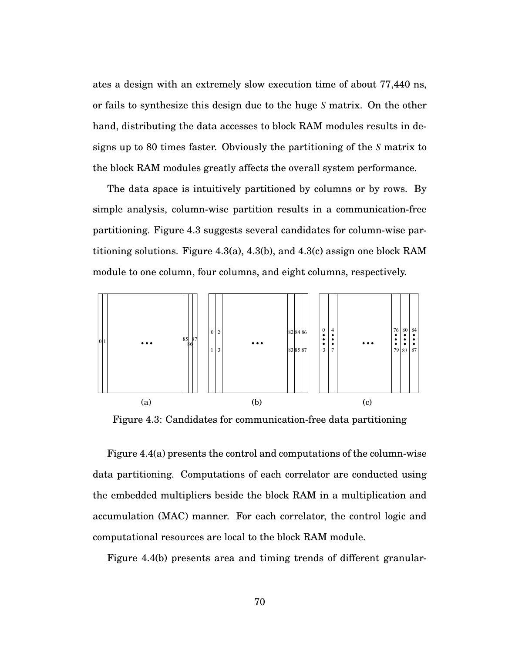ates a design with an extremely slow execution time of about 77,440 ns, or fails to synthesize this design due to the huge *S* matrix. On the other hand, distributing the data accesses to block RAM modules results in designs up to 80 times faster. Obviously the partitioning of the *S* matrix to the block RAM modules greatly affects the overall system performance.

The data space is intuitively partitioned by columns or by rows. By simple analysis, column-wise partition results in a communication-free partitioning. Figure 4.3 suggests several candidates for column-wise partitioning solutions. Figure 4.3(a), 4.3(b), and 4.3(c) assign one block RAM module to one column, four columns, and eight columns, respectively.



Figure 4.3: Candidates for communication-free data partitioning

Figure 4.4(a) presents the control and computations of the column-wise data partitioning. Computations of each correlator are conducted using the embedded multipliers beside the block RAM in a multiplication and accumulation (MAC) manner. For each correlator, the control logic and computational resources are local to the block RAM module.

Figure 4.4(b) presents area and timing trends of different granular-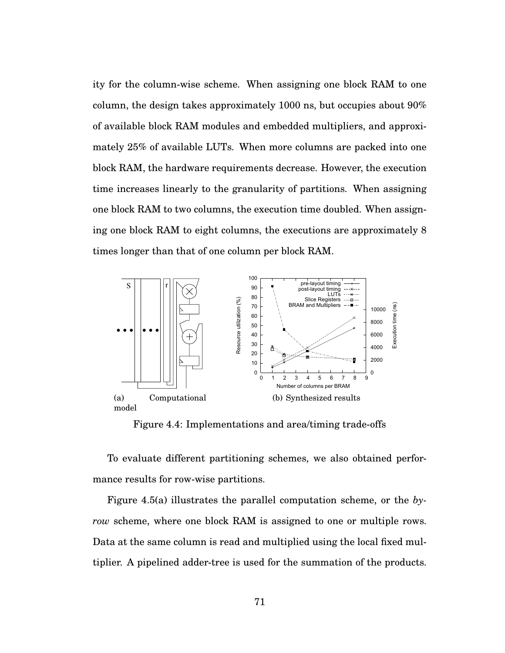ity for the column-wise scheme. When assigning one block RAM to one column, the design takes approximately 1000 ns, but occupies about 90% of available block RAM modules and embedded multipliers, and approximately 25% of available LUTs. When more columns are packed into one block RAM, the hardware requirements decrease. However, the execution time increases linearly to the granularity of partitions. When assigning one block RAM to two columns, the execution time doubled. When assigning one block RAM to eight columns, the executions are approximately 8 times longer than that of one column per block RAM.



Figure 4.4: Implementations and area/timing trade-offs

To evaluate different partitioning schemes, we also obtained performance results for row-wise partitions.

Figure 4.5(a) illustrates the parallel computation scheme, or the *byrow* scheme, where one block RAM is assigned to one or multiple rows. Data at the same column is read and multiplied using the local fixed multiplier. A pipelined adder-tree is used for the summation of the products.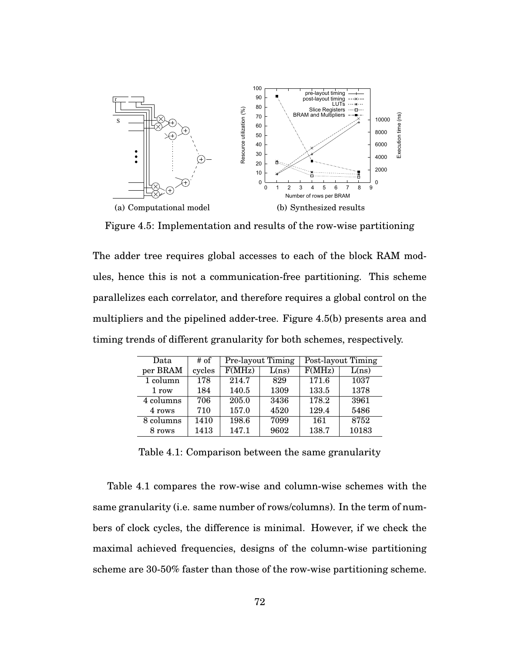

Figure 4.5: Implementation and results of the row-wise partitioning

The adder tree requires global accesses to each of the block RAM modules, hence this is not a communication-free partitioning. This scheme parallelizes each correlator, and therefore requires a global control on the multipliers and the pipelined adder-tree. Figure 4.5(b) presents area and timing trends of different granularity for both schemes, respectively.

| Data                   | # of   |        | Pre-layout Timing | Post-layout Timing |       |  |
|------------------------|--------|--------|-------------------|--------------------|-------|--|
| per BRAM               | cycles | F(MHz) | L(ns)             | F(MHz)             | L(ns) |  |
| 1 column               | 178    | 214.7  | 829               | 171.6              | 1037  |  |
| 1 row                  | 184    | 140.5  | 1309              | 133.5              | 1378  |  |
| $\overline{4}$ columns | 706    | 205.0  | 3436              | 178.2              | 3961  |  |
| 4 rows                 | 710    | 157.0  | 4520              | 129.4              | 5486  |  |
| 8 columns              | 1410   | 198.6  | 7099              | 161                | 8752  |  |
| 8 rows                 | 1413   | 147.1  | 9602              | 138.7              | 10183 |  |

Table 4.1: Comparison between the same granularity

Table 4.1 compares the row-wise and column-wise schemes with the same granularity (i.e. same number of rows/columns). In the term of numbers of clock cycles, the difference is minimal. However, if we check the maximal achieved frequencies, designs of the column-wise partitioning scheme are 30-50% faster than those of the row-wise partitioning scheme.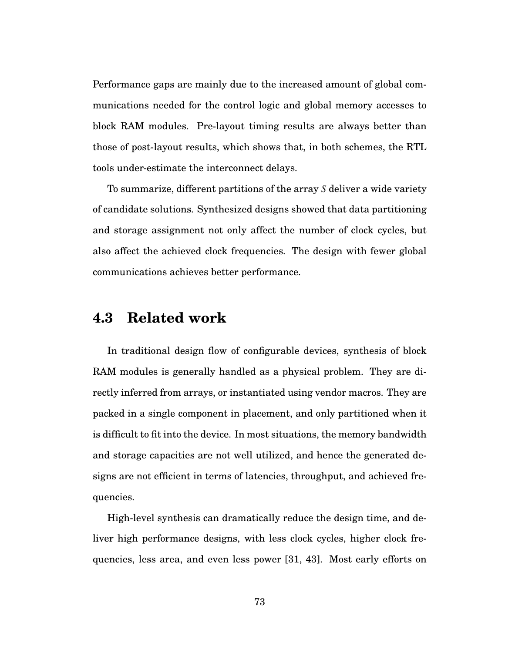Performance gaps are mainly due to the increased amount of global communications needed for the control logic and global memory accesses to block RAM modules. Pre-layout timing results are always better than those of post-layout results, which shows that, in both schemes, the RTL tools under-estimate the interconnect delays.

To summarize, different partitions of the array *S* deliver a wide variety of candidate solutions. Synthesized designs showed that data partitioning and storage assignment not only affect the number of clock cycles, but also affect the achieved clock frequencies. The design with fewer global communications achieves better performance.

# **4.3 Related work**

In traditional design flow of configurable devices, synthesis of block RAM modules is generally handled as a physical problem. They are directly inferred from arrays, or instantiated using vendor macros. They are packed in a single component in placement, and only partitioned when it is difficult to fit into the device. In most situations, the memory bandwidth and storage capacities are not well utilized, and hence the generated designs are not efficient in terms of latencies, throughput, and achieved frequencies.

High-level synthesis can dramatically reduce the design time, and deliver high performance designs, with less clock cycles, higher clock frequencies, less area, and even less power [31, 43]. Most early efforts on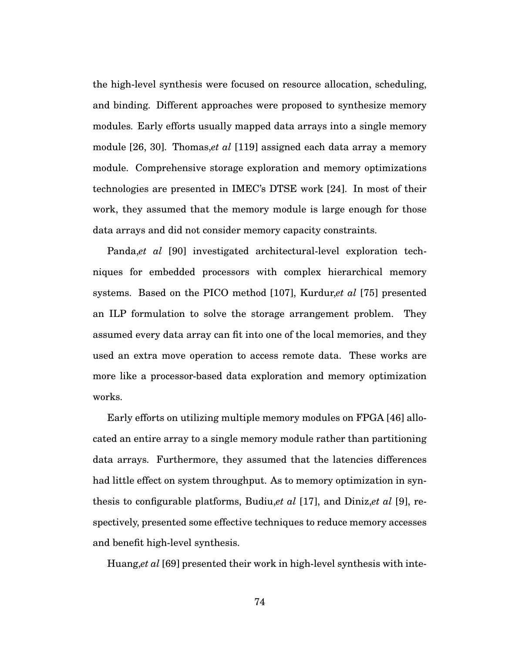the high-level synthesis were focused on resource allocation, scheduling, and binding. Different approaches were proposed to synthesize memory modules. Early efforts usually mapped data arrays into a single memory module [26, 30]. Thomas,*et al* [119] assigned each data array a memory module. Comprehensive storage exploration and memory optimizations technologies are presented in IMEC's DTSE work [24]. In most of their work, they assumed that the memory module is large enough for those data arrays and did not consider memory capacity constraints.

Panda,*et al* [90] investigated architectural-level exploration techniques for embedded processors with complex hierarchical memory systems. Based on the PICO method [107], Kurdur,*et al* [75] presented an ILP formulation to solve the storage arrangement problem. They assumed every data array can fit into one of the local memories, and they used an extra move operation to access remote data. These works are more like a processor-based data exploration and memory optimization works.

Early efforts on utilizing multiple memory modules on FPGA [46] allocated an entire array to a single memory module rather than partitioning data arrays. Furthermore, they assumed that the latencies differences had little effect on system throughput. As to memory optimization in synthesis to configurable platforms, Budiu,*et al* [17], and Diniz,*et al* [9], respectively, presented some effective techniques to reduce memory accesses and benefit high-level synthesis.

Huang,*et al* [69] presented their work in high-level synthesis with inte-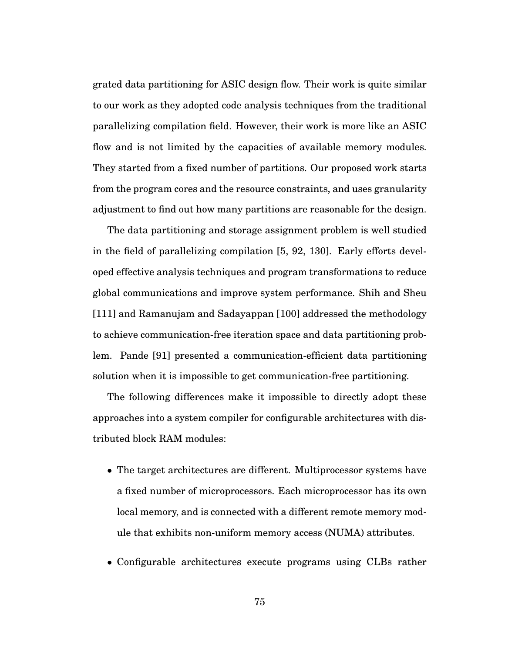grated data partitioning for ASIC design flow. Their work is quite similar to our work as they adopted code analysis techniques from the traditional parallelizing compilation field. However, their work is more like an ASIC flow and is not limited by the capacities of available memory modules. They started from a fixed number of partitions. Our proposed work starts from the program cores and the resource constraints, and uses granularity adjustment to find out how many partitions are reasonable for the design.

The data partitioning and storage assignment problem is well studied in the field of parallelizing compilation [5, 92, 130]. Early efforts developed effective analysis techniques and program transformations to reduce global communications and improve system performance. Shih and Sheu [111] and Ramanujam and Sadayappan [100] addressed the methodology to achieve communication-free iteration space and data partitioning problem. Pande [91] presented a communication-efficient data partitioning solution when it is impossible to get communication-free partitioning.

The following differences make it impossible to directly adopt these approaches into a system compiler for configurable architectures with distributed block RAM modules:

- The target architectures are different. Multiprocessor systems have a fixed number of microprocessors. Each microprocessor has its own local memory, and is connected with a different remote memory module that exhibits non-uniform memory access (NUMA) attributes.
- Configurable architectures execute programs using CLBs rather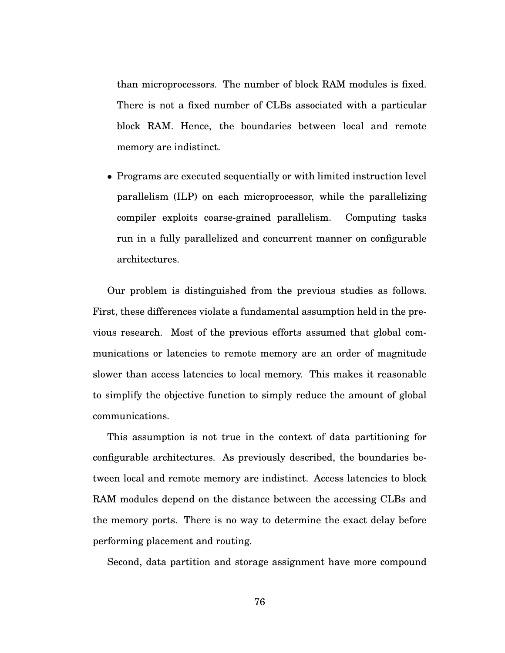than microprocessors. The number of block RAM modules is fixed. There is not a fixed number of CLBs associated with a particular block RAM. Hence, the boundaries between local and remote memory are indistinct.

• Programs are executed sequentially or with limited instruction level parallelism (ILP) on each microprocessor, while the parallelizing compiler exploits coarse-grained parallelism. Computing tasks run in a fully parallelized and concurrent manner on configurable architectures.

Our problem is distinguished from the previous studies as follows. First, these differences violate a fundamental assumption held in the previous research. Most of the previous efforts assumed that global communications or latencies to remote memory are an order of magnitude slower than access latencies to local memory. This makes it reasonable to simplify the objective function to simply reduce the amount of global communications.

This assumption is not true in the context of data partitioning for configurable architectures. As previously described, the boundaries between local and remote memory are indistinct. Access latencies to block RAM modules depend on the distance between the accessing CLBs and the memory ports. There is no way to determine the exact delay before performing placement and routing.

Second, data partition and storage assignment have more compound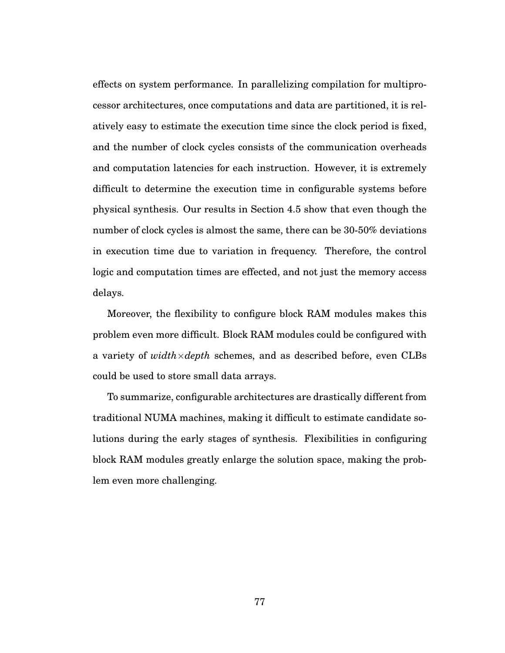effects on system performance. In parallelizing compilation for multiprocessor architectures, once computations and data are partitioned, it is relatively easy to estimate the execution time since the clock period is fixed, and the number of clock cycles consists of the communication overheads and computation latencies for each instruction. However, it is extremely difficult to determine the execution time in configurable systems before physical synthesis. Our results in Section 4.5 show that even though the number of clock cycles is almost the same, there can be 30-50% deviations in execution time due to variation in frequency. Therefore, the control logic and computation times are effected, and not just the memory access delays.

Moreover, the flexibility to configure block RAM modules makes this problem even more difficult. Block RAM modules could be configured with a variety of *width*×*depth* schemes, and as described before, even CLBs could be used to store small data arrays.

To summarize, configurable architectures are drastically different from traditional NUMA machines, making it difficult to estimate candidate solutions during the early stages of synthesis. Flexibilities in configuring block RAM modules greatly enlarge the solution space, making the problem even more challenging.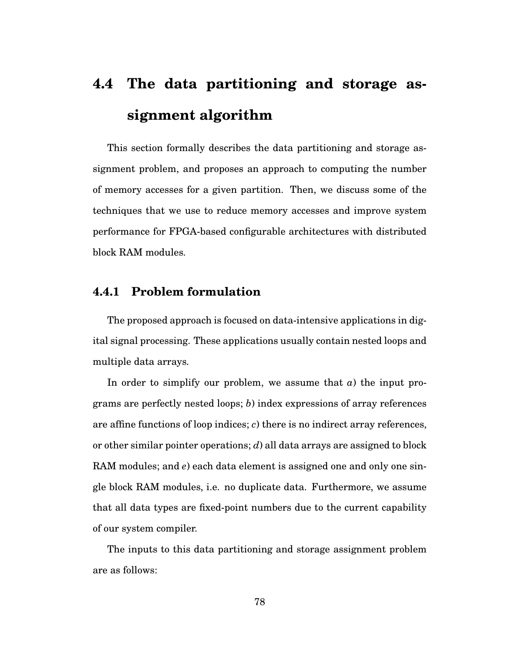# **4.4 The data partitioning and storage assignment algorithm**

This section formally describes the data partitioning and storage assignment problem, and proposes an approach to computing the number of memory accesses for a given partition. Then, we discuss some of the techniques that we use to reduce memory accesses and improve system performance for FPGA-based configurable architectures with distributed block RAM modules.

## **4.4.1 Problem formulation**

The proposed approach is focused on data-intensive applications in digital signal processing. These applications usually contain nested loops and multiple data arrays.

In order to simplify our problem, we assume that *a*) the input programs are perfectly nested loops; *b*) index expressions of array references are affine functions of loop indices; *c*) there is no indirect array references, or other similar pointer operations; *d*) all data arrays are assigned to block RAM modules; and *e*) each data element is assigned one and only one single block RAM modules, i.e. no duplicate data. Furthermore, we assume that all data types are fixed-point numbers due to the current capability of our system compiler.

The inputs to this data partitioning and storage assignment problem are as follows: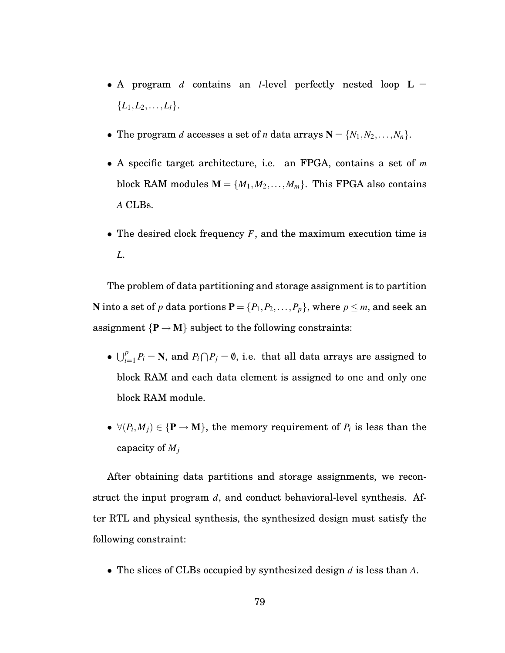- A program *d* contains an *l*-level perfectly nested loop L =  ${L_1, L_2, \ldots, L_l}.$
- The program *d* accesses a set of *n* data arrays  $N = \{N_1, N_2, \ldots, N_n\}.$
- A specific target architecture, i.e. an FPGA, contains a set of *m* block RAM modules  $M = \{M_1, M_2, \ldots, M_m\}$ . This FPGA also contains *A* CLBs.
- The desired clock frequency *F*, and the maximum execution time is *L*.

The problem of data partitioning and storage assignment is to partition **N** into a set of *p* data portions  $P = \{P_1, P_2, \ldots, P_p\}$ , where  $p \leq m$ , and seek an assignment  $\{P \rightarrow M\}$  subject to the following constraints:

- $\bigcup_{i=1}^{p} P_i = \mathbb{N}$ , and  $P_i \cap P_j = \emptyset$ , i.e. that all data arrays are assigned to block RAM and each data element is assigned to one and only one block RAM module.
- $\forall (P_i, M_j) \in {\bf P} \rightarrow {\bf M}$ , the memory requirement of  $P_i$  is less than the capacity of *Mj*

After obtaining data partitions and storage assignments, we reconstruct the input program *d*, and conduct behavioral-level synthesis. After RTL and physical synthesis, the synthesized design must satisfy the following constraint:

• The slices of CLBs occupied by synthesized design *d* is less than *A*.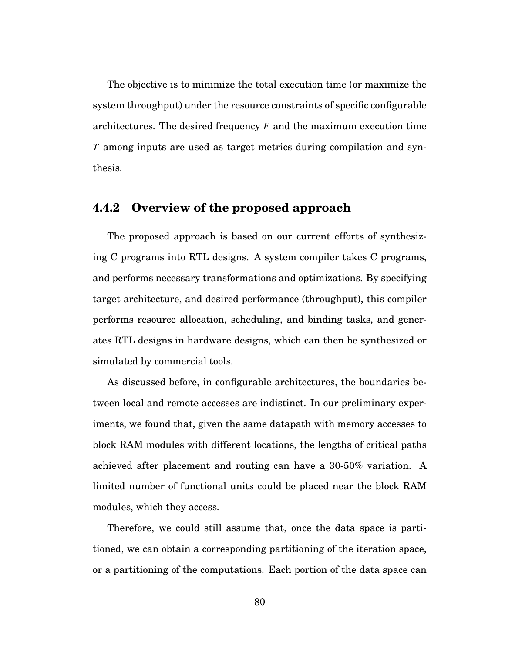The objective is to minimize the total execution time (or maximize the system throughput) under the resource constraints of specific configurable architectures. The desired frequency *F* and the maximum execution time *T* among inputs are used as target metrics during compilation and synthesis.

#### **4.4.2 Overview of the proposed approach**

The proposed approach is based on our current efforts of synthesizing C programs into RTL designs. A system compiler takes C programs, and performs necessary transformations and optimizations. By specifying target architecture, and desired performance (throughput), this compiler performs resource allocation, scheduling, and binding tasks, and generates RTL designs in hardware designs, which can then be synthesized or simulated by commercial tools.

As discussed before, in configurable architectures, the boundaries between local and remote accesses are indistinct. In our preliminary experiments, we found that, given the same datapath with memory accesses to block RAM modules with different locations, the lengths of critical paths achieved after placement and routing can have a 30-50% variation. A limited number of functional units could be placed near the block RAM modules, which they access.

Therefore, we could still assume that, once the data space is partitioned, we can obtain a corresponding partitioning of the iteration space, or a partitioning of the computations. Each portion of the data space can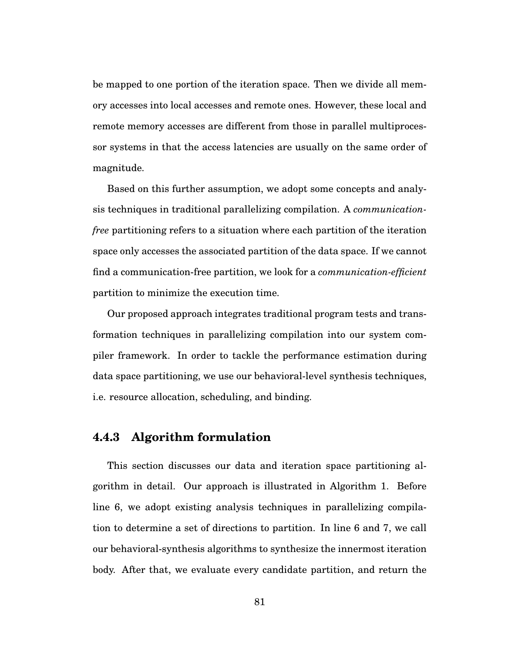be mapped to one portion of the iteration space. Then we divide all memory accesses into local accesses and remote ones. However, these local and remote memory accesses are different from those in parallel multiprocessor systems in that the access latencies are usually on the same order of magnitude.

Based on this further assumption, we adopt some concepts and analysis techniques in traditional parallelizing compilation. A *communicationfree* partitioning refers to a situation where each partition of the iteration space only accesses the associated partition of the data space. If we cannot find a communication-free partition, we look for a *communication-efficient* partition to minimize the execution time.

Our proposed approach integrates traditional program tests and transformation techniques in parallelizing compilation into our system compiler framework. In order to tackle the performance estimation during data space partitioning, we use our behavioral-level synthesis techniques, i.e. resource allocation, scheduling, and binding.

#### **4.4.3 Algorithm formulation**

This section discusses our data and iteration space partitioning algorithm in detail. Our approach is illustrated in Algorithm 1. Before line 6, we adopt existing analysis techniques in parallelizing compilation to determine a set of directions to partition. In line 6 and 7, we call our behavioral-synthesis algorithms to synthesize the innermost iteration body. After that, we evaluate every candidate partition, and return the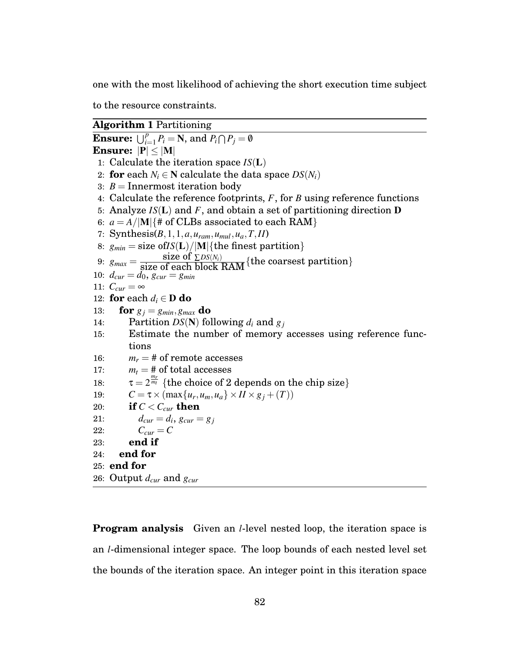one with the most likelihood of achieving the short execution time subject

to the resource constraints.

**Algorithm 1** Partitioning **Ensure:**  $\bigcup_{i=1}^{p} P_i = \mathbf{N}$ , and  $P_i \bigcap P_j = \emptyset$ **Ensure:**  $|P| < |M|$ 1: Calculate the iteration space *IS*(L) 2: **for** each  $N_i \in \mathbb{N}$  calculate the data space  $DS(N_i)$ 3:  $B =$ Innermost iteration body 4: Calculate the reference footprints, *F*, for *B* using reference functions 5: Analyze *IS*(L) and *F*, and obtain a set of partitioning direction D 6:  $a = A/|\mathbf{M}|$  {# of CLBs associated to each RAM} 7: Synthesis(*B*,1,1,*a*,*uram*,*umul*,*ua*,*T*,*II*) 8:  $g_{min} = size \text{ of } IS(L)/|M|$ {the finest partition} 9:  $g_{max} = \frac{\text{size of } \sum DS(N_i)}{\text{size of each block RAM}} \{\text{the coarse partition}\}\$ 10:  $d_{cur} = \overline{d_0}$ ,  $g_{cur} = g_{min}$ 11:  $C_{cur} = \infty$ 12: **for** each  $d_i \in \mathbf{D}$  **do**<br>13: **for**  $g_i = g_{min}, g_{max}$ **for**  $g_j = g_{min}, g_{max}$  **do** 14: Partition  $DS(N)$  following  $d_i$  and  $g_j$ 15: Estimate the number of memory accesses using reference functions 16:  $m_r = #$  of remote accesses 17:  $m_t = #$  of total accesses 18:  $\tau = 2^{\frac{m_r}{m_l}}$  {the choice of 2 depends on the chip size} 19:  $C = \tau \times (\max\{u_r, u_m, u_a\} \times I I \times g_j + (T))$ <br>20: **if**  $C < C_{cur}$  **then** if  $C < C_{cur}$  then 21:  $d_{cur} = d_i, g_{cur} = g_j$ 22:  $C_{cur} = C$ 23: **end if** 24: **end for** 25: **end for** 26: Output *dcur* and *gcur*

**Program analysis** Given an *l*-level nested loop, the iteration space is an *l*-dimensional integer space. The loop bounds of each nested level set the bounds of the iteration space. An integer point in this iteration space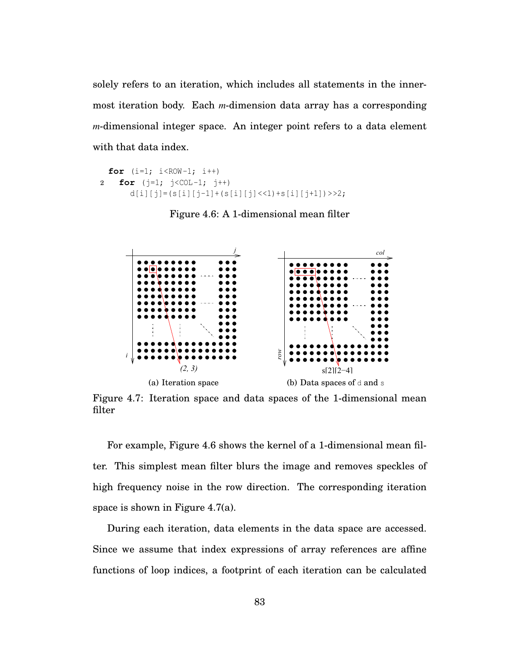solely refers to an iteration, which includes all statements in the innermost iteration body. Each *m*-dimension data array has a corresponding *m*-dimensional integer space. An integer point refers to a data element with that data index.

```
for (i=1; i < ROW-1; i++)2 for (j=1; j < COL-1; j++)d[i][j]=(s[i][j-1]+(s[i][j] <<1) + s[i][j+1]) > > 2;
```
Figure 4.6: A 1-dimensional mean filter



Figure 4.7: Iteration space and data spaces of the 1-dimensional mean filter

For example, Figure 4.6 shows the kernel of a 1-dimensional mean filter. This simplest mean filter blurs the image and removes speckles of high frequency noise in the row direction. The corresponding iteration space is shown in Figure 4.7(a).

During each iteration, data elements in the data space are accessed. Since we assume that index expressions of array references are affine functions of loop indices, a footprint of each iteration can be calculated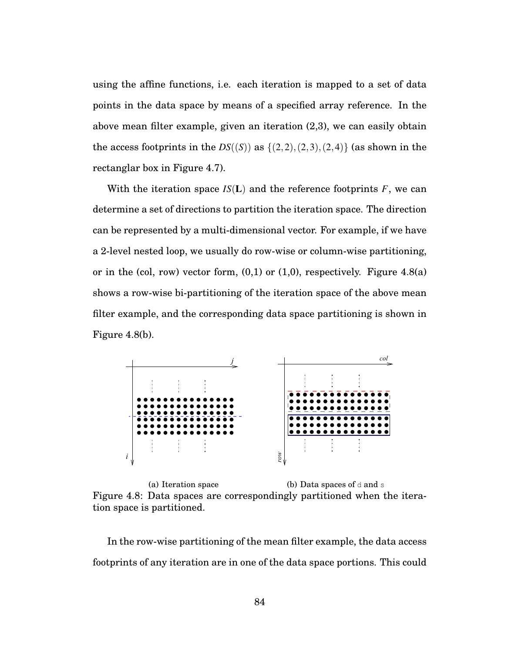using the affine functions, i.e. each iteration is mapped to a set of data points in the data space by means of a specified array reference. In the above mean filter example, given an iteration (2,3), we can easily obtain the access footprints in the  $DS((S))$  as  $\{(2,2),(2,3),(2,4)\}$  (as shown in the rectanglar box in Figure 4.7).

With the iteration space  $IS(L)$  and the reference footprints  $F$ , we can determine a set of directions to partition the iteration space. The direction can be represented by a multi-dimensional vector. For example, if we have a 2-level nested loop, we usually do row-wise or column-wise partitioning, or in the (col, row) vector form,  $(0,1)$  or  $(1,0)$ , respectively. Figure 4.8(a) shows a row-wise bi-partitioning of the iteration space of the above mean filter example, and the corresponding data space partitioning is shown in Figure 4.8(b).



(a) Iteration space (b) Data spaces of  $d$  and  $s$ Figure 4.8: Data spaces are correspondingly partitioned when the iteration space is partitioned.

In the row-wise partitioning of the mean filter example, the data access footprints of any iteration are in one of the data space portions. This could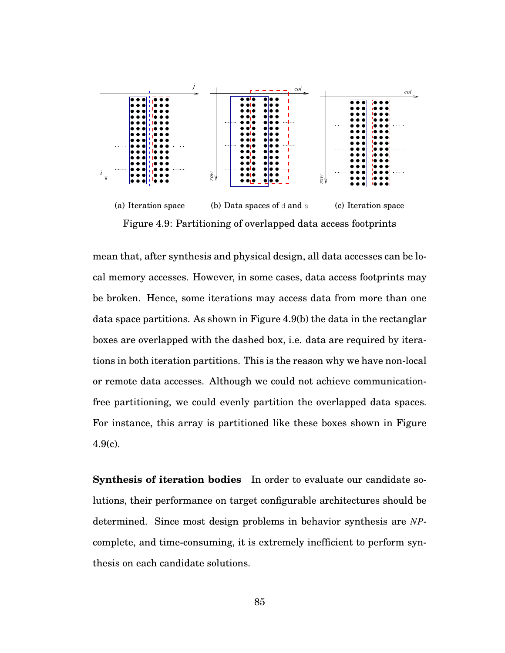

Figure 4.9: Partitioning of overlapped data access footprints

mean that, after synthesis and physical design, all data accesses can be local memory accesses. However, in some cases, data access footprints may be broken. Hence, some iterations may access data from more than one data space partitions. As shown in Figure 4.9(b) the data in the rectanglar boxes are overlapped with the dashed box, i.e. data are required by iterations in both iteration partitions. This is the reason why we have non-local or remote data accesses. Although we could not achieve communicationfree partitioning, we could evenly partition the overlapped data spaces. For instance, this array is partitioned like these boxes shown in Figure 4.9(c).

**Synthesis of iteration bodies** In order to evaluate our candidate solutions, their performance on target configurable architectures should be determined. Since most design problems in behavior synthesis are *NP*complete, and time-consuming, it is extremely inefficient to perform synthesis on each candidate solutions.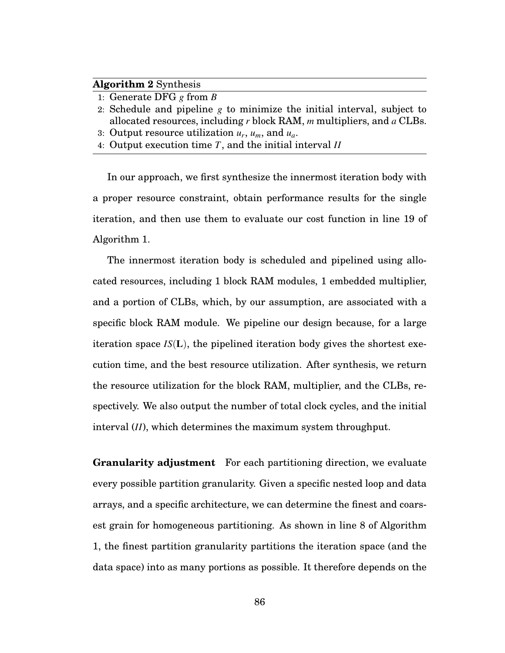#### **Algorithm 2** Synthesis

- 1: Generate DFG *g* from *B*
- 2: Schedule and pipeline *g* to minimize the initial interval, subject to allocated resources, including *r* block RAM, *m* multipliers, and *a* CLBs.
- 3: Output resource utilization *ur*, *um*, and *ua*.
- 4: Output execution time *T*, and the initial interval *II*

In our approach, we first synthesize the innermost iteration body with a proper resource constraint, obtain performance results for the single iteration, and then use them to evaluate our cost function in line 19 of Algorithm 1.

The innermost iteration body is scheduled and pipelined using allocated resources, including 1 block RAM modules, 1 embedded multiplier, and a portion of CLBs, which, by our assumption, are associated with a specific block RAM module. We pipeline our design because, for a large iteration space *IS*(L), the pipelined iteration body gives the shortest execution time, and the best resource utilization. After synthesis, we return the resource utilization for the block RAM, multiplier, and the CLBs, respectively. We also output the number of total clock cycles, and the initial interval (*II*), which determines the maximum system throughput.

**Granularity adjustment** For each partitioning direction, we evaluate every possible partition granularity. Given a specific nested loop and data arrays, and a specific architecture, we can determine the finest and coarsest grain for homogeneous partitioning. As shown in line 8 of Algorithm 1, the finest partition granularity partitions the iteration space (and the data space) into as many portions as possible. It therefore depends on the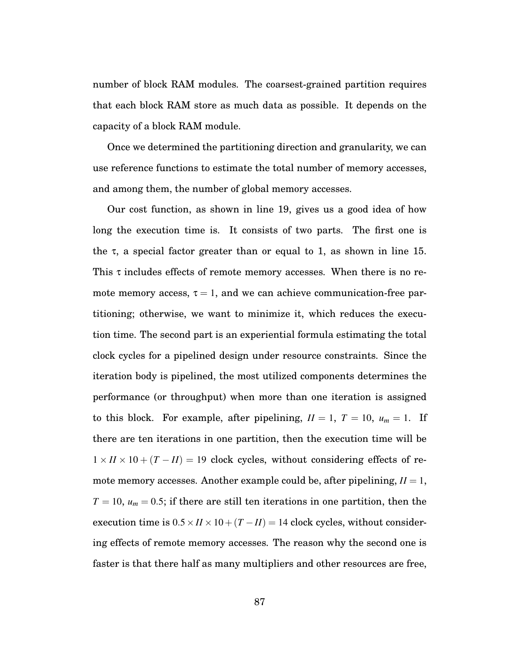number of block RAM modules. The coarsest-grained partition requires that each block RAM store as much data as possible. It depends on the capacity of a block RAM module.

Once we determined the partitioning direction and granularity, we can use reference functions to estimate the total number of memory accesses, and among them, the number of global memory accesses.

Our cost function, as shown in line 19, gives us a good idea of how long the execution time is. It consists of two parts. The first one is the  $\tau$ , a special factor greater than or equal to 1, as shown in line 15. This  $\tau$  includes effects of remote memory accesses. When there is no remote memory access,  $\tau = 1$ , and we can achieve communication-free partitioning; otherwise, we want to minimize it, which reduces the execution time. The second part is an experiential formula estimating the total clock cycles for a pipelined design under resource constraints. Since the iteration body is pipelined, the most utilized components determines the performance (or throughput) when more than one iteration is assigned to this block. For example, after pipelining,  $II = 1$ ,  $T = 10$ ,  $u_m = 1$ . If there are ten iterations in one partition, then the execution time will be  $1 \times I\ell \times 10 + (T - II) = 19$  clock cycles, without considering effects of remote memory accesses. Another example could be, after pipelining,  $II = 1$ ,  $T = 10$ ,  $u_m = 0.5$ ; if there are still ten iterations in one partition, then the execution time is  $0.5 \times I \times 10 + (T - II) = 14$  clock cycles, without considering effects of remote memory accesses. The reason why the second one is faster is that there half as many multipliers and other resources are free,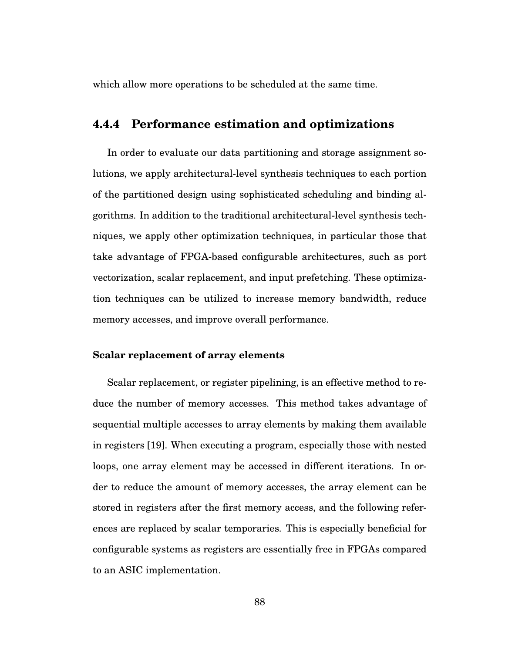which allow more operations to be scheduled at the same time.

## **4.4.4 Performance estimation and optimizations**

In order to evaluate our data partitioning and storage assignment solutions, we apply architectural-level synthesis techniques to each portion of the partitioned design using sophisticated scheduling and binding algorithms. In addition to the traditional architectural-level synthesis techniques, we apply other optimization techniques, in particular those that take advantage of FPGA-based configurable architectures, such as port vectorization, scalar replacement, and input prefetching. These optimization techniques can be utilized to increase memory bandwidth, reduce memory accesses, and improve overall performance.

#### **Scalar replacement of array elements**

Scalar replacement, or register pipelining, is an effective method to reduce the number of memory accesses. This method takes advantage of sequential multiple accesses to array elements by making them available in registers [19]. When executing a program, especially those with nested loops, one array element may be accessed in different iterations. In order to reduce the amount of memory accesses, the array element can be stored in registers after the first memory access, and the following references are replaced by scalar temporaries. This is especially beneficial for configurable systems as registers are essentially free in FPGAs compared to an ASIC implementation.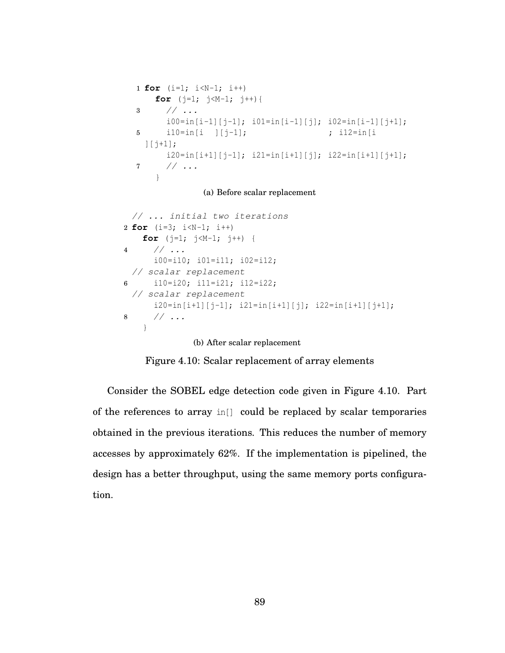```
1 for (i=1; i<N-1; i++)
   for (j=1; j<M-1; j++){
3 // ...
     i00=in[i-1][j-1]; i01=in[i-1][j]; i02=in[i-1][j+1];
5 i10=in[i ][j-1]; ; i12=in[i
 ][j+1];
     i20=in[i+1][j-1]; i21=in[i+1][j]; i22=in[i+1][j+1];
7 // ...
   }
```
(a) Before scalar replacement

```
// ... initial two iterations
2 for (i=3; i<N-1; i++)
   for (j=1; j<M-1; j++) {
4 // ...
     i00=i10; i01=i11; i02=i12;
 // scalar replacement
6 i10=i20; i11=i21; i12=i22;
 // scalar replacement
      i20=in[i+1][j-1]; i21=in[i+1][j]; i22=in[i+1][j+1];
8 // ...
   }
              (b) After scalar replacement
```
Figure 4.10: Scalar replacement of array elements

Consider the SOBEL edge detection code given in Figure 4.10. Part of the references to array in[] could be replaced by scalar temporaries obtained in the previous iterations. This reduces the number of memory accesses by approximately 62%. If the implementation is pipelined, the design has a better throughput, using the same memory ports configuration.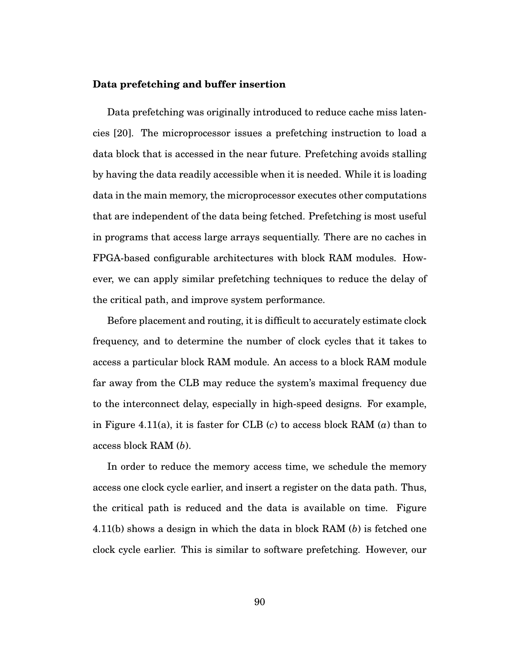#### **Data prefetching and buffer insertion**

Data prefetching was originally introduced to reduce cache miss latencies [20]. The microprocessor issues a prefetching instruction to load a data block that is accessed in the near future. Prefetching avoids stalling by having the data readily accessible when it is needed. While it is loading data in the main memory, the microprocessor executes other computations that are independent of the data being fetched. Prefetching is most useful in programs that access large arrays sequentially. There are no caches in FPGA-based configurable architectures with block RAM modules. However, we can apply similar prefetching techniques to reduce the delay of the critical path, and improve system performance.

Before placement and routing, it is difficult to accurately estimate clock frequency, and to determine the number of clock cycles that it takes to access a particular block RAM module. An access to a block RAM module far away from the CLB may reduce the system's maximal frequency due to the interconnect delay, especially in high-speed designs. For example, in Figure 4.11(a), it is faster for CLB (*c*) to access block RAM (*a*) than to access block RAM (*b*).

In order to reduce the memory access time, we schedule the memory access one clock cycle earlier, and insert a register on the data path. Thus, the critical path is reduced and the data is available on time. Figure 4.11(b) shows a design in which the data in block RAM (*b*) is fetched one clock cycle earlier. This is similar to software prefetching. However, our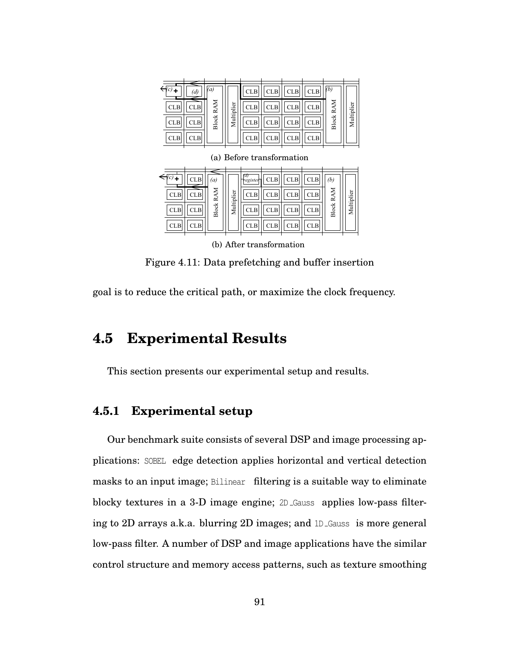| (d)                      | (a)          |            | <b>CLB</b> | <b>CLB</b> | <b>CLB</b> | <b>CLB</b> | (b)   |            |
|--------------------------|--------------|------------|------------|------------|------------|------------|-------|------------|
| <b>CLB</b><br><b>CLB</b> | RAM          |            | <b>CLB</b> | <b>CLB</b> | <b>CLB</b> | <b>CLB</b> | RAM   |            |
| <b>CLB</b><br><b>CLB</b> | <b>Block</b> | Multiplier | <b>CLB</b> | <b>CLB</b> | <b>CLB</b> | <b>CLB</b> | Block | Multiplier |
| <b>CLB</b><br><b>CLB</b> |              |            | <b>CLB</b> | <b>CLB</b> | <b>CLB</b> | <b>CLB</b> |       |            |

|            | <b>CLB</b> | (a)          |            | ſd,<br><b>Tregister</b> | <b>CLB</b> | <b>CLB</b> | <b>CLB</b> | (b)          |            |
|------------|------------|--------------|------------|-------------------------|------------|------------|------------|--------------|------------|
| <b>CLB</b> | CLB        | RAM          |            | <b>CLB</b>              | <b>CLB</b> | <b>CLB</b> | <b>CLB</b> | RAM          | Multiplier |
| <b>CLB</b> | CLB        | <b>Block</b> | Multiplier | <b>CLB</b>              | <b>CLB</b> | <b>CLB</b> | <b>CLB</b> | <b>Block</b> |            |
| <b>CLB</b> | <b>CLB</b> |              |            | <b>CLB</b>              | <b>CLB</b> | <b>CLB</b> | <b>CLB</b> |              |            |

(a) Before transformation

(b) After transformation

Figure 4.11: Data prefetching and buffer insertion

goal is to reduce the critical path, or maximize the clock frequency.

# **4.5 Experimental Results**

This section presents our experimental setup and results.

## **4.5.1 Experimental setup**

Our benchmark suite consists of several DSP and image processing applications: SOBEL edge detection applies horizontal and vertical detection masks to an input image; Bilinear filtering is a suitable way to eliminate blocky textures in a 3-D image engine; 2D Gauss applies low-pass filtering to 2D arrays a.k.a. blurring 2D images; and 1D Gauss is more general low-pass filter. A number of DSP and image applications have the similar control structure and memory access patterns, such as texture smoothing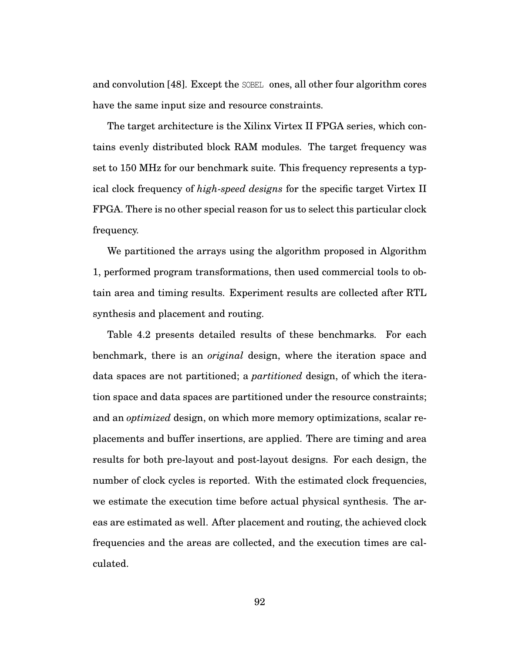and convolution [48]. Except the SOBEL ones, all other four algorithm cores have the same input size and resource constraints.

The target architecture is the Xilinx Virtex II FPGA series, which contains evenly distributed block RAM modules. The target frequency was set to 150 MHz for our benchmark suite. This frequency represents a typical clock frequency of *high-speed designs* for the specific target Virtex II FPGA. There is no other special reason for us to select this particular clock frequency.

We partitioned the arrays using the algorithm proposed in Algorithm 1, performed program transformations, then used commercial tools to obtain area and timing results. Experiment results are collected after RTL synthesis and placement and routing.

Table 4.2 presents detailed results of these benchmarks. For each benchmark, there is an *original* design, where the iteration space and data spaces are not partitioned; a *partitioned* design, of which the iteration space and data spaces are partitioned under the resource constraints; and an *optimized* design, on which more memory optimizations, scalar replacements and buffer insertions, are applied. There are timing and area results for both pre-layout and post-layout designs. For each design, the number of clock cycles is reported. With the estimated clock frequencies, we estimate the execution time before actual physical synthesis. The areas are estimated as well. After placement and routing, the achieved clock frequencies and the areas are collected, and the execution times are calculated.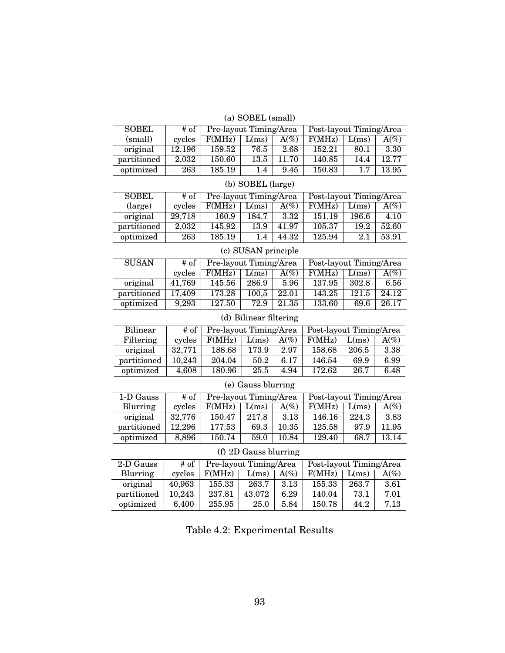#### (a) SOBEL (small)

| <b>SOBEL</b> | # of   | Pre-layout Timing/Area |       |         | Post-layout Timing/Area |       |         |
|--------------|--------|------------------------|-------|---------|-------------------------|-------|---------|
| (small)      | cycles | F(MHz)                 | L(ms) | $A(\%)$ | F(MHz)                  | L(ms) | $A(\%)$ |
| original     | 12,196 | 159.52                 | 76.5  | 2.68    | 152.21                  | 80.1  | 3.30    |
| partitioned  | 2,032  | 150.60                 | 13.5  | 11.70   | 140.85                  | 14.4  | 12.77   |
| optimized    | 263    | 185.19                 | 1.4   | 9.45    | 150.83                  | 17    | 13.95   |

| (b) SOBEL (large) |        |        |                        |                  |        |                         |         |
|-------------------|--------|--------|------------------------|------------------|--------|-------------------------|---------|
| <b>SOBEL</b>      | # of   |        | Pre-layout Timing/Area |                  |        | Post-layout Timing/Area |         |
| (large)           | cycles | F(MHz) | L(ms)                  | $A\mathcal{O}_0$ | F(MHz) | L(ms)                   | $A(\%)$ |
| original          | 29,718 | 160.9  | 184.7                  | 3.32             | 151.19 | 196.6                   | 4.10    |
| partitioned       | 2,032  | 145.92 | 13.9                   | 41.97            | 105.37 | 19.2                    | 52.60   |
| optimized         | 263    | 185.19 | 1.4                    | 44.32            | 125.94 | 2.1                     | 53.91   |

## (c) SUSAN principle

| <b>SUSAN</b> | # of   | Pre-layout Timing/Area |       |                  | Post-layout Timing/Area |       |                  |
|--------------|--------|------------------------|-------|------------------|-------------------------|-------|------------------|
|              | cycles | F(MHz)                 | L(ms) | $A\mathcal{O}_0$ | F(MHz)                  | L(ms) | $A\mathcal{O}_0$ |
| original     | 41.769 | 145.56                 | 286.9 | 5.96             | 137.95                  | 302.8 | 6.56             |
| partitioned  | 17,409 | 173.28                 | 100,5 | 22.01            | 143.25                  | 121.5 | 24.12            |
| optimized    | 9,293  | 127.50                 | 72.9  | 21.35            | 133.60                  | 69.6  | 26.17            |

#### (d) Bilinear filtering Bilinear # of Pre-layout Timing/Area Post-layout Timing/Area

| Filtering   | cycles | F(MHz) | L(ms) | $A(\%)$ | F(MHz) | L(ms) | $A(\%)$ |
|-------------|--------|--------|-------|---------|--------|-------|---------|
| original    | 32,771 | 188.68 | 173.9 | 2.97    | 158.68 | 206.5 | -3.38   |
| partitioned | 10.243 | 204.04 | 50.2  | 6.17    | 146.54 | 69.9  | 6.99    |
| optimized   | 4.608  | 180.96 | 25.5  | 4.94    | 172.62 | 26.7  | 6.48    |

#### (e) Gauss blurring

| 1-D Gauss   | # of   | Pre-layout Timing/Area |       |                  | Post-layout Timing/Area |       |         |
|-------------|--------|------------------------|-------|------------------|-------------------------|-------|---------|
| Blurring    | cycles | F(MHz)                 | L(ms) | $A\mathcal{O}_0$ | F(MHz)                  | L(ms) | $A(\%)$ |
| original    | 32,776 | 150.47                 | 217.8 | 3.13             | 146.16                  | 224.3 | 3.83    |
| partitioned | 12,296 | 177.53                 | 69.3  | 10.35            | 125.58                  | 97.9  | 11.95   |
| optimized   | 8,896  | 150.74                 | 59.0  | 10.84            | 129.40                  | 68.7  | 13.14   |

#### (f) 2D Gauss blurring

| 2-D Gauss   | # of                | Pre-layout Timing/Area |        |                  | Post-layout Timing/Area |       |         |
|-------------|---------------------|------------------------|--------|------------------|-------------------------|-------|---------|
| Blurring    | cycles              | F(MHz)                 | L(ms)  | $A\mathcal{O}_0$ | F(MHz)                  | L(ms) | $A(\%)$ |
| original    | 40,963              | 155.33                 | 263.7  | 3.13             | 155.33                  | 263.7 | 3.61    |
| partitioned | $10,\overline{243}$ | 237.81                 | 43.072 | 6.29             | 140.04                  | 73.1  | 7.01    |
| optimized   | 6,400               | 255.95                 | 25.0   | 5.84             | 150.78                  | 44.2  | 7.13    |

Table 4.2: Experimental Results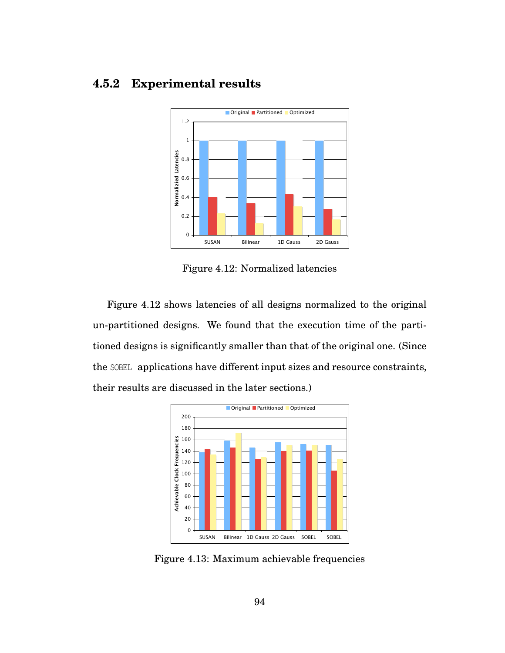# **4.5.2 Experimental results**



Figure 4.12: Normalized latencies

Figure 4.12 shows latencies of all designs normalized to the original un-partitioned designs. We found that the execution time of the partitioned designs is significantly smaller than that of the original one. (Since the SOBEL applications have different input sizes and resource constraints, their results are discussed in the later sections.)



Figure 4.13: Maximum achievable frequencies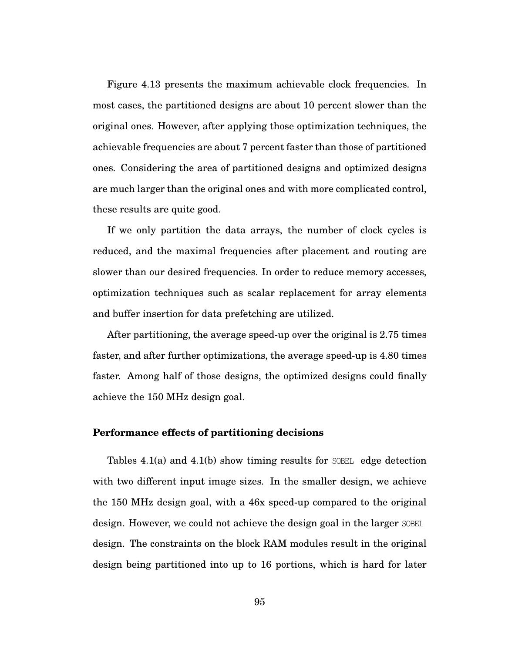Figure 4.13 presents the maximum achievable clock frequencies. In most cases, the partitioned designs are about 10 percent slower than the original ones. However, after applying those optimization techniques, the achievable frequencies are about 7 percent faster than those of partitioned ones. Considering the area of partitioned designs and optimized designs are much larger than the original ones and with more complicated control, these results are quite good.

If we only partition the data arrays, the number of clock cycles is reduced, and the maximal frequencies after placement and routing are slower than our desired frequencies. In order to reduce memory accesses, optimization techniques such as scalar replacement for array elements and buffer insertion for data prefetching are utilized.

After partitioning, the average speed-up over the original is 2.75 times faster, and after further optimizations, the average speed-up is 4.80 times faster. Among half of those designs, the optimized designs could finally achieve the 150 MHz design goal.

#### **Performance effects of partitioning decisions**

Tables 4.1(a) and 4.1(b) show timing results for SOBEL edge detection with two different input image sizes. In the smaller design, we achieve the 150 MHz design goal, with a 46x speed-up compared to the original design. However, we could not achieve the design goal in the larger SOBEL design. The constraints on the block RAM modules result in the original design being partitioned into up to 16 portions, which is hard for later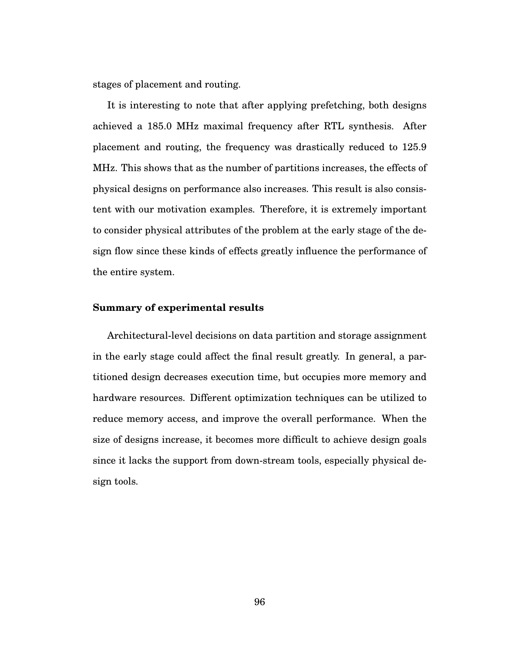stages of placement and routing.

It is interesting to note that after applying prefetching, both designs achieved a 185.0 MHz maximal frequency after RTL synthesis. After placement and routing, the frequency was drastically reduced to 125.9 MHz. This shows that as the number of partitions increases, the effects of physical designs on performance also increases. This result is also consistent with our motivation examples. Therefore, it is extremely important to consider physical attributes of the problem at the early stage of the design flow since these kinds of effects greatly influence the performance of the entire system.

#### **Summary of experimental results**

Architectural-level decisions on data partition and storage assignment in the early stage could affect the final result greatly. In general, a partitioned design decreases execution time, but occupies more memory and hardware resources. Different optimization techniques can be utilized to reduce memory access, and improve the overall performance. When the size of designs increase, it becomes more difficult to achieve design goals since it lacks the support from down-stream tools, especially physical design tools.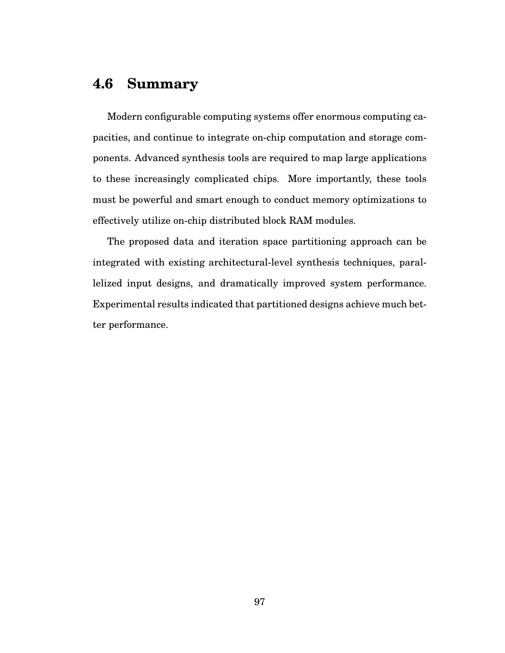# **4.6 Summary**

Modern configurable computing systems offer enormous computing capacities, and continue to integrate on-chip computation and storage components. Advanced synthesis tools are required to map large applications to these increasingly complicated chips. More importantly, these tools must be powerful and smart enough to conduct memory optimizations to effectively utilize on-chip distributed block RAM modules.

The proposed data and iteration space partitioning approach can be integrated with existing architectural-level synthesis techniques, parallelized input designs, and dramatically improved system performance. Experimental results indicated that partitioned designs achieve much better performance.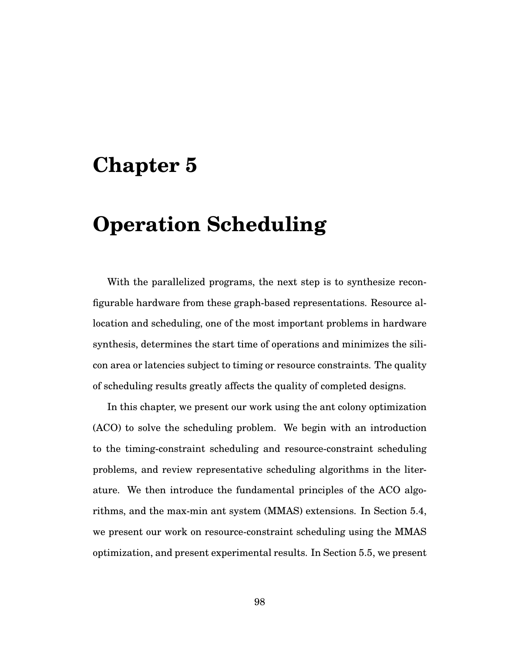# **Chapter 5**

# **Operation Scheduling**

With the parallelized programs, the next step is to synthesize reconfigurable hardware from these graph-based representations. Resource allocation and scheduling, one of the most important problems in hardware synthesis, determines the start time of operations and minimizes the silicon area or latencies subject to timing or resource constraints. The quality of scheduling results greatly affects the quality of completed designs.

In this chapter, we present our work using the ant colony optimization (ACO) to solve the scheduling problem. We begin with an introduction to the timing-constraint scheduling and resource-constraint scheduling problems, and review representative scheduling algorithms in the literature. We then introduce the fundamental principles of the ACO algorithms, and the max-min ant system (MMAS) extensions. In Section 5.4, we present our work on resource-constraint scheduling using the MMAS optimization, and present experimental results. In Section 5.5, we present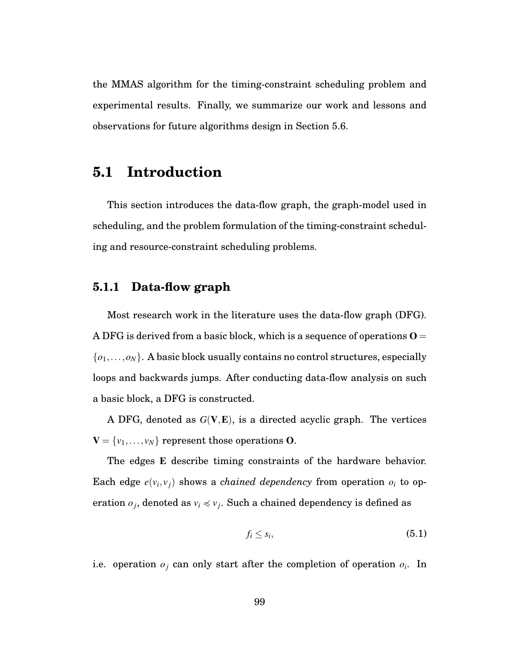the MMAS algorithm for the timing-constraint scheduling problem and experimental results. Finally, we summarize our work and lessons and observations for future algorithms design in Section 5.6.

# **5.1 Introduction**

This section introduces the data-flow graph, the graph-model used in scheduling, and the problem formulation of the timing-constraint scheduling and resource-constraint scheduling problems.

## **5.1.1 Data-flow graph**

Most research work in the literature uses the data-flow graph (DFG). A DFG is derived from a basic block, which is a sequence of operations  $O =$  $\{o_1, \ldots, o_N\}$ . A basic block usually contains no control structures, especially loops and backwards jumps. After conducting data-flow analysis on such a basic block, a DFG is constructed.

A DFG, denoted as *G*(V,E), is a directed acyclic graph. The vertices  $V = \{v_1, \ldots, v_N\}$  represent those operations O.

The edges E describe timing constraints of the hardware behavior. Each edge  $e(v_i, v_j)$  shows a *chained dependency* from operation  $o_i$  to operation  $o_j$ , denoted as  $v_i \preccurlyeq v_j$ . Such a chained dependency is defined as

$$
f_i \leq s_i, \tag{5.1}
$$

i.e. operation  $o_i$  can only start after the completion of operation  $o_i$ . In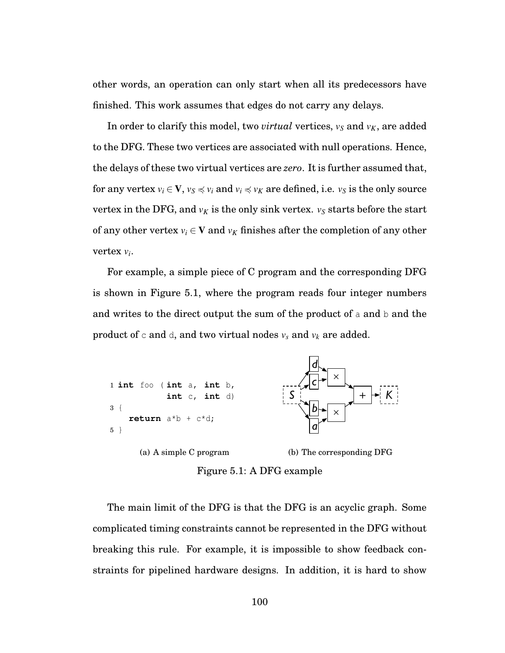other words, an operation can only start when all its predecessors have finished. This work assumes that edges do not carry any delays.

In order to clarify this model, two *virtual* vertices,  $v_S$  and  $v_K$ , are added to the DFG. These two vertices are associated with null operations. Hence, the delays of these two virtual vertices are *zero*. It is further assumed that, for any vertex  $v_i \in V$ ,  $v_S \preccurlyeq v_i$  and  $v_i \preccurlyeq v_K$  are defined, i.e.  $v_S$  is the only source vertex in the DFG, and  $v_K$  is the only sink vertex.  $v_S$  starts before the start of any other vertex  $v_i \in V$  and  $v_K$  finishes after the completion of any other vertex *vi*.

For example, a simple piece of C program and the corresponding DFG is shown in Figure 5.1, where the program reads four integer numbers and writes to the direct output the sum of the product of a and  $b$  and the product of  $\circ$  and  $\circ$ , and two virtual nodes  $v_s$  and  $v_k$  are added.



Figure 5.1: A DFG example

The main limit of the DFG is that the DFG is an acyclic graph. Some complicated timing constraints cannot be represented in the DFG without breaking this rule. For example, it is impossible to show feedback constraints for pipelined hardware designs. In addition, it is hard to show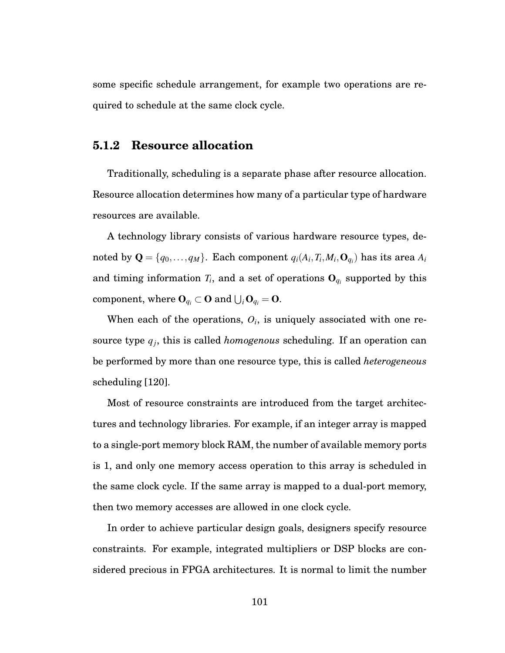some specific schedule arrangement, for example two operations are required to schedule at the same clock cycle.

#### **5.1.2 Resource allocation**

Traditionally, scheduling is a separate phase after resource allocation. Resource allocation determines how many of a particular type of hardware resources are available.

A technology library consists of various hardware resource types, denoted by  $\mathbf{Q} = \{q_0, \ldots, q_M\}$ . Each component  $q_i(A_i, T_i, M_i, \mathbf{O}_{q_i})$  has its area  $A_i$ and timing information  $T_i$ , and a set of operations  $O_{q_i}$  supported by this  $\mathbf{component}, \text{ where } \mathbf{O}_{q_i} \subset \mathbf{O} \text{ and } \bigcup_i \mathbf{O}_{q_i} = \mathbf{O}.$ 

When each of the operations,  $O_i$ , is uniquely associated with one resource type *qj*, this is called *homogenous* scheduling. If an operation can be performed by more than one resource type, this is called *heterogeneous* scheduling [120].

Most of resource constraints are introduced from the target architectures and technology libraries. For example, if an integer array is mapped to a single-port memory block RAM, the number of available memory ports is 1, and only one memory access operation to this array is scheduled in the same clock cycle. If the same array is mapped to a dual-port memory, then two memory accesses are allowed in one clock cycle.

In order to achieve particular design goals, designers specify resource constraints. For example, integrated multipliers or DSP blocks are considered precious in FPGA architectures. It is normal to limit the number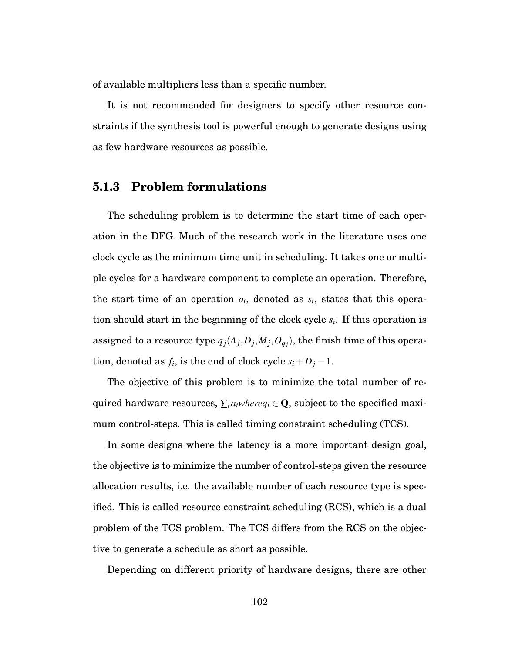of available multipliers less than a specific number.

It is not recommended for designers to specify other resource constraints if the synthesis tool is powerful enough to generate designs using as few hardware resources as possible.

### **5.1.3 Problem formulations**

The scheduling problem is to determine the start time of each operation in the DFG. Much of the research work in the literature uses one clock cycle as the minimum time unit in scheduling. It takes one or multiple cycles for a hardware component to complete an operation. Therefore, the start time of an operation  $o_i$ , denoted as  $s_i$ , states that this operation should start in the beginning of the clock cycle *si*. If this operation is assigned to a resource type  $q_j(A_j, D_j, M_j, O_{q_j}),$  the finish time of this operation, denoted as  $f_i$ , is the end of clock cycle  $s_i + D_j - 1$ .

The objective of this problem is to minimize the total number of required hardware resources,  $\sum_{i} a_i$ *where* $q_i \in \mathbf{Q}$ , subject to the specified maximum control-steps. This is called timing constraint scheduling (TCS).

In some designs where the latency is a more important design goal, the objective is to minimize the number of control-steps given the resource allocation results, i.e. the available number of each resource type is specified. This is called resource constraint scheduling (RCS), which is a dual problem of the TCS problem. The TCS differs from the RCS on the objective to generate a schedule as short as possible.

Depending on different priority of hardware designs, there are other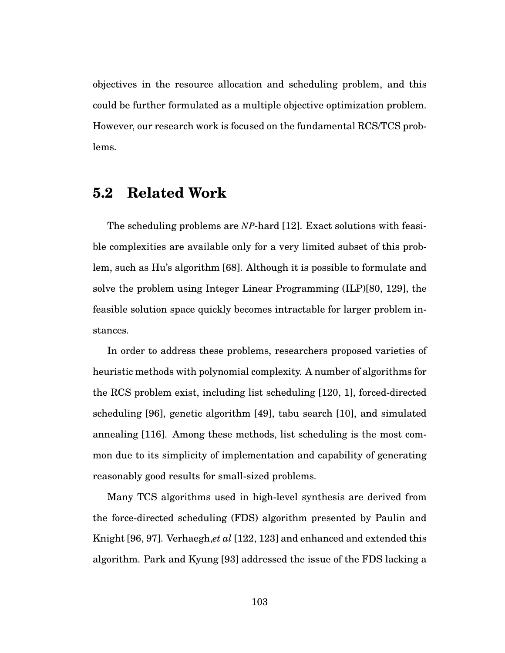objectives in the resource allocation and scheduling problem, and this could be further formulated as a multiple objective optimization problem. However, our research work is focused on the fundamental RCS/TCS problems.

# **5.2 Related Work**

The scheduling problems are *NP*-hard [12]. Exact solutions with feasible complexities are available only for a very limited subset of this problem, such as Hu's algorithm [68]. Although it is possible to formulate and solve the problem using Integer Linear Programming (ILP)[80, 129], the feasible solution space quickly becomes intractable for larger problem instances.

In order to address these problems, researchers proposed varieties of heuristic methods with polynomial complexity. A number of algorithms for the RCS problem exist, including list scheduling [120, 1], forced-directed scheduling [96], genetic algorithm [49], tabu search [10], and simulated annealing [116]. Among these methods, list scheduling is the most common due to its simplicity of implementation and capability of generating reasonably good results for small-sized problems.

Many TCS algorithms used in high-level synthesis are derived from the force-directed scheduling (FDS) algorithm presented by Paulin and Knight [96, 97]. Verhaegh,*et al* [122, 123] and enhanced and extended this algorithm. Park and Kyung [93] addressed the issue of the FDS lacking a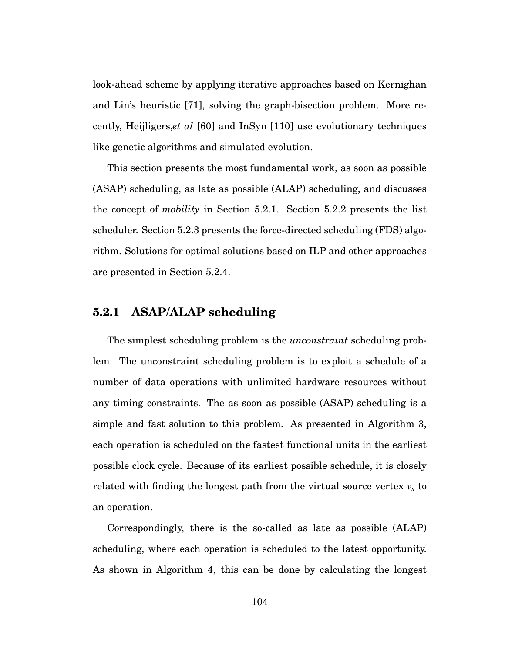look-ahead scheme by applying iterative approaches based on Kernighan and Lin's heuristic [71], solving the graph-bisection problem. More recently, Heijligers,*et al* [60] and InSyn [110] use evolutionary techniques like genetic algorithms and simulated evolution.

This section presents the most fundamental work, as soon as possible (ASAP) scheduling, as late as possible (ALAP) scheduling, and discusses the concept of *mobility* in Section 5.2.1. Section 5.2.2 presents the list scheduler. Section 5.2.3 presents the force-directed scheduling (FDS) algorithm. Solutions for optimal solutions based on ILP and other approaches are presented in Section 5.2.4.

## **5.2.1 ASAP/ALAP scheduling**

The simplest scheduling problem is the *unconstraint* scheduling problem. The unconstraint scheduling problem is to exploit a schedule of a number of data operations with unlimited hardware resources without any timing constraints. The as soon as possible (ASAP) scheduling is a simple and fast solution to this problem. As presented in Algorithm 3, each operation is scheduled on the fastest functional units in the earliest possible clock cycle. Because of its earliest possible schedule, it is closely related with finding the longest path from the virtual source vertex  $v_s$  to an operation.

Correspondingly, there is the so-called as late as possible (ALAP) scheduling, where each operation is scheduled to the latest opportunity. As shown in Algorithm 4, this can be done by calculating the longest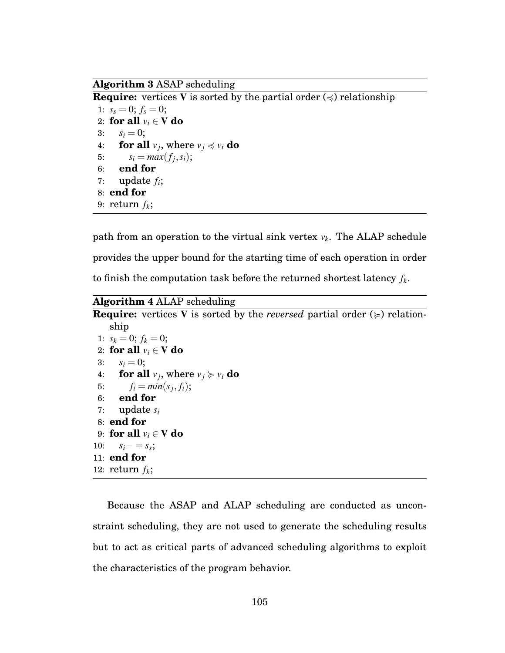**Algorithm 3** ASAP scheduling

**Require:** vertices V is sorted by the partial order  $(\le)$  relationship

1:  $s_s = 0$ ;  $f_s = 0$ ; 2: **for all**  $v_i \in V$  **do**<br>3:  $s_i = 0$ :  $s_i = 0;$ 4: **for all**  $v_i$ , where  $v_i \preccurlyeq v_i$  **do** 5:  $s_i = max(f_i, s_i);$ 6: **end for** 7: update *fi*; 8: **end for** 9: return  $f_k$ ;

path from an operation to the virtual sink vertex  $v_k$ . The ALAP schedule provides the upper bound for the starting time of each operation in order to finish the computation task before the returned shortest latency  $f_k$ .

**Algorithm 4** ALAP scheduling

```
Require: vertices V is sorted by the reversed partial order (\geq) relation-
    ship
 1: s_k = 0; f_k = 0;
 2: for all v_i \in V do<br>3: s_i = 0;
       s_i = 0;4: for all v_j, where v_j \ge v_i do
 5: f_i = min(s_i, f_i);6: end for
 7: update si
 8: end for
9: for all v_i \in V do<br>10: s_i = s_s;
       s_i - = s_s;11: end for
12: return f_k;
```
Because the ASAP and ALAP scheduling are conducted as unconstraint scheduling, they are not used to generate the scheduling results but to act as critical parts of advanced scheduling algorithms to exploit the characteristics of the program behavior.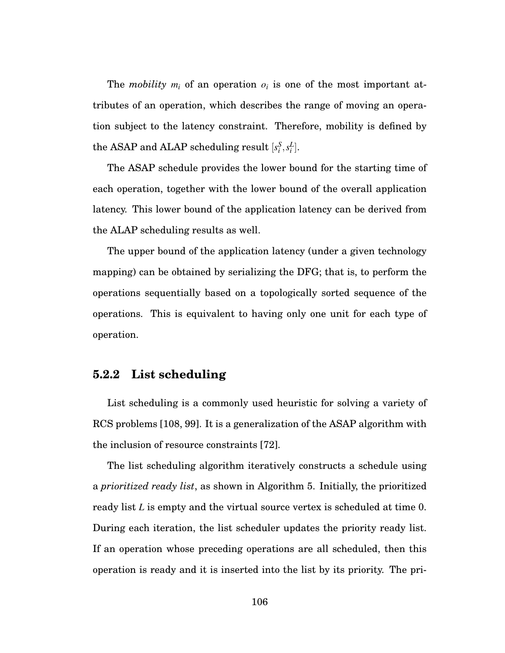The *mobility*  $m_i$  of an operation  $o_i$  is one of the most important attributes of an operation, which describes the range of moving an operation subject to the latency constraint. Therefore, mobility is defined by  $\text{the ASAP and ALAP scheduling result} \ [s_i^S, s_i^L].$ 

The ASAP schedule provides the lower bound for the starting time of each operation, together with the lower bound of the overall application latency. This lower bound of the application latency can be derived from the ALAP scheduling results as well.

The upper bound of the application latency (under a given technology mapping) can be obtained by serializing the DFG; that is, to perform the operations sequentially based on a topologically sorted sequence of the operations. This is equivalent to having only one unit for each type of operation.

## **5.2.2 List scheduling**

List scheduling is a commonly used heuristic for solving a variety of RCS problems [108, 99]. It is a generalization of the ASAP algorithm with the inclusion of resource constraints [72].

The list scheduling algorithm iteratively constructs a schedule using a *prioritized ready list*, as shown in Algorithm 5. Initially, the prioritized ready list *L* is empty and the virtual source vertex is scheduled at time 0. During each iteration, the list scheduler updates the priority ready list. If an operation whose preceding operations are all scheduled, then this operation is ready and it is inserted into the list by its priority. The pri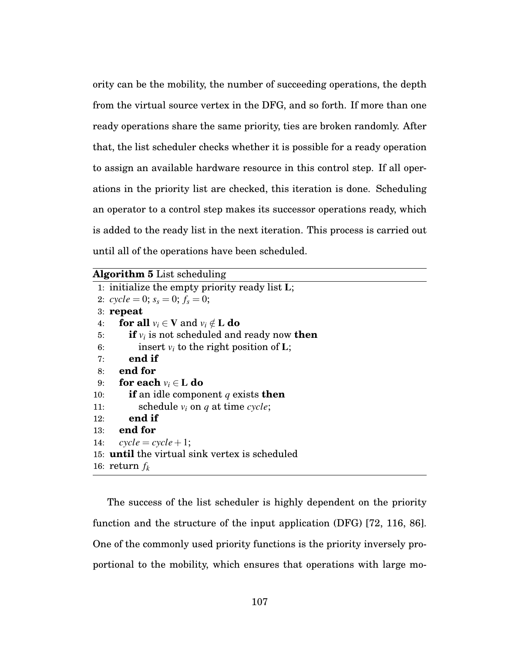ority can be the mobility, the number of succeeding operations, the depth from the virtual source vertex in the DFG, and so forth. If more than one ready operations share the same priority, ties are broken randomly. After that, the list scheduler checks whether it is possible for a ready operation to assign an available hardware resource in this control step. If all operations in the priority list are checked, this iteration is done. Scheduling an operator to a control step makes its successor operations ready, which is added to the ready list in the next iteration. This process is carried out until all of the operations have been scheduled.

|     | 1: initialize the empty priority ready list $L$ ;          |
|-----|------------------------------------------------------------|
|     | 2: $cycle = 0$ ; $s_s = 0$ ; $f_s = 0$ ;                   |
|     | $3:$ repeat                                                |
| 4:  | <b>for all</b> $v_i \in V$ and $v_i \notin L$ <b>do</b>    |
| 5:  | <b>if</b> $v_i$ is not scheduled and ready now <b>then</b> |
| 6:  | insert $v_i$ to the right position of L;                   |
| 7:  | end if                                                     |
| 8:  | end for                                                    |
| 9:  | for each $v_i \in L$ do                                    |
| 10: | <b>if</b> an idle component q exists <b>then</b>           |
| 11: | schedule $v_i$ on q at time cycle;                         |
| 12: | end if                                                     |
|     | $13:$ end for                                              |
| 14: | $cycle = cycle + 1;$                                       |
|     | 15: <b>until</b> the virtual sink vertex is scheduled      |
|     | 16: return $f_k$                                           |
|     |                                                            |

The success of the list scheduler is highly dependent on the priority function and the structure of the input application (DFG) [72, 116, 86]. One of the commonly used priority functions is the priority inversely proportional to the mobility, which ensures that operations with large mo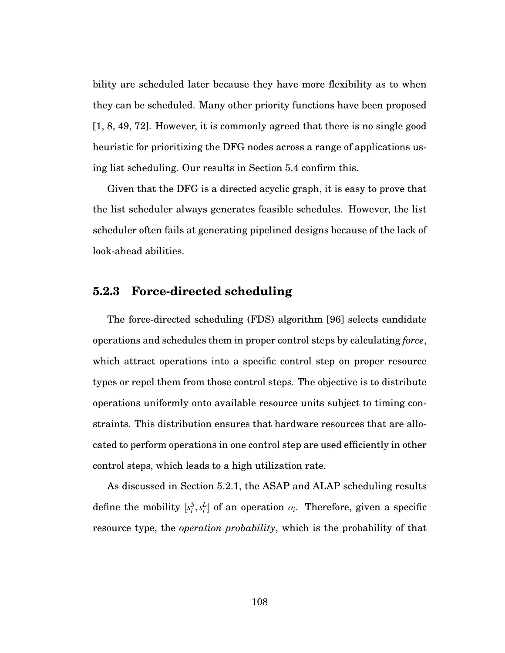bility are scheduled later because they have more flexibility as to when they can be scheduled. Many other priority functions have been proposed [1, 8, 49, 72]. However, it is commonly agreed that there is no single good heuristic for prioritizing the DFG nodes across a range of applications using list scheduling. Our results in Section 5.4 confirm this.

Given that the DFG is a directed acyclic graph, it is easy to prove that the list scheduler always generates feasible schedules. However, the list scheduler often fails at generating pipelined designs because of the lack of look-ahead abilities.

## **5.2.3 Force-directed scheduling**

The force-directed scheduling (FDS) algorithm [96] selects candidate operations and schedules them in proper control steps by calculating *force*, which attract operations into a specific control step on proper resource types or repel them from those control steps. The objective is to distribute operations uniformly onto available resource units subject to timing constraints. This distribution ensures that hardware resources that are allocated to perform operations in one control step are used efficiently in other control steps, which leads to a high utilization rate.

As discussed in Section 5.2.1, the ASAP and ALAP scheduling results define the mobility  $[s_i^S, s_i^L]$  of an operation  $o_i$ . Therefore, given a specific resource type, the *operation probability*, which is the probability of that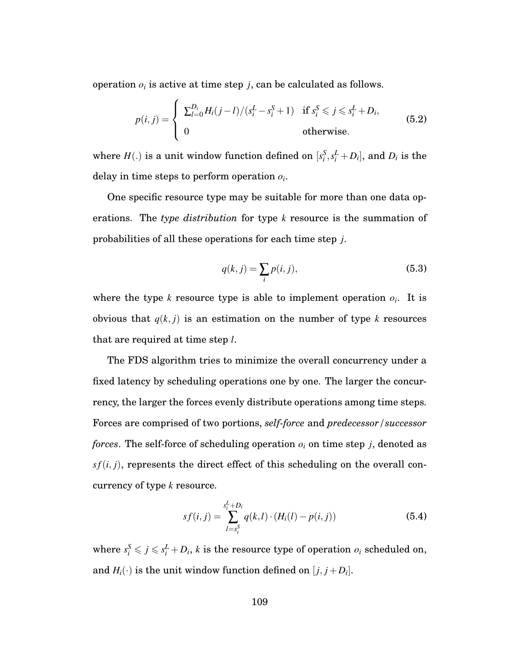operation  $o_i$  is active at time step  $j$ , can be calculated as follows.

$$
p(i,j) = \begin{cases} \sum_{l=0}^{D_i} H_i(j-l)/(s_i^L - s_i^S + 1) & \text{if } s_i^S \leqslant j \leqslant s_i^L + D_i, \\ 0 & \text{otherwise.} \end{cases}
$$
(5.2)

where  $H(.)$  is a unit window function defined on  $[s_i^S, s_i^L + D_i]$ , and  $D_i$  is the delay in time steps to perform operation *oi*.

One specific resource type may be suitable for more than one data operations. The *type distribution* for type *k* resource is the summation of probabilities of all these operations for each time step *j*.

$$
q(k,j) = \sum_{i} p(i,j),\tag{5.3}
$$

where the type *k* resource type is able to implement operation  $o_i$ . It is obvious that  $q(k, j)$  is an estimation on the number of type  $k$  resources that are required at time step *l*.

The FDS algorithm tries to minimize the overall concurrency under a fixed latency by scheduling operations one by one. The larger the concurrency, the larger the forces evenly distribute operations among time steps. Forces are comprised of two portions, *self-force* and *predecessor/successor forces*. The self-force of scheduling operation  $o_i$  on time step *j*, denoted as  $sf(i, j)$ , represents the direct effect of this scheduling on the overall concurrency of type *k* resource.

$$
sf(i,j) = \sum_{l=s_i^S}^{s_i^L+D_i} q(k,l) \cdot (H_i(l) - p(i,j))
$$
\n(5.4)

where  $s_i^S \leqslant j \leqslant s_i^L + D_i$ , *k* is the resource type of operation  $o_i$  scheduled on, and  $H_i(\cdot)$  is the unit window function defined on  $[j, j+D_i]$ .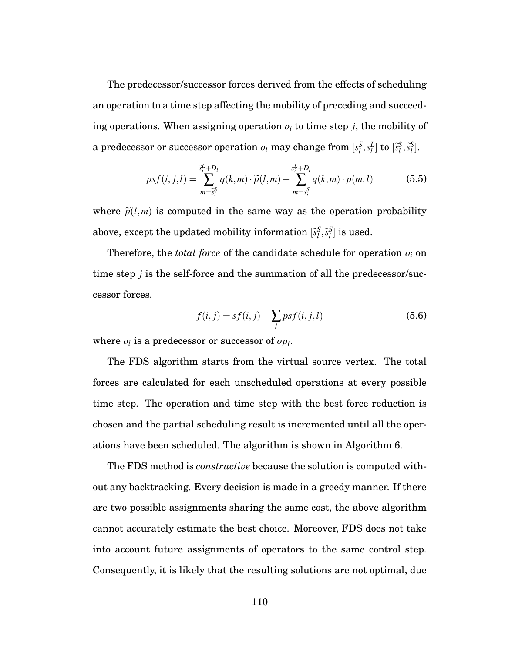The predecessor/successor forces derived from the effects of scheduling an operation to a time step affecting the mobility of preceding and succeeding operations. When assigning operation  $o_i$  to time step *j*, the mobility of a predecessor or successor operation  $o_l$  may change from  $[s_l^S, s_l^L]$  to  $[\widetilde{s}_l^S, \widetilde{s}_l^S]$ .

$$
psf(i, j, l) = \sum_{m=\tilde{s}_{i}^{S}}^{\tilde{s}_{i}^{L}+D_{l}} q(k, m) \cdot \tilde{p}(l, m) - \sum_{m=s_{i}^{S}}^{s_{i}^{L}+D_{l}} q(k, m) \cdot p(m, l)
$$
(5.5)

where  $\tilde{p}(l,m)$  is computed in the same way as the operation probability above, except the updated mobility information  $[\widetilde{s}_l^S, \widetilde{s}_l^S]$  is used.

Therefore, the *total force* of the candidate schedule for operation *oi* on time step *j* is the self-force and the summation of all the predecessor/successor forces.

$$
f(i, j) = sf(i, j) + \sum_{l} psf(i, j, l)
$$
\n(5.6)

where  $o_l$  is a predecessor or successor of  $o p_i$ .

The FDS algorithm starts from the virtual source vertex. The total forces are calculated for each unscheduled operations at every possible time step. The operation and time step with the best force reduction is chosen and the partial scheduling result is incremented until all the operations have been scheduled. The algorithm is shown in Algorithm 6.

The FDS method is *constructive* because the solution is computed without any backtracking. Every decision is made in a greedy manner. If there are two possible assignments sharing the same cost, the above algorithm cannot accurately estimate the best choice. Moreover, FDS does not take into account future assignments of operators to the same control step. Consequently, it is likely that the resulting solutions are not optimal, due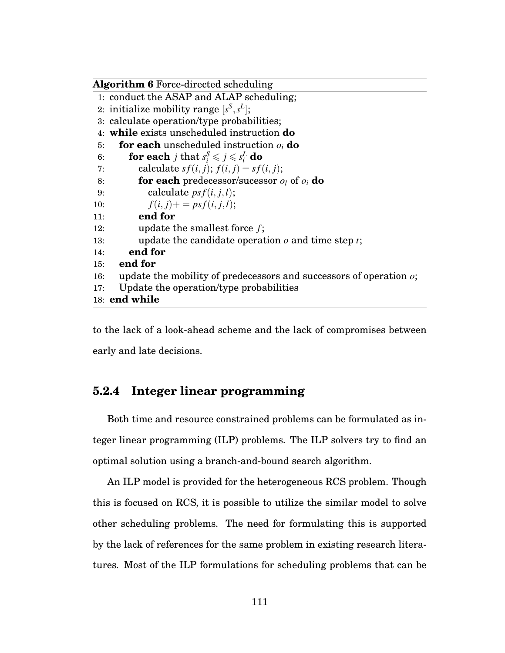|     | <b>Algorithm 6</b> Force-directed scheduling                                |
|-----|-----------------------------------------------------------------------------|
|     | 1: conduct the ASAP and ALAP scheduling;                                    |
|     | 2: initialize mobility range $[s^S, s^L]$ ;                                 |
|     | 3: calculate operation/type probabilities;                                  |
|     | 4: while exists unscheduled instruction <b>do</b>                           |
| 5:  | <b>for each</b> unscheduled instruction $o_i$ <b>do</b>                     |
| 6:  | <b>for each</b> <i>j</i> that $s_i^S \leqslant j \leqslant s_i^L$ <b>do</b> |
| 7:  | calculate $sf(i, j); f(i, j) = sf(i, j);$                                   |
| 8:  | <b>for each</b> predecessor/sucessor $o_i$ of $o_i$ <b>do</b>               |
| 9:  | calculate $psf(i, j, l);$                                                   |
| 10: | $f(i, j)$ + = ps $f(i, j, l)$ ;                                             |
| 11: | end for                                                                     |
| 12: | update the smallest force $f$ ;                                             |
| 13: | update the candidate operation $o$ and time step $t$ ;                      |
| 14: | end for                                                                     |
| 15: | end for                                                                     |
| 16: | update the mobility of predecessors and successors of operation $\alpha$ ;  |
| 17: | Update the operation/type probabilities                                     |
|     | 18: end while                                                               |

to the lack of a look-ahead scheme and the lack of compromises between early and late decisions.

## **5.2.4 Integer linear programming**

Both time and resource constrained problems can be formulated as integer linear programming (ILP) problems. The ILP solvers try to find an optimal solution using a branch-and-bound search algorithm.

An ILP model is provided for the heterogeneous RCS problem. Though this is focused on RCS, it is possible to utilize the similar model to solve other scheduling problems. The need for formulating this is supported by the lack of references for the same problem in existing research literatures. Most of the ILP formulations for scheduling problems that can be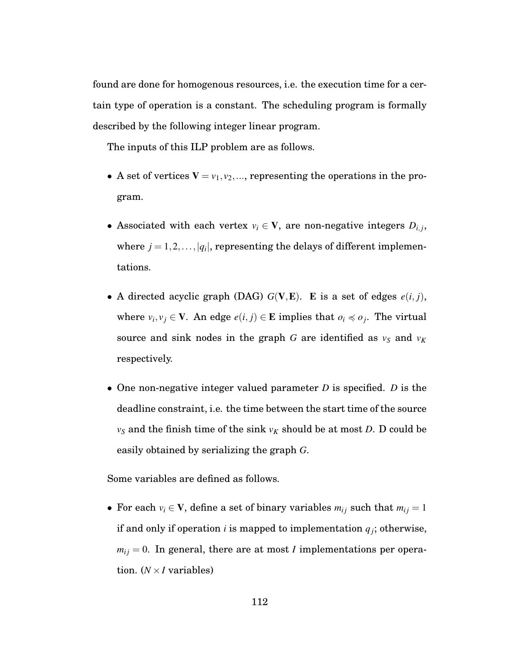found are done for homogenous resources, i.e. the execution time for a certain type of operation is a constant. The scheduling program is formally described by the following integer linear program.

The inputs of this ILP problem are as follows.

- A set of vertices  $V = v_1, v_2, \dots$ , representing the operations in the program.
- Associated with each vertex  $v_i \in V$ , are non-negative integers  $D_{i,j}$ , where  $j = 1, 2, ..., |q_i|$ , representing the delays of different implementations.
- A directed acyclic graph (DAG)  $G(V, E)$ . E is a set of edges  $e(i, j)$ , where  $v_i, v_j \in \mathbf{V}$ . An edge  $e(i, j) \in \mathbf{E}$  implies that  $o_i \preccurlyeq o_j$ . The virtual source and sink nodes in the graph *G* are identified as  $v_S$  and  $v_K$ respectively.
- One non-negative integer valued parameter *D* is specified. *D* is the deadline constraint, i.e. the time between the start time of the source  $v_S$  and the finish time of the sink  $v_K$  should be at most *D*. D could be easily obtained by serializing the graph *G*.

Some variables are defined as follows.

• For each  $v_i \in V$ , define a set of binary variables  $m_{ij}$  such that  $m_{ij} = 1$ if and only if operation *i* is mapped to implementation  $q_j$ ; otherwise,  $m_{ij} = 0$ . In general, there are at most *I* implementations per operation.  $(N \times I$  variables)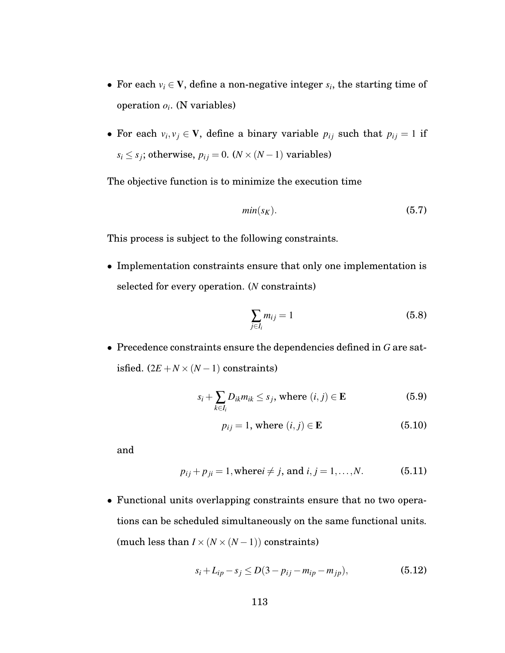- For each  $v_i \in V$ , define a non-negative integer  $s_i$ , the starting time of operation  $o_i$ . (N variables)
- For each  $v_i, v_j \in V$ , define a binary variable  $p_{ij}$  such that  $p_{ij} = 1$  if  $s_i \leq s_j$ ; otherwise,  $p_{ij} = 0$ . ( $N \times (N - 1)$  variables)

The objective function is to minimize the execution time

$$
min(s_K). \tag{5.7}
$$

This process is subject to the following constraints.

• Implementation constraints ensure that only one implementation is selected for every operation. (*N* constraints)

$$
\sum_{j\in I_i} m_{ij} = 1 \tag{5.8}
$$

• Precedence constraints ensure the dependencies defined in *G* are satisfied.  $(2E + N \times (N-1))$  constraints)

$$
s_i + \sum_{k \in I_i} D_{ik} m_{ik} \le s_j, \text{ where } (i, j) \in \mathbf{E}
$$
 (5.9)

$$
p_{ij} = 1, \text{ where } (i, j) \in \mathbf{E} \tag{5.10}
$$

and

$$
p_{ij} + p_{ji} = 1
$$
, where  $i \neq j$ , and  $i, j = 1,...,N$ . (5.11)

• Functional units overlapping constraints ensure that no two operations can be scheduled simultaneously on the same functional units. (much less than  $I\times (N\times (N-1))$  constraints)

$$
s_i + L_{ip} - s_j \le D(3 - p_{ij} - m_{ip} - m_{jp}),
$$
\n(5.12)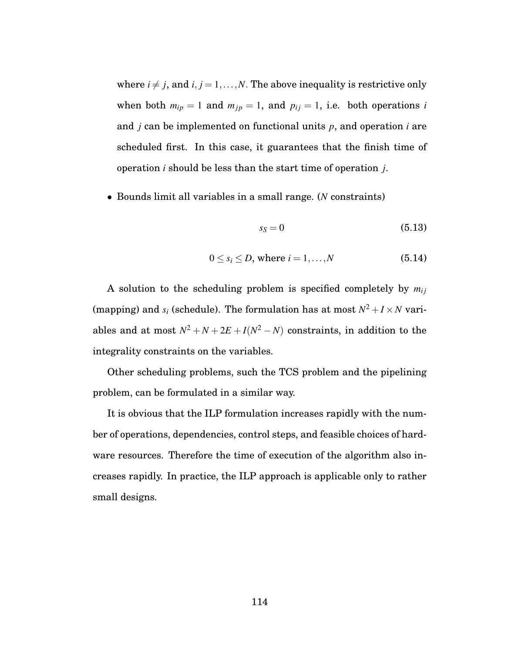where  $i \neq j$ , and  $i, j = 1, \ldots, N$ . The above inequality is restrictive only when both  $m_{ip} = 1$  and  $m_{jp} = 1$ , and  $p_{ij} = 1$ , i.e. both operations *i* and *j* can be implemented on functional units *p*, and operation *i* are scheduled first. In this case, it guarantees that the finish time of operation *i* should be less than the start time of operation *j*.

• Bounds limit all variables in a small range. (*N* constraints)

$$
s_S = 0 \tag{5.13}
$$

$$
0 \le s_i \le D, \text{ where } i = 1, \dots, N \tag{5.14}
$$

A solution to the scheduling problem is specified completely by  $m_{ij}$ (mapping) and  $s_i$  (schedule). The formulation has at most  $N^2 + I \times N$  variables and at most  $N^2 + N + 2E + I(N^2 - N)$  constraints, in addition to the integrality constraints on the variables.

Other scheduling problems, such the TCS problem and the pipelining problem, can be formulated in a similar way.

It is obvious that the ILP formulation increases rapidly with the number of operations, dependencies, control steps, and feasible choices of hardware resources. Therefore the time of execution of the algorithm also increases rapidly. In practice, the ILP approach is applicable only to rather small designs.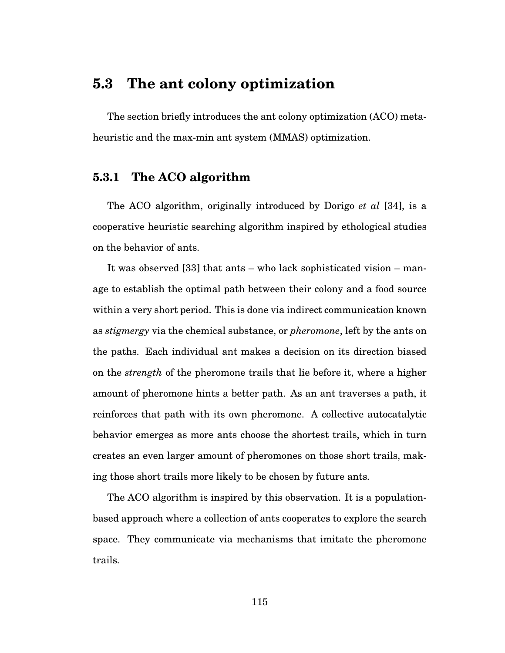# **5.3 The ant colony optimization**

The section briefly introduces the ant colony optimization (ACO) metaheuristic and the max-min ant system (MMAS) optimization.

#### **5.3.1 The ACO algorithm**

The ACO algorithm, originally introduced by Dorigo *et al* [34], is a cooperative heuristic searching algorithm inspired by ethological studies on the behavior of ants.

It was observed [33] that ants – who lack sophisticated vision – manage to establish the optimal path between their colony and a food source within a very short period. This is done via indirect communication known as *stigmergy* via the chemical substance, or *pheromone*, left by the ants on the paths. Each individual ant makes a decision on its direction biased on the *strength* of the pheromone trails that lie before it, where a higher amount of pheromone hints a better path. As an ant traverses a path, it reinforces that path with its own pheromone. A collective autocatalytic behavior emerges as more ants choose the shortest trails, which in turn creates an even larger amount of pheromones on those short trails, making those short trails more likely to be chosen by future ants.

The ACO algorithm is inspired by this observation. It is a populationbased approach where a collection of ants cooperates to explore the search space. They communicate via mechanisms that imitate the pheromone trails.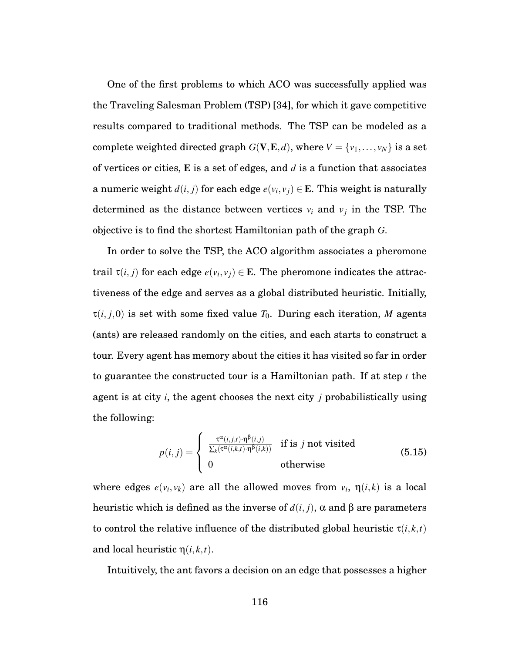One of the first problems to which ACO was successfully applied was the Traveling Salesman Problem (TSP) [34], for which it gave competitive results compared to traditional methods. The TSP can be modeled as a complete weighted directed graph  $G(V, E, d)$ , where  $V = \{v_1, \ldots, v_N\}$  is a set of vertices or cities, E is a set of edges, and *d* is a function that associates a numeric weight  $d(i, j)$  for each edge  $e(v_i, v_j) \in \mathbf{E}$ . This weight is naturally determined as the distance between vertices  $v_i$  and  $v_j$  in the TSP. The objective is to find the shortest Hamiltonian path of the graph *G*.

In order to solve the TSP, the ACO algorithm associates a pheromone trail  $\tau(i, j)$  for each edge  $e(v_i, v_j) \in \mathbf{E}$ . The pheromone indicates the attractiveness of the edge and serves as a global distributed heuristic. Initially,  $\tau(i, j, 0)$  is set with some fixed value  $T_0$ . During each iteration, M agents (ants) are released randomly on the cities, and each starts to construct a tour. Every agent has memory about the cities it has visited so far in order to guarantee the constructed tour is a Hamiltonian path. If at step *t* the agent is at city *i*, the agent chooses the next city *j* probabilistically using the following:

$$
p(i,j) = \begin{cases} \frac{\tau^{\alpha}(i,j,t) \cdot \eta^{\beta}(i,j)}{\sum_{k} (\tau^{\alpha}(i,k,t) \cdot \eta^{\beta}(i,k))} & \text{if is } j \text{ not visited} \\ 0 & \text{otherwise} \end{cases}
$$
(5.15)

where edges  $e(v_i, v_k)$  are all the allowed moves from  $v_i$ ,  $\eta(i,k)$  is a local heuristic which is defined as the inverse of *d*(*i*, *j*), α and β are parameters to control the relative influence of the distributed global heuristic  $\tau(i, k, t)$ and local heuristic  $\eta(i,k,t)$ .

Intuitively, the ant favors a decision on an edge that possesses a higher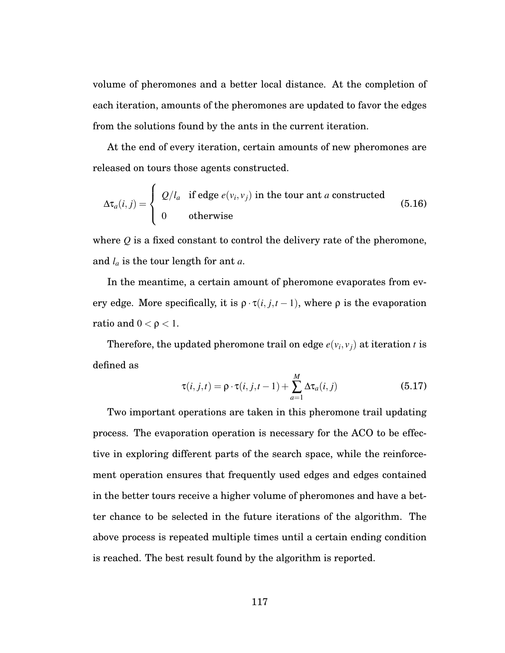volume of pheromones and a better local distance. At the completion of each iteration, amounts of the pheromones are updated to favor the edges from the solutions found by the ants in the current iteration.

At the end of every iteration, certain amounts of new pheromones are released on tours those agents constructed.

$$
\Delta \tau_a(i,j) = \begin{cases} Q/l_a & \text{if edge } e(v_i, v_j) \text{ in the tour and } a \text{ constructed} \\ 0 & \text{otherwise} \end{cases}
$$
 (5.16)

where *Q* is a fixed constant to control the delivery rate of the pheromone, and *la* is the tour length for ant *a*.

In the meantime, a certain amount of pheromone evaporates from every edge. More specifically, it is  $\rho \cdot \tau(i, j, t - 1)$ , where  $\rho$  is the evaporation ratio and  $0 < \rho < 1$ .

Therefore, the updated pheromone trail on edge  $e(v_i, v_j)$  at iteration *t* is defined as

$$
\tau(i,j,t) = \rho \cdot \tau(i,j,t-1) + \sum_{a=1}^{M} \Delta \tau_a(i,j)
$$
\n(5.17)

Two important operations are taken in this pheromone trail updating process. The evaporation operation is necessary for the ACO to be effective in exploring different parts of the search space, while the reinforcement operation ensures that frequently used edges and edges contained in the better tours receive a higher volume of pheromones and have a better chance to be selected in the future iterations of the algorithm. The above process is repeated multiple times until a certain ending condition is reached. The best result found by the algorithm is reported.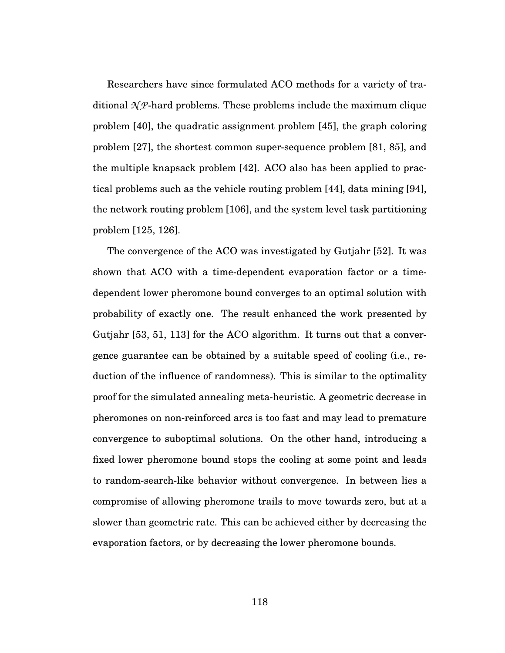Researchers have since formulated ACO methods for a variety of traditional  $\mathcal{N}P$ -hard problems. These problems include the maximum clique problem [40], the quadratic assignment problem [45], the graph coloring problem [27], the shortest common super-sequence problem [81, 85], and the multiple knapsack problem [42]. ACO also has been applied to practical problems such as the vehicle routing problem [44], data mining [94], the network routing problem [106], and the system level task partitioning problem [125, 126].

The convergence of the ACO was investigated by Gutjahr [52]. It was shown that ACO with a time-dependent evaporation factor or a timedependent lower pheromone bound converges to an optimal solution with probability of exactly one. The result enhanced the work presented by Gutjahr [53, 51, 113] for the ACO algorithm. It turns out that a convergence guarantee can be obtained by a suitable speed of cooling (i.e., reduction of the influence of randomness). This is similar to the optimality proof for the simulated annealing meta-heuristic. A geometric decrease in pheromones on non-reinforced arcs is too fast and may lead to premature convergence to suboptimal solutions. On the other hand, introducing a fixed lower pheromone bound stops the cooling at some point and leads to random-search-like behavior without convergence. In between lies a compromise of allowing pheromone trails to move towards zero, but at a slower than geometric rate. This can be achieved either by decreasing the evaporation factors, or by decreasing the lower pheromone bounds.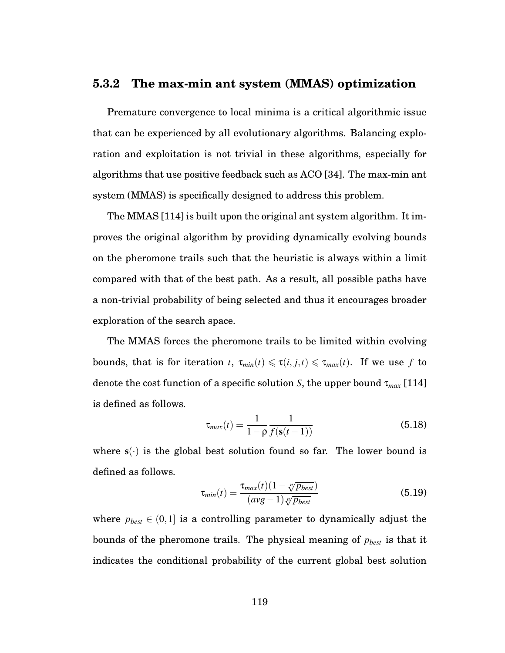#### **5.3.2 The max-min ant system (MMAS) optimization**

Premature convergence to local minima is a critical algorithmic issue that can be experienced by all evolutionary algorithms. Balancing exploration and exploitation is not trivial in these algorithms, especially for algorithms that use positive feedback such as ACO [34]. The max-min ant system (MMAS) is specifically designed to address this problem.

The MMAS [114] is built upon the original ant system algorithm. It improves the original algorithm by providing dynamically evolving bounds on the pheromone trails such that the heuristic is always within a limit compared with that of the best path. As a result, all possible paths have a non-trivial probability of being selected and thus it encourages broader exploration of the search space.

The MMAS forces the pheromone trails to be limited within evolving bounds, that is for iteration *t*,  $\tau_{min}(t) \leq \tau(i, j, t) \leq \tau_{max}(t)$ . If we use *f* to denote the cost function of a specific solution *S*, the upper bound τ*max* [114] is defined as follows.

$$
\tau_{max}(t) = \frac{1}{1 - \rho} \frac{1}{f(s(t-1))}
$$
\n(5.18)

where  $s(\cdot)$  is the global best solution found so far. The lower bound is defined as follows.

$$
\tau_{min}(t) = \frac{\tau_{max}(t)(1 - \sqrt[n]{p_{best}})}{(avg - 1)\sqrt[n]{p_{best}}}
$$
\n(5.19)

where  $p_{best} \in (0,1]$  is a controlling parameter to dynamically adjust the bounds of the pheromone trails. The physical meaning of *pbest* is that it indicates the conditional probability of the current global best solution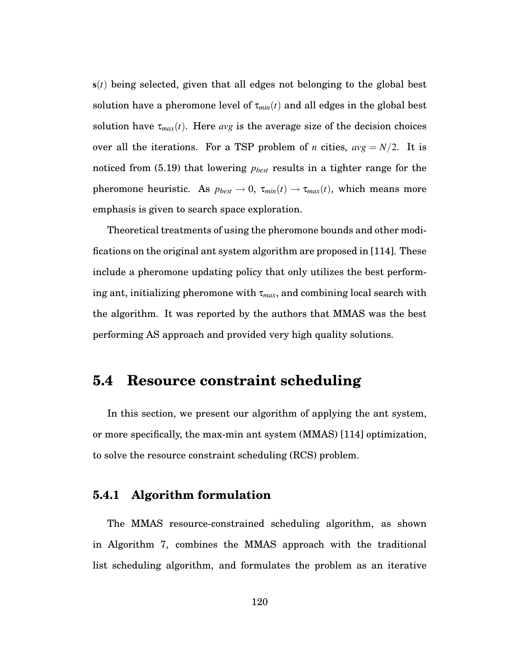s(*t*) being selected, given that all edges not belonging to the global best solution have a pheromone level of  $\tau_{min}(t)$  and all edges in the global best solution have  $\tau_{max}(t)$ . Here *avg* is the average size of the decision choices over all the iterations. For a TSP problem of *n* cities,  $avg = N/2$ . It is noticed from (5.19) that lowering *pbest* results in a tighter range for the pheromone heuristic. As  $p_{best} \rightarrow 0$ ,  $\tau_{min}(t) \rightarrow \tau_{max}(t)$ , which means more emphasis is given to search space exploration.

Theoretical treatments of using the pheromone bounds and other modifications on the original ant system algorithm are proposed in [114]. These include a pheromone updating policy that only utilizes the best performing ant, initializing pheromone with  $\tau_{max}$ , and combining local search with the algorithm. It was reported by the authors that MMAS was the best performing AS approach and provided very high quality solutions.

# **5.4 Resource constraint scheduling**

In this section, we present our algorithm of applying the ant system, or more specifically, the max-min ant system (MMAS) [114] optimization, to solve the resource constraint scheduling (RCS) problem.

### **5.4.1 Algorithm formulation**

The MMAS resource-constrained scheduling algorithm, as shown in Algorithm 7, combines the MMAS approach with the traditional list scheduling algorithm, and formulates the problem as an iterative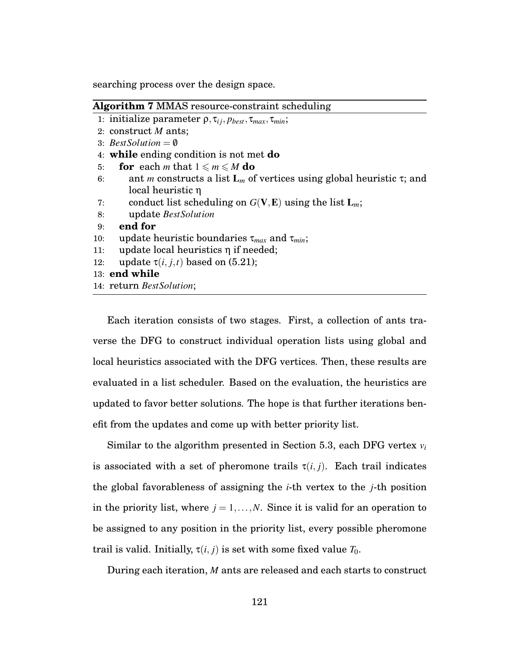searching process over the design space.

|     | <b>Algorithm 7 MMAS</b> resource-constraint scheduling                               |
|-----|--------------------------------------------------------------------------------------|
|     | 1: initialize parameter $\rho, \tau_{ij}, p_{best}, \tau_{max}, \tau_{min};$         |
|     | 2: construct $M$ ants;                                                               |
|     | 3: Best Solution $= \emptyset$                                                       |
|     | 4: while ending condition is not met do                                              |
| 5:  | <b>for</b> each <i>m</i> that $1 \le m \le M$ do                                     |
| 6:  | ant <i>m</i> constructs a list $L_m$ of vertices using global heuristic $\tau$ ; and |
|     | local heuristic $\eta$                                                               |
| 7:  | conduct list scheduling on $G(V, E)$ using the list $L_m$ ;                          |
| 8:  | update BestSolution                                                                  |
| 9:  | end for                                                                              |
| 10: | update heuristic boundaries $\tau_{max}$ and $\tau_{min}$ ;                          |
| 11: | update local heuristics $\eta$ if needed;                                            |
| 12: | update $\tau(i, j, t)$ based on (5.21);                                              |
|     | 13: end while                                                                        |
|     | 14: return BestSolution;                                                             |
|     |                                                                                      |

Each iteration consists of two stages. First, a collection of ants traverse the DFG to construct individual operation lists using global and local heuristics associated with the DFG vertices. Then, these results are evaluated in a list scheduler. Based on the evaluation, the heuristics are updated to favor better solutions. The hope is that further iterations benefit from the updates and come up with better priority list.

Similar to the algorithm presented in Section 5.3, each DFG vertex *vi* is associated with a set of pheromone trails  $\tau(i, j)$ . Each trail indicates the global favorableness of assigning the *i*-th vertex to the *j*-th position in the priority list, where  $j = 1, \ldots, N$ . Since it is valid for an operation to be assigned to any position in the priority list, every possible pheromone trail is valid. Initially,  $\tau(i, j)$  is set with some fixed value  $T_0$ .

During each iteration, *M* ants are released and each starts to construct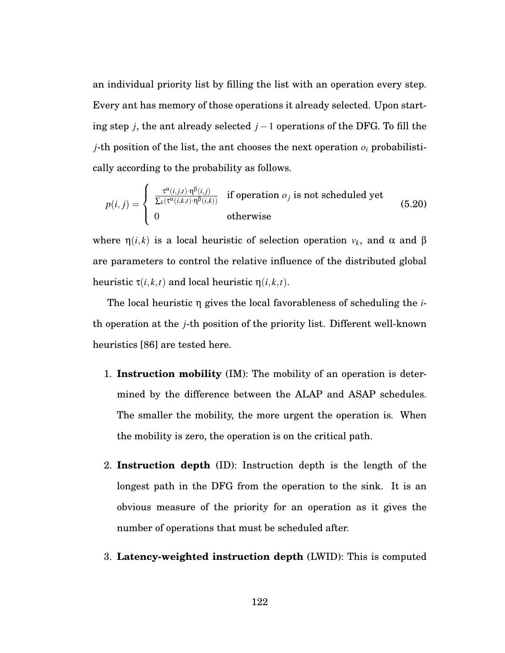an individual priority list by filling the list with an operation every step. Every ant has memory of those operations it already selected. Upon starting step *j*, the ant already selected *j* −1 operations of the DFG. To fill the *j*-th position of the list, the ant chooses the next operation  $o_i$  probabilistically according to the probability as follows.

$$
p(i,j) = \begin{cases} \frac{\tau^{\alpha}(i,j,t) \cdot \eta^{\beta}(i,j)}{\sum_{k} (\tau^{\alpha}(i,k,t) \cdot \eta^{\beta}(i,k))} & \text{if operation } o_j \text{ is not scheduled yet} \\ 0 & \text{otherwise} \end{cases}
$$
(5.20)

where  $\eta(i,k)$  is a local heuristic of selection operation  $v_k$ , and  $\alpha$  and  $\beta$ are parameters to control the relative influence of the distributed global heuristic  $\tau(i,k,t)$  and local heuristic  $\eta(i,k,t)$ .

The local heuristic η gives the local favorableness of scheduling the *i*th operation at the *j*-th position of the priority list. Different well-known heuristics [86] are tested here.

- 1. **Instruction mobility** (IM): The mobility of an operation is determined by the difference between the ALAP and ASAP schedules. The smaller the mobility, the more urgent the operation is. When the mobility is zero, the operation is on the critical path.
- 2. **Instruction depth** (ID): Instruction depth is the length of the longest path in the DFG from the operation to the sink. It is an obvious measure of the priority for an operation as it gives the number of operations that must be scheduled after.
- 3. **Latency-weighted instruction depth** (LWID): This is computed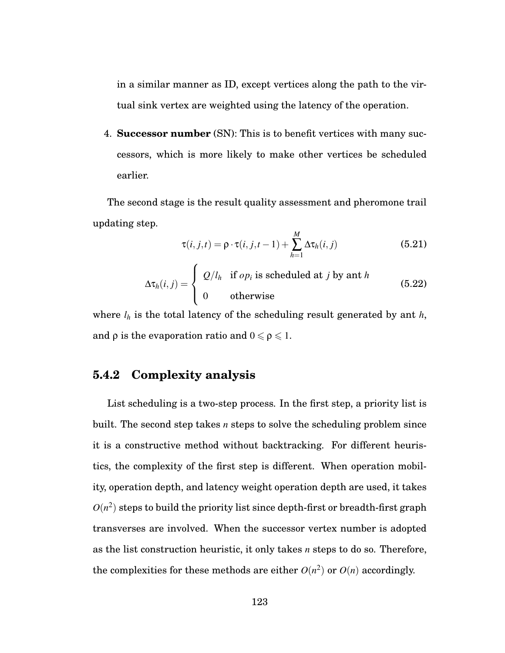in a similar manner as ID, except vertices along the path to the virtual sink vertex are weighted using the latency of the operation.

4. **Successor number** (SN): This is to benefit vertices with many successors, which is more likely to make other vertices be scheduled earlier.

The second stage is the result quality assessment and pheromone trail updating step.

$$
\tau(i,j,t) = \rho \cdot \tau(i,j,t-1) + \sum_{h=1}^{M} \Delta \tau_h(i,j)
$$
\n(5.21)

$$
\Delta \tau_h(i,j) = \begin{cases} Q/l_h & \text{if } op_i \text{ is scheduled at } j \text{ by ant } h \\ 0 & \text{otherwise} \end{cases}
$$
 (5.22)

where  $l_h$  is the total latency of the scheduling result generated by ant  $h$ , and  $\rho$  is the evaporation ratio and  $0 \leq \rho \leq 1$ .

## **5.4.2 Complexity analysis**

List scheduling is a two-step process. In the first step, a priority list is built. The second step takes *n* steps to solve the scheduling problem since it is a constructive method without backtracking. For different heuristics, the complexity of the first step is different. When operation mobility, operation depth, and latency weight operation depth are used, it takes  $O(n^2)$  steps to build the priority list since depth-first or breadth-first graph transverses are involved. When the successor vertex number is adopted as the list construction heuristic, it only takes *n* steps to do so. Therefore, the complexities for these methods are either  $O(n^2)$  or  $O(n)$  accordingly.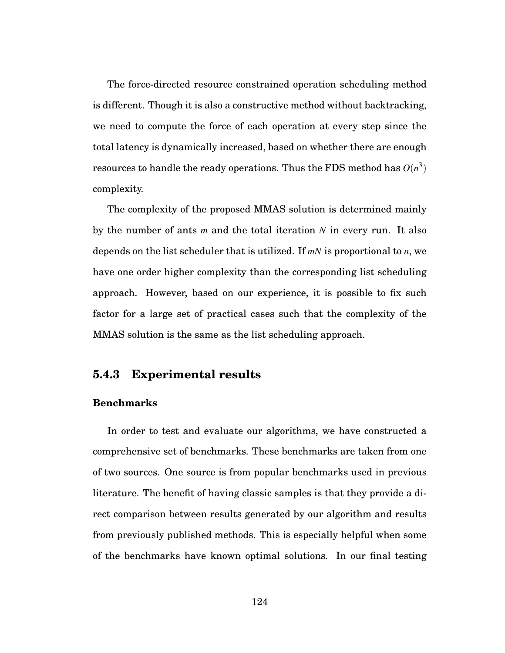The force-directed resource constrained operation scheduling method is different. Though it is also a constructive method without backtracking, we need to compute the force of each operation at every step since the total latency is dynamically increased, based on whether there are enough resources to handle the ready operations. Thus the FDS method has  $O(n^3)$ complexity.

The complexity of the proposed MMAS solution is determined mainly by the number of ants *m* and the total iteration *N* in every run. It also depends on the list scheduler that is utilized. If *mN* is proportional to *n*, we have one order higher complexity than the corresponding list scheduling approach. However, based on our experience, it is possible to fix such factor for a large set of practical cases such that the complexity of the MMAS solution is the same as the list scheduling approach.

### **5.4.3 Experimental results**

#### **Benchmarks**

In order to test and evaluate our algorithms, we have constructed a comprehensive set of benchmarks. These benchmarks are taken from one of two sources. One source is from popular benchmarks used in previous literature. The benefit of having classic samples is that they provide a direct comparison between results generated by our algorithm and results from previously published methods. This is especially helpful when some of the benchmarks have known optimal solutions. In our final testing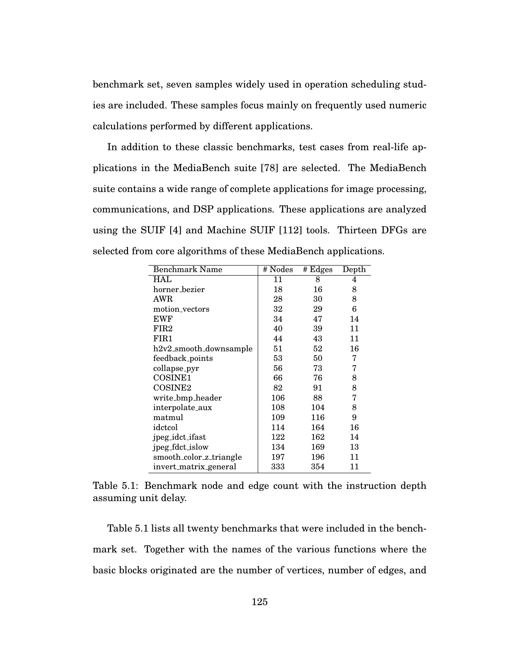benchmark set, seven samples widely used in operation scheduling studies are included. These samples focus mainly on frequently used numeric calculations performed by different applications.

In addition to these classic benchmarks, test cases from real-life applications in the MediaBench suite [78] are selected. The MediaBench suite contains a wide range of complete applications for image processing, communications, and DSP applications. These applications are analyzed using the SUIF [4] and Machine SUIF [112] tools. Thirteen DFGs are selected from core algorithms of these MediaBench applications.

| <b>Benchmark Name</b>   | # Nodes | # Edges | Depth |
|-------------------------|---------|---------|-------|
| HAL                     | 11      | 8       | 4     |
| horner_bezier           | 18      | 16      | 8     |
| AWR                     | 28      | 30      | 8     |
| motion_vectors          | 32      | 29      | 6     |
| <b>EWF</b>              | 34      | 47      | 14    |
| FIR <sub>2</sub>        | 40      | 39      | 11    |
| $_{\rm{FIR1}}$          | 44      | 43      | 11    |
| h2v2_smooth_downsample  | 51      | 52      | 16    |
| feedback_points         | 53      | 50      | 7     |
| collapse_pyr            | 56      | 73      | 7     |
| COSINE1                 | 66      | 76      | 8     |
| COSINE <sub>2</sub>     | 82      | 91      | 8     |
| write_bmp_header        | 106     | 88      | 7     |
| interpolate_aux         | 108     | 104     | 8     |
| matmul                  | 109     | 116     | 9     |
| idctcol                 | 114     | 164     | 16    |
| jpeg_idct_ifast         | 122     | 162     | 14    |
| jpeg_fdct_islow         | 134     | 169     | 13    |
| smooth_color_z_triangle | 197     | 196     | 11    |
| invert_matrix_general   | 333     | 354     | 11    |

|  | Table 5.1: Benchmark node and edge count with the instruction depth |  |  |  |  |
|--|---------------------------------------------------------------------|--|--|--|--|
|  | assuming unit delay.                                                |  |  |  |  |

Table 5.1 lists all twenty benchmarks that were included in the benchmark set. Together with the names of the various functions where the basic blocks originated are the number of vertices, number of edges, and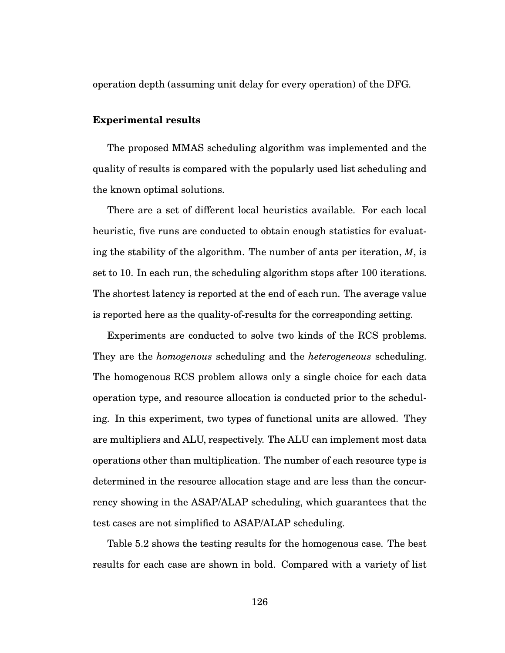operation depth (assuming unit delay for every operation) of the DFG.

#### **Experimental results**

The proposed MMAS scheduling algorithm was implemented and the quality of results is compared with the popularly used list scheduling and the known optimal solutions.

There are a set of different local heuristics available. For each local heuristic, five runs are conducted to obtain enough statistics for evaluating the stability of the algorithm. The number of ants per iteration, *M*, is set to 10. In each run, the scheduling algorithm stops after 100 iterations. The shortest latency is reported at the end of each run. The average value is reported here as the quality-of-results for the corresponding setting.

Experiments are conducted to solve two kinds of the RCS problems. They are the *homogenous* scheduling and the *heterogeneous* scheduling. The homogenous RCS problem allows only a single choice for each data operation type, and resource allocation is conducted prior to the scheduling. In this experiment, two types of functional units are allowed. They are multipliers and ALU, respectively. The ALU can implement most data operations other than multiplication. The number of each resource type is determined in the resource allocation stage and are less than the concurrency showing in the ASAP/ALAP scheduling, which guarantees that the test cases are not simplified to ASAP/ALAP scheduling.

Table 5.2 shows the testing results for the homogenous case. The best results for each case are shown in bold. Compared with a variety of list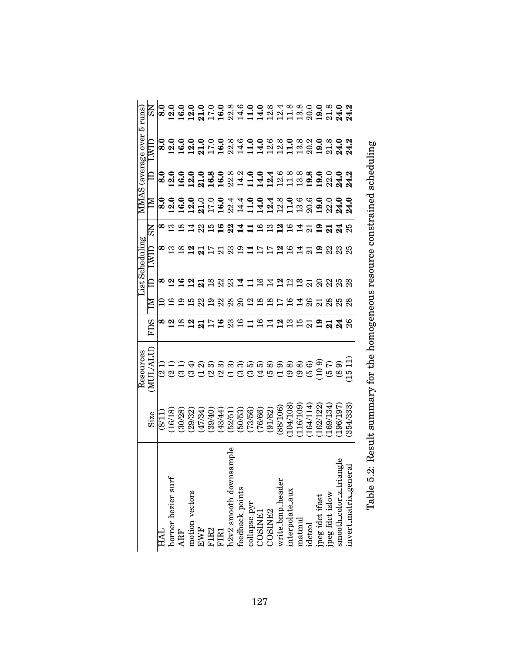| $5 \mathrm{~runs}$<br><b>MMAS</b> (average over | $_{\rm NS}$                  |                |  |                 |                |                                                                                                                                                                                                                                                                 |                |                |             |                |               |         |                |               |                        |         |         |
|-------------------------------------------------|------------------------------|----------------|--|-----------------|----------------|-----------------------------------------------------------------------------------------------------------------------------------------------------------------------------------------------------------------------------------------------------------------|----------------|----------------|-------------|----------------|---------------|---------|----------------|---------------|------------------------|---------|---------|
|                                                 | $\mathop{\rm LWHL}\nolimits$ |                |  |                 |                | o 0 0 0 0 0 0 0 % % 9 0 .9 % 9 0 % 9 % 9 % 9 %<br>∞ 2 1 2 2 3 4 4 4 5 2 5 4 5 6 7 8 9 5 7 8 9                                                                                                                                                                   |                |                |             |                |               |         |                |               |                        |         |         |
|                                                 | $\exists$                    |                |  |                 |                |                                                                                                                                                                                                                                                                 |                |                |             |                |               |         |                |               |                        |         |         |
|                                                 | $\Xi$                        |                |  |                 |                |                                                                                                                                                                                                                                                                 |                |                |             |                |               |         |                |               |                        |         | 24.0    |
|                                                 | $\overline{\rm s}$           | ∞              |  | $\overline{14}$ |                |                                                                                                                                                                                                                                                                 |                | 2 <sup>2</sup> |             |                |               | 1193297 |                |               |                        |         |         |
| ist Scheduling                                  | IIWT                         |                |  |                 |                |                                                                                                                                                                                                                                                                 |                |                |             |                |               |         |                | 3315529452838 |                        |         |         |
|                                                 |                              |                |  |                 |                |                                                                                                                                                                                                                                                                 | 22             |                |             |                |               |         | <u>ង ឌ ដ ន</u> |               | 25                     |         |         |
|                                                 |                              |                |  |                 | $\mathbb{S}^1$ | $\Xi$                                                                                                                                                                                                                                                           | $^{28}_{28}$   |                | $\approx$   |                |               | 2.88E   | $\Xi$          |               |                        |         |         |
|                                                 | <b>FDS</b>                   | ∞              |  |                 |                |                                                                                                                                                                                                                                                                 |                |                | 19891942955 |                |               |         |                |               |                        |         |         |
| Resources                                       |                              |                |  |                 |                |                                                                                                                                                                                                                                                                 |                |                |             |                | rc.           |         |                | <u>ခ</u>      |                        |         | $\Xi$   |
|                                                 | NUL/ALU                      | $\overline{6}$ |  |                 |                |                                                                                                                                                                                                                                                                 | $\overline{S}$ |                | ಲ           | $\mathfrak{S}$ | $\widehat{4}$ |         |                | $\Xi$         | $\widehat{\mathbf{e}}$ |         |         |
|                                                 | Size                         |                |  |                 |                | $(811)$ (8/18)<br>$(16/18)$<br>$(16/18)$<br>$(30/28)$<br>$(47/34)$<br>$(39/4)$<br>$(49/4)$<br>$(50/5)$<br>$(50/5)$<br>$(60/6)$<br>$(60/6)$<br>$(60/10)$<br>$(60/10)$<br>$(60/10)$<br>$(60/10)$<br>$(60/10)$<br>$(60/10)$<br>$(60/10)$<br>$(60/10)$<br>$(60/10)$ |                |                |             |                |               |         |                |               | (169/134)              | 196/197 | 354/333 |

| $\mathsf{I}$                               | y. Kasult summary tor the homographs required constrained scheduling<br>'YOʻE SY'TI DARIN DATILININ SHITIDI INI TURIY I IDI INI TURIY I IDI ISLAMIN ISLAMIN ISLAMIN ISLAMIN I |
|--------------------------------------------|-------------------------------------------------------------------------------------------------------------------------------------------------------------------------------|
|                                            |                                                                                                                                                                               |
|                                            |                                                                                                                                                                               |
|                                            |                                                                                                                                                                               |
|                                            |                                                                                                                                                                               |
|                                            |                                                                                                                                                                               |
| $\begin{array}{c} 1 \\ 1 \\ 1 \end{array}$ | i                                                                                                                                                                             |
|                                            |                                                                                                                                                                               |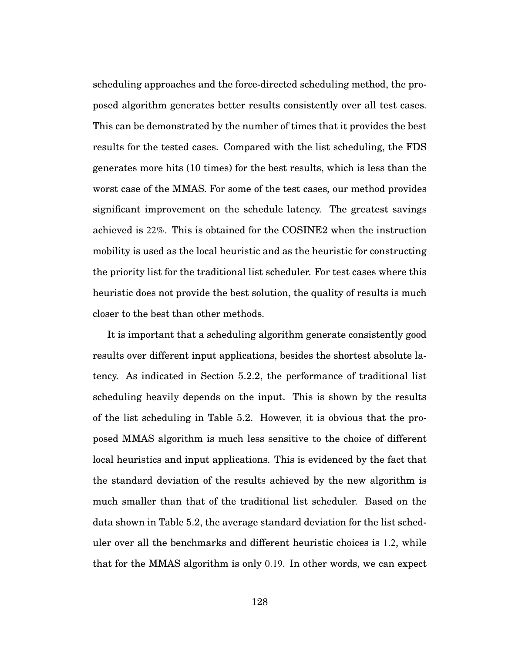scheduling approaches and the force-directed scheduling method, the proposed algorithm generates better results consistently over all test cases. This can be demonstrated by the number of times that it provides the best results for the tested cases. Compared with the list scheduling, the FDS generates more hits (10 times) for the best results, which is less than the worst case of the MMAS. For some of the test cases, our method provides significant improvement on the schedule latency. The greatest savings achieved is 22%. This is obtained for the COSINE2 when the instruction mobility is used as the local heuristic and as the heuristic for constructing the priority list for the traditional list scheduler. For test cases where this heuristic does not provide the best solution, the quality of results is much closer to the best than other methods.

It is important that a scheduling algorithm generate consistently good results over different input applications, besides the shortest absolute latency. As indicated in Section 5.2.2, the performance of traditional list scheduling heavily depends on the input. This is shown by the results of the list scheduling in Table 5.2. However, it is obvious that the proposed MMAS algorithm is much less sensitive to the choice of different local heuristics and input applications. This is evidenced by the fact that the standard deviation of the results achieved by the new algorithm is much smaller than that of the traditional list scheduler. Based on the data shown in Table 5.2, the average standard deviation for the list scheduler over all the benchmarks and different heuristic choices is 1.2, while that for the MMAS algorithm is only 0.19. In other words, we can expect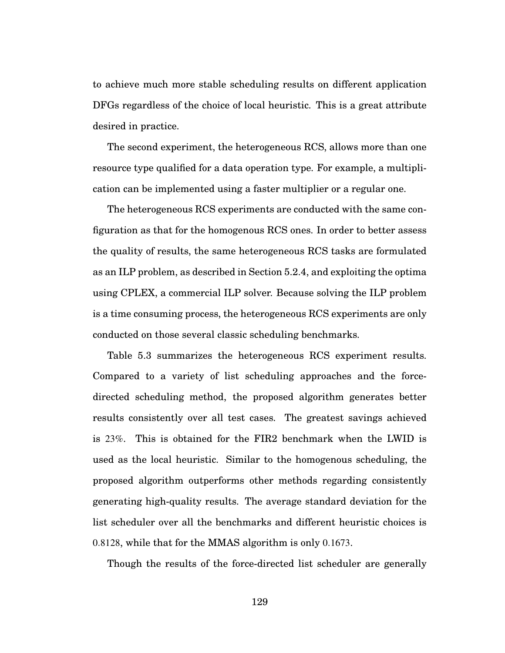to achieve much more stable scheduling results on different application DFGs regardless of the choice of local heuristic. This is a great attribute desired in practice.

The second experiment, the heterogeneous RCS, allows more than one resource type qualified for a data operation type. For example, a multiplication can be implemented using a faster multiplier or a regular one.

The heterogeneous RCS experiments are conducted with the same configuration as that for the homogenous RCS ones. In order to better assess the quality of results, the same heterogeneous RCS tasks are formulated as an ILP problem, as described in Section 5.2.4, and exploiting the optima using CPLEX, a commercial ILP solver. Because solving the ILP problem is a time consuming process, the heterogeneous RCS experiments are only conducted on those several classic scheduling benchmarks.

Table 5.3 summarizes the heterogeneous RCS experiment results. Compared to a variety of list scheduling approaches and the forcedirected scheduling method, the proposed algorithm generates better results consistently over all test cases. The greatest savings achieved is 23%. This is obtained for the FIR2 benchmark when the LWID is used as the local heuristic. Similar to the homogenous scheduling, the proposed algorithm outperforms other methods regarding consistently generating high-quality results. The average standard deviation for the list scheduler over all the benchmarks and different heuristic choices is 0.8128, while that for the MMAS algorithm is only 0.1673.

Though the results of the force-directed list scheduler are generally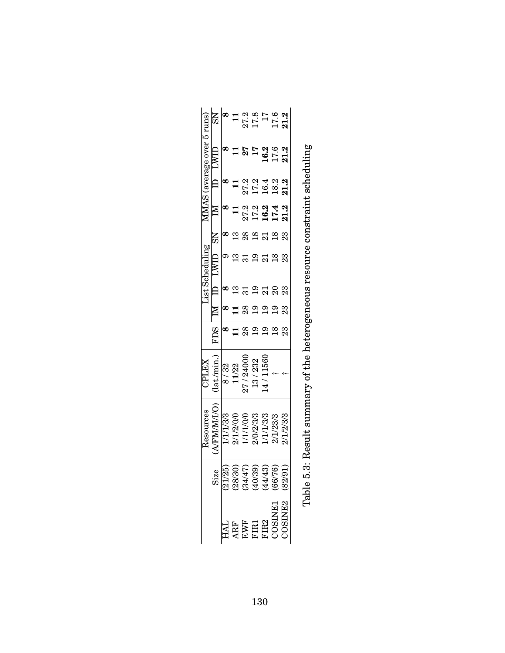|                                   | $\overline{\text{MS}}$      | $\infty$ |           |           | $\frac{11}{27.3}$<br>$\frac{27.8}{17.6}$<br>$\frac{17.6}{17.8}$                                                                                                                                                   |          |          |                                                                                                                                                                                                                                                                                                                                                                                                                                                                                                                            |  |
|-----------------------------------|-----------------------------|----------|-----------|-----------|-------------------------------------------------------------------------------------------------------------------------------------------------------------------------------------------------------------------|----------|----------|----------------------------------------------------------------------------------------------------------------------------------------------------------------------------------------------------------------------------------------------------------------------------------------------------------------------------------------------------------------------------------------------------------------------------------------------------------------------------------------------------------------------------|--|
| <b>MMAS</b> (average over 5 runs) | $\rm{LWD}$                  |          |           |           | $\frac{17}{11}$                                                                                                                                                                                                   | 16.2     | 17.6     | 21.2                                                                                                                                                                                                                                                                                                                                                                                                                                                                                                                       |  |
|                                   | $\left  \mathbf{D} \right $ |          |           |           | 27.2<br>17.3<br>16.2                                                                                                                                                                                              |          |          | 21.2                                                                                                                                                                                                                                                                                                                                                                                                                                                                                                                       |  |
|                                   | $\mathbb M$                 |          |           |           | $27.294$<br>$27.294$<br>$27.4$                                                                                                                                                                                    |          |          | 21.2                                                                                                                                                                                                                                                                                                                                                                                                                                                                                                                       |  |
| List Scheduling                   | $\rm \Xi$                   | $\infty$ | ≌         | 28        | $\frac{8}{18}$                                                                                                                                                                                                    | $\Xi$    |          | 23                                                                                                                                                                                                                                                                                                                                                                                                                                                                                                                         |  |
|                                   |                             |          |           |           | $\overline{0}$                                                                                                                                                                                                    | ដ        |          | ಔ                                                                                                                                                                                                                                                                                                                                                                                                                                                                                                                          |  |
|                                   |                             |          |           | 31        | 29                                                                                                                                                                                                                | ಷ        | $\Omega$ | 23                                                                                                                                                                                                                                                                                                                                                                                                                                                                                                                         |  |
|                                   |                             |          |           | $^{8}$    | $\Xi$                                                                                                                                                                                                             |          |          | ಔ                                                                                                                                                                                                                                                                                                                                                                                                                                                                                                                          |  |
|                                   | FDS                         |          |           | ఇ         |                                                                                                                                                                                                                   |          |          |                                                                                                                                                                                                                                                                                                                                                                                                                                                                                                                            |  |
| CPLEX                             | lat/min.                    | 8/32     | 11/22     | 27/24000  | 13/232                                                                                                                                                                                                            | 4/11560  |          |                                                                                                                                                                                                                                                                                                                                                                                                                                                                                                                            |  |
| Resources                         | <b>VEMMAT/O</b>             | 1/1/3/3  | 2/1/2/0/0 | 1/1/1/0/0 | 2/0/2/3/3                                                                                                                                                                                                         | /1/1/3/3 | 2/1/23/3 | 2/1/2/3/3                                                                                                                                                                                                                                                                                                                                                                                                                                                                                                                  |  |
|                                   |                             |          |           |           | $\begin{array}{c} {\rm Size} \\ ({\overline{21/25}}) \\ ({\overline{28/30}}) \\ ({\overline{34/47}}) \\ ({\overline{40/39}}) \\ ({\overline{44/43}}) \\ ({\overline{44/43}}) \\ ({\overline{46/76}}) \end{array}$ |          |          | (82/91)                                                                                                                                                                                                                                                                                                                                                                                                                                                                                                                    |  |
|                                   |                             |          |           |           |                                                                                                                                                                                                                   |          |          | $\begin{array}{l} \mathrm{HAL} \\ \mathrm{ARF} \\ \mathrm{EWF} \\ \mathrm{FIR1} \\ \mathrm{FIR2} \\ \mathrm{COSINE1} \\ \mathrm{COSINE2} \\ \mathrm{2} \\ \mathrm{2} \\ \mathrm{2} \\ \mathrm{2} \\ \mathrm{2} \\ \mathrm{2} \\ \mathrm{2} \\ \mathrm{2} \\ \mathrm{2} \\ \mathrm{2} \\ \mathrm{2} \\ \mathrm{2} \\ \mathrm{2} \\ \mathrm{2} \\ \mathrm{2} \\ \mathrm{2} \\ \mathrm{2} \\ \mathrm{2} \\ \mathrm{2} \\ \mathrm{2} \\ \mathrm{2} \\ \mathrm{2} \\ \mathrm{2} \\ \mathrm{2} \\ \mathrm{2} \\ \mathrm{2} \\ \$ |  |

Table 5.3: Result summary of the heterogeneous resource constraint scheduling Table 5.3: Result summary of the heterogeneous resource constraint scheduling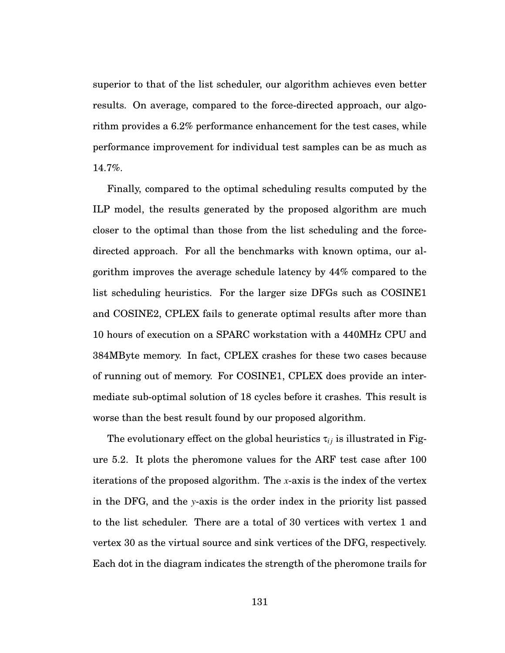superior to that of the list scheduler, our algorithm achieves even better results. On average, compared to the force-directed approach, our algorithm provides a 6.2% performance enhancement for the test cases, while performance improvement for individual test samples can be as much as 14.7%.

Finally, compared to the optimal scheduling results computed by the ILP model, the results generated by the proposed algorithm are much closer to the optimal than those from the list scheduling and the forcedirected approach. For all the benchmarks with known optima, our algorithm improves the average schedule latency by 44% compared to the list scheduling heuristics. For the larger size DFGs such as COSINE1 and COSINE2, CPLEX fails to generate optimal results after more than 10 hours of execution on a SPARC workstation with a 440MHz CPU and 384MByte memory. In fact, CPLEX crashes for these two cases because of running out of memory. For COSINE1, CPLEX does provide an intermediate sub-optimal solution of 18 cycles before it crashes. This result is worse than the best result found by our proposed algorithm.

The evolutionary effect on the global heuristics  $\tau_{ij}$  is illustrated in Figure 5.2. It plots the pheromone values for the ARF test case after 100 iterations of the proposed algorithm. The *x*-axis is the index of the vertex in the DFG, and the *y*-axis is the order index in the priority list passed to the list scheduler. There are a total of 30 vertices with vertex 1 and vertex 30 as the virtual source and sink vertices of the DFG, respectively. Each dot in the diagram indicates the strength of the pheromone trails for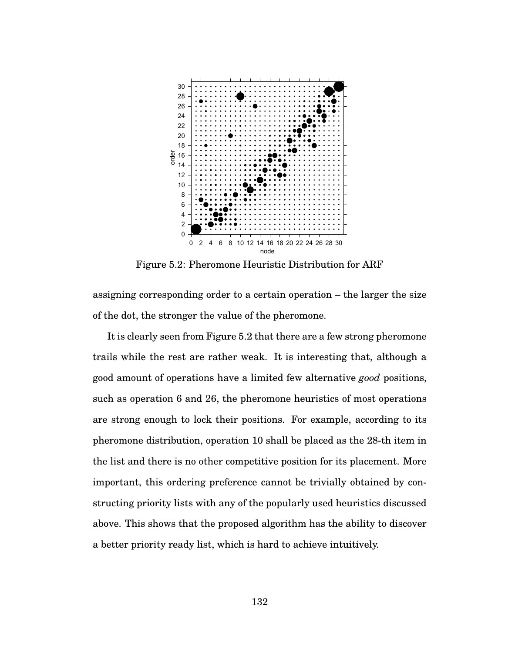

Figure 5.2: Pheromone Heuristic Distribution for ARF

assigning corresponding order to a certain operation – the larger the size of the dot, the stronger the value of the pheromone.

It is clearly seen from Figure 5.2 that there are a few strong pheromone trails while the rest are rather weak. It is interesting that, although a good amount of operations have a limited few alternative *good* positions, such as operation 6 and 26, the pheromone heuristics of most operations are strong enough to lock their positions. For example, according to its pheromone distribution, operation 10 shall be placed as the 28-th item in the list and there is no other competitive position for its placement. More important, this ordering preference cannot be trivially obtained by constructing priority lists with any of the popularly used heuristics discussed above. This shows that the proposed algorithm has the ability to discover a better priority ready list, which is hard to achieve intuitively.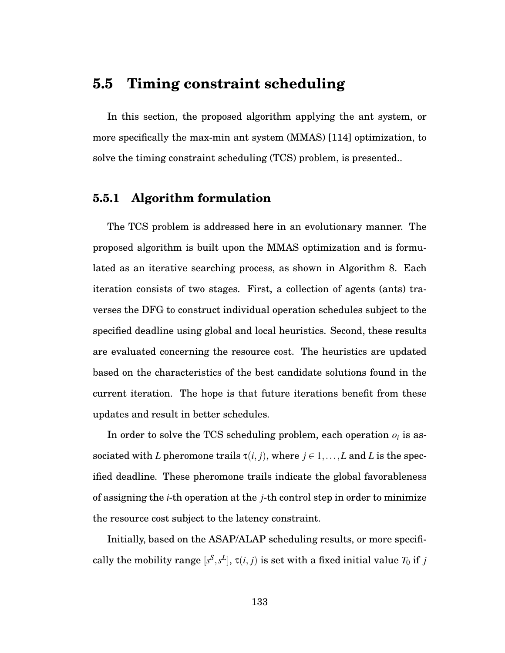# **5.5 Timing constraint scheduling**

In this section, the proposed algorithm applying the ant system, or more specifically the max-min ant system (MMAS) [114] optimization, to solve the timing constraint scheduling (TCS) problem, is presented..

# **5.5.1 Algorithm formulation**

The TCS problem is addressed here in an evolutionary manner. The proposed algorithm is built upon the MMAS optimization and is formulated as an iterative searching process, as shown in Algorithm 8. Each iteration consists of two stages. First, a collection of agents (ants) traverses the DFG to construct individual operation schedules subject to the specified deadline using global and local heuristics. Second, these results are evaluated concerning the resource cost. The heuristics are updated based on the characteristics of the best candidate solutions found in the current iteration. The hope is that future iterations benefit from these updates and result in better schedules.

In order to solve the TCS scheduling problem, each operation  $o_i$  is associated with *L* pheromone trails  $\tau(i, j)$ , where  $j \in 1, \ldots, L$  and *L* is the specified deadline. These pheromone trails indicate the global favorableness of assigning the *i*-th operation at the *j*-th control step in order to minimize the resource cost subject to the latency constraint.

Initially, based on the ASAP/ALAP scheduling results, or more specifically the mobility range  $[s^S, s^L]$ ,  $\tau(i, j)$  is set with a fixed initial value  $T_0$  if  $j$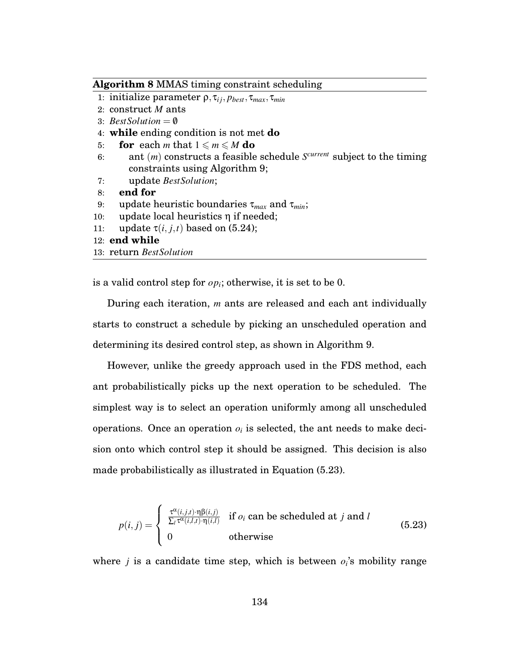#### **Algorithm 8** MMAS timing constraint scheduling

- 1: initialize parameter ρ, τ*i j*, *pbest*, τ*max*, τ*min*
- 2: construct *M* ants
- 3: *BestSolution* =  $\emptyset$
- 4: **while** ending condition is not met **do**
- 5: **for** each *m* that  $1 \le m \le M$  do
- 6: ant (*m*) constructs a feasible schedule *Scurrent* subject to the timing constraints using Algorithm 9;
- 7: update *BestSolution*;
- 8: **end for**
- 9: update heuristic boundaries τ*max* and τ*min*;
- 10: update local heuristics η if needed;
- 11: update  $\tau(i, j, t)$  based on (5.24);
- 12: **end while**
- 13: return *BestSolution*

is a valid control step for  $op_i$ ; otherwise, it is set to be 0.

During each iteration, *m* ants are released and each ant individually starts to construct a schedule by picking an unscheduled operation and determining its desired control step, as shown in Algorithm 9.

However, unlike the greedy approach used in the FDS method, each ant probabilistically picks up the next operation to be scheduled. The simplest way is to select an operation uniformly among all unscheduled operations. Once an operation  $o_i$  is selected, the ant needs to make decision onto which control step it should be assigned. This decision is also made probabilistically as illustrated in Equation (5.23).

$$
p(i,j) = \begin{cases} \frac{\tau^{\alpha}(i,j,t) \cdot \eta \beta(i,j)}{\sum_l \tau^{\alpha}(i,l,t) \cdot \eta(i,l)} & \text{if } o_i \text{ can be scheduled at } j \text{ and } l \\ 0 & \text{otherwise} \end{cases}
$$
(5.23)

where *j* is a candidate time step, which is between  $o_i$ 's mobility range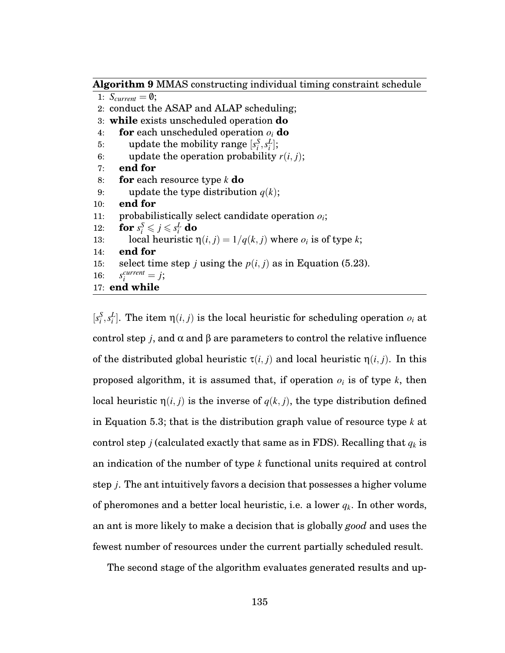**Algorithm 9** MMAS constructing individual timing constraint schedule

```
1: S_{current} = \emptyset;
 2: conduct the ASAP and ALAP scheduling;
 3: while exists unscheduled operation do
 4: for each unscheduled operation oi do
 5: update the mobility range [s_i^S, s_i^L];
 6: update the operation probability r(i, j);
 7: end for
 8: for each resource type k do
 9: update the type distribution q(k);
10: end for
11: probabilistically select candidate operation oi;
12: for s_i^S \leqslant j \leqslant s_i^L do
13: local heuristic \eta(i, j) = 1/q(k, j) where o_i is of type k;
14: end for
15: select time step j using the p(i, j) as in Equation (5.23).
16: s_i^{current} = j;17: end while
```
 $[s_i^S, s_i^L]$ . The item  $\eta(i, j)$  is the local heuristic for scheduling operation  $o_i$  at control step *j*, and α and β are parameters to control the relative influence of the distributed global heuristic  $\tau(i, j)$  and local heuristic  $\eta(i, j)$ . In this proposed algorithm, it is assumed that, if operation  $o_i$  is of type  $k$ , then local heuristic  $η(i, j)$  is the inverse of  $q(k, j)$ , the type distribution defined in Equation 5.3; that is the distribution graph value of resource type *k* at control step *j* (calculated exactly that same as in FDS). Recalling that  $q_k$  is an indication of the number of type *k* functional units required at control step *j*. The ant intuitively favors a decision that possesses a higher volume of pheromones and a better local heuristic, i.e. a lower *qk*. In other words, an ant is more likely to make a decision that is globally *good* and uses the fewest number of resources under the current partially scheduled result.

The second stage of the algorithm evaluates generated results and up-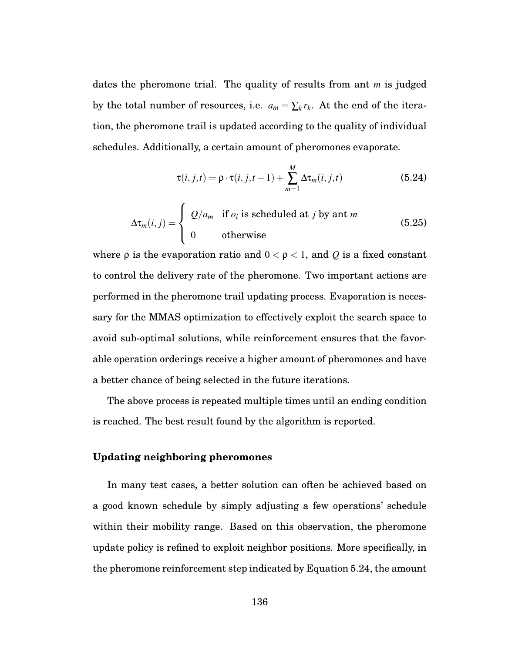dates the pheromone trial. The quality of results from ant *m* is judged by the total number of resources, i.e.  $a_m = \sum_k r_k$ . At the end of the iteration, the pheromone trail is updated according to the quality of individual schedules. Additionally, a certain amount of pheromones evaporate.

$$
\tau(i,j,t) = \rho \cdot \tau(i,j,t-1) + \sum_{m=1}^{M} \Delta \tau_m(i,j,t)
$$
\n(5.24)

$$
\Delta \tau_m(i,j) = \begin{cases} Q/a_m & \text{if } o_i \text{ is scheduled at } j \text{ by ant } m \\ 0 & \text{otherwise} \end{cases}
$$
 (5.25)

where  $\rho$  is the evaporation ratio and  $0 < \rho < 1$ , and *Q* is a fixed constant to control the delivery rate of the pheromone. Two important actions are performed in the pheromone trail updating process. Evaporation is necessary for the MMAS optimization to effectively exploit the search space to avoid sub-optimal solutions, while reinforcement ensures that the favorable operation orderings receive a higher amount of pheromones and have a better chance of being selected in the future iterations.

The above process is repeated multiple times until an ending condition is reached. The best result found by the algorithm is reported.

### **Updating neighboring pheromones**

In many test cases, a better solution can often be achieved based on a good known schedule by simply adjusting a few operations' schedule within their mobility range. Based on this observation, the pheromone update policy is refined to exploit neighbor positions. More specifically, in the pheromone reinforcement step indicated by Equation 5.24, the amount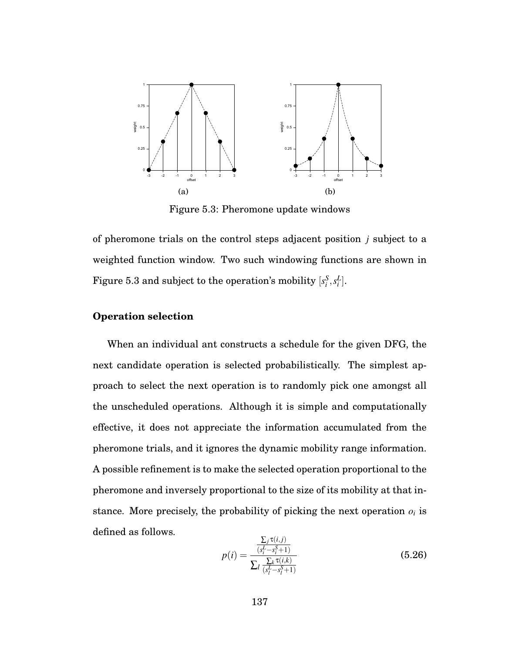

Figure 5.3: Pheromone update windows

of pheromone trials on the control steps adjacent position *j* subject to a weighted function window. Two such windowing functions are shown in Figure 5.3 and subject to the operation's mobility  $[s^S_i, s^L_i].$ 

### **Operation selection**

When an individual ant constructs a schedule for the given DFG, the next candidate operation is selected probabilistically. The simplest approach to select the next operation is to randomly pick one amongst all the unscheduled operations. Although it is simple and computationally effective, it does not appreciate the information accumulated from the pheromone trials, and it ignores the dynamic mobility range information. A possible refinement is to make the selected operation proportional to the pheromone and inversely proportional to the size of its mobility at that instance. More precisely, the probability of picking the next operation  $o_i$  is defined as follows.

$$
p(i) = \frac{\frac{\sum_{j} \tau(i,j)}{(s_i^L - s_i^S + 1)}}{\sum_{l} \frac{\sum_{k} \tau(i,k)}{(s_l^L - s_l^S + 1)}}
$$
(5.26)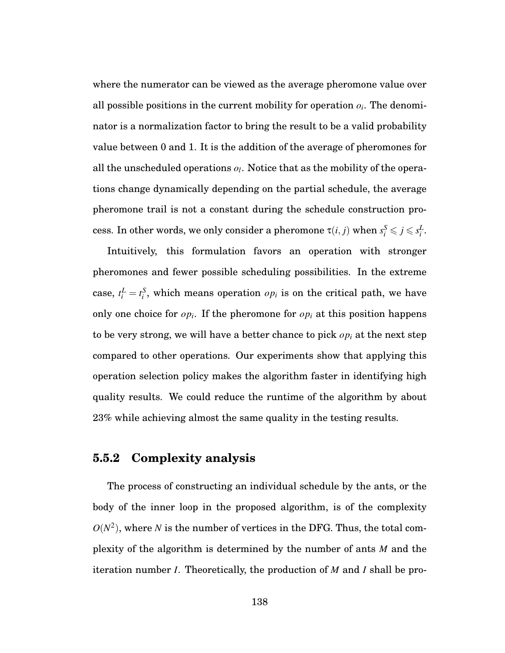where the numerator can be viewed as the average pheromone value over all possible positions in the current mobility for operation  $o_i$ . The denominator is a normalization factor to bring the result to be a valid probability value between 0 and 1. It is the addition of the average of pheromones for all the unscheduled operations *ol*. Notice that as the mobility of the operations change dynamically depending on the partial schedule, the average pheromone trail is not a constant during the schedule construction process. In other words, we only consider a pheromone  $\tau(i, j)$  when  $s_i^S \leqslant j \leqslant s_i^L$ .

Intuitively, this formulation favors an operation with stronger pheromones and fewer possible scheduling possibilities. In the extreme case,  $t_i^L = t_i^S$ , which means operation  $op_i$  is on the critical path, we have only one choice for  $op_i$ . If the pheromone for  $op_i$  at this position happens to be very strong, we will have a better chance to pick *opi* at the next step compared to other operations. Our experiments show that applying this operation selection policy makes the algorithm faster in identifying high quality results. We could reduce the runtime of the algorithm by about 23% while achieving almost the same quality in the testing results.

# **5.5.2 Complexity analysis**

The process of constructing an individual schedule by the ants, or the body of the inner loop in the proposed algorithm, is of the complexity  $O(N^2)$ , where *N* is the number of vertices in the DFG. Thus, the total complexity of the algorithm is determined by the number of ants *M* and the iteration number *I*. Theoretically, the production of *M* and *I* shall be pro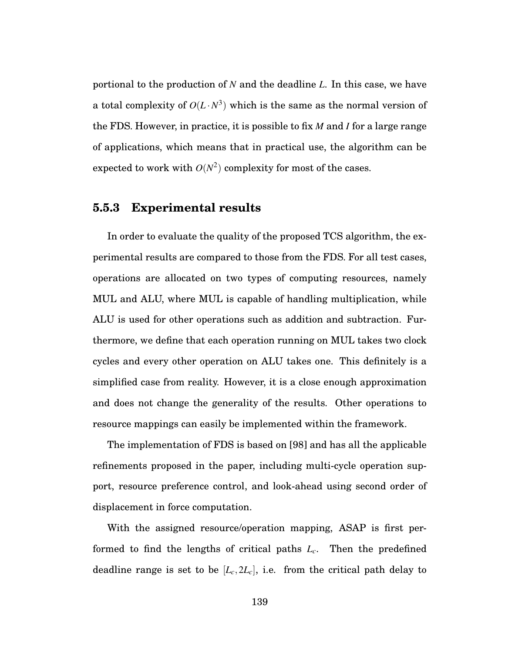portional to the production of *N* and the deadline *L*. In this case, we have a total complexity of  $O(L \cdot N^3)$  which is the same as the normal version of the FDS. However, in practice, it is possible to fix *M* and *I* for a large range of applications, which means that in practical use, the algorithm can be expected to work with  $O(N^2)$  complexity for most of the cases.

## **5.5.3 Experimental results**

In order to evaluate the quality of the proposed TCS algorithm, the experimental results are compared to those from the FDS. For all test cases, operations are allocated on two types of computing resources, namely MUL and ALU, where MUL is capable of handling multiplication, while ALU is used for other operations such as addition and subtraction. Furthermore, we define that each operation running on MUL takes two clock cycles and every other operation on ALU takes one. This definitely is a simplified case from reality. However, it is a close enough approximation and does not change the generality of the results. Other operations to resource mappings can easily be implemented within the framework.

The implementation of FDS is based on [98] and has all the applicable refinements proposed in the paper, including multi-cycle operation support, resource preference control, and look-ahead using second order of displacement in force computation.

With the assigned resource/operation mapping, ASAP is first performed to find the lengths of critical paths  $L_c$ . Then the predefined deadline range is set to be  $[L_c, 2L_c]$ , i.e. from the critical path delay to

139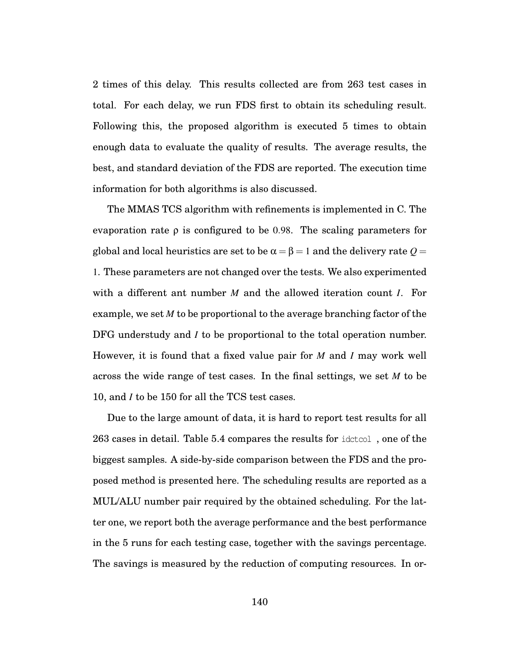2 times of this delay. This results collected are from 263 test cases in total. For each delay, we run FDS first to obtain its scheduling result. Following this, the proposed algorithm is executed 5 times to obtain enough data to evaluate the quality of results. The average results, the best, and standard deviation of the FDS are reported. The execution time information for both algorithms is also discussed.

The MMAS TCS algorithm with refinements is implemented in C. The evaporation rate  $\rho$  is configured to be 0.98. The scaling parameters for global and local heuristics are set to be  $\alpha = \beta = 1$  and the delivery rate  $Q =$ 1. These parameters are not changed over the tests. We also experimented with a different ant number *M* and the allowed iteration count *I*. For example, we set *M* to be proportional to the average branching factor of the DFG understudy and *I* to be proportional to the total operation number. However, it is found that a fixed value pair for *M* and *I* may work well across the wide range of test cases. In the final settings, we set *M* to be 10, and *I* to be 150 for all the TCS test cases.

Due to the large amount of data, it is hard to report test results for all 263 cases in detail. Table 5.4 compares the results for idctcol , one of the biggest samples. A side-by-side comparison between the FDS and the proposed method is presented here. The scheduling results are reported as a MUL/ALU number pair required by the obtained scheduling. For the latter one, we report both the average performance and the best performance in the 5 runs for each testing case, together with the savings percentage. The savings is measured by the reduction of computing resources. In or-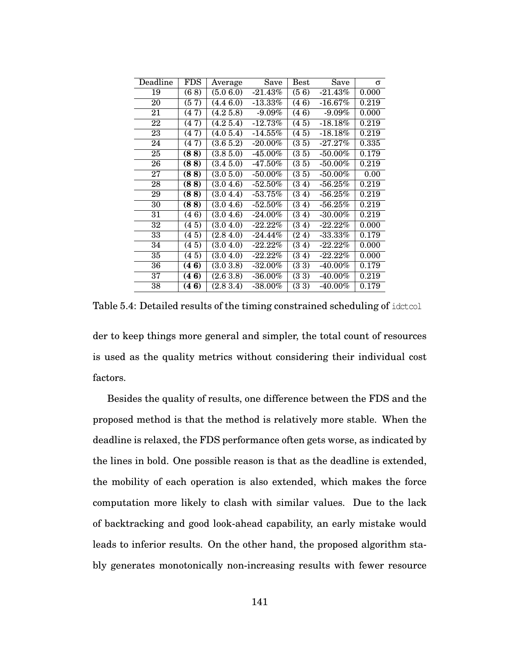| Deadline | FDS       | Average                 | Save       | Best                 | Save                   | σ     |
|----------|-----------|-------------------------|------------|----------------------|------------------------|-------|
| 19       | (68)      | (5.06.0)                | $-21.43\%$ | (56)                 | $-21.43%$              | 0.000 |
| 20       | (57)      | (4.46.0)                | $-13.33\%$ | (46)                 | $-16.67\%$             | 0.219 |
| 21       | 7)<br>(4) | (4.25.8)                | $-9.09%$   | (46)                 | $-9.09%$               | 0.000 |
| 22       | (47)      | $\overline{(4.25.4)}$   | $-12.73%$  | (45)                 | $-18.18%$              | 0.219 |
| 23       | (47)      | $\overline{(4.05.4)}$   | $-14.55\%$ | (45)                 | $-18.18%$              | 0.219 |
| 24       | (47)      | $\overline{(3.65.2)}$   | $-20.00\%$ | (35)                 | $-27.27%$              | 0.335 |
| 25       | (88)      | (3.85.0)                | $-45.00\%$ | (35)                 | $-50.00\%$             | 0.179 |
| 26       | (88)      | (3.45.0)                | -47.50%    | (35)                 | $-50.00%$              | 0.219 |
| 27       | (88)      | (3.05.0)                | $-50.00\%$ | (35)                 | $-50.00\%$             | 0.00  |
| 28       | (88)      | (3.04.6)                | $-52.50%$  | (34)                 | $-56.25%$              | 0.219 |
| 29       | (88)      | (3.04.4)                | $-53.75%$  | (34)                 | $-56.25\%$             | 0.219 |
| 30       | (88)      | (3.0 4.6)               | -52.50%    | (3<br>4)             | $-56.25\%$             | 0.219 |
| 31       | (46)      | (3.0, 4.6)              | $-24.00\%$ | (34)                 | $-30.00\%$             | 0.219 |
| 32       | (45)      | $\overline{(3.0, 4.0)}$ | $-22.22%$  | (34)                 | $-22.22%$              | 0.000 |
| 33       | (45)      | (2.8, 4.0)              | $-24.44\%$ | (24)                 | $-33.33%$              | 0.179 |
| 34       | (45)      | (3.0, 4.0)              | $-22.22%$  | (3<br>4)             | -22.22%                | 0.000 |
| 35       | (45)      | (3.04.0)                | $-22.22%$  | $\overline{3}$<br>4) | $-22.22%$              | 0.000 |
| 36       | (46)      | $\overline{(3.03.8)}$   | $-32.00\%$ | (33)                 | $-40.00\%$             | 0.179 |
| 37       | (46)      | $\overline{(2.63.8)}$   | $-36.00\%$ | (33)                 | -40.00 $\overline{\%}$ | 0.219 |
| 38       | (46)      | (2.83.4)                | -38.00%    | $(3\ 3)$             | $-40.00\%$             | 0.179 |

Table 5.4: Detailed results of the timing constrained scheduling of idctcol

der to keep things more general and simpler, the total count of resources is used as the quality metrics without considering their individual cost factors.

Besides the quality of results, one difference between the FDS and the proposed method is that the method is relatively more stable. When the deadline is relaxed, the FDS performance often gets worse, as indicated by the lines in bold. One possible reason is that as the deadline is extended, the mobility of each operation is also extended, which makes the force computation more likely to clash with similar values. Due to the lack of backtracking and good look-ahead capability, an early mistake would leads to inferior results. On the other hand, the proposed algorithm stably generates monotonically non-increasing results with fewer resource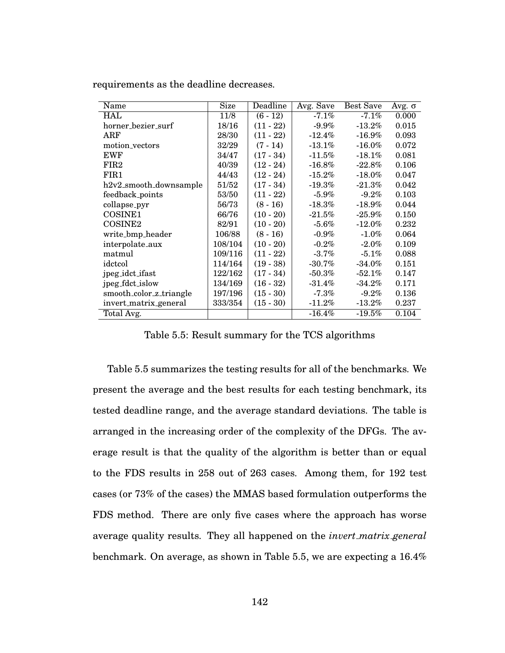| Name                    | Size    | Deadline    | Avg. Save | <b>Best Save</b> | Avg. $σ$ |
|-------------------------|---------|-------------|-----------|------------------|----------|
| <b>HAL</b>              | 11/8    | $(6-12)$    | $-7.1%$   | $-7.1\%$         | 0.000    |
| horner_bezier_surf      | 18/16   | $(11 - 22)$ | $-9.9%$   | $-13.2%$         | 0.015    |
| ARF                     | 28/30   | $(11 - 22)$ | $-12.4\%$ | $-16.9\%$        | 0.093    |
| motion_vectors          | 32/29   | $(7 - 14)$  | $-13.1%$  | $-16.0\%$        | 0.072    |
| <b>EWF</b>              | 34/47   | $(17 - 34)$ | $-11.5\%$ | $-18.1\%$        | 0.081    |
| FIR <sub>2</sub>        | 40/39   | $(12 - 24)$ | -16.8%    | $-22.8%$         | 0.106    |
| FIR1                    | 44/43   | $(12 - 24)$ | $-15.2\%$ | $-18.0\%$        | 0.047    |
| h2v2_smooth_downsample  | 51/52   | $(17 - 34)$ | -19.3%    | $-21.3\%$        | 0.042    |
| feedback_points         | 53/50   | $(11 - 22)$ | $-5.9\%$  | $-9.2\%$         | 0.103    |
| collapse_pyr            | 56/73   | $(8 - 16)$  | $-18.3\%$ | $-18.9%$         | 0.044    |
| COSINE <sub>1</sub>     | 66/76   | $(10 - 20)$ | $-21.5\%$ | $-25.9\%$        | 0.150    |
| COSINE2                 | 82/91   | $(10 - 20)$ | $-5.6\%$  | $-12.0\%$        | 0.232    |
| write_bmp_header        | 106/88  | $(8 - 16)$  | $-0.9\%$  | $-1.0\%$         | 0.064    |
| interpolate_aux         | 108/104 | $(10 - 20)$ | $-0.2\%$  | $-2.0\%$         | 0.109    |
| matmul                  | 109/116 | $(11 - 22)$ | $-3.7\%$  | $-5.1\%$         | 0.088    |
| idctcol                 | 114/164 | $(19 - 38)$ | $-30.7\%$ | $-34.0\%$        | 0.151    |
| jpeg_idct_ifast         | 122/162 | $(17 - 34)$ | $-50.3\%$ | $-52.1\%$        | 0.147    |
| jpeg_fdct_islow         | 134/169 | $(16 - 32)$ | $-31.4\%$ | $-34.2\%$        | 0.171    |
| smooth_color_z_triangle | 197/196 | $(15 - 30)$ | $-7.3\%$  | $-9.2\%$         | 0.136    |
| invert_matrix_general   | 333/354 | $(15 - 30)$ | $-11.2\%$ | $-13.2\%$        | 0.237    |
| Total Avg.              |         |             | $-16.4\%$ | $-19.5\%$        | 0.104    |

requirements as the deadline decreases.

Table 5.5: Result summary for the TCS algorithms

Table 5.5 summarizes the testing results for all of the benchmarks. We present the average and the best results for each testing benchmark, its tested deadline range, and the average standard deviations. The table is arranged in the increasing order of the complexity of the DFGs. The average result is that the quality of the algorithm is better than or equal to the FDS results in 258 out of 263 cases. Among them, for 192 test cases (or 73% of the cases) the MMAS based formulation outperforms the FDS method. There are only five cases where the approach has worse average quality results. They all happened on the *invert matrix general* benchmark. On average, as shown in Table 5.5, we are expecting a 16.4%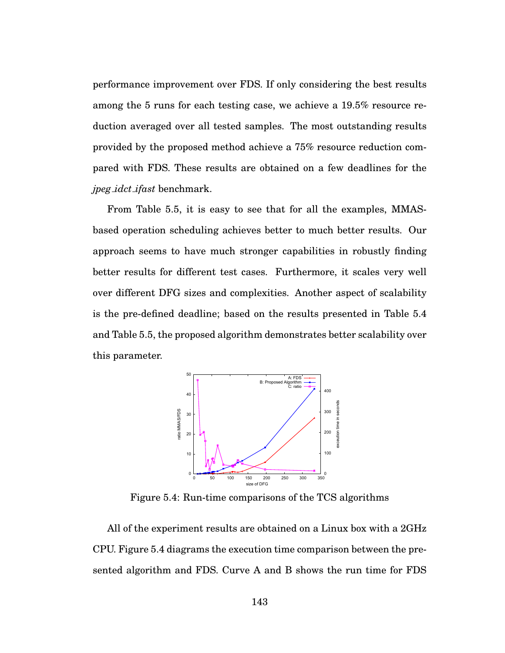performance improvement over FDS. If only considering the best results among the 5 runs for each testing case, we achieve a 19.5% resource reduction averaged over all tested samples. The most outstanding results provided by the proposed method achieve a 75% resource reduction compared with FDS. These results are obtained on a few deadlines for the *jpeg idct ifast* benchmark.

From Table 5.5, it is easy to see that for all the examples, MMASbased operation scheduling achieves better to much better results. Our approach seems to have much stronger capabilities in robustly finding better results for different test cases. Furthermore, it scales very well over different DFG sizes and complexities. Another aspect of scalability is the pre-defined deadline; based on the results presented in Table 5.4 and Table 5.5, the proposed algorithm demonstrates better scalability over this parameter.



Figure 5.4: Run-time comparisons of the TCS algorithms

All of the experiment results are obtained on a Linux box with a 2GHz CPU. Figure 5.4 diagrams the execution time comparison between the presented algorithm and FDS. Curve A and B shows the run time for FDS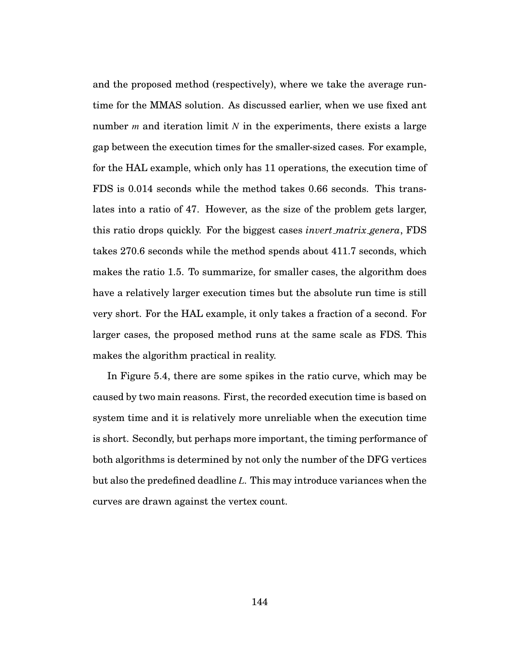and the proposed method (respectively), where we take the average runtime for the MMAS solution. As discussed earlier, when we use fixed ant number *m* and iteration limit *N* in the experiments, there exists a large gap between the execution times for the smaller-sized cases. For example, for the HAL example, which only has 11 operations, the execution time of FDS is 0.014 seconds while the method takes 0.66 seconds. This translates into a ratio of 47. However, as the size of the problem gets larger, this ratio drops quickly. For the biggest cases *invert matrix genera*, FDS takes 270.6 seconds while the method spends about 411.7 seconds, which makes the ratio 1.5. To summarize, for smaller cases, the algorithm does have a relatively larger execution times but the absolute run time is still very short. For the HAL example, it only takes a fraction of a second. For larger cases, the proposed method runs at the same scale as FDS. This makes the algorithm practical in reality.

In Figure 5.4, there are some spikes in the ratio curve, which may be caused by two main reasons. First, the recorded execution time is based on system time and it is relatively more unreliable when the execution time is short. Secondly, but perhaps more important, the timing performance of both algorithms is determined by not only the number of the DFG vertices but also the predefined deadline *L*. This may introduce variances when the curves are drawn against the vertex count.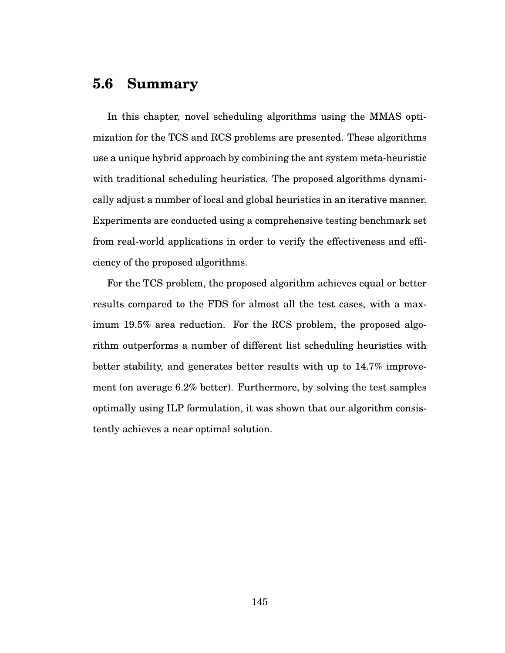# **5.6 Summary**

In this chapter, novel scheduling algorithms using the MMAS optimization for the TCS and RCS problems are presented. These algorithms use a unique hybrid approach by combining the ant system meta-heuristic with traditional scheduling heuristics. The proposed algorithms dynamically adjust a number of local and global heuristics in an iterative manner. Experiments are conducted using a comprehensive testing benchmark set from real-world applications in order to verify the effectiveness and efficiency of the proposed algorithms.

For the TCS problem, the proposed algorithm achieves equal or better results compared to the FDS for almost all the test cases, with a maximum 19.5% area reduction. For the RCS problem, the proposed algorithm outperforms a number of different list scheduling heuristics with better stability, and generates better results with up to 14.7% improvement (on average 6.2% better). Furthermore, by solving the test samples optimally using ILP formulation, it was shown that our algorithm consistently achieves a near optimal solution.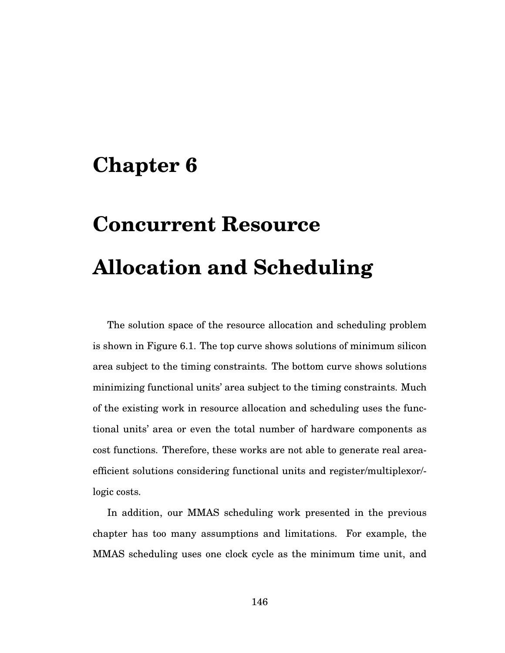# **Chapter 6**

# **Concurrent Resource Allocation and Scheduling**

The solution space of the resource allocation and scheduling problem is shown in Figure 6.1. The top curve shows solutions of minimum silicon area subject to the timing constraints. The bottom curve shows solutions minimizing functional units' area subject to the timing constraints. Much of the existing work in resource allocation and scheduling uses the functional units' area or even the total number of hardware components as cost functions. Therefore, these works are not able to generate real areaefficient solutions considering functional units and register/multiplexor/ logic costs.

In addition, our MMAS scheduling work presented in the previous chapter has too many assumptions and limitations. For example, the MMAS scheduling uses one clock cycle as the minimum time unit, and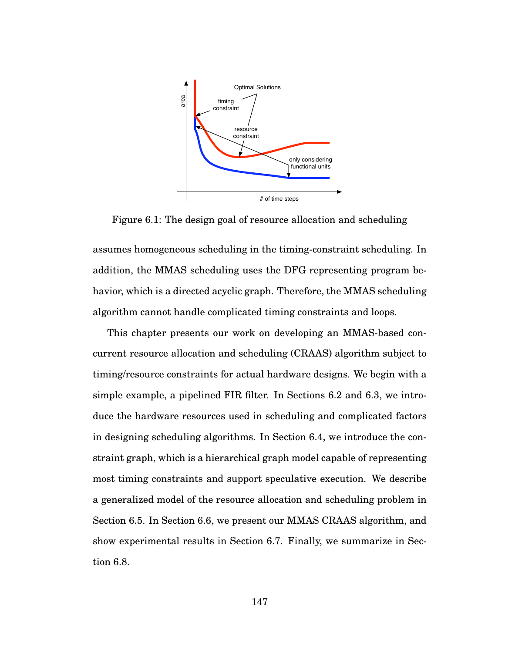

Figure 6.1: The design goal of resource allocation and scheduling

assumes homogeneous scheduling in the timing-constraint scheduling. In addition, the MMAS scheduling uses the DFG representing program behavior, which is a directed acyclic graph. Therefore, the MMAS scheduling algorithm cannot handle complicated timing constraints and loops.

This chapter presents our work on developing an MMAS-based concurrent resource allocation and scheduling (CRAAS) algorithm subject to timing/resource constraints for actual hardware designs. We begin with a simple example, a pipelined FIR filter. In Sections 6.2 and 6.3, we introduce the hardware resources used in scheduling and complicated factors in designing scheduling algorithms. In Section 6.4, we introduce the constraint graph, which is a hierarchical graph model capable of representing most timing constraints and support speculative execution. We describe a generalized model of the resource allocation and scheduling problem in Section 6.5. In Section 6.6, we present our MMAS CRAAS algorithm, and show experimental results in Section 6.7. Finally, we summarize in Section 6.8.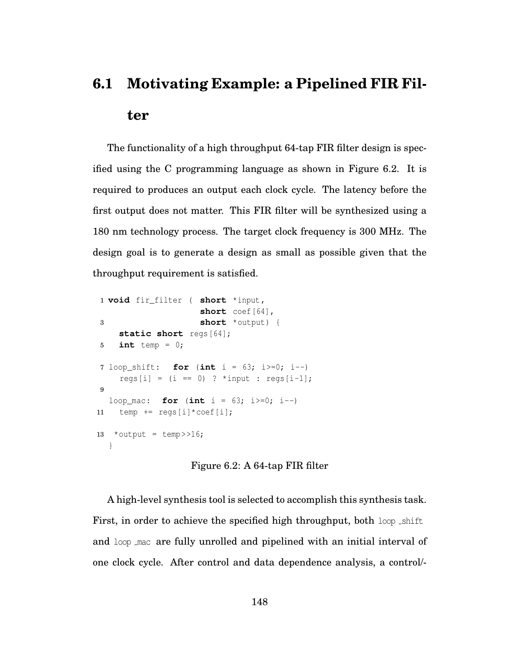# **6.1 Motivating Example: a Pipelined FIR Filter**

The functionality of a high throughput 64-tap FIR filter design is specified using the C programming language as shown in Figure 6.2. It is required to produces an output each clock cycle. The latency before the first output does not matter. This FIR filter will be synthesized using a 180 nm technology process. The target clock frequency is 300 MHz. The design goal is to generate a design as small as possible given that the throughput requirement is satisfied.

```
1 void fir_filter ( short *input,
                    short coef[64],
3 short *output) {
    static short regs<sup>[64]</sup>;
5 int temp = 0;
7 loop_shift: for (int i = 63; i>=0; i--)
    regs[i] = (i == 0) ? *input : regs[i-1];
9
  loop_mac: for (int i = 63; i>=0; i=-)
11 temp += regs[i]*coef[i];
13 * output = temp \gg 16;
  }
```
Figure 6.2: A 64-tap FIR filter

A high-level synthesis tool is selected to accomplish this synthesis task. First, in order to achieve the specified high throughput, both loop shift and loop mac are fully unrolled and pipelined with an initial interval of one clock cycle. After control and data dependence analysis, a control/-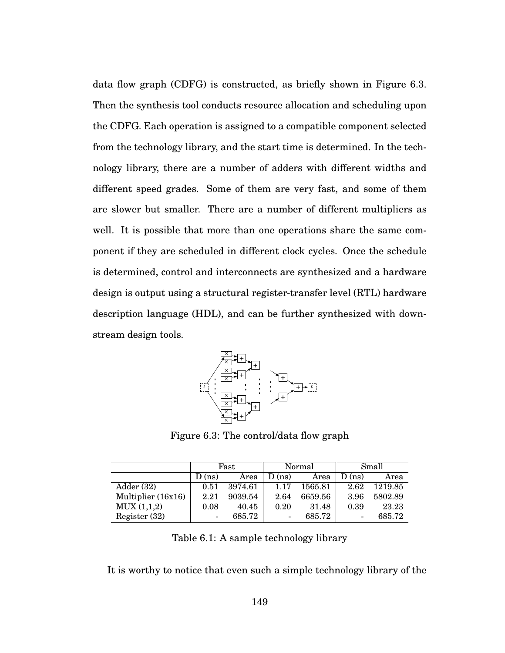data flow graph (CDFG) is constructed, as briefly shown in Figure 6.3. Then the synthesis tool conducts resource allocation and scheduling upon the CDFG. Each operation is assigned to a compatible component selected from the technology library, and the start time is determined. In the technology library, there are a number of adders with different widths and different speed grades. Some of them are very fast, and some of them are slower but smaller. There are a number of different multipliers as well. It is possible that more than one operations share the same component if they are scheduled in different clock cycles. Once the schedule is determined, control and interconnects are synthesized and a hardware design is output using a structural register-transfer level (RTL) hardware description language (HDL), and can be further synthesized with downstream design tools.



Figure 6.3: The control/data flow graph

|                    |                | Fast    |                | Normal  | Small |         |  |
|--------------------|----------------|---------|----------------|---------|-------|---------|--|
|                    | $D$ (ns)       | Area    | D(ns)          | Area    | D(ns) | Area    |  |
| Adder (32)         | 0.51           | 3974.61 | 1.17           | 1565.81 | 2.62  | 1219.85 |  |
| Multiplier (16x16) | 2.21           | 9039.54 | 2.64           | 6659.56 | 3.96  | 5802.89 |  |
| MUX(1,1,2)         | 0.08           | 40.45   | 0.20           | 31.48   | 0.39  | 23.23   |  |
| Register $(32)$    | $\overline{a}$ | 685.72  | $\blacksquare$ | 685.72  | -     | 685.72  |  |

Table 6.1: A sample technology library

It is worthy to notice that even such a simple technology library of the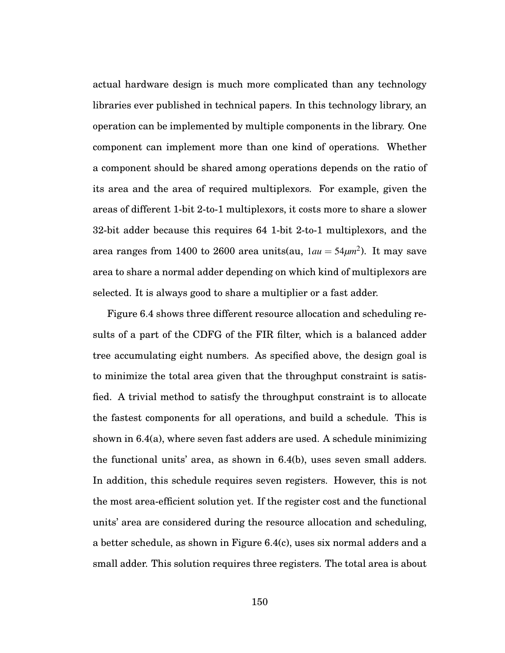actual hardware design is much more complicated than any technology libraries ever published in technical papers. In this technology library, an operation can be implemented by multiple components in the library. One component can implement more than one kind of operations. Whether a component should be shared among operations depends on the ratio of its area and the area of required multiplexors. For example, given the areas of different 1-bit 2-to-1 multiplexors, it costs more to share a slower 32-bit adder because this requires 64 1-bit 2-to-1 multiplexors, and the area ranges from 1400 to 2600 area units(au, 1*au* = 54*μm*2). It may save area to share a normal adder depending on which kind of multiplexors are selected. It is always good to share a multiplier or a fast adder.

Figure 6.4 shows three different resource allocation and scheduling results of a part of the CDFG of the FIR filter, which is a balanced adder tree accumulating eight numbers. As specified above, the design goal is to minimize the total area given that the throughput constraint is satisfied. A trivial method to satisfy the throughput constraint is to allocate the fastest components for all operations, and build a schedule. This is shown in 6.4(a), where seven fast adders are used. A schedule minimizing the functional units' area, as shown in 6.4(b), uses seven small adders. In addition, this schedule requires seven registers. However, this is not the most area-efficient solution yet. If the register cost and the functional units' area are considered during the resource allocation and scheduling, a better schedule, as shown in Figure 6.4(c), uses six normal adders and a small adder. This solution requires three registers. The total area is about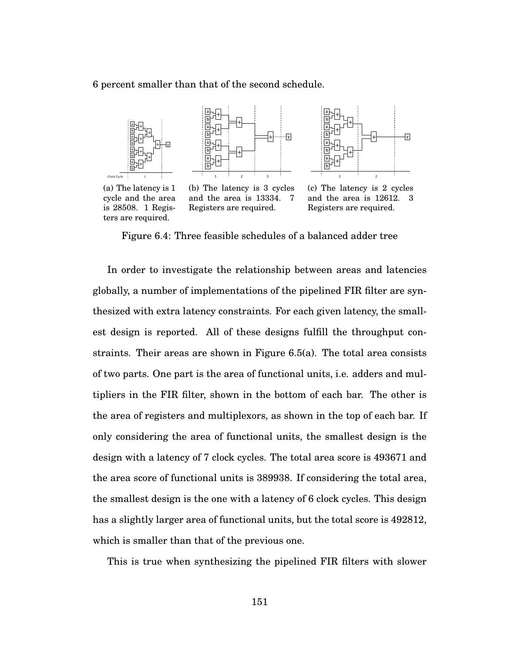6 percent smaller than that of the second schedule.







(a) The latency is 1 cycle and the area is 28508. 1 Registers are required.

(b) The latency is 3 cycles and the area is 13334. 7 Registers are required.

(c) The latency is 2 cycles and the area is 12612. 3 Registers are required.

Figure 6.4: Three feasible schedules of a balanced adder tree

In order to investigate the relationship between areas and latencies globally, a number of implementations of the pipelined FIR filter are synthesized with extra latency constraints. For each given latency, the smallest design is reported. All of these designs fulfill the throughput constraints. Their areas are shown in Figure 6.5(a). The total area consists of two parts. One part is the area of functional units, i.e. adders and multipliers in the FIR filter, shown in the bottom of each bar. The other is the area of registers and multiplexors, as shown in the top of each bar. If only considering the area of functional units, the smallest design is the design with a latency of 7 clock cycles. The total area score is 493671 and the area score of functional units is 389938. If considering the total area, the smallest design is the one with a latency of 6 clock cycles. This design has a slightly larger area of functional units, but the total score is 492812, which is smaller than that of the previous one.

This is true when synthesizing the pipelined FIR filters with slower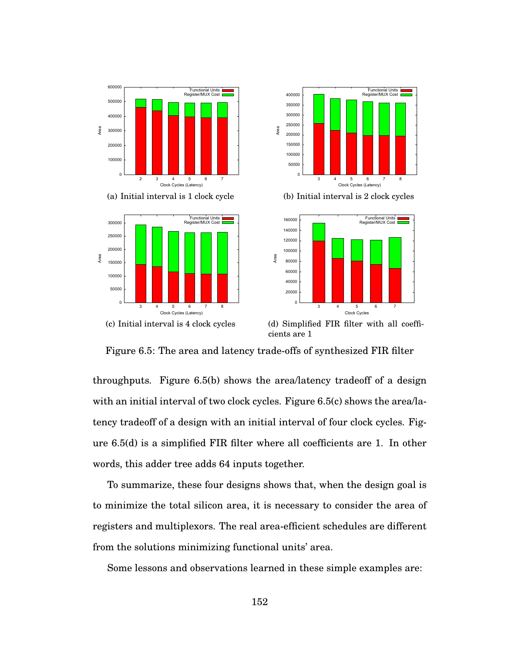





(b) Initial interval is 2 clock cycles



(d) Simplified FIR filter with all coefficients are 1

Figure 6.5: The area and latency trade-offs of synthesized FIR filter

Area

throughputs. Figure 6.5(b) shows the area/latency tradeoff of a design with an initial interval of two clock cycles. Figure 6.5(c) shows the area/latency tradeoff of a design with an initial interval of four clock cycles. Figure 6.5(d) is a simplified FIR filter where all coefficients are 1. In other words, this adder tree adds 64 inputs together.

To summarize, these four designs shows that, when the design goal is to minimize the total silicon area, it is necessary to consider the area of registers and multiplexors. The real area-efficient schedules are different from the solutions minimizing functional units' area.

Some lessons and observations learned in these simple examples are: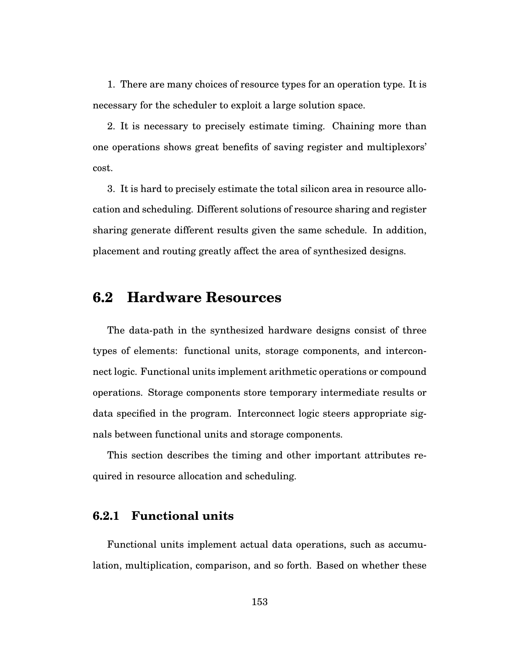1. There are many choices of resource types for an operation type. It is necessary for the scheduler to exploit a large solution space.

2. It is necessary to precisely estimate timing. Chaining more than one operations shows great benefits of saving register and multiplexors' cost.

3. It is hard to precisely estimate the total silicon area in resource allocation and scheduling. Different solutions of resource sharing and register sharing generate different results given the same schedule. In addition, placement and routing greatly affect the area of synthesized designs.

# **6.2 Hardware Resources**

The data-path in the synthesized hardware designs consist of three types of elements: functional units, storage components, and interconnect logic. Functional units implement arithmetic operations or compound operations. Storage components store temporary intermediate results or data specified in the program. Interconnect logic steers appropriate signals between functional units and storage components.

This section describes the timing and other important attributes required in resource allocation and scheduling.

# **6.2.1 Functional units**

Functional units implement actual data operations, such as accumulation, multiplication, comparison, and so forth. Based on whether these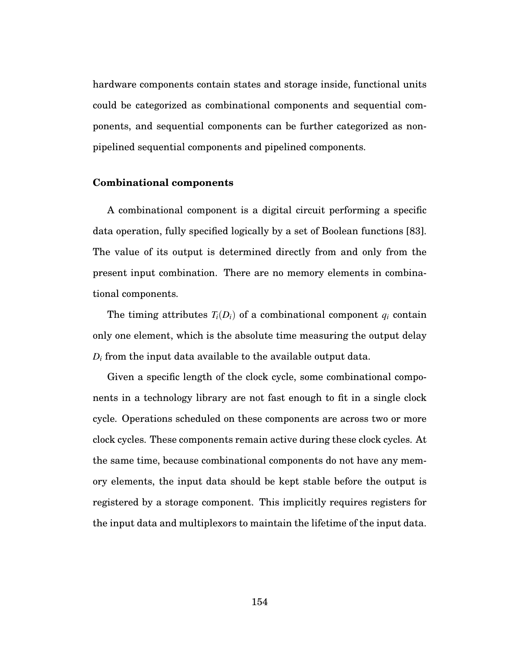hardware components contain states and storage inside, functional units could be categorized as combinational components and sequential components, and sequential components can be further categorized as nonpipelined sequential components and pipelined components.

#### **Combinational components**

A combinational component is a digital circuit performing a specific data operation, fully specified logically by a set of Boolean functions [83]. The value of its output is determined directly from and only from the present input combination. There are no memory elements in combinational components.

The timing attributes  $T_i(D_i)$  of a combinational component  $q_i$  contain only one element, which is the absolute time measuring the output delay *Di* from the input data available to the available output data.

Given a specific length of the clock cycle, some combinational components in a technology library are not fast enough to fit in a single clock cycle. Operations scheduled on these components are across two or more clock cycles. These components remain active during these clock cycles. At the same time, because combinational components do not have any memory elements, the input data should be kept stable before the output is registered by a storage component. This implicitly requires registers for the input data and multiplexors to maintain the lifetime of the input data.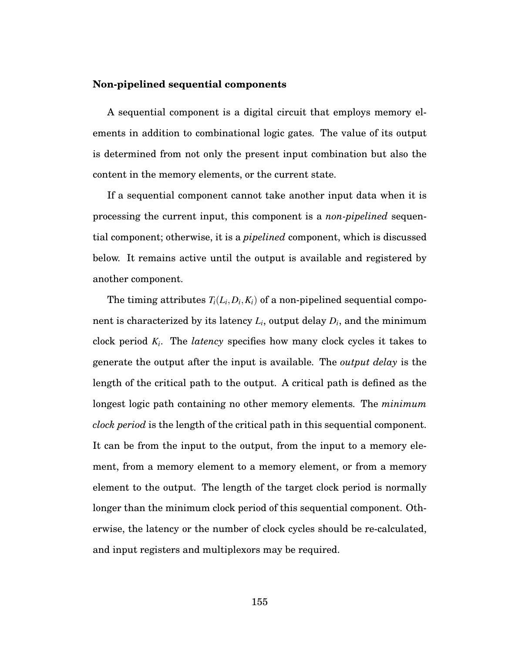#### **Non-pipelined sequential components**

A sequential component is a digital circuit that employs memory elements in addition to combinational logic gates. The value of its output is determined from not only the present input combination but also the content in the memory elements, or the current state.

If a sequential component cannot take another input data when it is processing the current input, this component is a *non-pipelined* sequential component; otherwise, it is a *pipelined* component, which is discussed below. It remains active until the output is available and registered by another component.

The timing attributes  $T_i(L_i, D_i, K_i)$  of a non-pipelined sequential component is characterized by its latency *Li*, output delay *Di*, and the minimum clock period *Ki*. The *latency* specifies how many clock cycles it takes to generate the output after the input is available. The *output delay* is the length of the critical path to the output. A critical path is defined as the longest logic path containing no other memory elements. The *minimum clock period* is the length of the critical path in this sequential component. It can be from the input to the output, from the input to a memory element, from a memory element to a memory element, or from a memory element to the output. The length of the target clock period is normally longer than the minimum clock period of this sequential component. Otherwise, the latency or the number of clock cycles should be re-calculated, and input registers and multiplexors may be required.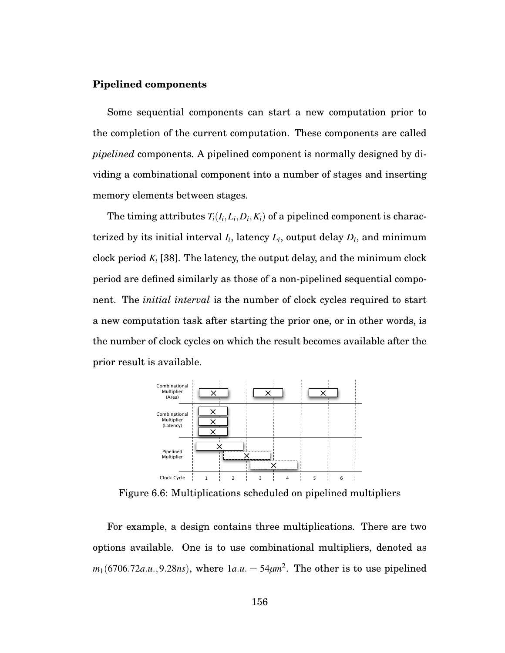#### **Pipelined components**

Some sequential components can start a new computation prior to the completion of the current computation. These components are called *pipelined* components. A pipelined component is normally designed by dividing a combinational component into a number of stages and inserting memory elements between stages.

The timing attributes  $T_i(I_i, L_i, D_i, K_i)$  of a pipelined component is characterized by its initial interval  $I_i$ , latency  $L_i$ , output delay  $D_i$ , and minimum clock period *Ki* [38]. The latency, the output delay, and the minimum clock period are defined similarly as those of a non-pipelined sequential component. The *initial interval* is the number of clock cycles required to start a new computation task after starting the prior one, or in other words, is the number of clock cycles on which the result becomes available after the prior result is available.



Figure 6.6: Multiplications scheduled on pipelined multipliers

For example, a design contains three multiplications. There are two options available. One is to use combinational multipliers, denoted as  $m_1(6706.72a.u., 9.28ns)$ , where  $1a.u. = 54 \mu m^2$ . The other is to use pipelined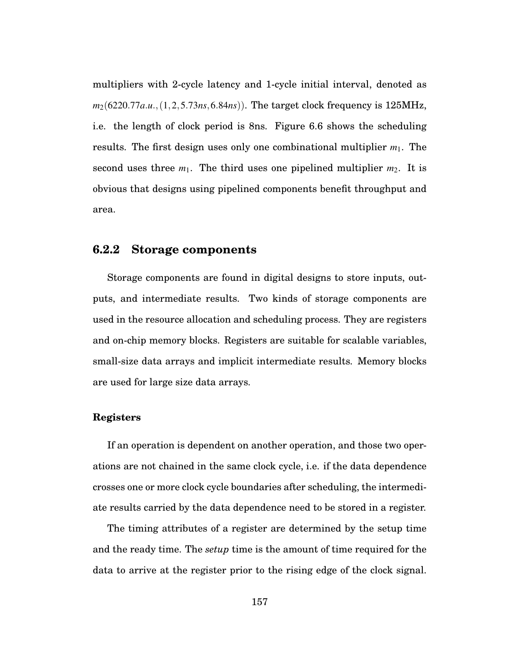multipliers with 2-cycle latency and 1-cycle initial interval, denoted as *m*2(6220.77*a*.*u*.,(1,2,5.73*ns*,6.84*ns*)). The target clock frequency is 125MHz, i.e. the length of clock period is 8ns. Figure 6.6 shows the scheduling results. The first design uses only one combinational multiplier *m*1. The second uses three  $m_1$ . The third uses one pipelined multiplier  $m_2$ . It is obvious that designs using pipelined components benefit throughput and area.

# **6.2.2 Storage components**

Storage components are found in digital designs to store inputs, outputs, and intermediate results. Two kinds of storage components are used in the resource allocation and scheduling process. They are registers and on-chip memory blocks. Registers are suitable for scalable variables, small-size data arrays and implicit intermediate results. Memory blocks are used for large size data arrays.

## **Registers**

If an operation is dependent on another operation, and those two operations are not chained in the same clock cycle, i.e. if the data dependence crosses one or more clock cycle boundaries after scheduling, the intermediate results carried by the data dependence need to be stored in a register.

The timing attributes of a register are determined by the setup time and the ready time. The *setup* time is the amount of time required for the data to arrive at the register prior to the rising edge of the clock signal.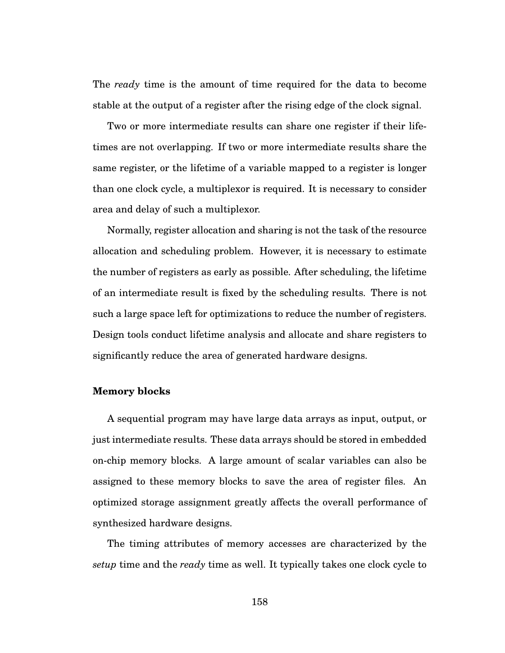The *ready* time is the amount of time required for the data to become stable at the output of a register after the rising edge of the clock signal.

Two or more intermediate results can share one register if their lifetimes are not overlapping. If two or more intermediate results share the same register, or the lifetime of a variable mapped to a register is longer than one clock cycle, a multiplexor is required. It is necessary to consider area and delay of such a multiplexor.

Normally, register allocation and sharing is not the task of the resource allocation and scheduling problem. However, it is necessary to estimate the number of registers as early as possible. After scheduling, the lifetime of an intermediate result is fixed by the scheduling results. There is not such a large space left for optimizations to reduce the number of registers. Design tools conduct lifetime analysis and allocate and share registers to significantly reduce the area of generated hardware designs.

#### **Memory blocks**

A sequential program may have large data arrays as input, output, or just intermediate results. These data arrays should be stored in embedded on-chip memory blocks. A large amount of scalar variables can also be assigned to these memory blocks to save the area of register files. An optimized storage assignment greatly affects the overall performance of synthesized hardware designs.

The timing attributes of memory accesses are characterized by the *setup* time and the *ready* time as well. It typically takes one clock cycle to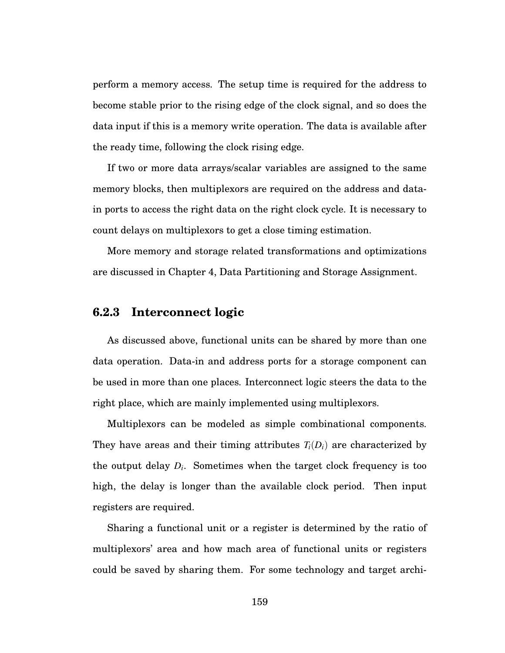perform a memory access. The setup time is required for the address to become stable prior to the rising edge of the clock signal, and so does the data input if this is a memory write operation. The data is available after the ready time, following the clock rising edge.

If two or more data arrays/scalar variables are assigned to the same memory blocks, then multiplexors are required on the address and datain ports to access the right data on the right clock cycle. It is necessary to count delays on multiplexors to get a close timing estimation.

More memory and storage related transformations and optimizations are discussed in Chapter 4, Data Partitioning and Storage Assignment.

# **6.2.3 Interconnect logic**

As discussed above, functional units can be shared by more than one data operation. Data-in and address ports for a storage component can be used in more than one places. Interconnect logic steers the data to the right place, which are mainly implemented using multiplexors.

Multiplexors can be modeled as simple combinational components. They have areas and their timing attributes  $T_i(D_i)$  are characterized by the output delay *Di*. Sometimes when the target clock frequency is too high, the delay is longer than the available clock period. Then input registers are required.

Sharing a functional unit or a register is determined by the ratio of multiplexors' area and how mach area of functional units or registers could be saved by sharing them. For some technology and target archi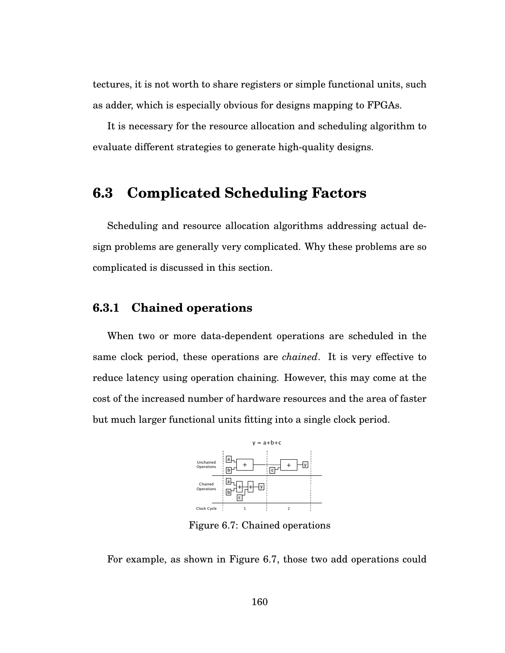tectures, it is not worth to share registers or simple functional units, such as adder, which is especially obvious for designs mapping to FPGAs.

It is necessary for the resource allocation and scheduling algorithm to evaluate different strategies to generate high-quality designs.

# **6.3 Complicated Scheduling Factors**

Scheduling and resource allocation algorithms addressing actual design problems are generally very complicated. Why these problems are so complicated is discussed in this section.

# **6.3.1 Chained operations**

When two or more data-dependent operations are scheduled in the same clock period, these operations are *chained*. It is very effective to reduce latency using operation chaining. However, this may come at the cost of the increased number of hardware resources and the area of faster but much larger functional units fitting into a single clock period.



Figure 6.7: Chained operations

For example, as shown in Figure 6.7, those two add operations could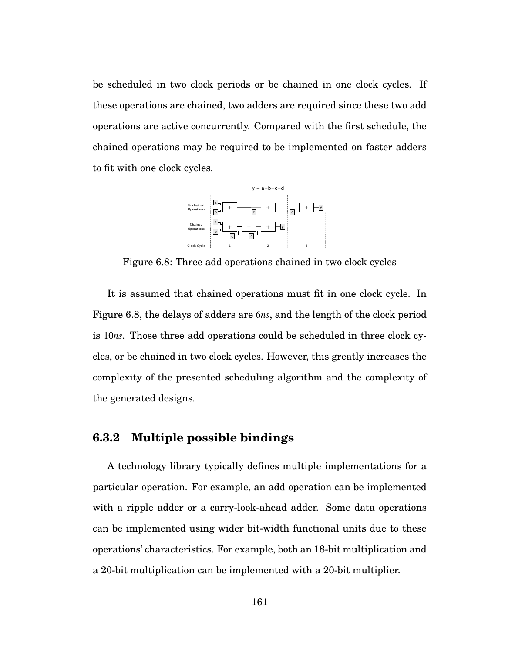be scheduled in two clock periods or be chained in one clock cycles. If these operations are chained, two adders are required since these two add operations are active concurrently. Compared with the first schedule, the chained operations may be required to be implemented on faster adders to fit with one clock cycles.



Figure 6.8: Three add operations chained in two clock cycles

It is assumed that chained operations must fit in one clock cycle. In Figure 6.8, the delays of adders are 6*ns*, and the length of the clock period is 10*ns*. Those three add operations could be scheduled in three clock cycles, or be chained in two clock cycles. However, this greatly increases the complexity of the presented scheduling algorithm and the complexity of the generated designs.

# **6.3.2 Multiple possible bindings**

A technology library typically defines multiple implementations for a particular operation. For example, an add operation can be implemented with a ripple adder or a carry-look-ahead adder. Some data operations can be implemented using wider bit-width functional units due to these operations' characteristics. For example, both an 18-bit multiplication and a 20-bit multiplication can be implemented with a 20-bit multiplier.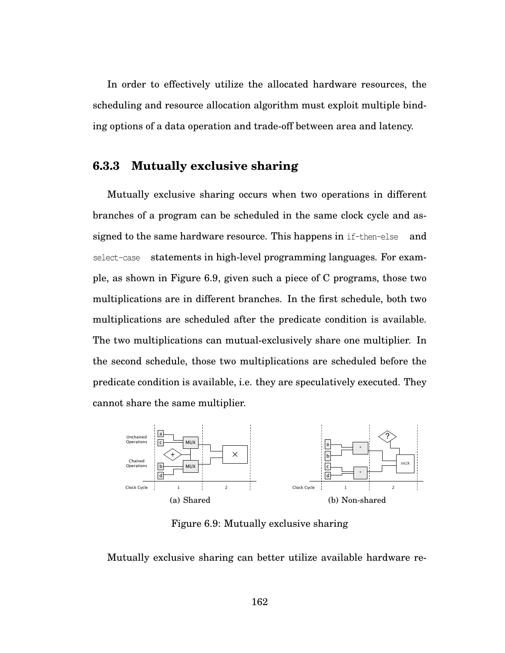In order to effectively utilize the allocated hardware resources, the scheduling and resource allocation algorithm must exploit multiple binding options of a data operation and trade-off between area and latency.

### **6.3.3 Mutually exclusive sharing**

Mutually exclusive sharing occurs when two operations in different branches of a program can be scheduled in the same clock cycle and assigned to the same hardware resource. This happens in if-then-else and select-case statements in high-level programming languages. For example, as shown in Figure 6.9, given such a piece of C programs, those two multiplications are in different branches. In the first schedule, both two multiplications are scheduled after the predicate condition is available. The two multiplications can mutual-exclusively share one multiplier. In the second schedule, those two multiplications are scheduled before the predicate condition is available, i.e. they are speculatively executed. They cannot share the same multiplier.



Figure 6.9: Mutually exclusive sharing

Mutually exclusive sharing can better utilize available hardware re-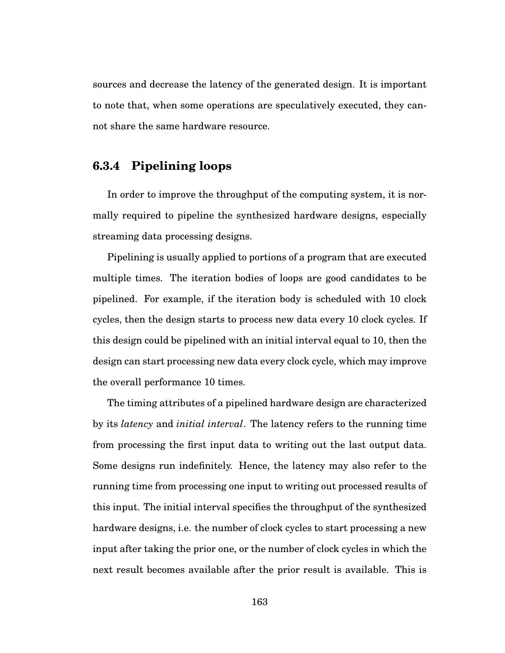sources and decrease the latency of the generated design. It is important to note that, when some operations are speculatively executed, they cannot share the same hardware resource.

## **6.3.4 Pipelining loops**

In order to improve the throughput of the computing system, it is normally required to pipeline the synthesized hardware designs, especially streaming data processing designs.

Pipelining is usually applied to portions of a program that are executed multiple times. The iteration bodies of loops are good candidates to be pipelined. For example, if the iteration body is scheduled with 10 clock cycles, then the design starts to process new data every 10 clock cycles. If this design could be pipelined with an initial interval equal to 10, then the design can start processing new data every clock cycle, which may improve the overall performance 10 times.

The timing attributes of a pipelined hardware design are characterized by its *latency* and *initial interval*. The latency refers to the running time from processing the first input data to writing out the last output data. Some designs run indefinitely. Hence, the latency may also refer to the running time from processing one input to writing out processed results of this input. The initial interval specifies the throughput of the synthesized hardware designs, i.e. the number of clock cycles to start processing a new input after taking the prior one, or the number of clock cycles in which the next result becomes available after the prior result is available. This is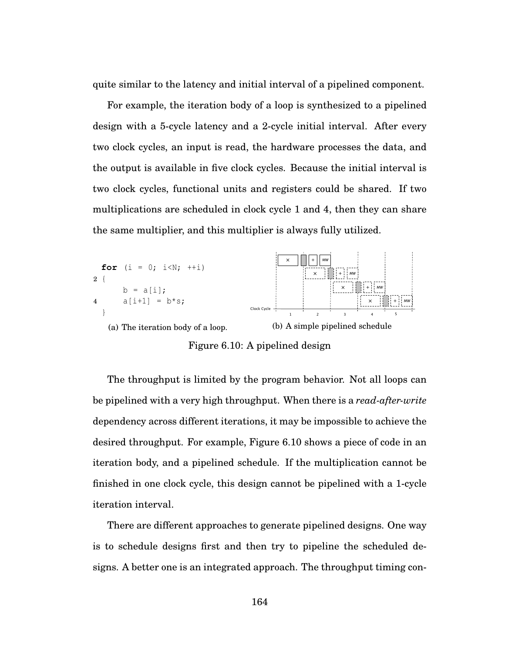quite similar to the latency and initial interval of a pipelined component.

For example, the iteration body of a loop is synthesized to a pipelined design with a 5-cycle latency and a 2-cycle initial interval. After every two clock cycles, an input is read, the hardware processes the data, and the output is available in five clock cycles. Because the initial interval is two clock cycles, functional units and registers could be shared. If two multiplications are scheduled in clock cycle 1 and 4, then they can share the same multiplier, and this multiplier is always fully utilized.



Figure 6.10: A pipelined design

The throughput is limited by the program behavior. Not all loops can be pipelined with a very high throughput. When there is a *read-after-write* dependency across different iterations, it may be impossible to achieve the desired throughput. For example, Figure 6.10 shows a piece of code in an iteration body, and a pipelined schedule. If the multiplication cannot be finished in one clock cycle, this design cannot be pipelined with a 1-cycle iteration interval.

There are different approaches to generate pipelined designs. One way is to schedule designs first and then try to pipeline the scheduled designs. A better one is an integrated approach. The throughput timing con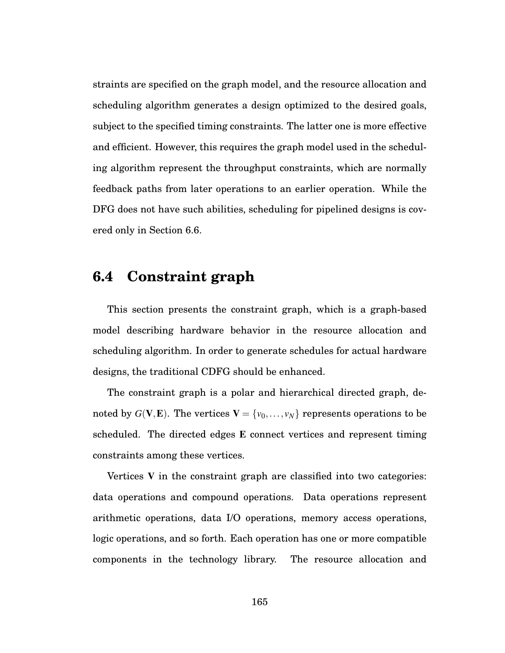straints are specified on the graph model, and the resource allocation and scheduling algorithm generates a design optimized to the desired goals, subject to the specified timing constraints. The latter one is more effective and efficient. However, this requires the graph model used in the scheduling algorithm represent the throughput constraints, which are normally feedback paths from later operations to an earlier operation. While the DFG does not have such abilities, scheduling for pipelined designs is covered only in Section 6.6.

# **6.4 Constraint graph**

This section presents the constraint graph, which is a graph-based model describing hardware behavior in the resource allocation and scheduling algorithm. In order to generate schedules for actual hardware designs, the traditional CDFG should be enhanced.

The constraint graph is a polar and hierarchical directed graph, denoted by  $G(V, E)$ . The vertices  $V = \{v_0, \ldots, v_N\}$  represents operations to be scheduled. The directed edges E connect vertices and represent timing constraints among these vertices.

Vertices V in the constraint graph are classified into two categories: data operations and compound operations. Data operations represent arithmetic operations, data I/O operations, memory access operations, logic operations, and so forth. Each operation has one or more compatible components in the technology library. The resource allocation and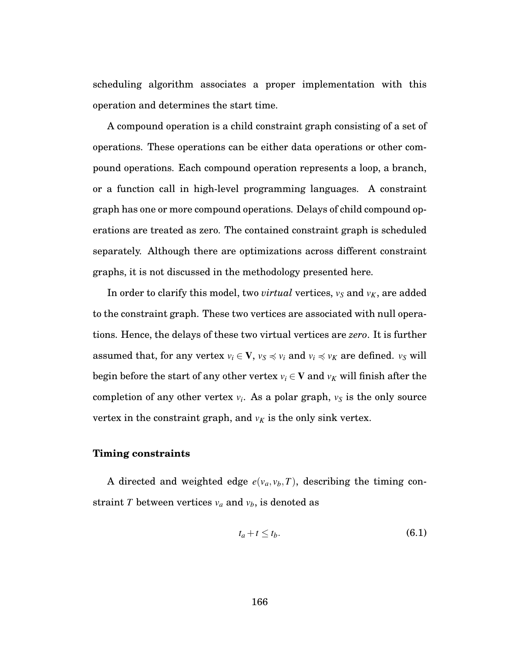scheduling algorithm associates a proper implementation with this operation and determines the start time.

A compound operation is a child constraint graph consisting of a set of operations. These operations can be either data operations or other compound operations. Each compound operation represents a loop, a branch, or a function call in high-level programming languages. A constraint graph has one or more compound operations. Delays of child compound operations are treated as zero. The contained constraint graph is scheduled separately. Although there are optimizations across different constraint graphs, it is not discussed in the methodology presented here.

In order to clarify this model, two *virtual* vertices,  $v_S$  and  $v_K$ , are added to the constraint graph. These two vertices are associated with null operations. Hence, the delays of these two virtual vertices are *zero*. It is further assumed that, for any vertex  $v_i \in \mathbf{V}$ ,  $v_s \preccurlyeq v_i$  and  $v_i \preccurlyeq v_K$  are defined.  $v_S$  will begin before the start of any other vertex  $v_i \in V$  and  $v_K$  will finish after the completion of any other vertex  $v_i$ . As a polar graph,  $v_s$  is the only source vertex in the constraint graph, and  $v_K$  is the only sink vertex.

#### **Timing constraints**

A directed and weighted edge  $e(v_a, v_b, T)$ , describing the timing constraint *T* between vertices  $v_a$  and  $v_b$ , is denoted as

$$
t_a + t \le t_b. \tag{6.1}
$$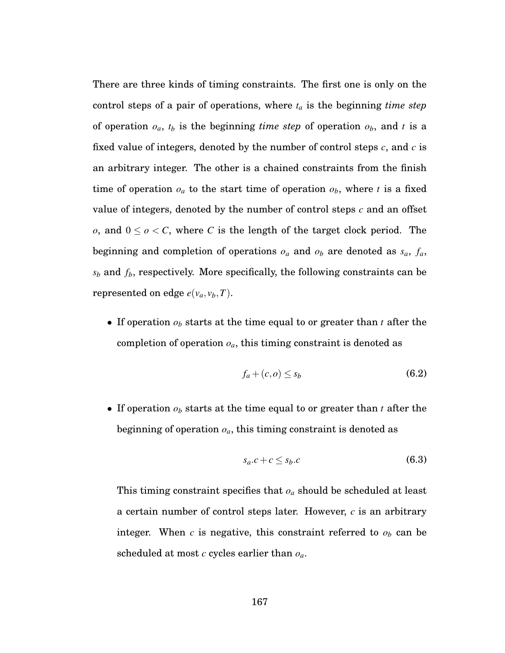There are three kinds of timing constraints. The first one is only on the control steps of a pair of operations, where *ta* is the beginning *time step* of operation  $o_a$ ,  $t_b$  is the beginning *time step* of operation  $o_b$ , and *t* is a fixed value of integers, denoted by the number of control steps *c*, and *c* is an arbitrary integer. The other is a chained constraints from the finish time of operation  $o_a$  to the start time of operation  $o_b$ , where *t* is a fixed value of integers, denoted by the number of control steps *c* and an offset *o*, and  $0 \leq o \leq C$ , where *C* is the length of the target clock period. The beginning and completion of operations  $o_a$  and  $o_b$  are denoted as  $s_a$ ,  $f_a$ ,  $s_b$  and  $f_b$ , respectively. More specifically, the following constraints can be represented on edge  $e(v_a, v_b, T)$ .

• If operation *ob* starts at the time equal to or greater than *t* after the completion of operation *oa*, this timing constraint is denoted as

$$
f_a + (c, o) \le s_b \tag{6.2}
$$

• If operation *ob* starts at the time equal to or greater than *t* after the beginning of operation *oa*, this timing constraint is denoted as

$$
s_a.c + c \leq s_b.c \tag{6.3}
$$

This timing constraint specifies that *oa* should be scheduled at least a certain number of control steps later. However, *c* is an arbitrary integer. When  $c$  is negative, this constraint referred to  $o<sub>b</sub>$  can be scheduled at most *c* cycles earlier than *oa*.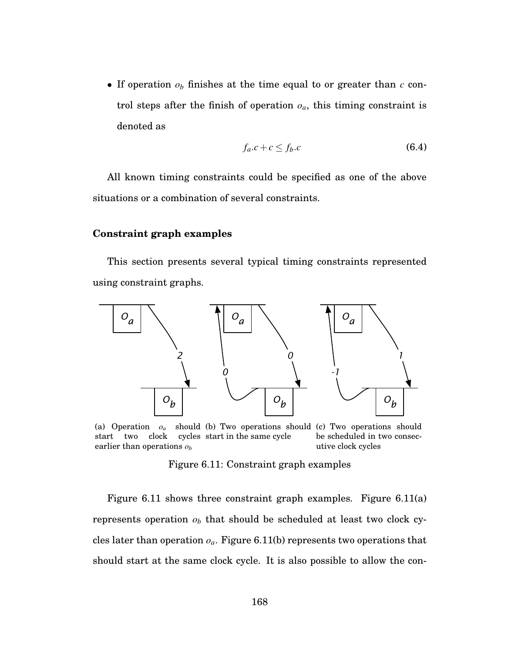• If operation *ob* finishes at the time equal to or greater than *c* control steps after the finish of operation *oa*, this timing constraint is denoted as

$$
f_a.c + c \le f_b.c \tag{6.4}
$$

All known timing constraints could be specified as one of the above situations or a combination of several constraints.

#### **Constraint graph examples**

This section presents several typical timing constraints represented using constraint graphs.



(a) Operation  $o_a$ start two clock cycles start in the same cycle earlier than operations *ob* (b) Two operations should (c) Two operations should be scheduled in two consecutive clock cycles

Figure 6.11: Constraint graph examples

Figure 6.11 shows three constraint graph examples. Figure 6.11(a) represents operation  $o<sub>b</sub>$  that should be scheduled at least two clock cycles later than operation  $o_a$ . Figure 6.11(b) represents two operations that should start at the same clock cycle. It is also possible to allow the con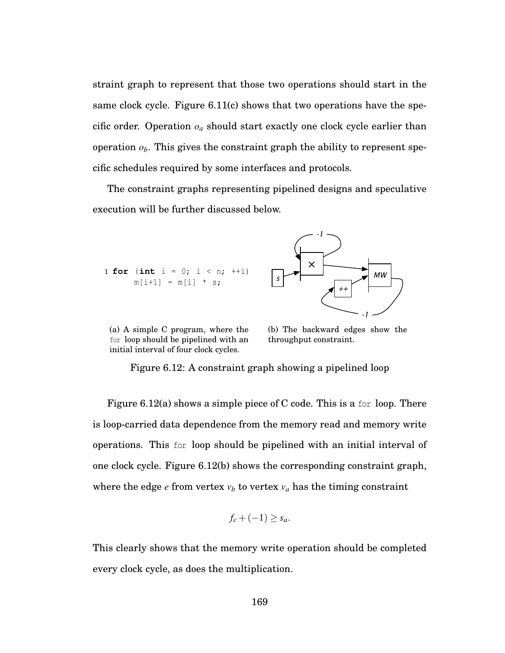straint graph to represent that those two operations should start in the same clock cycle. Figure 6.11(c) shows that two operations have the specific order. Operation  $o_a$  should start exactly one clock cycle earlier than operation  $o_b$ . This gives the constraint graph the ability to represent specific schedules required by some interfaces and protocols.

The constraint graphs representing pipelined designs and speculative execution will be further discussed below.



(a) A simple C program, where the for loop should be pipelined with an initial interval of four clock cycles.

(b) The backward edges show the throughput constraint.

Figure 6.12: A constraint graph showing a pipelined loop

Figure 6.12(a) shows a simple piece of C code. This is a for loop. There is loop-carried data dependence from the memory read and memory write operations. This for loop should be pipelined with an initial interval of one clock cycle. Figure 6.12(b) shows the corresponding constraint graph, where the edge  $e$  from vertex  $v_b$  to vertex  $v_a$  has the timing constraint

$$
f_c + (-1) \ge s_a.
$$

This clearly shows that the memory write operation should be completed every clock cycle, as does the multiplication.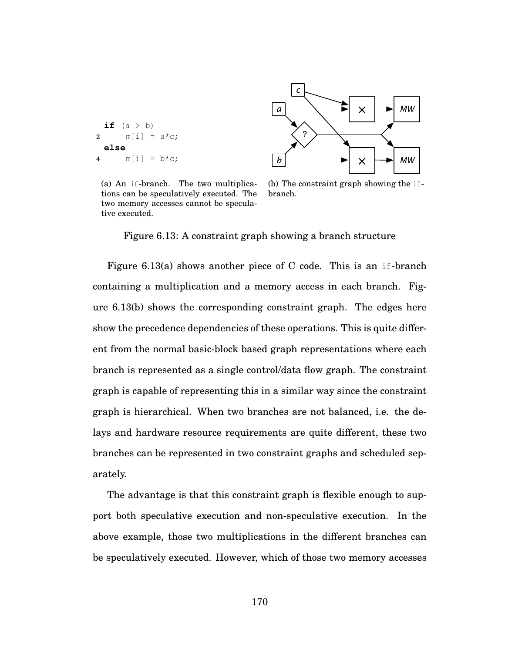```
if (a > b)2 m[i] = a * c;else
4 m[i] = b * c;
```




(b) The constraint graph showing the ifbranch.

Figure 6.13: A constraint graph showing a branch structure

Figure 6.13(a) shows another piece of C code. This is an if-branch containing a multiplication and a memory access in each branch. Figure 6.13(b) shows the corresponding constraint graph. The edges here show the precedence dependencies of these operations. This is quite different from the normal basic-block based graph representations where each branch is represented as a single control/data flow graph. The constraint graph is capable of representing this in a similar way since the constraint graph is hierarchical. When two branches are not balanced, i.e. the delays and hardware resource requirements are quite different, these two branches can be represented in two constraint graphs and scheduled separately.

The advantage is that this constraint graph is flexible enough to support both speculative execution and non-speculative execution. In the above example, those two multiplications in the different branches can be speculatively executed. However, which of those two memory accesses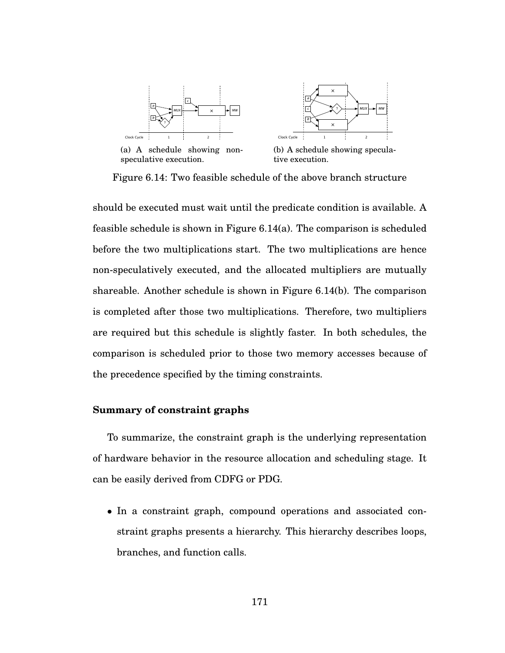

Figure 6.14: Two feasible schedule of the above branch structure

should be executed must wait until the predicate condition is available. A feasible schedule is shown in Figure 6.14(a). The comparison is scheduled before the two multiplications start. The two multiplications are hence non-speculatively executed, and the allocated multipliers are mutually shareable. Another schedule is shown in Figure 6.14(b). The comparison is completed after those two multiplications. Therefore, two multipliers are required but this schedule is slightly faster. In both schedules, the comparison is scheduled prior to those two memory accesses because of the precedence specified by the timing constraints.

#### **Summary of constraint graphs**

To summarize, the constraint graph is the underlying representation of hardware behavior in the resource allocation and scheduling stage. It can be easily derived from CDFG or PDG.

• In a constraint graph, compound operations and associated constraint graphs presents a hierarchy. This hierarchy describes loops, branches, and function calls.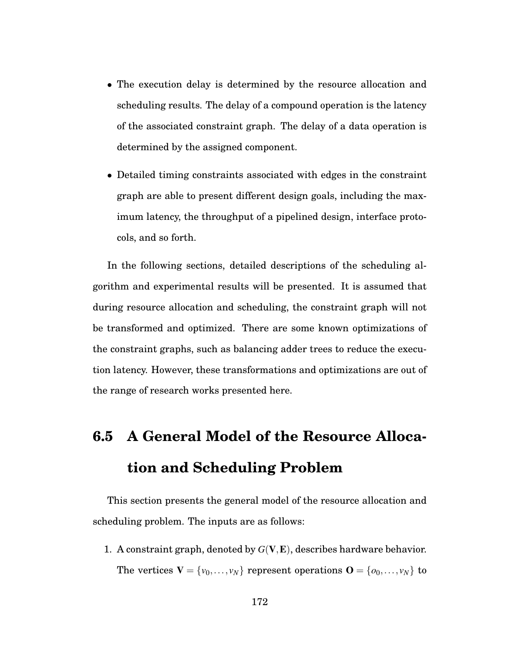- The execution delay is determined by the resource allocation and scheduling results. The delay of a compound operation is the latency of the associated constraint graph. The delay of a data operation is determined by the assigned component.
- Detailed timing constraints associated with edges in the constraint graph are able to present different design goals, including the maximum latency, the throughput of a pipelined design, interface protocols, and so forth.

In the following sections, detailed descriptions of the scheduling algorithm and experimental results will be presented. It is assumed that during resource allocation and scheduling, the constraint graph will not be transformed and optimized. There are some known optimizations of the constraint graphs, such as balancing adder trees to reduce the execution latency. However, these transformations and optimizations are out of the range of research works presented here.

# **6.5 A General Model of the Resource Allocation and Scheduling Problem**

This section presents the general model of the resource allocation and scheduling problem. The inputs are as follows:

1. A constraint graph, denoted by *G*(V,E), describes hardware behavior. The vertices  $\mathbf{V} = \{v_0, \ldots, v_N\}$  represent operations  $\mathbf{O} = \{o_0, \ldots, v_N\}$  to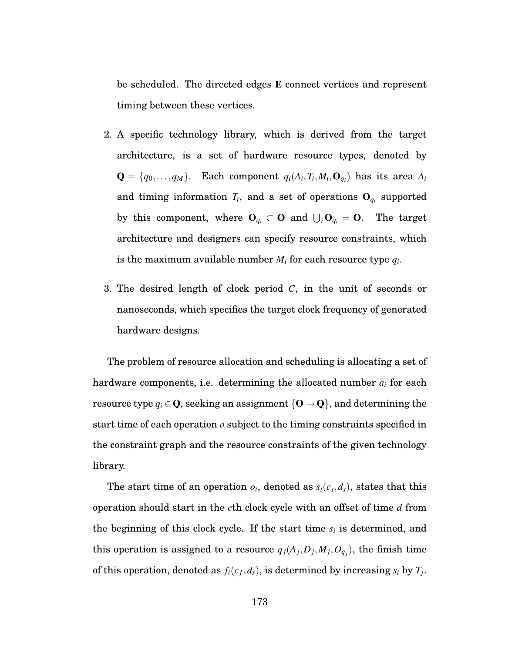be scheduled. The directed edges E connect vertices and represent timing between these vertices.

- 2. A specific technology library, which is derived from the target architecture, is a set of hardware resource types, denoted by  $\mathbf{Q} = \{q_0, \ldots, q_M\}$ . Each component  $q_i(A_i, T_i, M_i, \mathbf{O}_{q_i})$  has its area  $A_i$ and timing information  $T_i$ , and a set of operations  $O_{q_i}$  supported by this component, where  $\mathbf{O}_{q_i} \subset \mathbf{O}$  and  $\bigcup_i \mathbf{O}_{q_i} = \mathbf{O}$ . The target architecture and designers can specify resource constraints, which is the maximum available number  $M_i$  for each resource type  $q_i$ .
- 3. The desired length of clock period *C*, in the unit of seconds or nanoseconds, which specifies the target clock frequency of generated hardware designs.

The problem of resource allocation and scheduling is allocating a set of hardware components, i.e. determining the allocated number *ai* for each resource type  $q_i \in \mathbf{Q}$ , seeking an assignment  $\{\mathbf{O} \rightarrow \mathbf{Q}\}$ , and determining the start time of each operation *o* subject to the timing constraints specified in the constraint graph and the resource constraints of the given technology library.

The start time of an operation  $o_i$ , denoted as  $s_i(c_s, d_s)$ , states that this operation should start in the *c*th clock cycle with an offset of time *d* from the beginning of this clock cycle. If the start time *si* is determined, and this operation is assigned to a resource  $q_j(A_j, D_j, M_j, O_{q_j})$ , the finish time of this operation, denoted as  $f_i(c_f, d_s)$ , is determined by increasing  $s_i$  by  $T_j$ .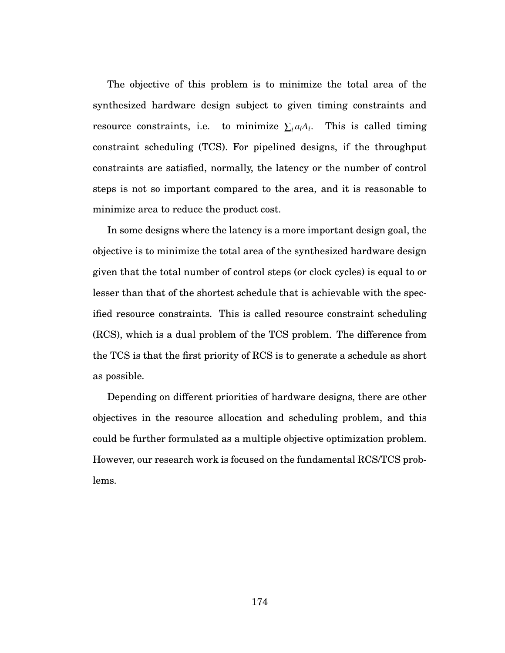The objective of this problem is to minimize the total area of the synthesized hardware design subject to given timing constraints and resource constraints, i.e. to minimize  $\sum_{i} a_i A_i$ . This is called timing constraint scheduling (TCS). For pipelined designs, if the throughput constraints are satisfied, normally, the latency or the number of control steps is not so important compared to the area, and it is reasonable to minimize area to reduce the product cost.

In some designs where the latency is a more important design goal, the objective is to minimize the total area of the synthesized hardware design given that the total number of control steps (or clock cycles) is equal to or lesser than that of the shortest schedule that is achievable with the specified resource constraints. This is called resource constraint scheduling (RCS), which is a dual problem of the TCS problem. The difference from the TCS is that the first priority of RCS is to generate a schedule as short as possible.

Depending on different priorities of hardware designs, there are other objectives in the resource allocation and scheduling problem, and this could be further formulated as a multiple objective optimization problem. However, our research work is focused on the fundamental RCS/TCS problems.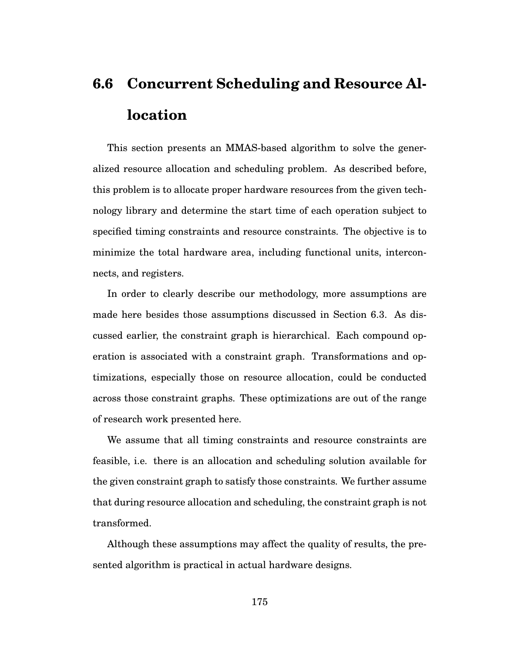# **6.6 Concurrent Scheduling and Resource Allocation**

This section presents an MMAS-based algorithm to solve the generalized resource allocation and scheduling problem. As described before, this problem is to allocate proper hardware resources from the given technology library and determine the start time of each operation subject to specified timing constraints and resource constraints. The objective is to minimize the total hardware area, including functional units, interconnects, and registers.

In order to clearly describe our methodology, more assumptions are made here besides those assumptions discussed in Section 6.3. As discussed earlier, the constraint graph is hierarchical. Each compound operation is associated with a constraint graph. Transformations and optimizations, especially those on resource allocation, could be conducted across those constraint graphs. These optimizations are out of the range of research work presented here.

We assume that all timing constraints and resource constraints are feasible, i.e. there is an allocation and scheduling solution available for the given constraint graph to satisfy those constraints. We further assume that during resource allocation and scheduling, the constraint graph is not transformed.

Although these assumptions may affect the quality of results, the presented algorithm is practical in actual hardware designs.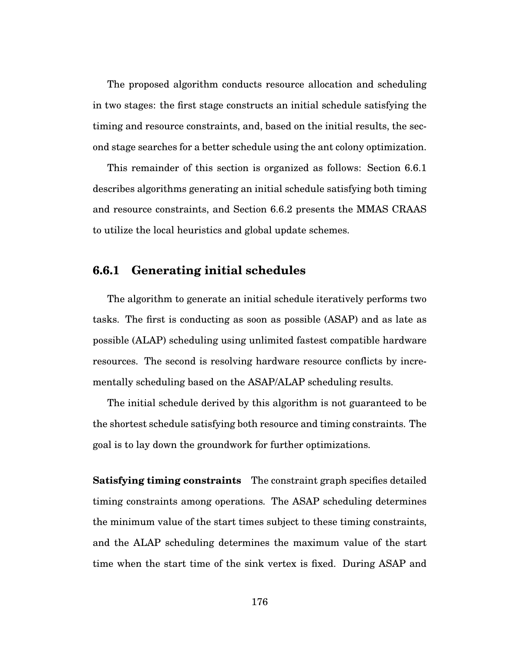The proposed algorithm conducts resource allocation and scheduling in two stages: the first stage constructs an initial schedule satisfying the timing and resource constraints, and, based on the initial results, the second stage searches for a better schedule using the ant colony optimization.

This remainder of this section is organized as follows: Section 6.6.1 describes algorithms generating an initial schedule satisfying both timing and resource constraints, and Section 6.6.2 presents the MMAS CRAAS to utilize the local heuristics and global update schemes.

## **6.6.1 Generating initial schedules**

The algorithm to generate an initial schedule iteratively performs two tasks. The first is conducting as soon as possible (ASAP) and as late as possible (ALAP) scheduling using unlimited fastest compatible hardware resources. The second is resolving hardware resource conflicts by incrementally scheduling based on the ASAP/ALAP scheduling results.

The initial schedule derived by this algorithm is not guaranteed to be the shortest schedule satisfying both resource and timing constraints. The goal is to lay down the groundwork for further optimizations.

**Satisfying timing constraints** The constraint graph specifies detailed timing constraints among operations. The ASAP scheduling determines the minimum value of the start times subject to these timing constraints, and the ALAP scheduling determines the maximum value of the start time when the start time of the sink vertex is fixed. During ASAP and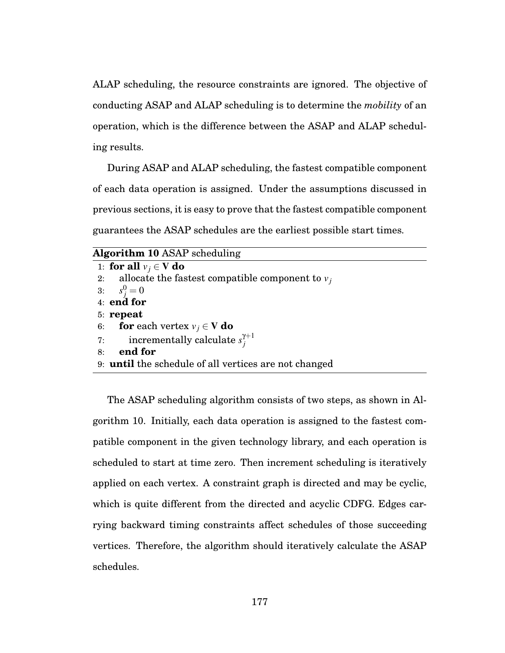ALAP scheduling, the resource constraints are ignored. The objective of conducting ASAP and ALAP scheduling is to determine the *mobility* of an operation, which is the difference between the ASAP and ALAP scheduling results.

During ASAP and ALAP scheduling, the fastest compatible component of each data operation is assigned. Under the assumptions discussed in previous sections, it is easy to prove that the fastest compatible component guarantees the ASAP schedules are the earliest possible start times.

| <b>Algorithm 10 ASAP</b> scheduling                          |
|--------------------------------------------------------------|
| 1: for all $v_i \in V$ do                                    |
| 2: allocate the fastest compatible component to $v_i$        |
| 3: $s_j^0 = 0$                                               |
| $4:$ end for                                                 |
| $5:$ repeat                                                  |
| 6: <b>for</b> each vertex $v_i \in V$ <b>do</b>              |
| 7: incrementally calculate $s_i^{\gamma+1}$                  |
| end for<br>8:                                                |
| 9: <b>until</b> the schedule of all vertices are not changed |

The ASAP scheduling algorithm consists of two steps, as shown in Algorithm 10. Initially, each data operation is assigned to the fastest compatible component in the given technology library, and each operation is scheduled to start at time zero. Then increment scheduling is iteratively applied on each vertex. A constraint graph is directed and may be cyclic, which is quite different from the directed and acyclic CDFG. Edges carrying backward timing constraints affect schedules of those succeeding vertices. Therefore, the algorithm should iteratively calculate the ASAP schedules.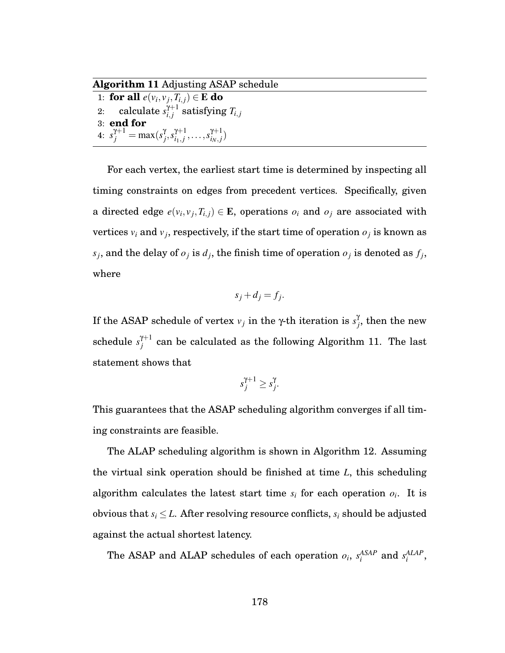**Algorithm 11** Adjusting ASAP schedule

1: **for all**  $e(v_i, v_j, T_{i,j}) \in \mathbf{E}$  **do**  $\quad \text{z:} \quad \text{ calculate } s_{i,j}^{\gamma+1} \text{ satisfying } T_{i,j}$ 3: **end for** 4:  $s_j^{\gamma+1} = \max(s_j^{\gamma})$  $\sum_{j}^{y} s_{i_1,j}^{y+1}, \ldots, s_{i_N,j}^{y+1}$ 

For each vertex, the earliest start time is determined by inspecting all timing constraints on edges from precedent vertices. Specifically, given a directed edge  $e(v_i, v_j, T_{i,j}) \in \mathbf{E}$ , operations  $o_i$  and  $o_j$  are associated with vertices  $v_i$  and  $v_j$ , respectively, if the start time of operation  $o_j$  is known as  $s_j$ , and the delay of  $o_j$  is  $d_j$ , the finish time of operation  $o_j$  is denoted as  $f_j$ , where

$$
s_j + d_j = f_j.
$$

If the ASAP schedule of vertex  $ν_j$  in the γ-th iteration is  $s_j^{\gamma}$  $j$ , then the new schedule  $s_{j}^{\gamma+1}$  can be calculated as the following Algorithm 11. The last statement shows that

$$
s_j^{\gamma+1} \geq s_j^{\gamma}.
$$

This guarantees that the ASAP scheduling algorithm converges if all timing constraints are feasible.

The ALAP scheduling algorithm is shown in Algorithm 12. Assuming the virtual sink operation should be finished at time *L*, this scheduling algorithm calculates the latest start time  $s_i$  for each operation  $o_i$ . It is obvious that  $s_i \leq L$ . After resolving resource conflicts,  $s_i$  should be adjusted against the actual shortest latency.

The ASAP and ALAP schedules of each operation  $o_i$ ,  $s_i^{ASAP}$  and  $s_i^{ALAP}$ ,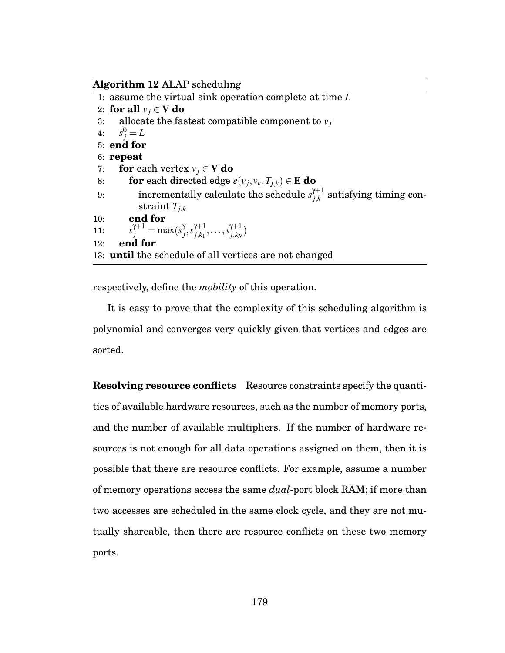**Algorithm 12** ALAP scheduling

| 1: assume the virtual sink operation complete at time $L$                                        |
|--------------------------------------------------------------------------------------------------|
| 2: for all $v_i \in V$ do                                                                        |
| 3: allocate the fastest compatible component to $v_i$                                            |
| 4: $s_i^0 = L$                                                                                   |
| 5: end for                                                                                       |
| $6:$ repeat                                                                                      |
| <b>for</b> each vertex $v_i \in V$ <b>do</b><br>7:                                               |
| <b>for</b> each directed edge $e(v_i, v_k, T_{i,k}) \in \mathbf{E}$ do<br>8:                     |
| incrementally calculate the schedule $s_{i,k}^{\gamma+1}$ satisfying timing<br>9:                |
| straint $T_{i,k}$                                                                                |
| end for<br>10:                                                                                   |
| $s_i^{\gamma+1} = \max(s_i^{\gamma}, s_{i,k_1}^{\gamma+1}, \ldots, s_{i,k_N}^{\gamma+1})$<br>11: |
| end for<br>12:                                                                                   |
| 13: <b>until</b> the schedule of all vertices are not changed                                    |
|                                                                                                  |

con-

respectively, define the *mobility* of this operation.

It is easy to prove that the complexity of this scheduling algorithm is polynomial and converges very quickly given that vertices and edges are sorted.

**Resolving resource conflicts** Resource constraints specify the quantities of available hardware resources, such as the number of memory ports, and the number of available multipliers. If the number of hardware resources is not enough for all data operations assigned on them, then it is possible that there are resource conflicts. For example, assume a number of memory operations access the same *dual*-port block RAM; if more than two accesses are scheduled in the same clock cycle, and they are not mutually shareable, then there are resource conflicts on these two memory ports.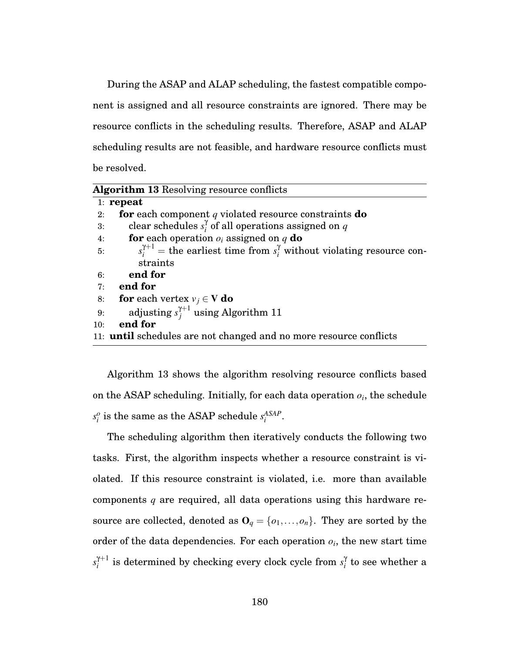During the ASAP and ALAP scheduling, the fastest compatible component is assigned and all resource constraints are ignored. There may be resource conflicts in the scheduling results. Therefore, ASAP and ALAP scheduling results are not feasible, and hardware resource conflicts must be resolved.

|     | <b>Algorithm 13 Resolving resource conflicts</b>                                         |
|-----|------------------------------------------------------------------------------------------|
|     | 1: repeat                                                                                |
| 2:  | <b>for</b> each component q violated resource constraints $\bf{do}$                      |
| 3:  | clear schedules $s_i^{\gamma}$ of all operations assigned on q                           |
| 4:  | <b>for</b> each operation $o_i$ assigned on q <b>do</b>                                  |
| 5:  | $s_i^{\gamma+1}$ = the earliest time from $s_i^{\gamma}$ without violating resource con- |
|     | straints                                                                                 |
| 6:  | end for                                                                                  |
| 7:  | end for                                                                                  |
| 8:  | <b>for</b> each vertex $v_i \in V$ <b>do</b>                                             |
| 9:  | adjusting $s_i^{\gamma+1}$ using Algorithm 11                                            |
| 10: | end for                                                                                  |
|     | 11: <b>until</b> schedules are not changed and no more resource conflicts                |

Algorithm 13 shows the algorithm resolving resource conflicts based on the ASAP scheduling. Initially, for each data operation *oi*, the schedule  $s_i^o$  is the same as the ASAP schedule  $s_i^{ASAP}$ .

The scheduling algorithm then iteratively conducts the following two tasks. First, the algorithm inspects whether a resource constraint is violated. If this resource constraint is violated, i.e. more than available components *q* are required, all data operations using this hardware resource are collected, denoted as  $\mathbf{O}_q = \{o_1, \ldots, o_n\}$ . They are sorted by the order of the data dependencies. For each operation  $o_i$ , the new start time  $s_i^{\gamma+1}$  is determined by checking every clock cycle from  $s_i^\gamma$  to see whether a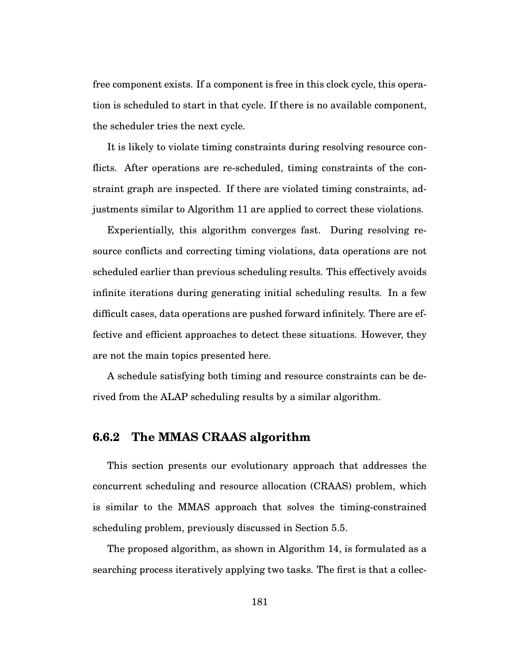free component exists. If a component is free in this clock cycle, this operation is scheduled to start in that cycle. If there is no available component, the scheduler tries the next cycle.

It is likely to violate timing constraints during resolving resource conflicts. After operations are re-scheduled, timing constraints of the constraint graph are inspected. If there are violated timing constraints, adjustments similar to Algorithm 11 are applied to correct these violations.

Experientially, this algorithm converges fast. During resolving resource conflicts and correcting timing violations, data operations are not scheduled earlier than previous scheduling results. This effectively avoids infinite iterations during generating initial scheduling results. In a few difficult cases, data operations are pushed forward infinitely. There are effective and efficient approaches to detect these situations. However, they are not the main topics presented here.

A schedule satisfying both timing and resource constraints can be derived from the ALAP scheduling results by a similar algorithm.

## **6.6.2 The MMAS CRAAS algorithm**

This section presents our evolutionary approach that addresses the concurrent scheduling and resource allocation (CRAAS) problem, which is similar to the MMAS approach that solves the timing-constrained scheduling problem, previously discussed in Section 5.5.

The proposed algorithm, as shown in Algorithm 14, is formulated as a searching process iteratively applying two tasks. The first is that a collec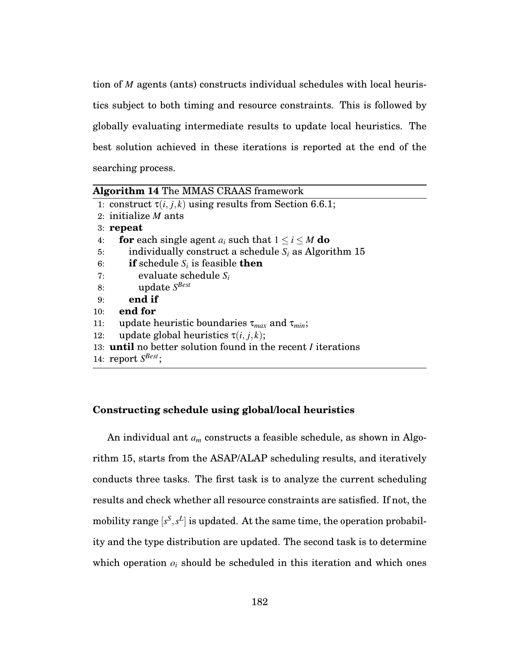tion of *M* agents (ants) constructs individual schedules with local heuristics subject to both timing and resource constraints. This is followed by globally evaluating intermediate results to update local heuristics. The best solution achieved in these iterations is reported at the end of the searching process.

|     | <b>Algorithm 14 The MMAS CRAAS framework</b>                                |
|-----|-----------------------------------------------------------------------------|
|     | 1: construct $\tau(i, j, k)$ using results from Section 6.6.1;              |
|     | 2: initialize $M$ ants                                                      |
|     | $3:$ repeat                                                                 |
| 4:  | <b>for</b> each single agent $a_i$ such that $1 \le i \le M$ <b>do</b>      |
| 5:  | individually construct a schedule $S_i$ as Algorithm 15                     |
| 6:  | <b>if</b> schedule $S_i$ is feasible <b>then</b>                            |
| 7:  | evaluate schedule $S_i$                                                     |
| 8:  | update $S^{Best}$                                                           |
| 9:  | end if                                                                      |
| 10: | end for                                                                     |
| 11: | update heuristic boundaries $\tau_{max}$ and $\tau_{min}$ ;                 |
| 12: | update global heuristics $\tau(i, j, k)$ ;                                  |
|     | 13: <b>until</b> no better solution found in the recent <i>I</i> iterations |
|     | 14: report $S^{Best}$ :                                                     |
|     |                                                                             |

#### **Constructing schedule using global/local heuristics**

An individual ant *am* constructs a feasible schedule, as shown in Algorithm 15, starts from the ASAP/ALAP scheduling results, and iteratively conducts three tasks. The first task is to analyze the current scheduling results and check whether all resource constraints are satisfied. If not, the mobility range  $[s^S, s^L]$  is updated. At the same time, the operation probability and the type distribution are updated. The second task is to determine which operation  $o_i$  should be scheduled in this iteration and which ones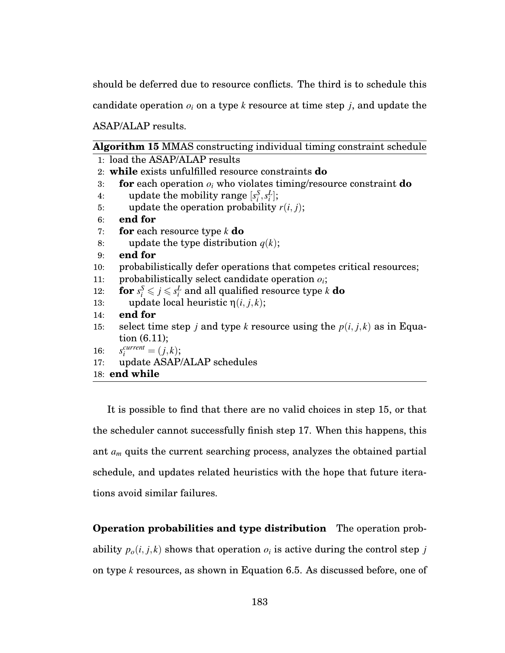should be deferred due to resource conflicts. The third is to schedule this

candidate operation  $o_i$  on a type  $k$  resource at time step  $j$ , and update the

ASAP/ALAP results.

|  |  | <b>Algorithm 15 MMAS</b> constructing individual timing constraint schedule |  |  |
|--|--|-----------------------------------------------------------------------------|--|--|
|--|--|-----------------------------------------------------------------------------|--|--|

|     | 1: load the ASAP/ALAP results                                                              |
|-----|--------------------------------------------------------------------------------------------|
|     | 2: while exists unfulfilled resource constraints <b>do</b>                                 |
| 3:  | <b>for</b> each operation $o_i$ who violates timing/resource constraint <b>do</b>          |
| 4:  | update the mobility range $[s_i^S, s_i^L]$ ;                                               |
| 5:  | update the operation probability $r(i, j)$ ;                                               |
| 6:  | end for                                                                                    |
| 7:  | <b>for</b> each resource type $k$ <b>do</b>                                                |
| 8:  | update the type distribution $q(k)$ ;                                                      |
| 9:  | end for                                                                                    |
| 10: | probabilistically defer operations that competes critical resources;                       |
| 11: | probabilistically select candidate operation $o_i$ ;                                       |
| 12: | <b>for</b> $s_i^S \leqslant j \leqslant s_i^L$ and all qualified resource type k <b>do</b> |
| 13: | update local heuristic $\eta(i, j, k)$ ;                                                   |
| 14: | end for                                                                                    |
| 15: | select time step j and type k resource using the $p(i, j, k)$ as in Equa-                  |
|     | tion $(6.11)$ ;                                                                            |
|     | 16: $s_i^{current} = (j,k);$                                                               |
| 17: | update ASAP/ALAP schedules                                                                 |
|     | 18: end while                                                                              |

It is possible to find that there are no valid choices in step 15, or that the scheduler cannot successfully finish step 17. When this happens, this ant *am* quits the current searching process, analyzes the obtained partial schedule, and updates related heuristics with the hope that future iterations avoid similar failures.

**Operation probabilities and type distribution** The operation probability  $p_o(i, j, k)$  shows that operation  $o_i$  is active during the control step *j* on type *k* resources, as shown in Equation 6.5. As discussed before, one of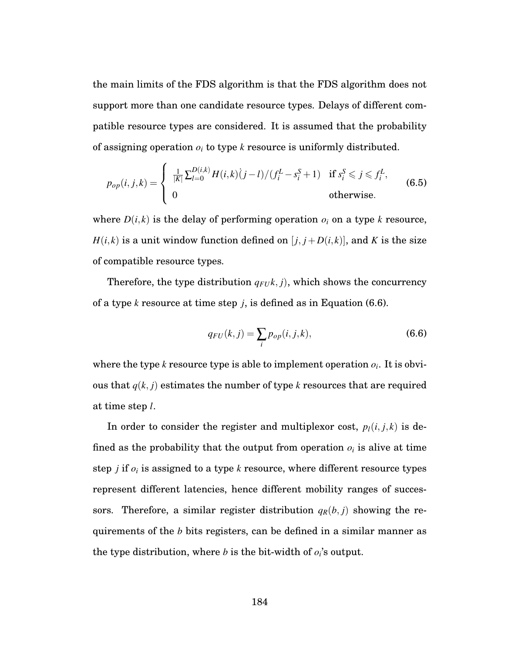the main limits of the FDS algorithm is that the FDS algorithm does not support more than one candidate resource types. Delays of different compatible resource types are considered. It is assumed that the probability of assigning operation *oi* to type *k* resource is uniformly distributed.

$$
p_{op}(i, j, k) = \begin{cases} \frac{1}{|K|} \sum_{l=0}^{D(i,k)} H(i,k) (j-l) / (f_i^L - s_i^S + 1) & \text{if } s_i^S \le j \le f_i^L, \\ 0 & \text{otherwise.} \end{cases}
$$
(6.5)

where  $D(i,k)$  is the delay of performing operation  $o_i$  on a type *k* resource, *H*(*i*,*k*) is a unit window function defined on [ $j$ ,  $j$  +  $D(i,k)$ ], and *K* is the size of compatible resource types.

Therefore, the type distribution  $q_{FU}$ ,  $j$ ), which shows the concurrency of a type *k* resource at time step *j*, is defined as in Equation (6.6).

$$
q_{FU}(k,j) = \sum_{i} p_{op}(i,j,k),
$$
\n(6.6)

where the type  $k$  resource type is able to implement operation  $o_i$ . It is obvious that  $q(k, j)$  estimates the number of type *k* resources that are required at time step *l*.

In order to consider the register and multiplexor cost,  $p_l(i, j, k)$  is defined as the probability that the output from operation  $o_i$  is alive at time step *j* if  $o_i$  is assigned to a type *k* resource, where different resource types represent different latencies, hence different mobility ranges of successors. Therefore, a similar register distribution  $q_R(b, j)$  showing the requirements of the *b* bits registers, can be defined in a similar manner as the type distribution, where  $b$  is the bit-width of  $o_i$ 's output.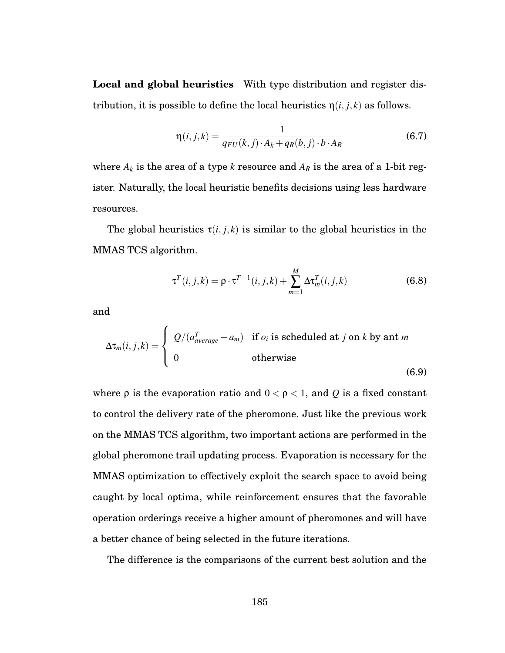**Local and global heuristics** With type distribution and register distribution, it is possible to define the local heuristics  $\eta(i, j, k)$  as follows.

$$
\eta(i,j,k) = \frac{1}{q_{FU}(k,j) \cdot A_k + q_R(b,j) \cdot b \cdot A_R}
$$
(6.7)

where  $A_k$  is the area of a type  $k$  resource and  $A_R$  is the area of a 1-bit register. Naturally, the local heuristic benefits decisions using less hardware resources.

The global heuristics  $\tau(i, j, k)$  is similar to the global heuristics in the MMAS TCS algorithm.

$$
\tau^{T}(i,j,k) = \rho \cdot \tau^{T-1}(i,j,k) + \sum_{m=1}^{M} \Delta \tau_m^{T}(i,j,k)
$$
\n(6.8)

and

$$
\Delta \tau_m(i,j,k) = \begin{cases} Q/(a_{average}^T - a_m) & \text{if } o_i \text{ is scheduled at } j \text{ on } k \text{ by ant } m \\ 0 & \text{otherwise} \end{cases}
$$
(6.9)

where  $\rho$  is the evaporation ratio and  $0 < \rho < 1$ , and Q is a fixed constant to control the delivery rate of the pheromone. Just like the previous work on the MMAS TCS algorithm, two important actions are performed in the global pheromone trail updating process. Evaporation is necessary for the MMAS optimization to effectively exploit the search space to avoid being caught by local optima, while reinforcement ensures that the favorable operation orderings receive a higher amount of pheromones and will have a better chance of being selected in the future iterations.

The difference is the comparisons of the current best solution and the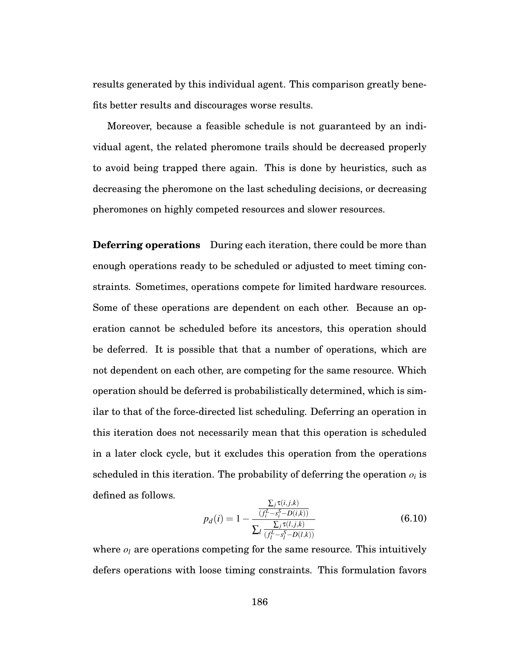results generated by this individual agent. This comparison greatly benefits better results and discourages worse results.

Moreover, because a feasible schedule is not guaranteed by an individual agent, the related pheromone trails should be decreased properly to avoid being trapped there again. This is done by heuristics, such as decreasing the pheromone on the last scheduling decisions, or decreasing pheromones on highly competed resources and slower resources.

**Deferring operations** During each iteration, there could be more than enough operations ready to be scheduled or adjusted to meet timing constraints. Sometimes, operations compete for limited hardware resources. Some of these operations are dependent on each other. Because an operation cannot be scheduled before its ancestors, this operation should be deferred. It is possible that that a number of operations, which are not dependent on each other, are competing for the same resource. Which operation should be deferred is probabilistically determined, which is similar to that of the force-directed list scheduling. Deferring an operation in this iteration does not necessarily mean that this operation is scheduled in a later clock cycle, but it excludes this operation from the operations scheduled in this iteration. The probability of deferring the operation  $o_i$  is defined as follows. ∑*<sup>j</sup>* τ(*i*, *j*,*k*)

$$
p_d(i) = 1 - \frac{\frac{\sum_j \tau(t,j,k)}{(f_i^L - s_i^S - D(i,k))}}{\sum_l \frac{\sum_j \tau(l,j,k)}{(f_l^L - s_i^S - D(l,k))}}
$$
(6.10)

where  $o_l$  are operations competing for the same resource. This intuitively defers operations with loose timing constraints. This formulation favors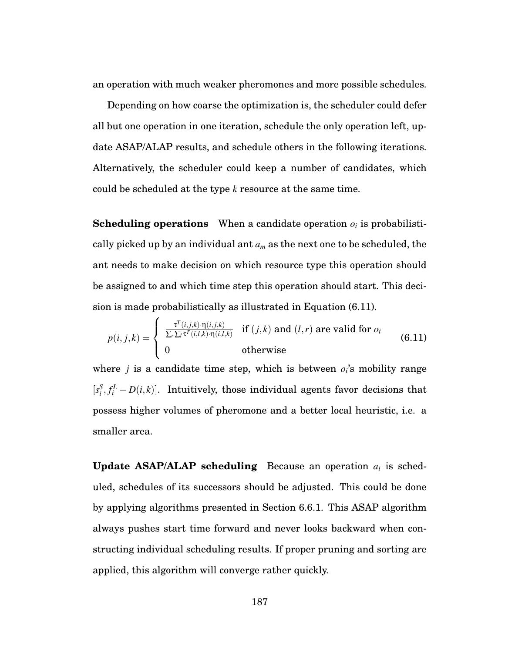an operation with much weaker pheromones and more possible schedules.

Depending on how coarse the optimization is, the scheduler could defer all but one operation in one iteration, schedule the only operation left, update ASAP/ALAP results, and schedule others in the following iterations. Alternatively, the scheduler could keep a number of candidates, which could be scheduled at the type *k* resource at the same time.

**Scheduling operations** When a candidate operation *oi* is probabilistically picked up by an individual ant *am* as the next one to be scheduled, the ant needs to make decision on which resource type this operation should be assigned to and which time step this operation should start. This decision is made probabilistically as illustrated in Equation (6.11).

$$
p(i, j, k) = \begin{cases} \frac{\tau^{T}(i, j, k) \cdot \eta(i, j, k)}{\sum_{r} \sum_{l} \tau^{T}(i, l, k) \cdot \eta(i, l, k)} & \text{if } (j, k) \text{ and } (l, r) \text{ are valid for } o_i \\ 0 & \text{otherwise} \end{cases}
$$
(6.11)

where  $j$  is a candidate time step, which is between  $o_i$ 's mobility range  $[s_i^S, f_i^L - D(i,k)]$ . Intuitively, those individual agents favor decisions that possess higher volumes of pheromone and a better local heuristic, i.e. a smaller area.

**Update ASAP/ALAP scheduling** Because an operation *ai* is scheduled, schedules of its successors should be adjusted. This could be done by applying algorithms presented in Section 6.6.1. This ASAP algorithm always pushes start time forward and never looks backward when constructing individual scheduling results. If proper pruning and sorting are applied, this algorithm will converge rather quickly.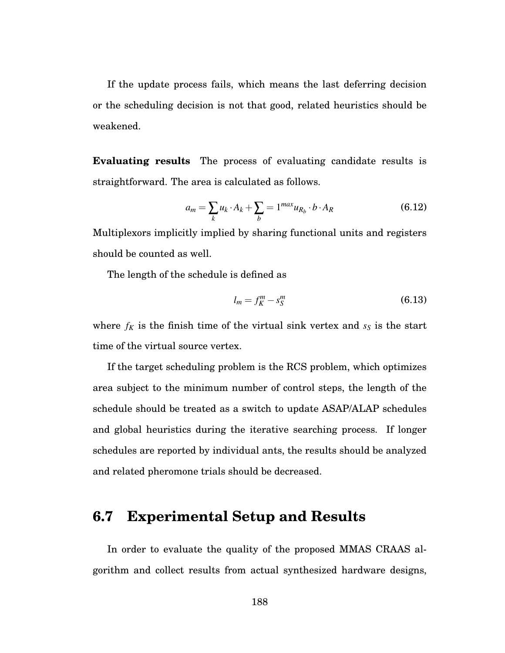If the update process fails, which means the last deferring decision or the scheduling decision is not that good, related heuristics should be weakened.

**Evaluating results** The process of evaluating candidate results is straightforward. The area is calculated as follows.

$$
a_m = \sum_k u_k \cdot A_k + \sum_b = 1^{max} u_{R_b} \cdot b \cdot A_R \tag{6.12}
$$

Multiplexors implicitly implied by sharing functional units and registers should be counted as well.

The length of the schedule is defined as

$$
l_m = f_K^m - s_S^m \tag{6.13}
$$

where  $f_K$  is the finish time of the virtual sink vertex and  $s_S$  is the start time of the virtual source vertex.

If the target scheduling problem is the RCS problem, which optimizes area subject to the minimum number of control steps, the length of the schedule should be treated as a switch to update ASAP/ALAP schedules and global heuristics during the iterative searching process. If longer schedules are reported by individual ants, the results should be analyzed and related pheromone trials should be decreased.

# **6.7 Experimental Setup and Results**

In order to evaluate the quality of the proposed MMAS CRAAS algorithm and collect results from actual synthesized hardware designs,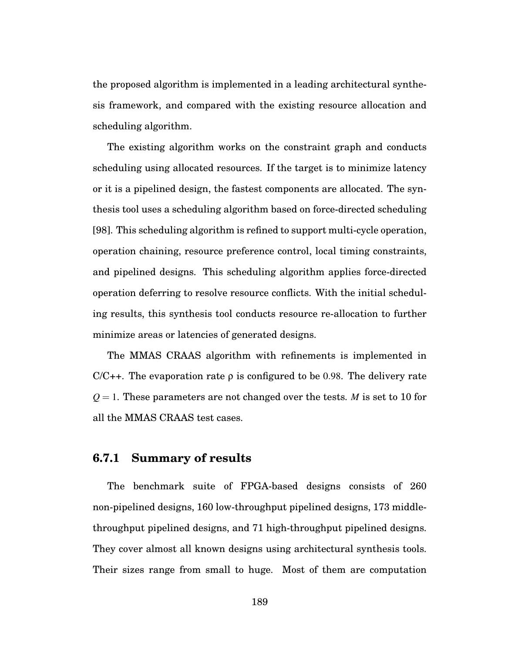the proposed algorithm is implemented in a leading architectural synthesis framework, and compared with the existing resource allocation and scheduling algorithm.

The existing algorithm works on the constraint graph and conducts scheduling using allocated resources. If the target is to minimize latency or it is a pipelined design, the fastest components are allocated. The synthesis tool uses a scheduling algorithm based on force-directed scheduling [98]. This scheduling algorithm is refined to support multi-cycle operation, operation chaining, resource preference control, local timing constraints, and pipelined designs. This scheduling algorithm applies force-directed operation deferring to resolve resource conflicts. With the initial scheduling results, this synthesis tool conducts resource re-allocation to further minimize areas or latencies of generated designs.

The MMAS CRAAS algorithm with refinements is implemented in  $C/C++$ . The evaporation rate  $\rho$  is configured to be 0.98. The delivery rate  $Q = 1$ . These parameters are not changed over the tests. *M* is set to 10 for all the MMAS CRAAS test cases.

#### **6.7.1 Summary of results**

The benchmark suite of FPGA-based designs consists of 260 non-pipelined designs, 160 low-throughput pipelined designs, 173 middlethroughput pipelined designs, and 71 high-throughput pipelined designs. They cover almost all known designs using architectural synthesis tools. Their sizes range from small to huge. Most of them are computation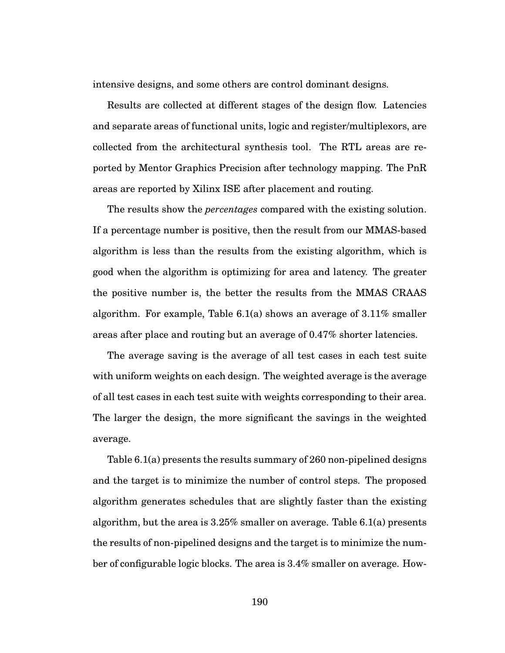intensive designs, and some others are control dominant designs.

Results are collected at different stages of the design flow. Latencies and separate areas of functional units, logic and register/multiplexors, are collected from the architectural synthesis tool. The RTL areas are reported by Mentor Graphics Precision after technology mapping. The PnR areas are reported by Xilinx ISE after placement and routing.

The results show the *percentages* compared with the existing solution. If a percentage number is positive, then the result from our MMAS-based algorithm is less than the results from the existing algorithm, which is good when the algorithm is optimizing for area and latency. The greater the positive number is, the better the results from the MMAS CRAAS algorithm. For example, Table 6.1(a) shows an average of  $3.11\%$  smaller areas after place and routing but an average of 0.47% shorter latencies.

The average saving is the average of all test cases in each test suite with uniform weights on each design. The weighted average is the average of all test cases in each test suite with weights corresponding to their area. The larger the design, the more significant the savings in the weighted average.

Table 6.1(a) presents the results summary of 260 non-pipelined designs and the target is to minimize the number of control steps. The proposed algorithm generates schedules that are slightly faster than the existing algorithm, but the area is 3.25% smaller on average. Table 6.1(a) presents the results of non-pipelined designs and the target is to minimize the number of configurable logic blocks. The area is 3.4% smaller on average. How-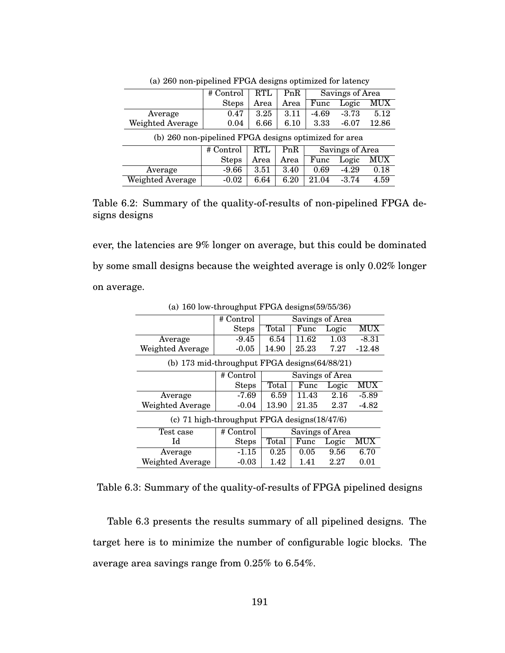|                                                       | # Control                                  | RTL  | PnR  | Savings of Area |         |                           |
|-------------------------------------------------------|--------------------------------------------|------|------|-----------------|---------|---------------------------|
|                                                       | <b>Steps</b>                               | Area | Area | Func            | Logic   | $\overline{\mathrm{MUX}}$ |
| Average                                               | 0.47                                       | 3.25 | 3.11 | $-4.69$         | $-3.73$ | 5.12                      |
| Weighted Average                                      | 0.04                                       | 6.66 | 6.10 | 3.33            | $-6.07$ | 12.86                     |
| (b) 260 non-pipelined FPGA designs optimized for area |                                            |      |      |                 |         |                           |
|                                                       | PnR<br>Savings of Area<br>RTL<br># Control |      |      |                 |         |                           |
|                                                       | <b>Steps</b>                               | Area | Area | Func            | Logic   | <b>MUX</b>                |
| Average                                               | $-9.66$                                    | 3.51 | 3.40 | 0.69            | $-4.29$ | 0.18                      |
| <b>Weighted Average</b>                               | $-0.02$                                    | 6.64 | 6.20 | 21.04           | $-3.74$ | 4.59                      |

(a) 260 non-pipelined FPGA designs optimized for latency

Table 6.2: Summary of the quality-of-results of non-pipelined FPGA designs designs

ever, the latencies are 9% longer on average, but this could be dominated by some small designs because the weighted average is only 0.02% longer on average.

|                                                | # Control                                       | Savings of Area |       |                   |            |  |
|------------------------------------------------|-------------------------------------------------|-----------------|-------|-------------------|------------|--|
|                                                | <b>Steps</b>                                    | Total           | Func  | Logic             | MUX        |  |
| Average                                        | $-9.45$                                         | 6.54            | 11.62 | 1.03              | $-8.31$    |  |
| Weighted Average                               | $-0.05$                                         | 14.90           | 25.23 | 7.27              | $-12.48$   |  |
| (b) 173 mid-throughput FPGA designs (64/88/21) |                                                 |                 |       |                   |            |  |
|                                                | # Control                                       | Savings of Area |       |                   |            |  |
|                                                | <b>Steps</b>                                    | Total           | Func  | Logic             | <b>MUX</b> |  |
| Average                                        | $-7.69$                                         | 6.59            | 11.43 | $\overline{2}.16$ | $-5.89$    |  |
| Weighted Average                               | $-0.04$                                         | 13.90           | 21.35 | 2.37              | $-4.82$    |  |
|                                                | (c) 71 high-throughput FPGA designs $(18/47/6)$ |                 |       |                   |            |  |
| Test case                                      | # Control                                       | Savings of Area |       |                   |            |  |
| Id                                             | <b>Steps</b>                                    | Total           | Func  | Logic             | MUX        |  |
| Average                                        | $-1.15$                                         | 0.25            | 0.05  | 9.56              | 6.70       |  |
| Weighted Average                               | $-0.03$                                         | 1.42            | 1.41  | 2.27              | 0.01       |  |

(a) 160 low-throughput FPGA designs(59/55/36)

Table 6.3: Summary of the quality-of-results of FPGA pipelined designs

Table 6.3 presents the results summary of all pipelined designs. The target here is to minimize the number of configurable logic blocks. The average area savings range from 0.25% to 6.54%.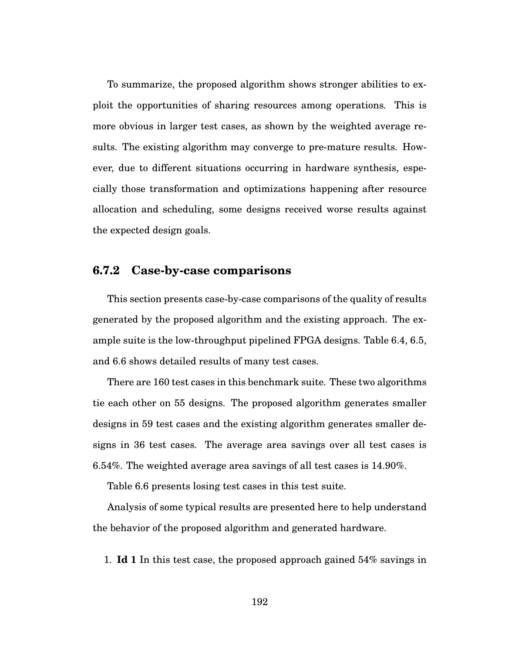To summarize, the proposed algorithm shows stronger abilities to exploit the opportunities of sharing resources among operations. This is more obvious in larger test cases, as shown by the weighted average results. The existing algorithm may converge to pre-mature results. However, due to different situations occurring in hardware synthesis, especially those transformation and optimizations happening after resource allocation and scheduling, some designs received worse results against the expected design goals.

## **6.7.2 Case-by-case comparisons**

This section presents case-by-case comparisons of the quality of results generated by the proposed algorithm and the existing approach. The example suite is the low-throughput pipelined FPGA designs. Table 6.4, 6.5, and 6.6 shows detailed results of many test cases.

There are 160 test cases in this benchmark suite. These two algorithms tie each other on 55 designs. The proposed algorithm generates smaller designs in 59 test cases and the existing algorithm generates smaller designs in 36 test cases. The average area savings over all test cases is 6.54%. The weighted average area savings of all test cases is 14.90%.

Table 6.6 presents losing test cases in this test suite.

Analysis of some typical results are presented here to help understand the behavior of the proposed algorithm and generated hardware.

1. **Id 1** In this test case, the proposed approach gained 54% savings in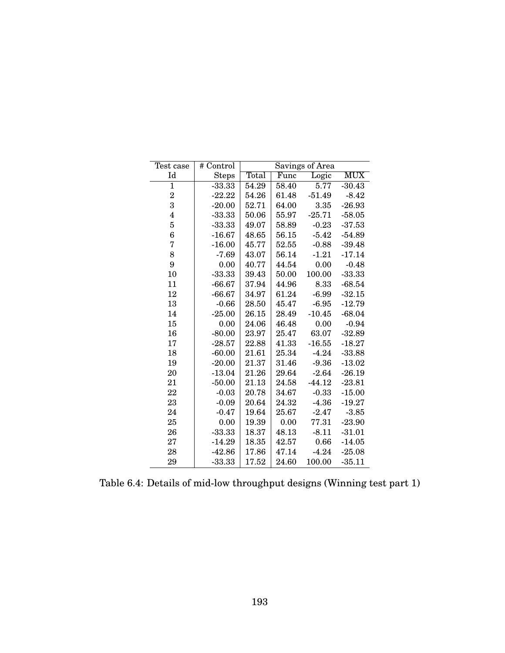| Test case               | # Control    | Savings of Area |               |          |          |  |  |
|-------------------------|--------------|-----------------|---------------|----------|----------|--|--|
| Id                      | <b>Steps</b> | Total           | Logic<br>Func |          |          |  |  |
| $\mathbf{1}$            | $-33.33$     | 54.29           | 58.40         | 5.77     | $-30.43$ |  |  |
| $\overline{2}$          | $-22.22$     | 54.26           | 61.48         | $-51.49$ | $-8.42$  |  |  |
| 3                       | $-20.00$     | 52.71           | 64.00         | 3.35     | $-26.93$ |  |  |
| $\overline{\mathbf{4}}$ | $-33.33$     | 50.06           | 55.97         | $-25.71$ | $-58.05$ |  |  |
| $\overline{5}$          | $-33.33$     | 49.07           | 58.89         | $-0.23$  | $-37.53$ |  |  |
| 6                       | $-16.67$     | 48.65           | 56.15         | $-5.42$  | $-54.89$ |  |  |
| $\sqrt{2}$              | $-16.00$     | 45.77           | 52.55         | $-0.88$  | $-39.48$ |  |  |
| 8                       | $-7.69$      | 43.07           | 56.14         | $-1.21$  | $-17.14$ |  |  |
| 9                       | 0.00         | 40.77           | 44.54         | 0.00     | $-0.48$  |  |  |
| 10                      | $-33.33$     | 39.43           | 50.00         | 100.00   | $-33.33$ |  |  |
| 11                      | $-66.67$     | 37.94           | 44.96         | 8.33     | $-68.54$ |  |  |
| 12                      | $-66.67$     | 34.97           | 61.24         | $-6.99$  | $-32.15$ |  |  |
| 13                      | $-0.66$      | 28.50           | 45.47         | $-6.95$  | $-12.79$ |  |  |
| 14                      | $-25.00$     | 26.15           | 28.49         | $-10.45$ | $-68.04$ |  |  |
| $15\,$                  | 0.00         | 24.06           | 46.48         | 0.00     | $-0.94$  |  |  |
| 16                      | $-80.00$     | 23.97           | 25.47         | 63.07    | $-32.89$ |  |  |
| 17                      | $-28.57$     | 22.88           | 41.33         | $-16.55$ | $-18.27$ |  |  |
| 18                      | $-60.00$     | 21.61           | 25.34         | $-4.24$  | $-33.88$ |  |  |
| 19                      | $-20.00$     | 21.37           | 31.46         | $-9.36$  | $-13.02$ |  |  |
| 20                      | $-13.04$     | 21.26           | 29.64         | $-2.64$  | $-26.19$ |  |  |
| 21                      | $-50.00$     | 21.13           | 24.58         | $-44.12$ | $-23.81$ |  |  |
| 22                      | $-0.03$      | 20.78           | 34.67         | $-0.33$  | $-15.00$ |  |  |
| 23                      | $-0.09$      | 20.64           | 24.32         | $-4.36$  | $-19.27$ |  |  |
| 24                      | $-0.47$      | 19.64           | 25.67         | $-2.47$  | $-3.85$  |  |  |
| 25                      | 0.00         | 19.39           | 0.00          | 77.31    | $-23.90$ |  |  |
| 26                      | $-33.33$     | 18.37           | 48.13         | $-8.11$  | $-31.01$ |  |  |
| 27                      | $-14.29$     | 18.35           | 42.57         | 0.66     | $-14.05$ |  |  |
| 28                      | $-42.86$     | 17.86           | 47.14         | $-4.24$  | $-25.08$ |  |  |
| 29                      | $-33.33$     | 17.52           | 24.60         | 100.00   | $-35.11$ |  |  |

Table 6.4: Details of mid-low throughput designs (Winning test part 1)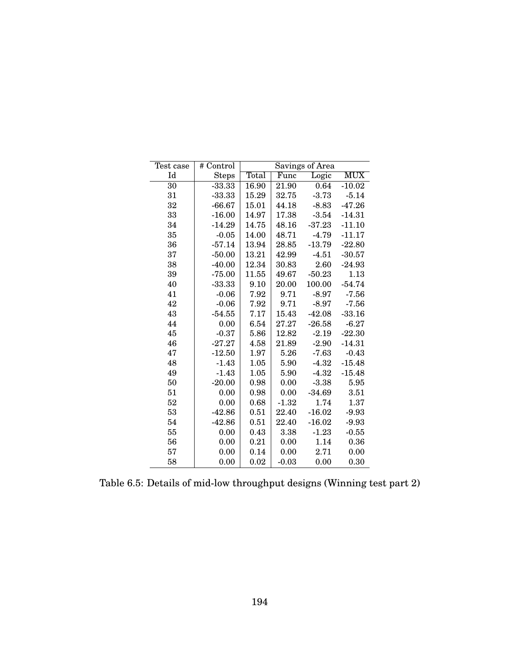| Test case | # Control    | Savings of Area |               |          |          |  |  |
|-----------|--------------|-----------------|---------------|----------|----------|--|--|
| Id        | <b>Steps</b> | Total           | Logic<br>Func |          |          |  |  |
| 30        | $-33.33$     | 16.90           | 21.90         | 0.64     | $-10.02$ |  |  |
| 31        | $-33.33$     | 15.29           | 32.75         | $-3.73$  | $-5.14$  |  |  |
| 32        | $-66.67$     | 15.01           | 44.18         | $-8.83$  | $-47.26$ |  |  |
| 33        | $-16.00$     | 14.97           | 17.38         | $-3.54$  | $-14.31$ |  |  |
| 34        | $-14.29$     | 14.75           | 48.16         | $-37.23$ | $-11.10$ |  |  |
| 35        | $-0.05$      | 14.00           | 48.71         | $-4.79$  | $-11.17$ |  |  |
| 36        | $-57.14$     | 13.94           | 28.85         | $-13.79$ | $-22.80$ |  |  |
| 37        | $-50.00$     | 13.21           | 42.99         | $-4.51$  | $-30.57$ |  |  |
| 38        | $-40.00$     | 12.34           | 30.83         | 2.60     | $-24.93$ |  |  |
| 39        | $-75.00$     | 11.55           | 49.67         | $-50.23$ | 1.13     |  |  |
| 40        | $-33.33$     | 9.10            | 20.00         | 100.00   | $-54.74$ |  |  |
| 41        | $-0.06$      | 7.92            | 9.71          | $-8.97$  | $-7.56$  |  |  |
| 42        | $-0.06$      | 7.92            | 9.71          | $-8.97$  | $-7.56$  |  |  |
| 43        | $-54.55$     | 7.17            | 15.43         | $-42.08$ | $-33.16$ |  |  |
| 44        | 0.00         | 6.54            | 27.27         | $-26.58$ | $-6.27$  |  |  |
| 45        | $-0.37$      | 5.86            | 12.82         | $-2.19$  | $-22.30$ |  |  |
| 46        | $-27.27$     | 4.58            | 21.89         | $-2.90$  | $-14.31$ |  |  |
| 47        | $-12.50$     | 1.97            | 5.26          | $-7.63$  | $-0.43$  |  |  |
| 48        | $-1.43$      | 1.05            | 5.90          | $-4.32$  | $-15.48$ |  |  |
| 49        | $-1.43$      | 1.05            | 5.90          | $-4.32$  | $-15.48$ |  |  |
| 50        | $-20.00$     | 0.98            | 0.00          | $-3.38$  | 5.95     |  |  |
| 51        | 0.00         | 0.98            | 0.00          | $-34.69$ | 3.51     |  |  |
| 52        | 0.00         | 0.68            | $-1.32$       | 1.74     | 1.37     |  |  |
| 53        | $-42.86$     | 0.51            | 22.40         | $-16.02$ | $-9.93$  |  |  |
| 54        | $-42.86$     | 0.51            | 22.40         | $-16.02$ | $-9.93$  |  |  |
| 55        | 0.00         | 0.43            | 3.38          | $-1.23$  | $-0.55$  |  |  |
| 56        | 0.00         | 0.21            | 0.00          | 1.14     | 0.36     |  |  |
| 57        | 0.00         | 0.14            | 0.00          | 2.71     | 0.00     |  |  |
| 58        | 0.00         | 0.02            | $-0.03$       | 0.00     | 0.30     |  |  |

Table 6.5: Details of mid-low throughput designs (Winning test part 2)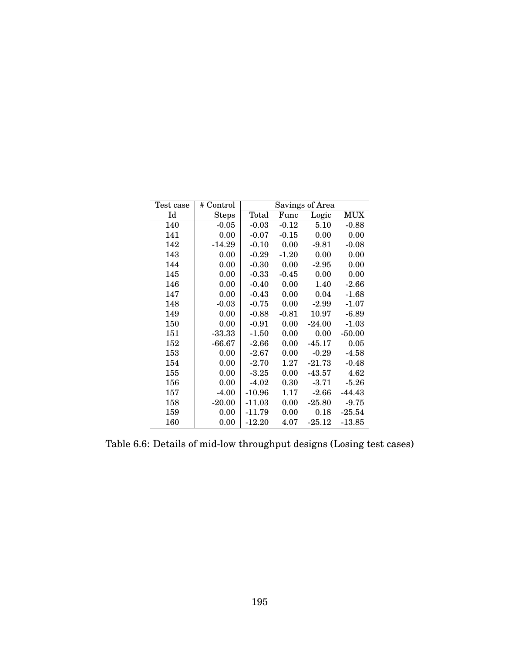| Test case | # Control    | Savings of Area |                             |          |            |  |  |
|-----------|--------------|-----------------|-----------------------------|----------|------------|--|--|
| Id        | <b>Steps</b> | Total           | $\overline{\mathrm{F}}$ unc | Logic    | <b>MUX</b> |  |  |
| 140       | $-0.05$      | $-0.03$         | $-0.12$                     | 5.10     | $-0.88$    |  |  |
| 141       | 0.00         | $-0.07$         | $-0.15$                     | 0.00     | 0.00       |  |  |
| 142       | $-14.29$     | $-0.10$         | 0.00                        | $-9.81$  | $-0.08$    |  |  |
| 143       | 0.00         | $-0.29$         | $-1.20$                     | 0.00     | 0.00       |  |  |
| 144       | 0.00         | $-0.30$         | 0.00                        | $-2.95$  | 0.00       |  |  |
| 145       | 0.00         | $-0.33$         | $-0.45$                     | 0.00     | 0.00       |  |  |
| 146       | 0.00         | $-0.40$         | 0.00                        | 1.40     | $-2.66$    |  |  |
| 147       | 0.00         | $-0.43$         | 0.00                        | 0.04     | $-1.68$    |  |  |
| 148       | $-0.03$      | $-0.75$         | 0.00                        | $-2.99$  | $-1.07$    |  |  |
| 149       | 0.00         | $-0.88$         | $-0.81$                     | 10.97    | $-6.89$    |  |  |
| 150       | 0.00         | $-0.91$         | 0.00                        | $-24.00$ | $-1.03$    |  |  |
| 151       | $-33.33$     | $-1.50$         | 0.00                        | 0.00     | $-50.00$   |  |  |
| 152       | $-66.67$     | $-2.66$         | 0.00                        | $-45.17$ | 0.05       |  |  |
| 153       | 0.00         | $-2.67$         | 0.00                        | $-0.29$  | $-4.58$    |  |  |
| 154       | 0.00         | $-2.70$         | 1.27                        | $-21.73$ | $-0.48$    |  |  |
| 155       | 0.00         | $-3.25$         | 0.00                        | $-43.57$ | 4.62       |  |  |
| 156       | 0.00         | $-4.02$         | 0.30                        | $-3.71$  | $-5.26$    |  |  |
| 157       | $-4.00$      | $-10.96$        | 1.17                        | $-2.66$  | $-44.43$   |  |  |
| 158       | $-20.00$     | $-11.03$        | 0.00                        | $-25.80$ | $-9.75$    |  |  |
| 159       | 0.00         | $-11.79$        | 0.00                        | 0.18     | $-25.54$   |  |  |
| 160       | 0.00         | $-12.20$        | 4.07                        | $-25.12$ | $-13.85$   |  |  |

Table 6.6: Details of mid-low throughput designs (Losing test cases)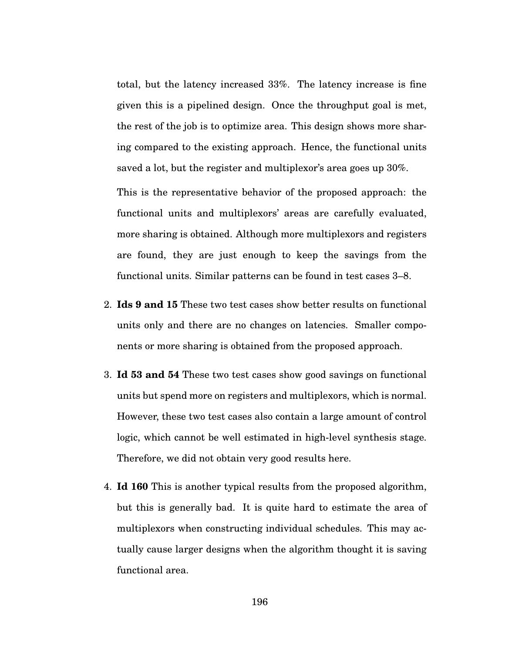total, but the latency increased 33%. The latency increase is fine given this is a pipelined design. Once the throughput goal is met, the rest of the job is to optimize area. This design shows more sharing compared to the existing approach. Hence, the functional units saved a lot, but the register and multiplexor's area goes up 30%.

This is the representative behavior of the proposed approach: the functional units and multiplexors' areas are carefully evaluated, more sharing is obtained. Although more multiplexors and registers are found, they are just enough to keep the savings from the functional units. Similar patterns can be found in test cases 3–8.

- 2. **Ids 9 and 15** These two test cases show better results on functional units only and there are no changes on latencies. Smaller components or more sharing is obtained from the proposed approach.
- 3. **Id 53 and 54** These two test cases show good savings on functional units but spend more on registers and multiplexors, which is normal. However, these two test cases also contain a large amount of control logic, which cannot be well estimated in high-level synthesis stage. Therefore, we did not obtain very good results here.
- 4. **Id 160** This is another typical results from the proposed algorithm, but this is generally bad. It is quite hard to estimate the area of multiplexors when constructing individual schedules. This may actually cause larger designs when the algorithm thought it is saving functional area.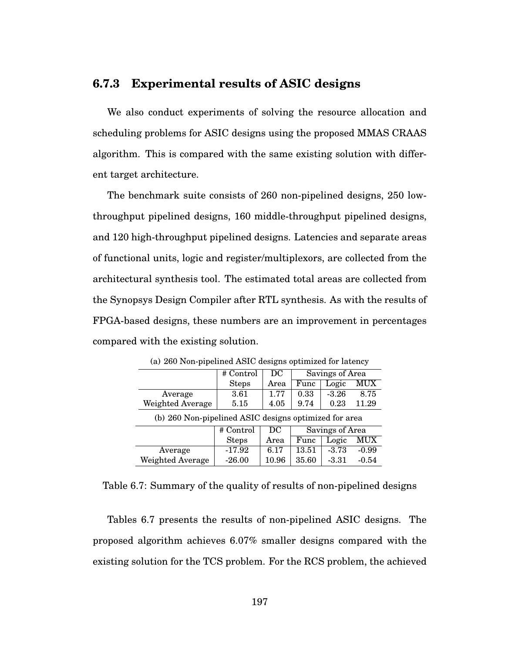### **6.7.3 Experimental results of ASIC designs**

We also conduct experiments of solving the resource allocation and scheduling problems for ASIC designs using the proposed MMAS CRAAS algorithm. This is compared with the same existing solution with different target architecture.

The benchmark suite consists of 260 non-pipelined designs, 250 lowthroughput pipelined designs, 160 middle-throughput pipelined designs, and 120 high-throughput pipelined designs. Latencies and separate areas of functional units, logic and register/multiplexors, are collected from the architectural synthesis tool. The estimated total areas are collected from the Synopsys Design Compiler after RTL synthesis. As with the results of FPGA-based designs, these numbers are an improvement in percentages compared with the existing solution.

|                                                       | # Control                          | DC    | Savings of Area |         |         |  |  |
|-------------------------------------------------------|------------------------------------|-------|-----------------|---------|---------|--|--|
|                                                       | <b>Steps</b>                       | Area  | Func            | Logic   | MUX     |  |  |
| Average                                               | 3.61                               | 1.77  | 0.33            | $-3.26$ | 8.75    |  |  |
| <b>Weighted Average</b>                               | 5.15                               | 4.05  | 9.74            | 0.23    | 11.29   |  |  |
| (b) 260 Non-pipelined ASIC designs optimized for area |                                    |       |                 |         |         |  |  |
|                                                       | Savings of Area<br>DC<br># Control |       |                 |         |         |  |  |
| MUX<br>Logic<br><b>Steps</b><br>Area<br>Func          |                                    |       |                 |         |         |  |  |
| Average                                               | $-17.92$                           | 6.17  | 13.51           | $-3.73$ | $-0.99$ |  |  |
| Weighted Average                                      | $-26.00$                           | 10.96 | 35.60           | $-3.31$ | $-0.54$ |  |  |

(a) 260 Non-pipelined ASIC designs optimized for latency

Table 6.7: Summary of the quality of results of non-pipelined designs

Tables 6.7 presents the results of non-pipelined ASIC designs. The proposed algorithm achieves 6.07% smaller designs compared with the existing solution for the TCS problem. For the RCS problem, the achieved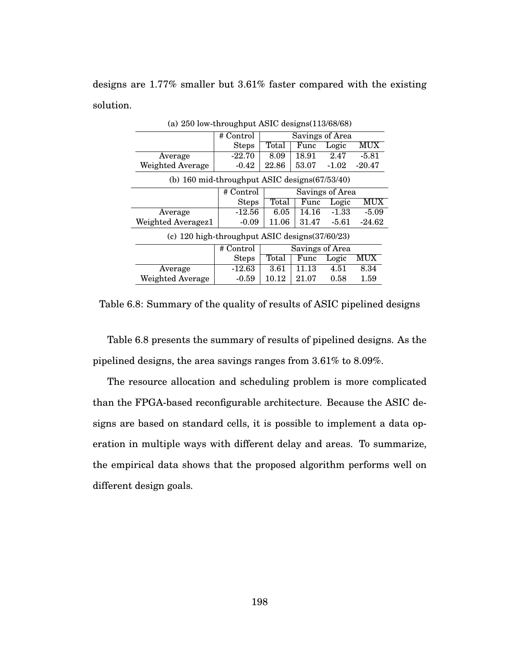designs are 1.77% smaller but 3.61% faster compared with the existing solution.

|                                                     | # Control    | Savings of Area |       |         |          |
|-----------------------------------------------------|--------------|-----------------|-------|---------|----------|
|                                                     | <b>Steps</b> | Total           | Func  | Logic   | MUX      |
| Average                                             | $-22.70$     | 8.09            | 18.91 | 2.47    | $-5.81$  |
| Weighted Average                                    | $-0.42$      | 22.86           | 53.07 | $-1.02$ | $-20.47$ |
| (b) 160 mid-throughput ASIC designs(67/53/40)       |              |                 |       |         |          |
|                                                     | # Control    | Savings of Area |       |         |          |
|                                                     | <b>Steps</b> | Total           | Func  | Logic   | MUX      |
| Average                                             | $-12.56$     | 6.05            | 14.16 | $-1.33$ | $-5.09$  |
| Weighted Averagez1                                  | $-0.09$      | 11.06           | 31.47 | $-5.61$ | $-24.62$ |
| (c) $120$ high-throughput ASIC designs $(37/60/23)$ |              |                 |       |         |          |
|                                                     | # Control    | Savings of Area |       |         |          |
|                                                     | <b>Steps</b> | Total           | Func  | Logic   | MUX      |
| Average                                             | $-12.63$     | 3.61            | 11.13 | 4.51    | 8.34     |
| Weighted Average                                    | $-0.59$      | 10.12           | 21.07 | 0.58    | 1.59     |

(a) 250 low-throughput ASIC designs(113/68/68)

Table 6.8: Summary of the quality of results of ASIC pipelined designs

Table 6.8 presents the summary of results of pipelined designs. As the pipelined designs, the area savings ranges from 3.61% to 8.09%.

The resource allocation and scheduling problem is more complicated than the FPGA-based reconfigurable architecture. Because the ASIC designs are based on standard cells, it is possible to implement a data operation in multiple ways with different delay and areas. To summarize, the empirical data shows that the proposed algorithm performs well on different design goals.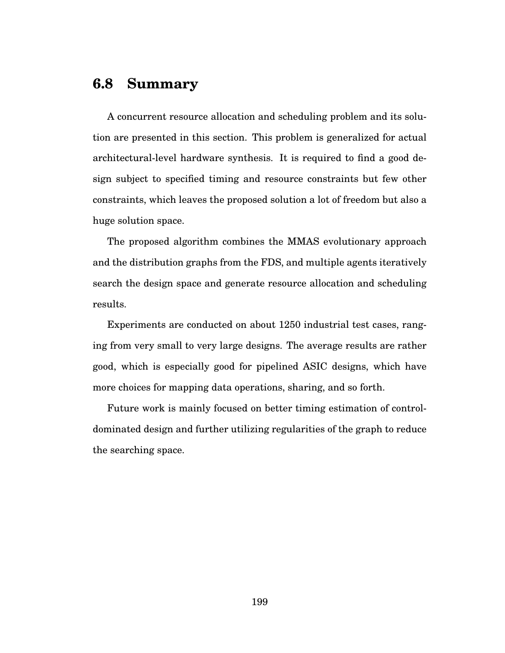### **6.8 Summary**

A concurrent resource allocation and scheduling problem and its solution are presented in this section. This problem is generalized for actual architectural-level hardware synthesis. It is required to find a good design subject to specified timing and resource constraints but few other constraints, which leaves the proposed solution a lot of freedom but also a huge solution space.

The proposed algorithm combines the MMAS evolutionary approach and the distribution graphs from the FDS, and multiple agents iteratively search the design space and generate resource allocation and scheduling results.

Experiments are conducted on about 1250 industrial test cases, ranging from very small to very large designs. The average results are rather good, which is especially good for pipelined ASIC designs, which have more choices for mapping data operations, sharing, and so forth.

Future work is mainly focused on better timing estimation of controldominated design and further utilizing regularities of the graph to reduce the searching space.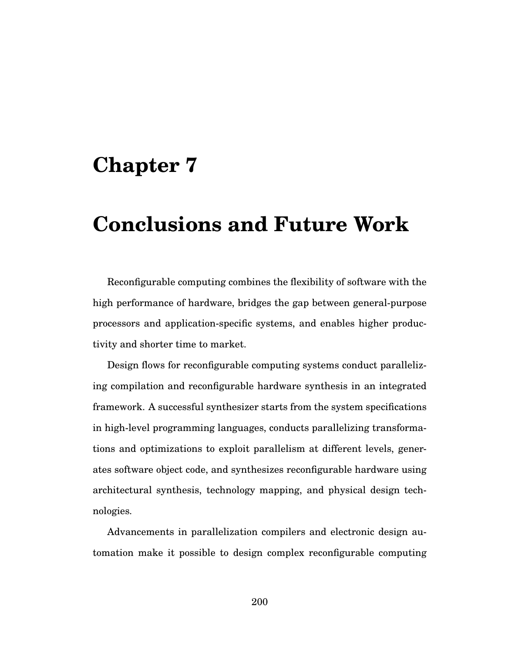## **Chapter 7**

# **Conclusions and Future Work**

Reconfigurable computing combines the flexibility of software with the high performance of hardware, bridges the gap between general-purpose processors and application-specific systems, and enables higher productivity and shorter time to market.

Design flows for reconfigurable computing systems conduct parallelizing compilation and reconfigurable hardware synthesis in an integrated framework. A successful synthesizer starts from the system specifications in high-level programming languages, conducts parallelizing transformations and optimizations to exploit parallelism at different levels, generates software object code, and synthesizes reconfigurable hardware using architectural synthesis, technology mapping, and physical design technologies.

Advancements in parallelization compilers and electronic design automation make it possible to design complex reconfigurable computing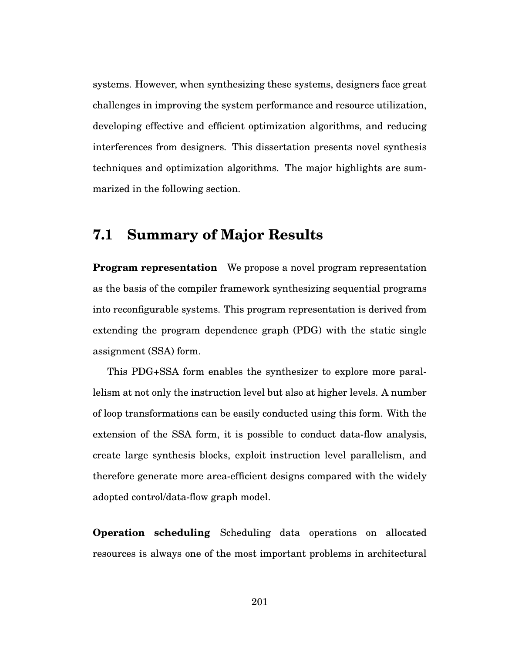systems. However, when synthesizing these systems, designers face great challenges in improving the system performance and resource utilization, developing effective and efficient optimization algorithms, and reducing interferences from designers. This dissertation presents novel synthesis techniques and optimization algorithms. The major highlights are summarized in the following section.

#### **7.1 Summary of Major Results**

**Program representation** We propose a novel program representation as the basis of the compiler framework synthesizing sequential programs into reconfigurable systems. This program representation is derived from extending the program dependence graph (PDG) with the static single assignment (SSA) form.

This PDG+SSA form enables the synthesizer to explore more parallelism at not only the instruction level but also at higher levels. A number of loop transformations can be easily conducted using this form. With the extension of the SSA form, it is possible to conduct data-flow analysis, create large synthesis blocks, exploit instruction level parallelism, and therefore generate more area-efficient designs compared with the widely adopted control/data-flow graph model.

**Operation scheduling** Scheduling data operations on allocated resources is always one of the most important problems in architectural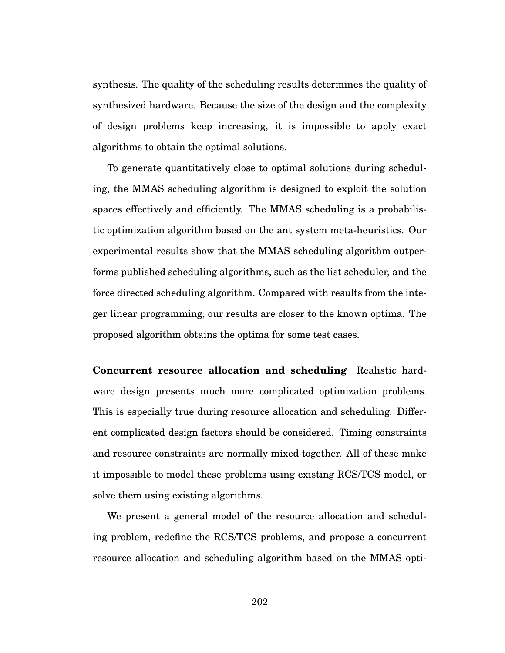synthesis. The quality of the scheduling results determines the quality of synthesized hardware. Because the size of the design and the complexity of design problems keep increasing, it is impossible to apply exact algorithms to obtain the optimal solutions.

To generate quantitatively close to optimal solutions during scheduling, the MMAS scheduling algorithm is designed to exploit the solution spaces effectively and efficiently. The MMAS scheduling is a probabilistic optimization algorithm based on the ant system meta-heuristics. Our experimental results show that the MMAS scheduling algorithm outperforms published scheduling algorithms, such as the list scheduler, and the force directed scheduling algorithm. Compared with results from the integer linear programming, our results are closer to the known optima. The proposed algorithm obtains the optima for some test cases.

**Concurrent resource allocation and scheduling** Realistic hardware design presents much more complicated optimization problems. This is especially true during resource allocation and scheduling. Different complicated design factors should be considered. Timing constraints and resource constraints are normally mixed together. All of these make it impossible to model these problems using existing RCS/TCS model, or solve them using existing algorithms.

We present a general model of the resource allocation and scheduling problem, redefine the RCS/TCS problems, and propose a concurrent resource allocation and scheduling algorithm based on the MMAS opti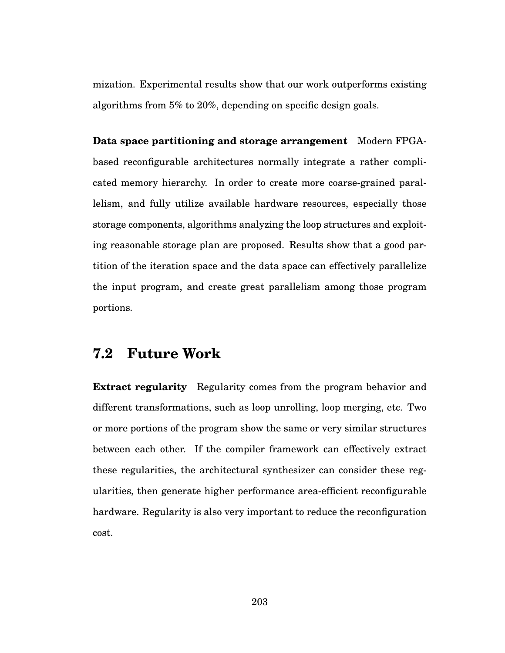mization. Experimental results show that our work outperforms existing algorithms from 5% to 20%, depending on specific design goals.

**Data space partitioning and storage arrangement** Modern FPGAbased reconfigurable architectures normally integrate a rather complicated memory hierarchy. In order to create more coarse-grained parallelism, and fully utilize available hardware resources, especially those storage components, algorithms analyzing the loop structures and exploiting reasonable storage plan are proposed. Results show that a good partition of the iteration space and the data space can effectively parallelize the input program, and create great parallelism among those program portions.

### **7.2 Future Work**

**Extract regularity** Regularity comes from the program behavior and different transformations, such as loop unrolling, loop merging, etc. Two or more portions of the program show the same or very similar structures between each other. If the compiler framework can effectively extract these regularities, the architectural synthesizer can consider these regularities, then generate higher performance area-efficient reconfigurable hardware. Regularity is also very important to reduce the reconfiguration cost.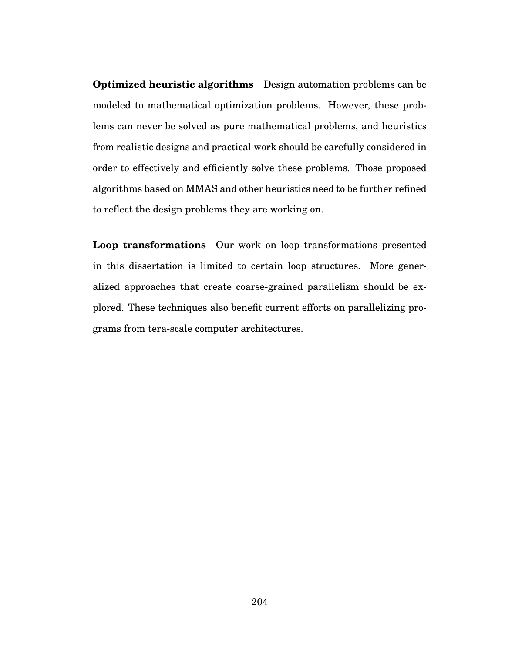**Optimized heuristic algorithms** Design automation problems can be modeled to mathematical optimization problems. However, these problems can never be solved as pure mathematical problems, and heuristics from realistic designs and practical work should be carefully considered in order to effectively and efficiently solve these problems. Those proposed algorithms based on MMAS and other heuristics need to be further refined to reflect the design problems they are working on.

**Loop transformations** Our work on loop transformations presented in this dissertation is limited to certain loop structures. More generalized approaches that create coarse-grained parallelism should be explored. These techniques also benefit current efforts on parallelizing programs from tera-scale computer architectures.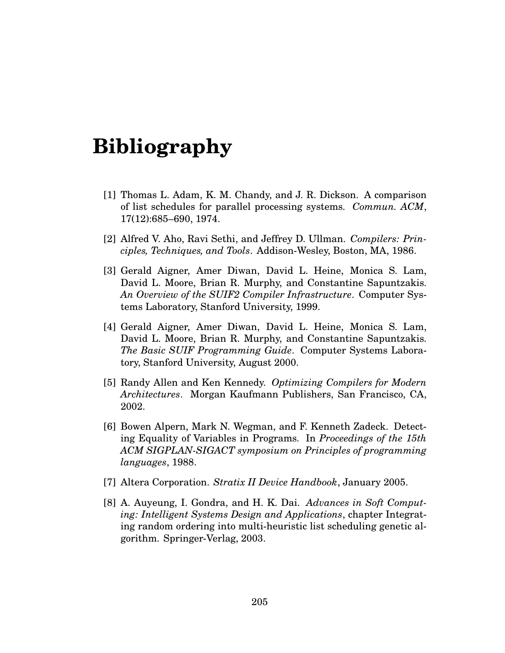# **Bibliography**

- [1] Thomas L. Adam, K. M. Chandy, and J. R. Dickson. A comparison of list schedules for parallel processing systems. *Commun. ACM*, 17(12):685–690, 1974.
- [2] Alfred V. Aho, Ravi Sethi, and Jeffrey D. Ullman. *Compilers: Principles, Techniques, and Tools*. Addison-Wesley, Boston, MA, 1986.
- [3] Gerald Aigner, Amer Diwan, David L. Heine, Monica S. Lam, David L. Moore, Brian R. Murphy, and Constantine Sapuntzakis. *An Overview of the SUIF2 Compiler Infrastructure*. Computer Systems Laboratory, Stanford University, 1999.
- [4] Gerald Aigner, Amer Diwan, David L. Heine, Monica S. Lam, David L. Moore, Brian R. Murphy, and Constantine Sapuntzakis. *The Basic SUIF Programming Guide*. Computer Systems Laboratory, Stanford University, August 2000.
- [5] Randy Allen and Ken Kennedy. *Optimizing Compilers for Modern Architectures*. Morgan Kaufmann Publishers, San Francisco, CA, 2002.
- [6] Bowen Alpern, Mark N. Wegman, and F. Kenneth Zadeck. Detecting Equality of Variables in Programs. In *Proceedings of the 15th ACM SIGPLAN-SIGACT symposium on Principles of programming languages*, 1988.
- [7] Altera Corporation. *Stratix II Device Handbook*, January 2005.
- [8] A. Auyeung, I. Gondra, and H. K. Dai. *Advances in Soft Computing: Intelligent Systems Design and Applications*, chapter Integrating random ordering into multi-heuristic list scheduling genetic algorithm. Springer-Verlag, 2003.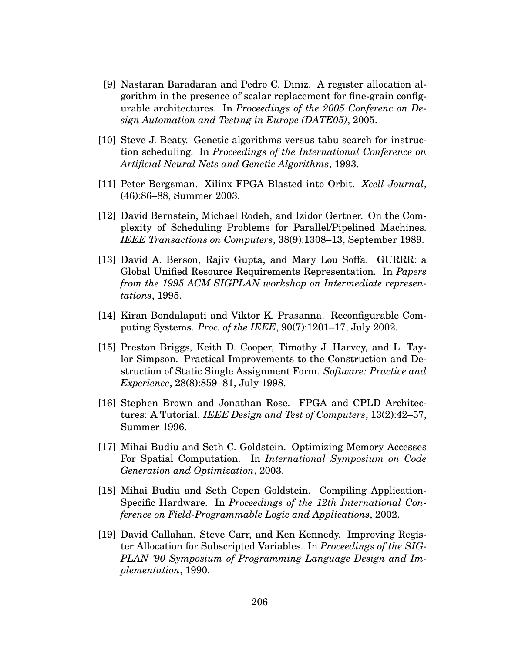- [9] Nastaran Baradaran and Pedro C. Diniz. A register allocation algorithm in the presence of scalar replacement for fine-grain configurable architectures. In *Proceedings of the 2005 Conferenc on Design Automation and Testing in Europe (DATE05)*, 2005.
- [10] Steve J. Beaty. Genetic algorithms versus tabu search for instruction scheduling. In *Proceedings of the International Conference on Artificial Neural Nets and Genetic Algorithms*, 1993.
- [11] Peter Bergsman. Xilinx FPGA Blasted into Orbit. *Xcell Journal*, (46):86–88, Summer 2003.
- [12] David Bernstein, Michael Rodeh, and Izidor Gertner. On the Complexity of Scheduling Problems for Parallel/Pipelined Machines. *IEEE Transactions on Computers*, 38(9):1308–13, September 1989.
- [13] David A. Berson, Rajiv Gupta, and Mary Lou Soffa. GURRR: a Global Unified Resource Requirements Representation. In *Papers from the 1995 ACM SIGPLAN workshop on Intermediate representations*, 1995.
- [14] Kiran Bondalapati and Viktor K. Prasanna. Reconfigurable Computing Systems. *Proc. of the IEEE*, 90(7):1201–17, July 2002.
- [15] Preston Briggs, Keith D. Cooper, Timothy J. Harvey, and L. Taylor Simpson. Practical Improvements to the Construction and Destruction of Static Single Assignment Form. *Software: Practice and Experience*, 28(8):859–81, July 1998.
- [16] Stephen Brown and Jonathan Rose. FPGA and CPLD Architectures: A Tutorial. *IEEE Design and Test of Computers*, 13(2):42–57, Summer 1996.
- [17] Mihai Budiu and Seth C. Goldstein. Optimizing Memory Accesses For Spatial Computation. In *International Symposium on Code Generation and Optimization*, 2003.
- [18] Mihai Budiu and Seth Copen Goldstein. Compiling Application-Specific Hardware. In *Proceedings of the 12th International Conference on Field-Programmable Logic and Applications*, 2002.
- [19] David Callahan, Steve Carr, and Ken Kennedy. Improving Register Allocation for Subscripted Variables. In *Proceedings of the SIG-PLAN '90 Symposium of Programming Language Design and Implementation*, 1990.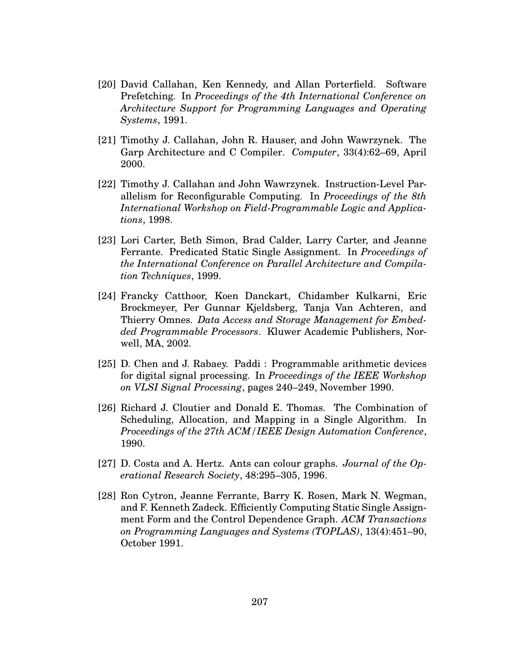- [20] David Callahan, Ken Kennedy, and Allan Porterfield. Software Prefetching. In *Proceedings of the 4th International Conference on Architecture Support for Programming Languages and Operating Systems*, 1991.
- [21] Timothy J. Callahan, John R. Hauser, and John Wawrzynek. The Garp Architecture and C Compiler. *Computer*, 33(4):62–69, April 2000.
- [22] Timothy J. Callahan and John Wawrzynek. Instruction-Level Parallelism for Reconfigurable Computing. In *Proceedings of the 8th International Workshop on Field-Programmable Logic and Applications*, 1998.
- [23] Lori Carter, Beth Simon, Brad Calder, Larry Carter, and Jeanne Ferrante. Predicated Static Single Assignment. In *Proceedings of the International Conference on Parallel Architecture and Compilation Techniques*, 1999.
- [24] Francky Catthoor, Koen Danckart, Chidamber Kulkarni, Eric Brockmeyer, Per Gunnar Kjeldsberg, Tanja Van Achteren, and Thierry Omnes. *Data Access and Storage Management for Embedded Programmable Processors*. Kluwer Academic Publishers, Norwell, MA, 2002.
- [25] D. Chen and J. Rabaey. Paddi : Programmable arithmetic devices for digital signal processing. In *Proceedings of the IEEE Workshop on VLSI Signal Processing*, pages 240–249, November 1990.
- [26] Richard J. Cloutier and Donald E. Thomas. The Combination of Scheduling, Allocation, and Mapping in a Single Algorithm. In *Proceedings of the 27th ACM/IEEE Design Automation Conference*, 1990.
- [27] D. Costa and A. Hertz. Ants can colour graphs. *Journal of the Operational Research Society*, 48:295–305, 1996.
- [28] Ron Cytron, Jeanne Ferrante, Barry K. Rosen, Mark N. Wegman, and F. Kenneth Zadeck. Efficiently Computing Static Single Assignment Form and the Control Dependence Graph. *ACM Transactions on Programming Languages and Systems (TOPLAS)*, 13(4):451–90, October 1991.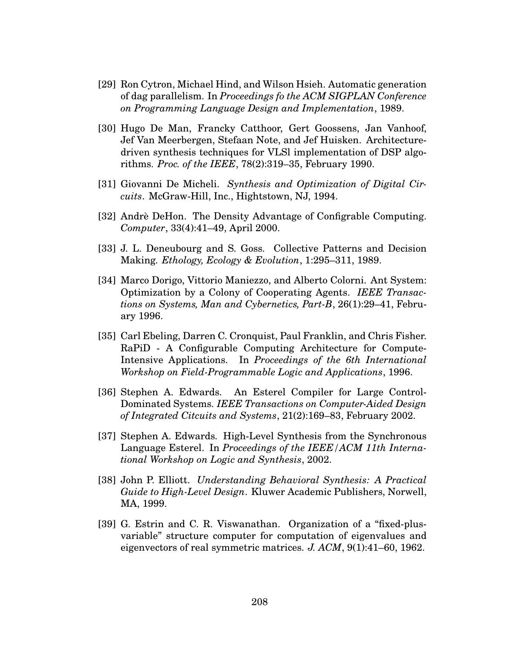- [29] Ron Cytron, Michael Hind, and Wilson Hsieh. Automatic generation of dag parallelism. In *Proceedings fo the ACM SIGPLAN Conference on Programming Language Design and Implementation*, 1989.
- [30] Hugo De Man, Francky Catthoor, Gert Goossens, Jan Vanhoof, Jef Van Meerbergen, Stefaan Note, and Jef Huisken. Architecturedriven synthesis techniques for VLSl implementation of DSP algorithms. *Proc. of the IEEE*, 78(2):319–35, February 1990.
- [31] Giovanni De Micheli. *Synthesis and Optimization of Digital Circuits*. McGraw-Hill, Inc., Hightstown, NJ, 1994.
- [32] Andrè DeHon. The Density Advantage of Configrable Computing. *Computer*, 33(4):41–49, April 2000.
- [33] J. L. Deneubourg and S. Goss. Collective Patterns and Decision Making. *Ethology, Ecology & Evolution*, 1:295–311, 1989.
- [34] Marco Dorigo, Vittorio Maniezzo, and Alberto Colorni. Ant System: Optimization by a Colony of Cooperating Agents. *IEEE Transactions on Systems, Man and Cybernetics, Part-B*, 26(1):29–41, February 1996.
- [35] Carl Ebeling, Darren C. Cronquist, Paul Franklin, and Chris Fisher. RaPiD - A Configurable Computing Architecture for Compute-Intensive Applications. In *Proceedings of the 6th International Workshop on Field-Programmable Logic and Applications*, 1996.
- [36] Stephen A. Edwards. An Esterel Compiler for Large Control-Dominated Systems. *IEEE Transactions on Computer-Aided Design of Integrated Citcuits and Systems*, 21(2):169–83, February 2002.
- [37] Stephen A. Edwards. High-Level Synthesis from the Synchronous Language Esterel. In *Proceedings of the IEEE/ACM 11th International Workshop on Logic and Synthesis*, 2002.
- [38] John P. Elliott. *Understanding Behavioral Synthesis: A Practical Guide to High-Level Design*. Kluwer Academic Publishers, Norwell, MA, 1999.
- [39] G. Estrin and C. R. Viswanathan. Organization of a "fixed-plusvariable" structure computer for computation of eigenvalues and eigenvectors of real symmetric matrices. *J. ACM*, 9(1):41–60, 1962.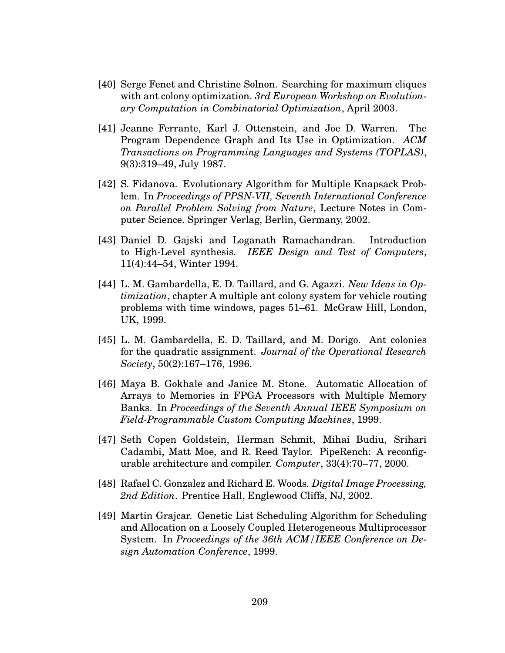- [40] Serge Fenet and Christine Solnon. Searching for maximum cliques with ant colony optimization. *3rd European Workshop on Evolutionary Computation in Combinatorial Optimization*, April 2003.
- [41] Jeanne Ferrante, Karl J. Ottenstein, and Joe D. Warren. The Program Dependence Graph and Its Use in Optimization. *ACM Transactions on Programming Languages and Systems (TOPLAS)*, 9(3):319–49, July 1987.
- [42] S. Fidanova. Evolutionary Algorithm for Multiple Knapsack Problem. In *Proceedings of PPSN-VII, Seventh International Conference on Parallel Problem Solving from Nature*, Lecture Notes in Computer Science. Springer Verlag, Berlin, Germany, 2002.
- [43] Daniel D. Gajski and Loganath Ramachandran. Introduction to High-Level synthesis. *IEEE Design and Test of Computers*, 11(4):44–54, Winter 1994.
- [44] L. M. Gambardella, E. D. Taillard, and G. Agazzi. *New Ideas in Optimization*, chapter A multiple ant colony system for vehicle routing problems with time windows, pages 51–61. McGraw Hill, London, UK, 1999.
- [45] L. M. Gambardella, E. D. Taillard, and M. Dorigo. Ant colonies for the quadratic assignment. *Journal of the Operational Research Society*, 50(2):167–176, 1996.
- [46] Maya B. Gokhale and Janice M. Stone. Automatic Allocation of Arrays to Memories in FPGA Processors with Multiple Memory Banks. In *Proceedings of the Seventh Annual IEEE Symposium on Field-Programmable Custom Computing Machines*, 1999.
- [47] Seth Copen Goldstein, Herman Schmit, Mihai Budiu, Srihari Cadambi, Matt Moe, and R. Reed Taylor. PipeRench: A reconfigurable architecture and compiler. *Computer*, 33(4):70–77, 2000.
- [48] Rafael C. Gonzalez and Richard E. Woods. *Digital Image Processing, 2nd Edition*. Prentice Hall, Englewood Cliffs, NJ, 2002.
- [49] Martin Grajcar. Genetic List Scheduling Algorithm for Scheduling and Allocation on a Loosely Coupled Heterogeneous Multiprocessor System. In *Proceedings of the 36th ACM/IEEE Conference on Design Automation Conference*, 1999.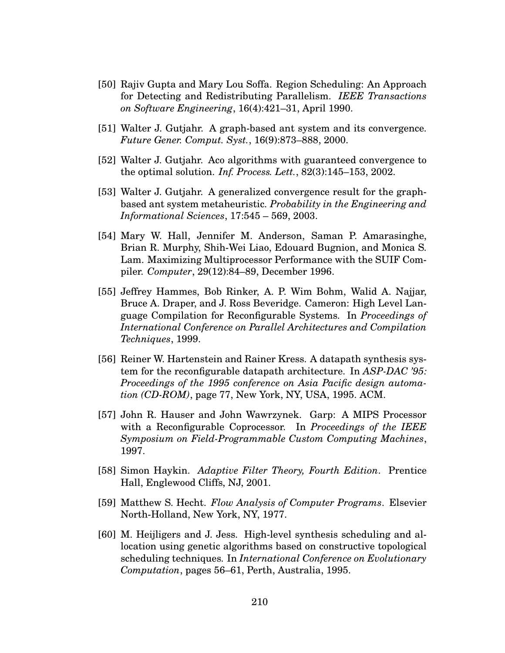- [50] Rajiv Gupta and Mary Lou Soffa. Region Scheduling: An Approach for Detecting and Redistributing Parallelism. *IEEE Transactions on Software Engineering*, 16(4):421–31, April 1990.
- [51] Walter J. Gutjahr. A graph-based ant system and its convergence. *Future Gener. Comput. Syst.*, 16(9):873–888, 2000.
- [52] Walter J. Gutjahr. Aco algorithms with guaranteed convergence to the optimal solution. *Inf. Process. Lett.*, 82(3):145–153, 2002.
- [53] Walter J. Gutjahr. A generalized convergence result for the graphbased ant system metaheuristic. *Probability in the Engineering and Informational Sciences*, 17:545 – 569, 2003.
- [54] Mary W. Hall, Jennifer M. Anderson, Saman P. Amarasinghe, Brian R. Murphy, Shih-Wei Liao, Edouard Bugnion, and Monica S. Lam. Maximizing Multiprocessor Performance with the SUIF Compiler. *Computer*, 29(12):84–89, December 1996.
- [55] Jeffrey Hammes, Bob Rinker, A. P. Wim Bohm, Walid A. Najjar, Bruce A. Draper, and J. Ross Beveridge. Cameron: High Level Language Compilation for Reconfigurable Systems. In *Proceedings of International Conference on Parallel Architectures and Compilation Techniques*, 1999.
- [56] Reiner W. Hartenstein and Rainer Kress. A datapath synthesis system for the reconfigurable datapath architecture. In *ASP-DAC '95: Proceedings of the 1995 conference on Asia Pacific design automation (CD-ROM)*, page 77, New York, NY, USA, 1995. ACM.
- [57] John R. Hauser and John Wawrzynek. Garp: A MIPS Processor with a Reconfigurable Coprocessor. In *Proceedings of the IEEE Symposium on Field-Programmable Custom Computing Machines*, 1997.
- [58] Simon Haykin. *Adaptive Filter Theory, Fourth Edition*. Prentice Hall, Englewood Cliffs, NJ, 2001.
- [59] Matthew S. Hecht. *Flow Analysis of Computer Programs*. Elsevier North-Holland, New York, NY, 1977.
- [60] M. Heijligers and J. Jess. High-level synthesis scheduling and allocation using genetic algorithms based on constructive topological scheduling techniques. In *International Conference on Evolutionary Computation*, pages 56–61, Perth, Australia, 1995.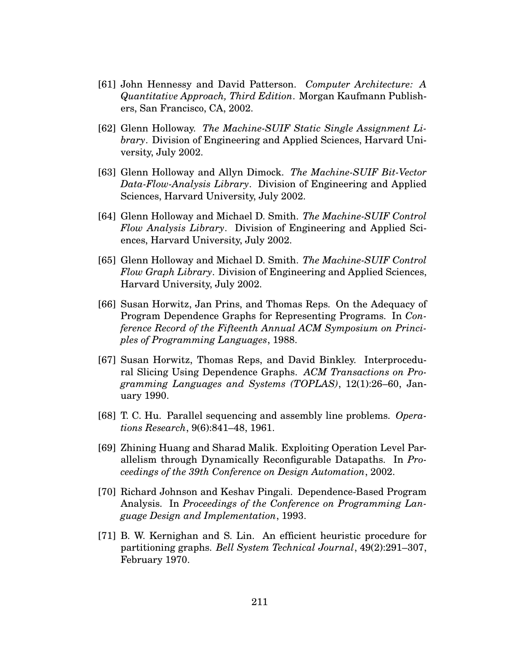- [61] John Hennessy and David Patterson. *Computer Architecture: A Quantitative Approach, Third Edition*. Morgan Kaufmann Publishers, San Francisco, CA, 2002.
- [62] Glenn Holloway. *The Machine-SUIF Static Single Assignment Library*. Division of Engineering and Applied Sciences, Harvard University, July 2002.
- [63] Glenn Holloway and Allyn Dimock. *The Machine-SUIF Bit-Vector Data-Flow-Analysis Library*. Division of Engineering and Applied Sciences, Harvard University, July 2002.
- [64] Glenn Holloway and Michael D. Smith. *The Machine-SUIF Control Flow Analysis Library*. Division of Engineering and Applied Sciences, Harvard University, July 2002.
- [65] Glenn Holloway and Michael D. Smith. *The Machine-SUIF Control Flow Graph Library*. Division of Engineering and Applied Sciences, Harvard University, July 2002.
- [66] Susan Horwitz, Jan Prins, and Thomas Reps. On the Adequacy of Program Dependence Graphs for Representing Programs. In *Conference Record of the Fifteenth Annual ACM Symposium on Principles of Programming Languages*, 1988.
- [67] Susan Horwitz, Thomas Reps, and David Binkley. Interprocedural Slicing Using Dependence Graphs. *ACM Transactions on Programming Languages and Systems (TOPLAS)*, 12(1):26–60, January 1990.
- [68] T. C. Hu. Parallel sequencing and assembly line problems. *Operations Research*, 9(6):841–48, 1961.
- [69] Zhining Huang and Sharad Malik. Exploiting Operation Level Parallelism through Dynamically Reconfigurable Datapaths. In *Proceedings of the 39th Conference on Design Automation*, 2002.
- [70] Richard Johnson and Keshav Pingali. Dependence-Based Program Analysis. In *Proceedings of the Conference on Programming Language Design and Implementation*, 1993.
- [71] B. W. Kernighan and S. Lin. An efficient heuristic procedure for partitioning graphs. *Bell System Technical Journal*, 49(2):291–307, February 1970.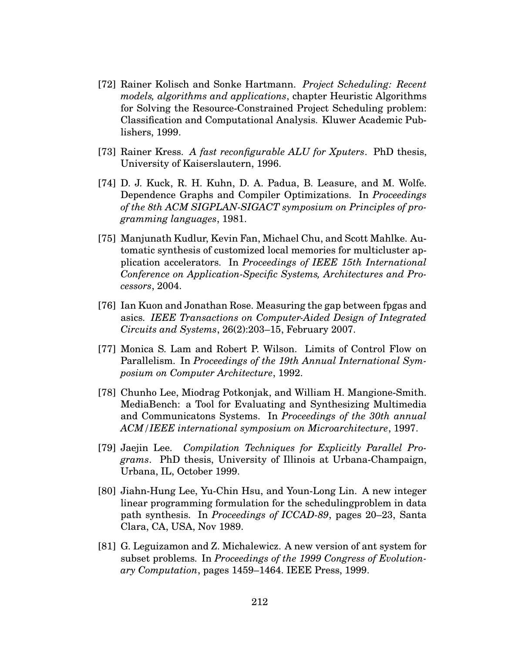- [72] Rainer Kolisch and Sonke Hartmann. *Project Scheduling: Recent models, algorithms and applications*, chapter Heuristic Algorithms for Solving the Resource-Constrained Project Scheduling problem: Classification and Computational Analysis. Kluwer Academic Publishers, 1999.
- [73] Rainer Kress. *A fast reconfigurable ALU for Xputers*. PhD thesis, University of Kaiserslautern, 1996.
- [74] D. J. Kuck, R. H. Kuhn, D. A. Padua, B. Leasure, and M. Wolfe. Dependence Graphs and Compiler Optimizations. In *Proceedings of the 8th ACM SIGPLAN-SIGACT symposium on Principles of programming languages*, 1981.
- [75] Manjunath Kudlur, Kevin Fan, Michael Chu, and Scott Mahlke. Automatic synthesis of customized local memories for multicluster application accelerators. In *Proceedings of IEEE 15th International Conference on Application-Specific Systems, Architectures and Processors*, 2004.
- [76] Ian Kuon and Jonathan Rose. Measuring the gap between fpgas and asics. *IEEE Transactions on Computer-Aided Design of Integrated Circuits and Systems*, 26(2):203–15, February 2007.
- [77] Monica S. Lam and Robert P. Wilson. Limits of Control Flow on Parallelism. In *Proceedings of the 19th Annual International Symposium on Computer Architecture*, 1992.
- [78] Chunho Lee, Miodrag Potkonjak, and William H. Mangione-Smith. MediaBench: a Tool for Evaluating and Synthesizing Multimedia and Communicatons Systems. In *Proceedings of the 30th annual ACM/IEEE international symposium on Microarchitecture*, 1997.
- [79] Jaejin Lee. *Compilation Techniques for Explicitly Parallel Programs*. PhD thesis, University of Illinois at Urbana-Champaign, Urbana, IL, October 1999.
- [80] Jiahn-Hung Lee, Yu-Chin Hsu, and Youn-Long Lin. A new integer linear programming formulation for the schedulingproblem in data path synthesis. In *Proceedings of ICCAD-89*, pages 20–23, Santa Clara, CA, USA, Nov 1989.
- [81] G. Leguizamon and Z. Michalewicz. A new version of ant system for subset problems. In *Proceedings of the 1999 Congress of Evolutionary Computation*, pages 1459–1464. IEEE Press, 1999.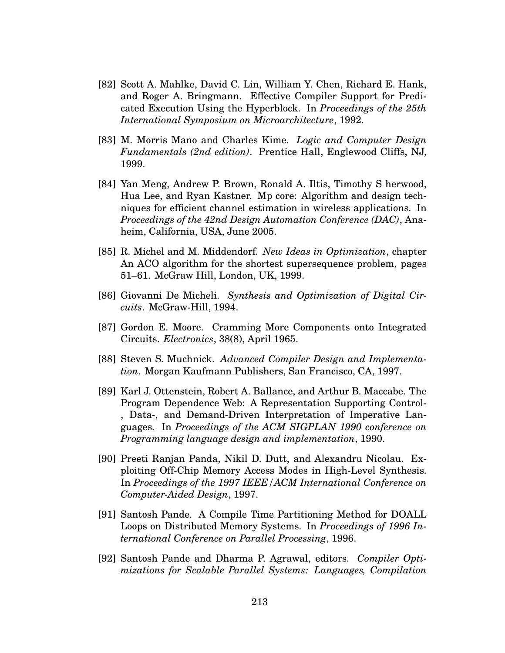- [82] Scott A. Mahlke, David C. Lin, William Y. Chen, Richard E. Hank, and Roger A. Bringmann. Effective Compiler Support for Predicated Execution Using the Hyperblock. In *Proceedings of the 25th International Symposium on Microarchitecture*, 1992.
- [83] M. Morris Mano and Charles Kime. *Logic and Computer Design Fundamentals (2nd edition)*. Prentice Hall, Englewood Cliffs, NJ, 1999.
- [84] Yan Meng, Andrew P. Brown, Ronald A. Iltis, Timothy S herwood, Hua Lee, and Ryan Kastner. Mp core: Algorithm and design techniques for efficient channel estimation in wireless applications. In *Proceedings of the 42nd Design Automation Conference (DAC)*, Anaheim, California, USA, June 2005.
- [85] R. Michel and M. Middendorf. *New Ideas in Optimization*, chapter An ACO algorithm for the shortest supersequence problem, pages 51–61. McGraw Hill, London, UK, 1999.
- [86] Giovanni De Micheli. *Synthesis and Optimization of Digital Circuits*. McGraw-Hill, 1994.
- [87] Gordon E. Moore. Cramming More Components onto Integrated Circuits. *Electronics*, 38(8), April 1965.
- [88] Steven S. Muchnick. *Advanced Compiler Design and Implementation*. Morgan Kaufmann Publishers, San Francisco, CA, 1997.
- [89] Karl J. Ottenstein, Robert A. Ballance, and Arthur B. Maccabe. The Program Dependence Web: A Representation Supporting Control- , Data-, and Demand-Driven Interpretation of Imperative Languages. In *Proceedings of the ACM SIGPLAN 1990 conference on Programming language design and implementation*, 1990.
- [90] Preeti Ranjan Panda, Nikil D. Dutt, and Alexandru Nicolau. Exploiting Off-Chip Memory Access Modes in High-Level Synthesis. In *Proceedings of the 1997 IEEE/ACM International Conference on Computer-Aided Design*, 1997.
- [91] Santosh Pande. A Compile Time Partitioning Method for DOALL Loops on Distributed Memory Systems. In *Proceedings of 1996 International Conference on Parallel Processing*, 1996.
- [92] Santosh Pande and Dharma P. Agrawal, editors. *Compiler Optimizations for Scalable Parallel Systems: Languages, Compilation*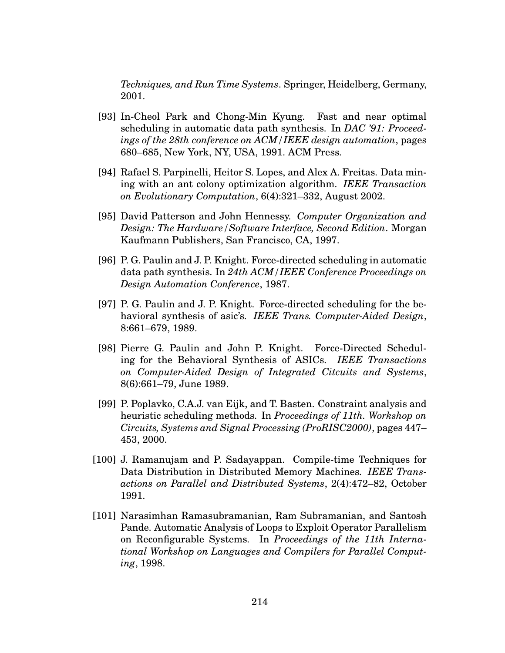*Techniques, and Run Time Systems*. Springer, Heidelberg, Germany, 2001.

- [93] In-Cheol Park and Chong-Min Kyung. Fast and near optimal scheduling in automatic data path synthesis. In *DAC '91: Proceedings of the 28th conference on ACM/IEEE design automation*, pages 680–685, New York, NY, USA, 1991. ACM Press.
- [94] Rafael S. Parpinelli, Heitor S. Lopes, and Alex A. Freitas. Data mining with an ant colony optimization algorithm. *IEEE Transaction on Evolutionary Computation*, 6(4):321–332, August 2002.
- [95] David Patterson and John Hennessy. *Computer Organization and Design: The Hardware/Software Interface, Second Edition*. Morgan Kaufmann Publishers, San Francisco, CA, 1997.
- [96] P. G. Paulin and J. P. Knight. Force-directed scheduling in automatic data path synthesis. In *24th ACM/IEEE Conference Proceedings on Design Automation Conference*, 1987.
- [97] P. G. Paulin and J. P. Knight. Force-directed scheduling for the behavioral synthesis of asic's. *IEEE Trans. Computer-Aided Design*, 8:661–679, 1989.
- [98] Pierre G. Paulin and John P. Knight. Force-Directed Scheduling for the Behavioral Synthesis of ASICs. *IEEE Transactions on Computer-Aided Design of Integrated Citcuits and Systems*, 8(6):661–79, June 1989.
- [99] P. Poplavko, C.A.J. van Eijk, and T. Basten. Constraint analysis and heuristic scheduling methods. In *Proceedings of 11th. Workshop on Circuits, Systems and Signal Processing (ProRISC2000)*, pages 447– 453, 2000.
- [100] J. Ramanujam and P. Sadayappan. Compile-time Techniques for Data Distribution in Distributed Memory Machines. *IEEE Transactions on Parallel and Distributed Systems*, 2(4):472–82, October 1991.
- [101] Narasimhan Ramasubramanian, Ram Subramanian, and Santosh Pande. Automatic Analysis of Loops to Exploit Operator Parallelism on Reconfigurable Systems. In *Proceedings of the 11th International Workshop on Languages and Compilers for Parallel Computing*, 1998.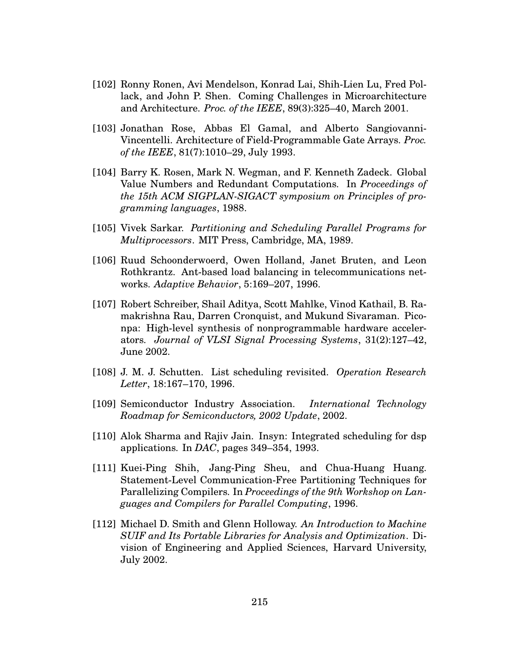- [102] Ronny Ronen, Avi Mendelson, Konrad Lai, Shih-Lien Lu, Fred Pollack, and John P. Shen. Coming Challenges in Microarchitecture and Architecture. *Proc. of the IEEE*, 89(3):325–40, March 2001.
- [103] Jonathan Rose, Abbas El Gamal, and Alberto Sangiovanni-Vincentelli. Architecture of Field-Programmable Gate Arrays. *Proc. of the IEEE*, 81(7):1010–29, July 1993.
- [104] Barry K. Rosen, Mark N. Wegman, and F. Kenneth Zadeck. Global Value Numbers and Redundant Computations. In *Proceedings of the 15th ACM SIGPLAN-SIGACT symposium on Principles of programming languages*, 1988.
- [105] Vivek Sarkar. *Partitioning and Scheduling Parallel Programs for Multiprocessors*. MIT Press, Cambridge, MA, 1989.
- [106] Ruud Schoonderwoerd, Owen Holland, Janet Bruten, and Leon Rothkrantz. Ant-based load balancing in telecommunications networks. *Adaptive Behavior*, 5:169–207, 1996.
- [107] Robert Schreiber, Shail Aditya, Scott Mahlke, Vinod Kathail, B. Ramakrishna Rau, Darren Cronquist, and Mukund Sivaraman. Piconpa: High-level synthesis of nonprogrammable hardware accelerators. *Journal of VLSI Signal Processing Systems*, 31(2):127–42, June 2002.
- [108] J. M. J. Schutten. List scheduling revisited. *Operation Research Letter*, 18:167–170, 1996.
- [109] Semiconductor Industry Association. *International Technology Roadmap for Semiconductors, 2002 Update*, 2002.
- [110] Alok Sharma and Rajiv Jain. Insyn: Integrated scheduling for dsp applications. In *DAC*, pages 349–354, 1993.
- [111] Kuei-Ping Shih, Jang-Ping Sheu, and Chua-Huang Huang. Statement-Level Communication-Free Partitioning Techniques for Parallelizing Compilers. In *Proceedings of the 9th Workshop on Languages and Compilers for Parallel Computing*, 1996.
- [112] Michael D. Smith and Glenn Holloway. *An Introduction to Machine SUIF and Its Portable Libraries for Analysis and Optimization*. Division of Engineering and Applied Sciences, Harvard University, July 2002.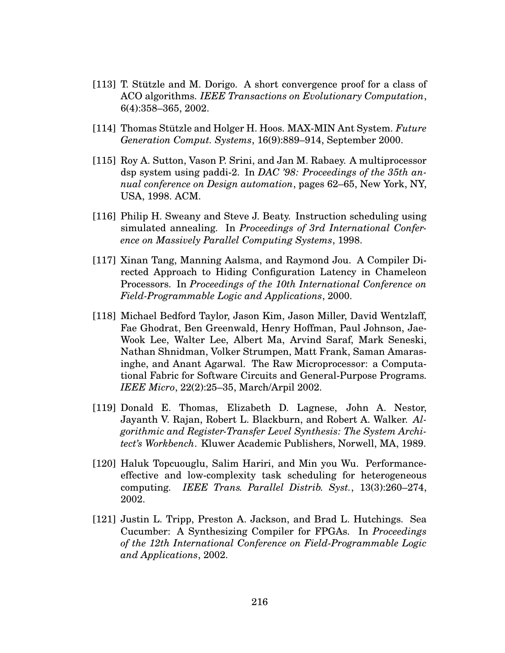- $[113]$  T. Stützle and M. Dorigo. A short convergence proof for a class of ACO algorithms. *IEEE Transactions on Evolutionary Computation*, 6(4):358–365, 2002.
- [114] Thomas Stützle and Holger H. Hoos. MAX-MIN Ant System. Future *Generation Comput. Systems*, 16(9):889–914, September 2000.
- [115] Roy A. Sutton, Vason P. Srini, and Jan M. Rabaey. A multiprocessor dsp system using paddi-2. In *DAC '98: Proceedings of the 35th annual conference on Design automation*, pages 62–65, New York, NY, USA, 1998. ACM.
- [116] Philip H. Sweany and Steve J. Beaty. Instruction scheduling using simulated annealing. In *Proceedings of 3rd International Conference on Massively Parallel Computing Systems*, 1998.
- [117] Xinan Tang, Manning Aalsma, and Raymond Jou. A Compiler Directed Approach to Hiding Configuration Latency in Chameleon Processors. In *Proceedings of the 10th International Conference on Field-Programmable Logic and Applications*, 2000.
- [118] Michael Bedford Taylor, Jason Kim, Jason Miller, David Wentzlaff, Fae Ghodrat, Ben Greenwald, Henry Hoffman, Paul Johnson, Jae-Wook Lee, Walter Lee, Albert Ma, Arvind Saraf, Mark Seneski, Nathan Shnidman, Volker Strumpen, Matt Frank, Saman Amarasinghe, and Anant Agarwal. The Raw Microprocessor: a Computational Fabric for Software Circuits and General-Purpose Programs. *IEEE Micro*, 22(2):25–35, March/Arpil 2002.
- [119] Donald E. Thomas, Elizabeth D. Lagnese, John A. Nestor, Jayanth V. Rajan, Robert L. Blackburn, and Robert A. Walker. *Algorithmic and Register-Transfer Level Synthesis: The System Architect's Workbench*. Kluwer Academic Publishers, Norwell, MA, 1989.
- [120] Haluk Topcuouglu, Salim Hariri, and Min you Wu. Performanceeffective and low-complexity task scheduling for heterogeneous computing. *IEEE Trans. Parallel Distrib. Syst.*, 13(3):260–274, 2002.
- [121] Justin L. Tripp, Preston A. Jackson, and Brad L. Hutchings. Sea Cucumber: A Synthesizing Compiler for FPGAs. In *Proceedings of the 12th International Conference on Field-Programmable Logic and Applications*, 2002.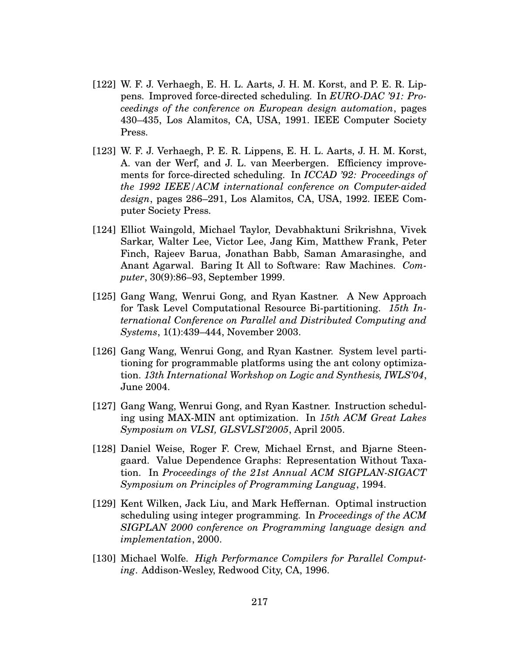- [122] W. F. J. Verhaegh, E. H. L. Aarts, J. H. M. Korst, and P. E. R. Lippens. Improved force-directed scheduling. In *EURO-DAC '91: Proceedings of the conference on European design automation*, pages 430–435, Los Alamitos, CA, USA, 1991. IEEE Computer Society Press.
- [123] W. F. J. Verhaegh, P. E. R. Lippens, E. H. L. Aarts, J. H. M. Korst, A. van der Werf, and J. L. van Meerbergen. Efficiency improvements for force-directed scheduling. In *ICCAD '92: Proceedings of the 1992 IEEE/ACM international conference on Computer-aided design*, pages 286–291, Los Alamitos, CA, USA, 1992. IEEE Computer Society Press.
- [124] Elliot Waingold, Michael Taylor, Devabhaktuni Srikrishna, Vivek Sarkar, Walter Lee, Victor Lee, Jang Kim, Matthew Frank, Peter Finch, Rajeev Barua, Jonathan Babb, Saman Amarasinghe, and Anant Agarwal. Baring It All to Software: Raw Machines. *Computer*, 30(9):86–93, September 1999.
- [125] Gang Wang, Wenrui Gong, and Ryan Kastner. A New Approach for Task Level Computational Resource Bi-partitioning. *15th International Conference on Parallel and Distributed Computing and Systems*, 1(1):439–444, November 2003.
- [126] Gang Wang, Wenrui Gong, and Ryan Kastner. System level partitioning for programmable platforms using the ant colony optimization. *13th International Workshop on Logic and Synthesis, IWLS'04*, June 2004.
- [127] Gang Wang, Wenrui Gong, and Ryan Kastner. Instruction scheduling using MAX-MIN ant optimization. In *15th ACM Great Lakes Symposium on VLSI, GLSVLSI'2005*, April 2005.
- [128] Daniel Weise, Roger F. Crew, Michael Ernst, and Bjarne Steengaard. Value Dependence Graphs: Representation Without Taxation. In *Proceedings of the 21st Annual ACM SIGPLAN-SIGACT Symposium on Principles of Programming Languag*, 1994.
- [129] Kent Wilken, Jack Liu, and Mark Heffernan. Optimal instruction scheduling using integer programming. In *Proceedings of the ACM SIGPLAN 2000 conference on Programming language design and implementation*, 2000.
- [130] Michael Wolfe. *High Performance Compilers for Parallel Computing*. Addison-Wesley, Redwood City, CA, 1996.